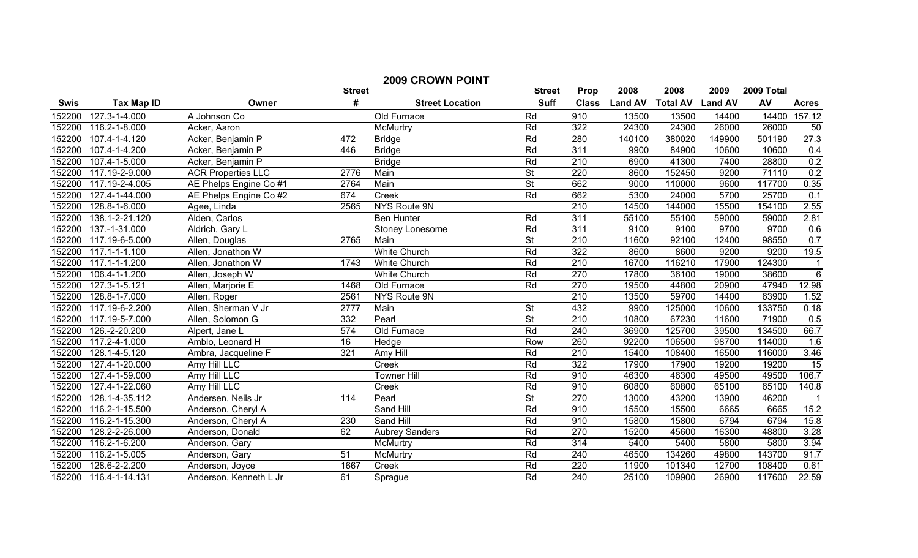|             | <b>2009 CROWN POINT</b> |                           |                 |                        |                          |                  |                |                 |                |            |                 |
|-------------|-------------------------|---------------------------|-----------------|------------------------|--------------------------|------------------|----------------|-----------------|----------------|------------|-----------------|
|             |                         |                           | <b>Street</b>   |                        | <b>Street</b>            | Prop             | 2008           | 2008            | 2009           | 2009 Total |                 |
| <b>Swis</b> | <b>Tax Map ID</b>       | Owner                     | #               | <b>Street Location</b> | <b>Suff</b>              | <b>Class</b>     | <b>Land AV</b> | <b>Total AV</b> | <b>Land AV</b> | AV         | <b>Acres</b>    |
| 152200      | 127.3-1-4.000           | A Johnson Co              |                 | Old Furnace            | Rd                       | 910              | 13500          | 13500           | 14400          | 14400      | 157.12          |
| 152200      | 116.2-1-8.000           | Acker, Aaron              |                 | McMurtry               | Rd                       | 322              | 24300          | 24300           | 26000          | 26000      | 50              |
| 152200      | 107.4-1-4.120           | Acker, Benjamin P         | 472             | <b>Bridge</b>          | Rd                       | 280              | 140100         | 380020          | 149900         | 501190     | 27.3            |
| 152200      | 107.4-1-4.200           | Acker, Benjamin P         | 446             | <b>Bridge</b>          | Rd                       | 311              | 9900           | 84900           | 10600          | 10600      | 0.4             |
| 152200      | 107.4-1-5.000           | Acker, Benjamin P         |                 | <b>Bridge</b>          | Rd                       | 210              | 6900           | 41300           | 7400           | 28800      | 0.2             |
| 152200      | 117.19-2-9.000          | <b>ACR Properties LLC</b> | 2776            | Main                   | $\overline{\mathsf{St}}$ | 220              | 8600           | 152450          | 9200           | 71110      | 0.2             |
| 152200      | 117.19-2-4.005          | AE Phelps Engine Co #1    | 2764            | Main                   | $\overline{\mathsf{St}}$ | 662              | 9000           | 110000          | 9600           | 117700     | 0.35            |
| 152200      | 127.4-1-44.000          | AE Phelps Engine Co #2    | 674             | Creek                  | Rd                       | 662              | 5300           | 24000           | 5700           | 25700      | 0.1             |
| 152200      | 128.8-1-6.000           | Agee, Linda               | 2565            | NYS Route 9N           |                          | 210              | 14500          | 144000          | 15500          | 154100     | 2.55            |
| 152200      | 138.1-2-21.120          | Alden, Carlos             |                 | <b>Ben Hunter</b>      | Rd                       | $\overline{311}$ | 55100          | 55100           | 59000          | 59000      | 2.81            |
| 152200      | 137.-1-31.000           | Aldrich, Gary L           |                 | Stoney Lonesome        | Rd                       | 311              | 9100           | 9100            | 9700           | 9700       | 0.6             |
| 152200      | 117.19-6-5.000          | Allen, Douglas            | 2765            | Main                   | <b>St</b>                | 210              | 11600          | 92100           | 12400          | 98550      | 0.7             |
| 152200      | 117.1-1-1.100           | Allen, Jonathon W         |                 | <b>White Church</b>    | Rd                       | 322              | 8600           | 8600            | 9200           | 9200       | 19.5            |
| 152200      | 117.1-1-1.200           | Allen, Jonathon W         | 1743            | <b>White Church</b>    | Rd                       | 210              | 16700          | 116210          | 17900          | 124300     |                 |
| 152200      | 106.4-1-1.200           | Allen, Joseph W           |                 | <b>White Church</b>    | Rd                       | 270              | 17800          | 36100           | 19000          | 38600      | $\,6$           |
| 152200      | 127.3-1-5.121           | Allen, Marjorie E         | 1468            | Old Furnace            | Rd                       | 270              | 19500          | 44800           | 20900          | 47940      | 12.98           |
| 152200      | 128.8-1-7.000           | Allen, Roger              | 2561            | NYS Route 9N           |                          | 210              | 13500          | 59700           | 14400          | 63900      | 1.52            |
| 152200      | 117.19-6-2.200          | Allen, Sherman V Jr       | 2777            | Main                   | <b>St</b>                | 432              | 9900           | 125000          | 10600          | 133750     | 0.18            |
| 152200      | 117.19-5-7.000          | Allen, Solomon G          | 332             | Pearl                  | <b>St</b>                | 210              | 10800          | 67230           | 11600          | 71900      | 0.5             |
| 152200      | 126.-2-20.200           | Alpert, Jane L            | 574             | Old Furnace            | Rd                       | 240              | 36900          | 125700          | 39500          | 134500     | 66.7            |
| 152200      | 117.2-4-1.000           | Amblo, Leonard H          | $\overline{16}$ | Hedge                  | Row                      | 260              | 92200          | 106500          | 98700          | 114000     | 1.6             |
| 152200      | 128.1-4-5.120           | Ambra, Jacqueline F       | 321             | Amy Hill               | Rd                       | 210              | 15400          | 108400          | 16500          | 116000     | 3.46            |
| 152200      | 127.4-1-20.000          | Amy Hill LLC              |                 | Creek                  | Rd                       | 322              | 17900          | 17900           | 19200          | 19200      | $\overline{15}$ |
| 152200      | 127.4-1-59.000          | Amy Hill LLC              |                 | <b>Towner Hill</b>     | Rd                       | 910              | 46300          | 46300           | 49500          | 49500      | 106.7           |
| 152200      | 127.4-1-22.060          | Amy Hill LLC              |                 | Creek                  | Rd                       | 910              | 60800          | 60800           | 65100          | 65100      | 140.8           |
| 152200      | 128.1-4-35.112          | Andersen, Neils Jr        | 114             | Pearl                  | $\overline{\mathsf{St}}$ | 270              | 13000          | 43200           | 13900          | 46200      | $\overline{1}$  |
| 152200      | 116.2-1-15.500          | Anderson, Cheryl A        |                 | Sand Hill              | Rd                       | 910              | 15500          | 15500           | 6665           | 6665       | 15.2            |
| 152200      | 116.2-1-15.300          | Anderson, Cheryl A        | 230             | Sand Hill              | Rd                       | 910              | 15800          | 15800           | 6794           | 6794       | 15.8            |
| 152200      | 128.2-2-26.000          | Anderson, Donald          | 62              | <b>Aubrey Sanders</b>  | Rd                       | 270              | 15200          | 45600           | 16300          | 48800      | 3.28            |
| 152200      | 116.2-1-6.200           | Anderson, Gary            |                 | McMurtry               | Rd                       | 314              | 5400           | 5400            | 5800           | 5800       | 3.94            |
| 152200      | 116.2-1-5.005           | Anderson, Gary            | 51              | <b>McMurtry</b>        | Rd                       | 240              | 46500          | 134260          | 49800          | 143700     | 91.7            |
| 152200      | 128.6-2-2.200           | Anderson, Joyce           | 1667            | Creek                  | Rd                       | 220              | 11900          | 101340          | 12700          | 108400     | 0.61            |
| 152200      | 116.4-1-14.131          | Anderson, Kenneth L Jr    | 61              | Sprague                | Rd                       | $\overline{240}$ | 25100          | 109900          | 26900          | 117600     | 22.59           |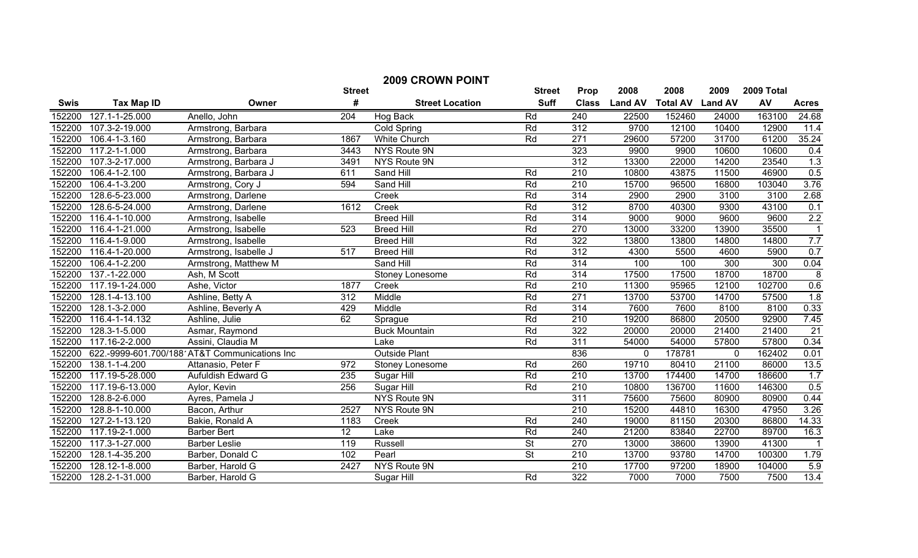| <b>2009 CROWN POINT</b> |                   |                                               |                  |                        |                          |                  |                |                 |                |            |                         |
|-------------------------|-------------------|-----------------------------------------------|------------------|------------------------|--------------------------|------------------|----------------|-----------------|----------------|------------|-------------------------|
|                         |                   |                                               | <b>Street</b>    |                        | <b>Street</b>            | Prop             | 2008           | 2008            | 2009           | 2009 Total |                         |
| <b>Swis</b>             | <b>Tax Map ID</b> | Owner                                         | #                | <b>Street Location</b> | <b>Suff</b>              | <b>Class</b>     | <b>Land AV</b> | <b>Total AV</b> | <b>Land AV</b> | AV         | <b>Acres</b>            |
| 152200                  | 127.1-1-25.000    | Anello, John                                  | 204              | Hog Back               | Rd                       | 240              | 22500          | 152460          | 24000          | 163100     | 24.68                   |
| 152200                  | 107.3-2-19.000    | Armstrong, Barbara                            |                  | Cold Spring            | Rd                       | 312              | 9700           | 12100           | 10400          | 12900      | 11.4                    |
| 152200                  | 106.4-1-3.160     | Armstrong, Barbara                            | 1867             | <b>White Church</b>    | Rd                       | 271              | 29600          | 57200           | 31700          | 61200      | 35.24                   |
| 152200                  | 117.2-1-1.000     | Armstrong, Barbara                            | 3443             | NYS Route 9N           |                          | 323              | 9900           | 9900            | 10600          | 10600      | 0.4                     |
| 152200                  | 107.3-2-17.000    | Armstrong, Barbara J                          | 3491             | NYS Route 9N           |                          | $\overline{312}$ | 13300          | 22000           | 14200          | 23540      | 1.3                     |
| 152200                  | 106.4-1-2.100     | Armstrong, Barbara J                          | 611              | Sand Hill              | Rd                       | $\overline{210}$ | 10800          | 43875           | 11500          | 46900      | 0.5                     |
| 152200                  | 106.4-1-3.200     | Armstrong, Cory J                             | 594              | Sand Hill              | Rd                       | 210              | 15700          | 96500           | 16800          | 103040     | 3.76                    |
| 152200                  | 128.6-5-23.000    | Armstrong, Darlene                            |                  | Creek                  | Rd                       | 314              | 2900           | 2900            | 3100           | 3100       | 2.68                    |
| 152200                  | 128.6-5-24.000    | Armstrong, Darlene                            | 1612             | Creek                  | Rd                       | 312              | 8700           | 40300           | 9300           | 43100      | 0.1                     |
| 152200                  | 116.4-1-10.000    | Armstrong, Isabelle                           |                  | <b>Breed Hill</b>      | Rd                       | 314              | 9000           | 9000            | 9600           | 9600       | 2.2                     |
| 152200                  | 116.4-1-21.000    | Armstrong, Isabelle                           | 523              | <b>Breed Hill</b>      | Rd                       | 270              | 13000          | 33200           | 13900          | 35500      | -1                      |
| 152200                  | 116.4-1-9.000     | Armstrong, Isabelle                           |                  | <b>Breed Hill</b>      | Rd                       | 322              | 13800          | 13800           | 14800          | 14800      | 7.7                     |
| 152200                  | 116.4-1-20.000    | Armstrong, Isabelle J                         | 517              | <b>Breed Hill</b>      | Rd                       | 312              | 4300           | 5500            | 4600           | 5900       | 0.7                     |
| 152200                  | 106.4-1-2.200     | Armstrong, Matthew M                          |                  | Sand Hill              | Rd                       | $\overline{314}$ | 100            | 100             | 300            | 300        | 0.04                    |
| 152200                  | 137.-1-22.000     | Ash, M Scott                                  |                  | Stoney Lonesome        | Rd                       | 314              | 17500          | 17500           | 18700          | 18700      | $\overline{\mathbf{8}}$ |
| 152200                  | 117.19-1-24.000   | Ashe, Victor                                  | 1877             | Creek                  | Rd                       | 210              | 11300          | 95965           | 12100          | 102700     | 0.6                     |
| 152200                  | 128.1-4-13.100    | Ashline, Betty A                              | $\overline{312}$ | Middle                 | Rd                       | 271              | 13700          | 53700           | 14700          | 57500      | 1.8                     |
| 152200                  | 128.1-3-2.000     | Ashline, Beverly A                            | 429              | Middle                 | Rd                       | 314              | 7600           | 7600            | 8100           | 8100       | 0.33                    |
| 152200                  | 116.4-1-14.132    | Ashline, Julie                                | 62               | Sprague                | Rd                       | 210              | 19200          | 86800           | 20500          | 92900      | 7.45                    |
| 152200                  | 128.3-1-5.000     | Asmar, Raymond                                |                  | <b>Buck Mountain</b>   | Rd                       | $\overline{322}$ | 20000          | 20000           | 21400          | 21400      | $\overline{21}$         |
| 152200                  | 117.16-2-2.000    | Assini, Claudia M                             |                  | Lake                   | Rd                       | 311              | 54000          | 54000           | 57800          | 57800      | 0.34                    |
| 152200                  |                   | 622.-9999-601.700/188 AT&T Communications Inc |                  | <b>Outside Plant</b>   |                          | 836              | $\mathbf{0}$   | 178781          | $\mathbf 0$    | 162402     | 0.01                    |
| 152200                  | 138.1-1-4.200     | Attanasio, Peter F                            | 972              | Stoney Lonesome        | Rd                       | 260              | 19710          | 80410           | 21100          | 86000      | 13.5                    |
| 152200                  | 117.19-5-28.000   | Aufuldish Edward G                            | 235              | Sugar Hill             | Rd                       | $\overline{210}$ | 13700          | 174400          | 14700          | 186600     | 1.7                     |
| 152200                  | 117.19-6-13.000   | Aylor, Kevin                                  | 256              | Sugar Hill             | Rd                       | 210              | 10800          | 136700          | 11600          | 146300     | 0.5                     |
| 152200                  | 128.8-2-6.000     | Ayres, Pamela J                               |                  | NYS Route 9N           |                          | 311              | 75600          | 75600           | 80900          | 80900      | 0.44                    |
| 152200                  | 128.8-1-10.000    | Bacon, Arthur                                 | 2527             | NYS Route 9N           |                          | $\overline{210}$ | 15200          | 44810           | 16300          | 47950      | 3.26                    |
| 152200                  | 127.2-1-13.120    | Bakie, Ronald A                               | 1183             | Creek                  | Rd                       | 240              | 19000          | 81150           | 20300          | 86800      | 14.33                   |
| 152200                  | 117.19-2-1.000    | <b>Barber Bert</b>                            | 12               | Lake                   | Rd                       | 240              | 21200          | 83840           | 22700          | 89700      | 16.3                    |
| 152200                  | 117.3-1-27.000    | <b>Barber Leslie</b>                          | 119              | <b>Russell</b>         | <b>St</b>                | 270              | 13000          | 38600           | 13900          | 41300      | -1                      |
| 152200                  | 128.1-4-35.200    | Barber, Donald C                              | 102              | Pearl                  | $\overline{\mathsf{St}}$ | 210              | 13700          | 93780           | 14700          | 100300     | 1.79                    |
| 152200                  | 128.12-1-8.000    | Barber, Harold G                              | 2427             | NYS Route 9N           |                          | 210              | 17700          | 97200           | 18900          | 104000     | 5.9                     |
| 152200                  | 128.2-1-31.000    | Barber, Harold G                              |                  | Sugar Hill             | Rd                       | $\overline{322}$ | 7000           | 7000            | 7500           | 7500       | 13.4                    |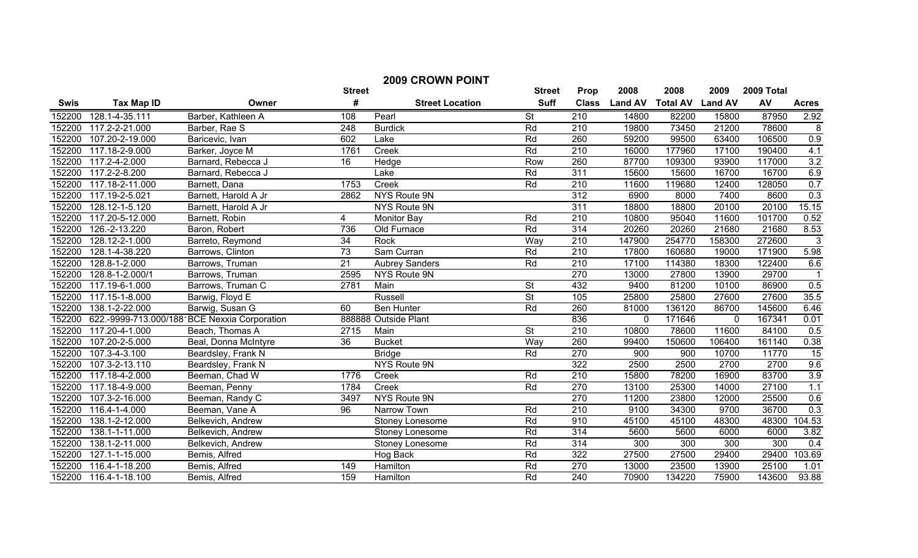| <b>2009 CROWN POINT</b> |                   |                                              |                 |                        |                          |                  |                |                 |                |            |                 |
|-------------------------|-------------------|----------------------------------------------|-----------------|------------------------|--------------------------|------------------|----------------|-----------------|----------------|------------|-----------------|
|                         |                   |                                              | <b>Street</b>   |                        | <b>Street</b>            | Prop             | 2008           | 2008            | 2009           | 2009 Total |                 |
| <b>Swis</b>             | <b>Tax Map ID</b> | Owner                                        | #               | <b>Street Location</b> | <b>Suff</b>              | <b>Class</b>     | <b>Land AV</b> | <b>Total AV</b> | <b>Land AV</b> | AV         | <b>Acres</b>    |
| 152200                  | 128.1-4-35.111    | Barber, Kathleen A                           | 108             | Pearl                  | <b>St</b>                | 210              | 14800          | 82200           | 15800          | 87950      | 2.92            |
| 152200                  | 117.2-2-21.000    | Barber, Rae S                                | 248             | <b>Burdick</b>         | Rd                       | 210              | 19800          | 73450           | 21200          | 78600      | 8               |
| 152200                  | 107.20-2-19.000   | Baricevic, Ivan                              | 602             | Lake                   | Rd                       | 260              | 59200          | 99500           | 63400          | 106500     | 0.9             |
| 152200                  | 117.18-2-9.000    | Barker, Joyce M                              | 1761            | Creek                  | Rd                       | $\overline{210}$ | 16000          | 177960          | 17100          | 190400     | 4.1             |
| 152200                  | 117.2-4-2.000     | Barnard, Rebecca J                           | 16              | Hedge                  | Row                      | 260              | 87700          | 109300          | 93900          | 117000     | 3.2             |
| 152200                  | 117.2-2-8.200     | Barnard, Rebecca J                           |                 | Lake                   | Rd                       | $\overline{311}$ | 15600          | 15600           | 16700          | 16700      | 6.9             |
| 152200                  | 117.18-2-11.000   | Barnett, Dana                                | 1753            | Creek                  | Rd                       | $\overline{210}$ | 11600          | 119680          | 12400          | 128050     | 0.7             |
| 152200                  | 117.19-2-5.021    | Barnett, Harold A Jr                         | 2862            | NYS Route 9N           |                          | $\overline{312}$ | 6900           | 8000            | 7400           | 8600       | 0.3             |
| 152200                  | 128.12-1-5.120    | Barnett, Harold A Jr                         |                 | NYS Route 9N           |                          | $\overline{311}$ | 18800          | 18800           | 20100          | 20100      | 15.15           |
| 152200                  | 117.20-5-12.000   | Barnett, Robin                               | 4               | <b>Monitor Bay</b>     | Rd                       | $\overline{210}$ | 10800          | 95040           | 11600          | 101700     | 0.52            |
| 152200                  | 126.-2-13.220     | Baron, Robert                                | 736             | Old Furnace            | Rd                       | 314              | 20260          | 20260           | 21680          | 21680      | 8.53            |
| 152200                  | 128.12-2-1.000    | Barreto, Reymond                             | 34              | Rock                   | Way                      | 210              | 147900         | 254770          | 158300         | 272600     | $\overline{3}$  |
| 152200                  | 128.1-4-38.220    | Barrows, Clinton                             | 73              | Sam Curran             | Rd                       | 210              | 17800          | 160680          | 19000          | 171900     | 5.98            |
| 152200                  | 128.8-1-2.000     | Barrows, Truman                              | 21              | <b>Aubrey Sanders</b>  | Rd                       | 210              | 17100          | 114380          | 18300          | 122400     | 6.6             |
| 152200                  | 128.8-1-2.000/1   | Barrows, Truman                              | 2595            | <b>NYS Route 9N</b>    |                          | 270              | 13000          | 27800           | 13900          | 29700      | $\overline{1}$  |
| 152200                  | 117.19-6-1.000    | Barrows, Truman C                            | 2781            | Main                   | $\overline{\mathsf{St}}$ | 432              | 9400           | 81200           | 10100          | 86900      | 0.5             |
| 152200                  | 117.15-1-8.000    | Barwig, Floyd E                              |                 | Russell                | $\overline{\mathsf{St}}$ | 105              | 25800          | 25800           | 27600          | 27600      | 35.5            |
| 152200                  | 138.1-2-22.000    | Barwig, Susan G                              | 60              | <b>Ben Hunter</b>      | Rd                       | 260              | 81000          | 136120          | 86700          | 145600     | 6.46            |
| 152200                  |                   | 622.-9999-713.000/188 BCE Nexxia Corporation |                 | 888888 Outside Plant   |                          | 836              | 0              | 171646          | $\overline{0}$ | 167341     | 0.01            |
| 152200                  | 117.20-4-1.000    | Beach, Thomas A                              | 2715            | Main                   | $\overline{\mathsf{St}}$ | 210              | 10800          | 78600           | 11600          | 84100      | 0.5             |
| 152200                  | 107.20-2-5.000    | Beal, Donna McIntyre                         | $\overline{36}$ | <b>Bucket</b>          | Way                      | 260              | 99400          | 150600          | 106400         | 161140     | 0.38            |
| 152200                  | 107.3-4-3.100     | Beardsley, Frank N                           |                 | <b>Bridge</b>          | Rd                       | 270              | 900            | 900             | 10700          | 11770      | $\overline{15}$ |
| 152200                  | 107.3-2-13.110    | Beardsley, Frank N                           |                 | NYS Route 9N           |                          | 322              | 2500           | 2500            | 2700           | 2700       | 9.6             |
| 152200                  | 117.18-4-2.000    | Beeman, Chad W                               | 1776            | Creek                  | Rd                       | 210              | 15800          | 78200           | 16900          | 83700      | 3.9             |
| 152200                  | 117.18-4-9.000    | Beeman, Penny                                | 1784            | Creek                  | Rd                       | 270              | 13100          | 25300           | 14000          | 27100      | 1.1             |
| 152200                  | 107.3-2-16.000    | Beeman, Randy C                              | 3497            | NYS Route 9N           |                          | 270              | 11200          | 23800           | 12000          | 25500      | 0.6             |
| 152200                  | 116.4-1-4.000     | Beeman, Vane A                               | 96              | Narrow Town            | Rd                       | 210              | 9100           | 34300           | 9700           | 36700      | 0.3             |
| 152200                  | 138.1-2-12.000    | Belkevich, Andrew                            |                 | Stoney Lonesome        | Rd                       | 910              | 45100          | 45100           | 48300          | 48300      | 104.53          |
| 152200                  | 138.1-1-11.000    | Belkevich, Andrew                            |                 | Stoney Lonesome        | Rd                       | 314              | 5600           | 5600            | 6000           | 6000       | 3.82            |
| 152200                  | 138.1-2-11.000    | Belkevich, Andrew                            |                 | Stoney Lonesome        | Rd                       | 314              | 300            | 300             | 300            | 300        | 0.4             |
| 152200                  | 127.1-1-15.000    | Bemis, Alfred                                |                 | Hog Back               | Rd                       | 322              | 27500          | 27500           | 29400          | 29400      | 103.69          |
| 152200                  | 116.4-1-18.200    | Bemis, Alfred                                | 149             | Hamilton               | Rd                       | 270              | 13000          | 23500           | 13900          | 25100      | 1.01            |
| 152200                  | 116.4-1-18.100    | Bemis, Alfred                                | 159             | Hamilton               | Rd                       | 240              | 70900          | 134220          | 75900          | 143600     | 93.88           |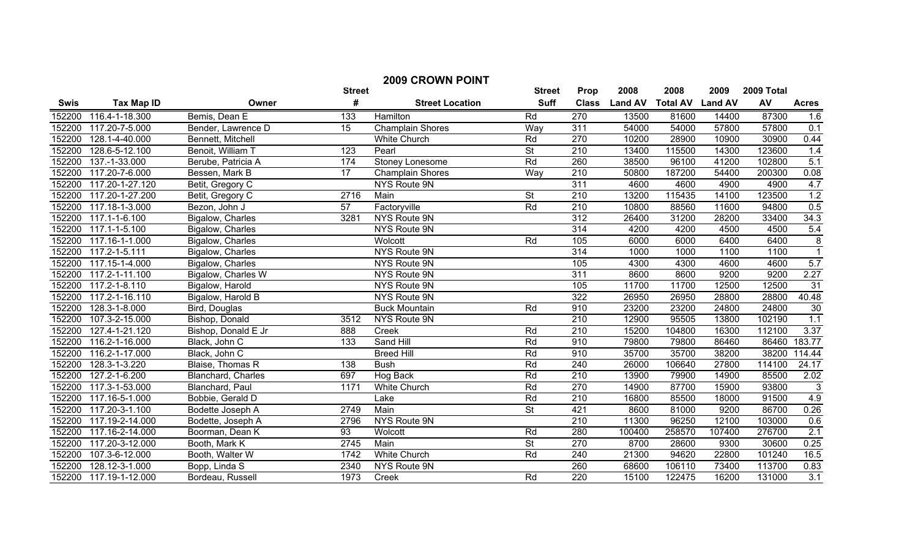|             | <b>2009 CROWN POINT</b> |                     |                 |                         |                          |                  |                |                 |                |            |                  |
|-------------|-------------------------|---------------------|-----------------|-------------------------|--------------------------|------------------|----------------|-----------------|----------------|------------|------------------|
|             |                         |                     | <b>Street</b>   |                         | <b>Street</b>            | Prop             | 2008           | 2008            | 2009           | 2009 Total |                  |
| <b>Swis</b> | <b>Tax Map ID</b>       | Owner               | #               | <b>Street Location</b>  | <b>Suff</b>              | <b>Class</b>     | <b>Land AV</b> | <b>Total AV</b> | <b>Land AV</b> | AV         | <b>Acres</b>     |
| 152200      | 116.4-1-18.300          | Bemis, Dean E       | 133             | Hamilton                | Rd                       | 270              | 13500          | 81600           | 14400          | 87300      | 1.6              |
| 152200      | 117.20-7-5.000          | Bender, Lawrence D  | 15              | <b>Champlain Shores</b> | Way                      | 311              | 54000          | 54000           | 57800          | 57800      | 0.1              |
| 152200      | 128.1-4-40.000          | Bennett, Mitchell   |                 | <b>White Church</b>     | Rd                       | 270              | 10200          | 28900           | 10900          | 30900      | 0.44             |
| 152200      | 128.6-5-12.100          | Benoit, William T   | 123             | Pearl                   | $\overline{\mathsf{St}}$ | $\overline{210}$ | 13400          | 115500          | 14300          | 123600     | 1.4              |
| 152200      | 137.-1-33.000           | Berube, Patricia A  | 174             | Stoney Lonesome         | Rd                       | 260              | 38500          | 96100           | 41200          | 102800     | 5.1              |
| 152200      | 117.20-7-6.000          | Bessen, Mark B      | $\overline{17}$ | <b>Champlain Shores</b> | Way                      | $\overline{210}$ | 50800          | 187200          | 54400          | 200300     | 0.08             |
| 152200      | 117.20-1-27.120         | Betit, Gregory C    |                 | <b>NYS Route 9N</b>     |                          | $\overline{311}$ | 4600           | 4600            | 4900           | 4900       | 4.7              |
| 152200      | 117.20-1-27.200         | Betit, Gregory C    | 2716            | Main                    | $\overline{\mathsf{St}}$ | 210              | 13200          | 115435          | 14100          | 123500     | 1.2              |
| 152200      | 117.18-1-3.000          | Bezon, John J       | $\overline{57}$ | Factoryville            | Rd                       | $\overline{210}$ | 10800          | 88560           | 11600          | 94800      | 0.5              |
| 152200      | 117.1-1-6.100           | Bigalow, Charles    | 3281            | NYS Route 9N            |                          | $\overline{312}$ | 26400          | 31200           | 28200          | 33400      | 34.3             |
| 152200      | 117.1-1-5.100           | Bigalow, Charles    |                 | NYS Route 9N            |                          | 314              | 4200           | 4200            | 4500           | 4500       | 5.4              |
| 152200      | 117.16-1-1.000          | Bigalow, Charles    |                 | Wolcott                 | Rd                       | 105              | 6000           | 6000            | 6400           | 6400       | $\overline{8}$   |
| 152200      | 117.2-1-5.111           | Bigalow, Charles    |                 | NYS Route 9N            |                          | 314              | 1000           | 1000            | 1100           | 1100       |                  |
| 152200      | 117.15-1-4.000          | Bigalow, Charles    |                 | NYS Route 9N            |                          | 105              | 4300           | 4300            | 4600           | 4600       | 5.7              |
| 152200      | 117.2-1-11.100          | Bigalow, Charles W  |                 | NYS Route 9N            |                          | 311              | 8600           | 8600            | 9200           | 9200       | 2.27             |
| 152200      | 117.2-1-8.110           | Bigalow, Harold     |                 | <b>NYS Route 9N</b>     |                          | 105              | 11700          | 11700           | 12500          | 12500      | 31               |
| 152200      | 117.2-1-16.110          | Bigalow, Harold B   |                 | <b>NYS Route 9N</b>     |                          | 322              | 26950          | 26950           | 28800          | 28800      | 40.48            |
| 152200      | 128.3-1-8.000           | Bird, Douglas       |                 | <b>Buck Mountain</b>    | Rd                       | 910              | 23200          | 23200           | 24800          | 24800      | 30               |
| 152200      | 107.3-2-15.000          | Bishop, Donald      | 3512            | NYS Route 9N            |                          | 210              | 12900          | 95505           | 13800          | 102190     | 1.1              |
| 152200      | 127.4-1-21.120          | Bishop, Donald E Jr | 888             | Creek                   | Rd                       | 210              | 15200          | 104800          | 16300          | 112100     | 3.37             |
| 152200      | 116.2-1-16.000          | Black, John C       | 133             | Sand Hill               | Rd                       | 910              | 79800          | 79800           | 86460          | 86460      | 183.77           |
| 152200      | 116.2-1-17.000          | Black, John C       |                 | <b>Breed Hill</b>       | Rd                       | 910              | 35700          | 35700           | 38200          | 38200      | 114.44           |
| 152200      | 128.3-1-3.220           | Blaise, Thomas R    | 138             | <b>Bush</b>             | Rd                       | 240              | 26000          | 106640          | 27800          | 114100     | 24.17            |
| 152200      | 127.2-1-6.200           | Blanchard, Charles  | 697             | Hog Back                | Rd                       | $\overline{210}$ | 13900          | 79900           | 14900          | 85500      | 2.02             |
| 152200      | 117.3-1-53.000          | Blanchard, Paul     | 1171            | White Church            | Rd                       | 270              | 14900          | 87700           | 15900          | 93800      | $\overline{3}$   |
| 152200      | 117.16-5-1.000          | Bobbie, Gerald D    |                 | Lake                    | Rd                       | $\overline{210}$ | 16800          | 85500           | 18000          | 91500      | 4.9              |
| 152200      | 117.20-3-1.100          | Bodette Joseph A    | 2749            | Main                    | <b>St</b>                | 421              | 8600           | 81000           | 9200           | 86700      | 0.26             |
| 152200      | 117.19-2-14.000         | Bodette, Joseph A   | 2796            | NYS Route 9N            |                          | $\overline{210}$ | 11300          | 96250           | 12100          | 103000     | 0.6              |
| 152200      | 117.16-2-14.000         | Boorman, Dean K     | 93              | Wolcott                 | Rd                       | 280              | 100400         | 258570          | 107400         | 276700     | 2.1              |
| 152200      | 117.20-3-12.000         | Booth, Mark K       | 2745            | Main                    | $\overline{\mathsf{St}}$ | 270              | 8700           | 28600           | 9300           | 30600      | 0.25             |
| 152200      | 107.3-6-12.000          | Booth, Walter W     | 1742            | <b>White Church</b>     | Rd                       | 240              | 21300          | 94620           | 22800          | 101240     | 16.5             |
| 152200      | 128.12-3-1.000          | Bopp, Linda S       | 2340            | NYS Route 9N            |                          | 260              | 68600          | 106110          | 73400          | 113700     | 0.83             |
| 152200      | 117.19-1-12.000         | Bordeau, Russell    | 1973            | Creek                   | Rd                       | $\overline{220}$ | 15100          | 122475          | 16200          | 131000     | $\overline{3.1}$ |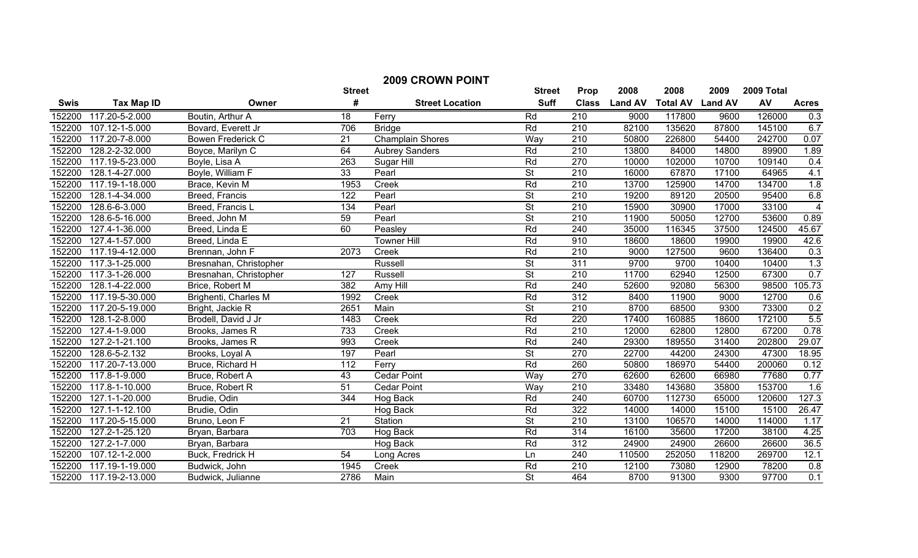| <b>2009 CROWN POINT</b> |                              |                        |                 |                         |                          |                  |                |                         |        |            |                |
|-------------------------|------------------------------|------------------------|-----------------|-------------------------|--------------------------|------------------|----------------|-------------------------|--------|------------|----------------|
|                         |                              |                        | <b>Street</b>   |                         | <b>Street</b>            | Prop             | 2008           | 2008                    | 2009   | 2009 Total |                |
| <b>Swis</b>             | <b>Tax Map ID</b>            | Owner                  | #               | <b>Street Location</b>  | <b>Suff</b>              | <b>Class</b>     | <b>Land AV</b> | <b>Total AV Land AV</b> |        | AV         | <b>Acres</b>   |
| 152200                  | 117.20-5-2.000               | Boutin, Arthur A       | 18              | Ferry                   | Rd                       | 210              | 9000           | 117800                  | 9600   | 126000     | 0.3            |
| 152200                  | $\overline{107}$ .12-1-5.000 | Bovard, Everett Jr     | 706             | <b>Bridge</b>           | Rd                       | $\overline{210}$ | 82100          | 135620                  | 87800  | 145100     | 6.7            |
| 152200                  | 117.20-7-8.000               | Bowen Frederick C      | 21              | <b>Champlain Shores</b> | Way                      | $\overline{210}$ | 50800          | 226800                  | 54400  | 242700     | 0.07           |
| 152200                  | 128.2-2-32.000               | Boyce, Marilyn C       | 64              | <b>Aubrey Sanders</b>   | Rd                       | $\overline{210}$ | 13800          | 84000                   | 14800  | 89900      | 1.89           |
| 152200                  | 117.19-5-23.000              | Boyle, Lisa A          | 263             | Sugar Hill              | Rd                       | 270              | 10000          | 102000                  | 10700  | 109140     | 0.4            |
| 152200                  | 128.1-4-27.000               | Boyle, William F       | 33              | Pearl                   | $\overline{\mathsf{St}}$ | $\overline{210}$ | 16000          | 67870                   | 17100  | 64965      | 4.1            |
| 152200                  | 117.19-1-18.000              | Brace, Kevin M         | 1953            | Creek                   | Rd                       | $\overline{210}$ | 13700          | 125900                  | 14700  | 134700     | 1.8            |
| 152200                  | 128.1-4-34.000               | Breed, Francis         | 122             | Pearl                   | $\overline{\mathsf{St}}$ | 210              | 19200          | 89120                   | 20500  | 95400      | 6.8            |
| 152200                  | 128.6-6-3.000                | Breed, Francis L       | 134             | Pearl                   | $\overline{\mathsf{St}}$ | $\overline{210}$ | 15900          | 30900                   | 17000  | 33100      | $\overline{4}$ |
| 152200                  | 128.6-5-16.000               | Breed, John M          | 59              | Pearl                   | <b>St</b>                | $\overline{210}$ | 11900          | 50050                   | 12700  | 53600      | 0.89           |
| 152200                  | 127.4-1-36.000               | Breed, Linda E         | 60              | Peasley                 | Rd                       | 240              | 35000          | 116345                  | 37500  | 124500     | 45.67          |
| 152200                  | 127.4-1-57.000               | Breed, Linda E         |                 | <b>Towner Hill</b>      | Rd                       | 910              | 18600          | 18600                   | 19900  | 19900      | 42.6           |
| 152200                  | 117.19-4-12.000              | Brennan, John F        | 2073            | Creek                   | Rd                       | $\overline{210}$ | 9000           | 127500                  | 9600   | 136400     | 0.3            |
| 152200                  | 117.3-1-25.000               | Bresnahan, Christopher |                 | Russell                 | $\overline{\mathsf{St}}$ | 311              | 9700           | 9700                    | 10400  | 10400      | 1.3            |
| 152200                  | 117.3-1-26.000               | Bresnahan, Christopher | 127             | <b>Russell</b>          | $\overline{\mathsf{St}}$ | 210              | 11700          | 62940                   | 12500  | 67300      | 0.7            |
| 152200                  | 128.1-4-22.000               | Brice, Robert M        | 382             | Amy Hill                | Rd                       | 240              | 52600          | 92080                   | 56300  | 98500      | 105.73         |
| 152200                  | 117.19-5-30.000              | Brighenti, Charles M   | 1992            | Creek                   | Rd                       | 312              | 8400           | 11900                   | 9000   | 12700      | 0.6            |
| 152200                  | 117.20-5-19.000              | Bright, Jackie R       | 2651            | Main                    | $\overline{\mathsf{St}}$ | 210              | 8700           | 68500                   | 9300   | 73300      | 0.2            |
| 152200                  | 128.1-2-8.000                | Brodell, David J Jr    | 1483            | Creek                   | Rd                       | 220              | 17400          | 160885                  | 18600  | 172100     | 5.5            |
| 152200                  | 127.4-1-9.000                | Brooks, James R        | 733             | Creek                   | Rd                       | 210              | 12000          | 62800                   | 12800  | 67200      | 0.78           |
| 152200                  | 127.2-1-21.100               | Brooks, James R        | 993             | Creek                   | Rd                       | 240              | 29300          | 189550                  | 31400  | 202800     | 29.07          |
| 152200                  | 128.6-5-2.132                | Brooks, Loyal A        | 197             | Pearl                   | $\overline{\mathsf{St}}$ | 270              | 22700          | 44200                   | 24300  | 47300      | 18.95          |
| 152200                  | 117.20-7-13.000              | Bruce, Richard H       | 112             | Ferry                   | Rd                       | 260              | 50800          | 186970                  | 54400  | 200060     | 0.12           |
| 152200                  | 117.8-1-9.000                | Bruce, Robert A        | 43              | <b>Cedar Point</b>      | Way                      | 270              | 62600          | 62600                   | 66980  | 77680      | 0.77           |
| 152200                  | 117.8-1-10.000               | Bruce, Robert R        | $\overline{51}$ | <b>Cedar Point</b>      | Way                      | 210              | 33480          | 143680                  | 35800  | 153700     | 1.6            |
| 152200                  | 127.1-1-20.000               | Brudie, Odin           | 344             | Hog Back                | Rd                       | 240              | 60700          | 112730                  | 65000  | 120600     | 127.3          |
| 152200                  | 127.1-1-12.100               | Brudie, Odin           |                 | Hog Back                | Rd                       | 322              | 14000          | 14000                   | 15100  | 15100      | 26.47          |
| 152200                  | 117.20-5-15.000              | Bruno, Leon F          | 21              | Station                 | <b>St</b>                | 210              | 13100          | 106570                  | 14000  | 114000     | 1.17           |
| 152200                  | 127.2-1-25.120               | Bryan, Barbara         | 703             | Hog Back                | Rd                       | 314              | 16100          | 35600                   | 17200  | 38100      | 4.25           |
| 152200                  | 127.2-1-7.000                | Bryan, Barbara         |                 | Hog Back                | Rd                       | $\overline{312}$ | 24900          | 24900                   | 26600  | 26600      | 36.5           |
| 152200                  | 107.12-1-2.000               | Buck, Fredrick H       | $\overline{54}$ | Long Acres              | Ln                       | 240              | 110500         | 252050                  | 118200 | 269700     | 12.1           |
| 152200                  | 117.19-1-19.000              | Budwick, John          | 1945            | Creek                   | Rd                       | $\overline{210}$ | 12100          | 73080                   | 12900  | 78200      | 0.8            |
| 152200                  | 117.19-2-13.000              | Budwick, Julianne      | 2786            | Main                    | $\overline{\mathsf{St}}$ | 464              | 8700           | 91300                   | 9300   | 97700      | 0.1            |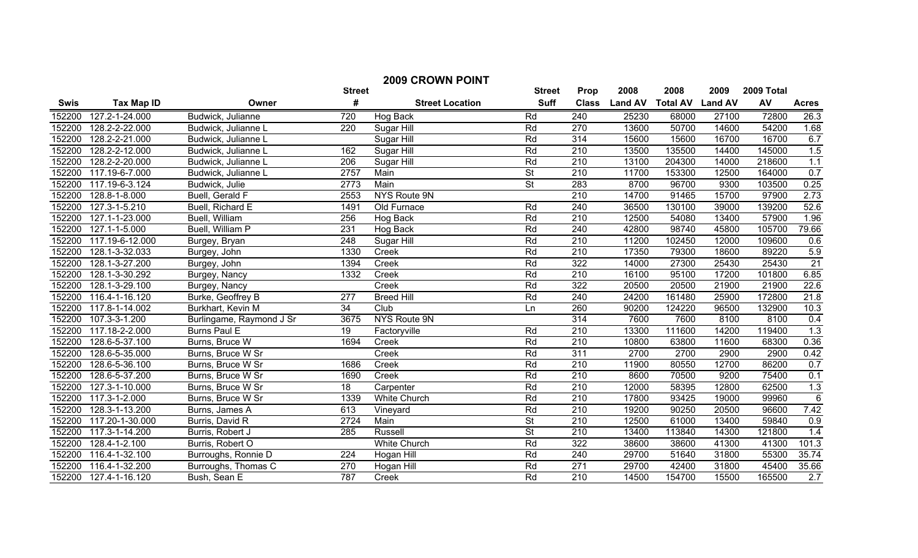| <b>2009 CROWN POINT</b> |                   |                          |                  |                        |                          |                  |                |                         |       |            |                  |
|-------------------------|-------------------|--------------------------|------------------|------------------------|--------------------------|------------------|----------------|-------------------------|-------|------------|------------------|
|                         |                   |                          | <b>Street</b>    |                        | <b>Street</b>            | Prop             | 2008           | 2008                    | 2009  | 2009 Total |                  |
| <b>Swis</b>             | <b>Tax Map ID</b> | Owner                    | #                | <b>Street Location</b> | <b>Suff</b>              | <b>Class</b>     | <b>Land AV</b> | <b>Total AV Land AV</b> |       | AV         | <b>Acres</b>     |
| 152200                  | 127.2-1-24.000    | Budwick, Julianne        | 720              | Hog Back               | Rd                       | 240              | 25230          | 68000                   | 27100 | 72800      | 26.3             |
| 152200                  | 128.2-2-22.000    | Budwick, Julianne L      | 220              | Sugar Hill             | Rd                       | 270              | 13600          | 50700                   | 14600 | 54200      | 1.68             |
| 152200                  | 128.2-2-21.000    | Budwick, Julianne L      |                  | Sugar Hill             | Rd                       | 314              | 15600          | 15600                   | 16700 | 16700      | 6.7              |
| 152200                  | 128.2-2-12.000    | Budwick, Julianne L      | 162              | Sugar Hill             | Rd                       | 210              | 13500          | 135500                  | 14400 | 145000     | 1.5              |
| 152200                  | 128.2-2-20.000    | Budwick, Julianne L      | 206              | Sugar Hill             | Rd                       | 210              | 13100          | 204300                  | 14000 | 218600     | 1.1              |
| 152200                  | 117.19-6-7.000    | Budwick, Julianne L      | 2757             | Main                   | $\overline{\mathsf{St}}$ | 210              | 11700          | 153300                  | 12500 | 164000     | 0.7              |
| 152200                  | 117.19-6-3.124    | Budwick, Julie           | 2773             | Main                   | $\overline{\mathsf{St}}$ | 283              | 8700           | 96700                   | 9300  | 103500     | 0.25             |
| 152200                  | 128.8-1-8.000     | Buell, Gerald F          | 2553             | <b>NYS Route 9N</b>    |                          | 210              | 14700          | 91465                   | 15700 | 97900      | 2.73             |
| 152200                  | 127.3-1-5.210     | Buell, Richard E         | 1491             | Old Furnace            | Rd                       | 240              | 36500          | 130100                  | 39000 | 139200     | 52.6             |
| 152200                  | 127.1-1-23.000    | Buell, William           | 256              | Hog Back               | Rd                       | $\overline{210}$ | 12500          | 54080                   | 13400 | 57900      | 1.96             |
| 152200                  | 127.1-1-5.000     | Buell, William P         | 231              | Hog Back               | Rd                       | 240              | 42800          | 98740                   | 45800 | 105700     | 79.66            |
| 152200                  | 117.19-6-12.000   | Burgey, Bryan            | 248              | Sugar Hill             | Rd                       | 210              | 11200          | 102450                  | 12000 | 109600     | 0.6              |
| 152200                  | 128.1-3-32.033    | Burgey, John             | 1330             | Creek                  | Rd                       | $\overline{210}$ | 17350          | 79300                   | 18600 | 89220      | 5.9              |
| 152200                  | 128.1-3-27.200    | Burgey, John             | 1394             | Creek                  | Rd                       | 322              | 14000          | 27300                   | 25430 | 25430      | 21               |
| 152200                  | 128.1-3-30.292    | Burgey, Nancy            | 1332             | Creek                  | Rd                       | 210              | 16100          | 95100                   | 17200 | 101800     | 6.85             |
| 152200                  | 128.1-3-29.100    | Burgey, Nancy            |                  | Creek                  | Rd                       | 322              | 20500          | 20500                   | 21900 | 21900      | 22.6             |
| 152200                  | 116.4-1-16.120    | Burke, Geoffrey B        | $\overline{277}$ | <b>Breed Hill</b>      | Rd                       | $\overline{240}$ | 24200          | 161480                  | 25900 | 172800     | 21.8             |
| 152200                  | 117.8-1-14.002    | Burkhart, Kevin M        | $\overline{34}$  | Club                   | Ln                       | 260              | 90200          | 124220                  | 96500 | 132900     | 10.3             |
| 152200                  | 107.3-3-1.200     | Burlingame, Raymond J Sr | 3675             | NYS Route 9N           |                          | 314              | 7600           | 7600                    | 8100  | 8100       | 0.4              |
| 152200                  | 117.18-2-2.000    | Burns Paul E             | 19               | Factoryville           | Rd                       | 210              | 13300          | 111600                  | 14200 | 119400     | 1.3              |
| 152200                  | 128.6-5-37.100    | Burns, Bruce W           | 1694             | Creek                  | Rd                       | $\overline{210}$ | 10800          | 63800                   | 11600 | 68300      | 0.36             |
| 152200                  | 128.6-5-35.000    | Burns, Bruce W Sr        |                  | Creek                  | Rd                       | 311              | 2700           | 2700                    | 2900  | 2900       | 0.42             |
| 152200                  | 128.6-5-36.100    | Burns, Bruce W Sr        | 1686             | Creek                  | Rd                       | $\overline{210}$ | 11900          | 80550                   | 12700 | 86200      | 0.7              |
| 152200                  | 128.6-5-37.200    | Burns, Bruce W Sr        | 1690             | Creek                  | Rd                       | 210              | 8600           | 70500                   | 9200  | 75400      | 0.1              |
| 152200                  | 127.3-1-10.000    | Burns, Bruce W Sr        | 18               | Carpenter              | Rd                       | 210              | 12000          | 58395                   | 12800 | 62500      | 1.3              |
| 152200                  | 117.3-1-2.000     | Burns, Bruce W Sr        | 1339             | <b>White Church</b>    | Rd                       | 210              | 17800          | 93425                   | 19000 | 99960      | $6\phantom{1}6$  |
| 152200                  | 128.3-1-13.200    | Burns, James A           | 613              | Vineyard               | Rd                       | 210              | 19200          | 90250                   | 20500 | 96600      | 7.42             |
| 152200                  | 117.20-1-30.000   | Burris, David R          | 2724             | Main                   | <b>St</b>                | $\overline{210}$ | 12500          | 61000                   | 13400 | 59840      | 0.9              |
| 152200                  | 117.3-1-14.200    | Burris, Robert J         | 285              | Russell                | <b>St</b>                | $\overline{210}$ | 13400          | 113840                  | 14300 | 121800     | 1.4              |
| 152200                  | 128.4-1-2.100     | Burris, Robert O         |                  | <b>White Church</b>    | Rd                       | 322              | 38600          | 38600                   | 41300 | 41300      | 101.3            |
| 152200                  | 116.4-1-32.100    | Burroughs, Ronnie D      | 224              | Hogan Hill             | Rd                       | $\overline{240}$ | 29700          | 51640                   | 31800 | 55300      | 35.74            |
| 152200                  | 116.4-1-32.200    | Burroughs, Thomas C      | 270              | Hogan Hill             | Rd                       | 271              | 29700          | 42400                   | 31800 | 45400      | 35.66            |
| 152200                  | 127.4-1-16.120    | Bush, Sean E             | 787              | Creek                  | Rd                       | 210              | 14500          | 154700                  | 15500 | 165500     | $\overline{2.7}$ |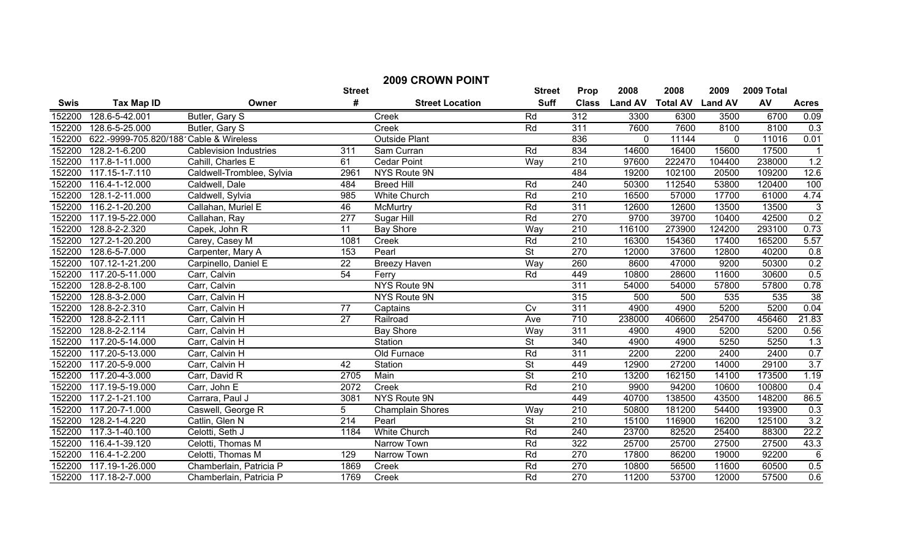| <b>2009 CROWN POINT</b> |                                        |                               |                  |                         |                          |                  |                |                 |                |            |                   |
|-------------------------|----------------------------------------|-------------------------------|------------------|-------------------------|--------------------------|------------------|----------------|-----------------|----------------|------------|-------------------|
|                         |                                        |                               | <b>Street</b>    |                         | <b>Street</b>            | Prop             | 2008           | 2008            | 2009           | 2009 Total |                   |
| <b>Swis</b>             | <b>Tax Map ID</b>                      | Owner                         | #                | <b>Street Location</b>  | <b>Suff</b>              | <b>Class</b>     | <b>Land AV</b> | <b>Total AV</b> | <b>Land AV</b> | AV         | <b>Acres</b>      |
| 152200                  | 128.6-5-42.001                         | Butler, Gary S                |                  | Creek                   | Rd                       | 312              | 3300           | 6300            | 3500           | 6700       | 0.09              |
| 152200                  | 128.6-5-25.000                         | Butler, Gary S                |                  | Creek                   | Rd                       | 311              | 7600           | 7600            | 8100           | 8100       | 0.3               |
| 152200                  | 622.-9999-705.820/188 Cable & Wireless |                               |                  | <b>Outside Plant</b>    |                          | 836              | $\mathbf 0$    | 11144           | 0              | 11016      | 0.01              |
| 152200                  | $128.2 - 1 - 6.200$                    | <b>Cablevision Industries</b> | 311              | Sam Curran              | Rd                       | 834              | 14600          | 16400           | 15600          | 17500      |                   |
| 152200                  | 117.8-1-11.000                         | Cahill, Charles E             | 61               | <b>Cedar Point</b>      | Way                      | $\overline{210}$ | 97600          | 222470          | 104400         | 238000     | 1.2               |
| 152200                  | 117.15-1-7.110                         | Caldwell-Tromblee, Sylvia     | 2961             | NYS Route 9N            |                          | 484              | 19200          | 102100          | 20500          | 109200     | 12.6              |
| 152200                  | 116.4-1-12.000                         | Caldwell, Dale                | 484              | <b>Breed Hill</b>       | Rd                       | 240              | 50300          | 112540          | 53800          | 120400     | 100               |
| 152200                  | 128.1-2-11.000                         | Caldwell, Sylvia              | 985              | <b>White Church</b>     | Rd                       | 210              | 16500          | 57000           | 17700          | 61000      | 4.74              |
| 152200                  | 116.2-1-20.200                         | Callahan, Muriel E            | 46               | <b>McMurtry</b>         | Rd                       | 311              | 12600          | 12600           | 13500          | 13500      | $\mathbf{3}$      |
| 152200                  | 117.19-5-22.000                        | Callahan, Ray                 | $\overline{277}$ | Sugar Hill              | Rd                       | 270              | 9700           | 39700           | 10400          | 42500      | 0.2               |
| 152200                  | 128.8-2-2.320                          | Capek, John R                 | 11               | Bay Shore               | Way                      | $\overline{210}$ | 116100         | 273900          | 124200         | 293100     | 0.73              |
| 152200                  | 127.2-1-20.200                         | Carey, Casey M                | 1081             | Creek                   | Rd                       | $\overline{210}$ | 16300          | 154360          | 17400          | 165200     | 5.57              |
| 152200                  | 128.6-5-7.000                          | Carpenter, Mary A             | 153              | Pearl                   | $\overline{\mathsf{St}}$ | 270              | 12000          | 37600           | 12800          | 40200      | 0.8               |
| 152200                  | 107.12-1-21.200                        | Carpinello, Daniel E          | $\overline{22}$  | <b>Breezy Haven</b>     | Way                      | 260              | 8600           | 47000           | 9200           | 50300      | 0.2               |
| 152200                  | 117.20-5-11.000                        | Carr, Calvin                  | 54               | Ferry                   | Rd                       | 449              | 10800          | 28600           | 11600          | 30600      | 0.5               |
| 152200                  | 128.8-2-8.100                          | Carr, Calvin                  |                  | NYS Route 9N            |                          | 311              | 54000          | 54000           | 57800          | 57800      | 0.78              |
| 152200                  | 128.8-3-2.000                          | Carr, Calvin H                |                  | NYS Route 9N            |                          | 315              | 500            | 500             | 535            | 535        | 38                |
| 152200                  | 128.8-2-2.310                          | Carr, Calvin H                | $\overline{77}$  | Captains                | $\overline{C}V$          | 311              | 4900           | 4900            | 5200           | 5200       | 0.04              |
| 152200                  | 128.8-2-2.111                          | Carr, Calvin H                | $\overline{27}$  | Railroad                | Ave                      | 710              | 238000         | 406600          | 254700         | 456460     | 21.83             |
| 152200                  | 128.8-2-2.114                          | Carr, Calvin H                |                  | <b>Bay Shore</b>        | Way                      | 311              | 4900           | 4900            | 5200           | 5200       | 0.56              |
| 152200                  | 117.20-5-14.000                        | Carr, Calvin H                |                  | Station                 | <b>St</b>                | 340              | 4900           | 4900            | 5250           | 5250       | 1.3               |
| 152200                  | 117.20-5-13.000                        | Carr, Calvin H                |                  | Old Furnace             | Rd                       | 311              | 2200           | 2200            | 2400           | 2400       | 0.7               |
| 152200                  | 117.20-5-9.000                         | Carr, Calvin H                | 42               | Station                 | $\overline{\mathsf{St}}$ | 449              | 12900          | 27200           | 14000          | 29100      | 3.7               |
| 152200                  | 117.20-4-3.000                         | Carr, David R                 | 2705             | Main                    | $\overline{\mathsf{St}}$ | 210              | 13200          | 162150          | 14100          | 173500     | 1.19              |
| 152200                  | 117.19-5-19.000                        | Carr, John E                  | 2072             | Creek                   | Rd                       | $\overline{210}$ | 9900           | 94200           | 10600          | 100800     | 0.4               |
| 152200                  | $117.2 - 1 - 21.100$                   | Carrara, Paul J               | 3081             | <b>NYS Route 9N</b>     |                          | 449              | 40700          | 138500          | 43500          | 148200     | 86.5              |
| 152200                  | 117.20-7-1.000                         | Caswell, George R             | 5                | <b>Champlain Shores</b> | Way                      | 210              | 50800          | 181200          | 54400          | 193900     | $\frac{0.3}{3.2}$ |
| 152200                  | 128.2-1-4.220                          | Catlin, Glen N                | $\overline{214}$ | Pearl                   | $\overline{\mathsf{St}}$ | 210              | 15100          | 116900          | 16200          | 125100     |                   |
| 152200                  | 117.3-1-40.100                         | Celotti, Seth J               | 1184             | <b>White Church</b>     | Rd                       | 240              | 23700          | 82520           | 25400          | 88300      | 22.2              |
| 152200                  | 116.4-1-39.120                         | Celotti, Thomas M             |                  | Narrow Town             | Rd                       | 322              | 25700          | 25700           | 27500          | 27500      | 43.3              |
| 152200                  | 116.4-1-2.200                          | Celotti, Thomas M             | 129              | Narrow Town             | Rd                       | 270              | 17800          | 86200           | 19000          | 92200      | 6                 |
| 152200                  | 117.19-1-26.000                        | Chamberlain, Patricia P       | 1869             | Creek                   | Rd                       | 270              | 10800          | 56500           | 11600          | 60500      | 0.5               |
| 152200                  | 117.18-2-7.000                         | Chamberlain, Patricia P       | 1769             | Creek                   | Rd                       | 270              | 11200          | 53700           | 12000          | 57500      | 0.6               |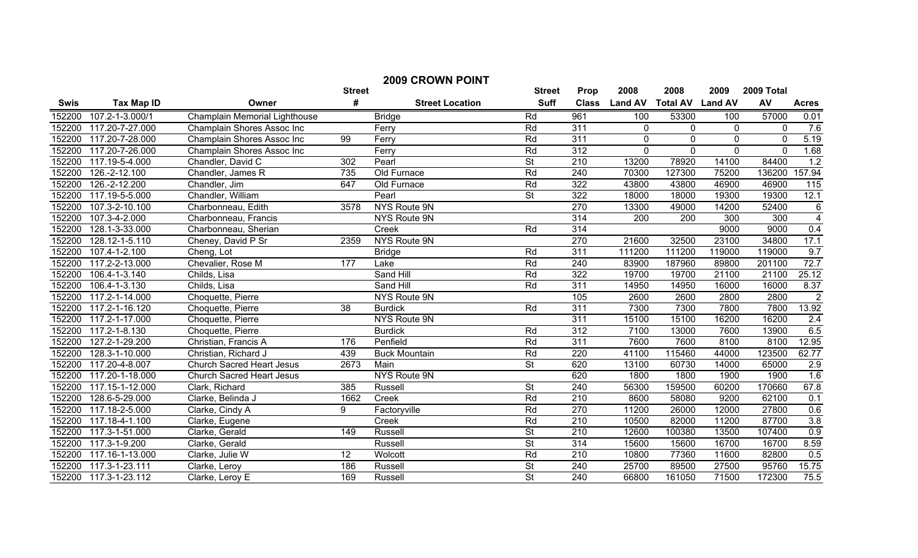| <b>2009 CROWN POINT</b> |                   |                                  |                 |                        |                          |                  |                |                         |             |            |                 |
|-------------------------|-------------------|----------------------------------|-----------------|------------------------|--------------------------|------------------|----------------|-------------------------|-------------|------------|-----------------|
|                         |                   |                                  | <b>Street</b>   |                        | <b>Street</b>            | Prop             | 2008           | 2008                    | 2009        | 2009 Total |                 |
| Swis                    | <b>Tax Map ID</b> | Owner                            | #               | <b>Street Location</b> | <b>Suff</b>              | <b>Class</b>     | <b>Land AV</b> | <b>Total AV Land AV</b> |             | AV         | <b>Acres</b>    |
| 152200                  | 107.2-1-3.000/1   | Champlain Memorial Lighthouse    |                 | <b>Bridge</b>          | Rd                       | 961              | 100            | 53300                   | 100         | 57000      | 0.01            |
| 152200                  | 117.20-7-27.000   | Champlain Shores Assoc Inc       |                 | Ferry                  | Rd                       | 311              | $\mathbf 0$    | 0                       | 0           | $\Omega$   | 7.6             |
| 152200                  | 117.20-7-28.000   | Champlain Shores Assoc Inc       | 99              | Ferry                  | Rd                       | 311              | $\mathbf 0$    | 0                       | $\mathbf 0$ | $\Omega$   | 5.19            |
| 152200                  | 117.20-7-26.000   | Champlain Shores Assoc Inc       |                 | Ferry                  | Rd                       | 312              | $\mathbf 0$    | $\Omega$                | $\mathbf 0$ | $\Omega$   | 1.68            |
| 152200                  | 117.19-5-4.000    | Chandler, David C                | 302             | Pearl                  | $\overline{\mathsf{St}}$ | 210              | 13200          | 78920                   | 14100       | 84400      | 1.2             |
| 152200                  | 126.-2-12.100     | Chandler, James R                | 735             | Old Furnace            | Rd                       | 240              | 70300          | 127300                  | 75200       | 136200     | 157.94          |
| 152200                  | 126.-2-12.200     | Chandler, Jim                    | 647             | Old Furnace            | Rd                       | 322              | 43800          | 43800                   | 46900       | 46900      | 115             |
| 152200                  | 117.19-5-5.000    | Chandler, William                |                 | Pearl                  | $\overline{\mathsf{St}}$ | 322              | 18000          | 18000                   | 19300       | 19300      | 12.1            |
| 152200                  | 107.3-2-10.100    | Charbonneau, Edith               | 3578            | NYS Route 9N           |                          | 270              | 13300          | 49000                   | 14200       | 52400      | $6\phantom{1}6$ |
| 152200                  | 107.3-4-2.000     | Charbonneau, Francis             |                 | NYS Route 9N           |                          | 314              | 200            | 200                     | 300         | 300        | $\overline{4}$  |
| 152200                  | 128.1-3-33.000    | Charbonneau, Sherian             |                 | Creek                  | Rd                       | 314              |                |                         | 9000        | 9000       | 0.4             |
| 152200                  | 128.12-1-5.110    | Cheney, David P Sr               | 2359            | NYS Route 9N           |                          | 270              | 21600          | 32500                   | 23100       | 34800      | 17.1            |
| 152200                  | 107.4-1-2.100     | Cheng, Lot                       |                 | <b>Bridge</b>          | Rd                       | 311              | 111200         | 111200                  | 119000      | 119000     | 9.7             |
| 152200                  | 117.2-2-13.000    | Chevalier, Rose M                | 177             | Lake                   | Rd                       | 240              | 83900          | 187960                  | 89800       | 201100     | 72.7            |
| 152200                  | 106.4-1-3.140     | Childs, Lisa                     |                 | Sand Hill              | Rd                       | 322              | 19700          | 19700                   | 21100       | 21100      | 25.12           |
| 152200                  | 106.4-1-3.130     | Childs, Lisa                     |                 | Sand Hill              | Rd                       | 311              | 14950          | 14950                   | 16000       | 16000      | 8.37            |
| 152200                  | 117.2-1-14.000    | Choquette, Pierre                |                 | <b>NYS Route 9N</b>    |                          | 105              | 2600           | 2600                    | 2800        | 2800       | $\overline{2}$  |
| 152200                  | 117.2-1-16.120    | Choquette, Pierre                | $\overline{38}$ | <b>Burdick</b>         | Rd                       | 311              | 7300           | 7300                    | 7800        | 7800       | 13.92           |
| 152200                  | 117.2-1-17.000    | Choquette, Pierre                |                 | <b>NYS Route 9N</b>    |                          | 311              | 15100          | 15100                   | 16200       | 16200      | 2.4             |
| 152200                  | 117.2-1-8.130     | Choquette, Pierre                |                 | <b>Burdick</b>         | Rd                       | 312              | 7100           | 13000                   | 7600        | 13900      | 6.5             |
| 152200                  | 127.2-1-29.200    | Christian, Francis A             | 176             | Penfield               | Rd                       | 311              | 7600           | 7600                    | 8100        | 8100       | 12.95           |
| 152200                  | 128.3-1-10.000    | Christian, Richard J             | 439             | <b>Buck Mountain</b>   | Rd                       | $\overline{220}$ | 41100          | 115460                  | 44000       | 123500     | 62.77           |
| 152200                  | 117.20-4-8.007    | <b>Church Sacred Heart Jesus</b> | 2673            | Main                   | $\overline{\mathsf{St}}$ | 620              | 13100          | 60730                   | 14000       | 65000      | 2.9             |
| 152200                  | 117.20-1-18.000   | <b>Church Sacred Heart Jesus</b> |                 | NYS Route 9N           |                          | 620              | 1800           | 1800                    | 1900        | 1900       | 1.6             |
| 152200                  | 117.15-1-12.000   | Clark, Richard                   | 385             | Russell                | $\overline{\mathsf{St}}$ | 240              | 56300          | 159500                  | 60200       | 170660     | 67.8            |
| 152200                  | 128.6-5-29.000    | Clarke, Belinda J                | 1662            | Creek                  | Rd                       | 210              | 8600           | 58080                   | 9200        | 62100      | 0.1             |
| 152200                  | 117.18-2-5.000    | Clarke, Cindy A                  | 9               | Factoryville           | Rd                       | 270              | 11200          | 26000                   | 12000       | 27800      | 0.6             |
| 152200                  | 117.18-4-1.100    | Clarke, Eugene                   |                 | Creek                  | Rd                       | 210              | 10500          | 82000                   | 11200       | 87700      | 3.8             |
| 152200                  | 117.3-1-51.000    | Clarke, Gerald                   | 149             | Russell                | <b>St</b>                | $\overline{210}$ | 12600          | 100380                  | 13500       | 107400     | 0.9             |
| 152200                  | 117.3-1-9.200     | Clarke, Gerald                   |                 | Russell                | <b>St</b>                | $\overline{314}$ | 15600          | 15600                   | 16700       | 16700      | 8.59            |
| 152200                  | 117.16-1-13.000   | Clarke, Julie W                  | 12              | Wolcott                | Rd                       | $\overline{210}$ | 10800          | 77360                   | 11600       | 82800      | 0.5             |
| 152200                  | 117.3-1-23.111    | Clarke, Leroy                    | 186             | Russell                | $\overline{\mathsf{St}}$ | 240              | 25700          | 89500                   | 27500       | 95760      | 15.75           |
| 152200                  | 117.3-1-23.112    | Clarke, Leroy E                  | 169             | Russell                | $\overline{\mathsf{St}}$ | $\overline{240}$ | 66800          | 161050                  | 71500       | 172300     | 75.5            |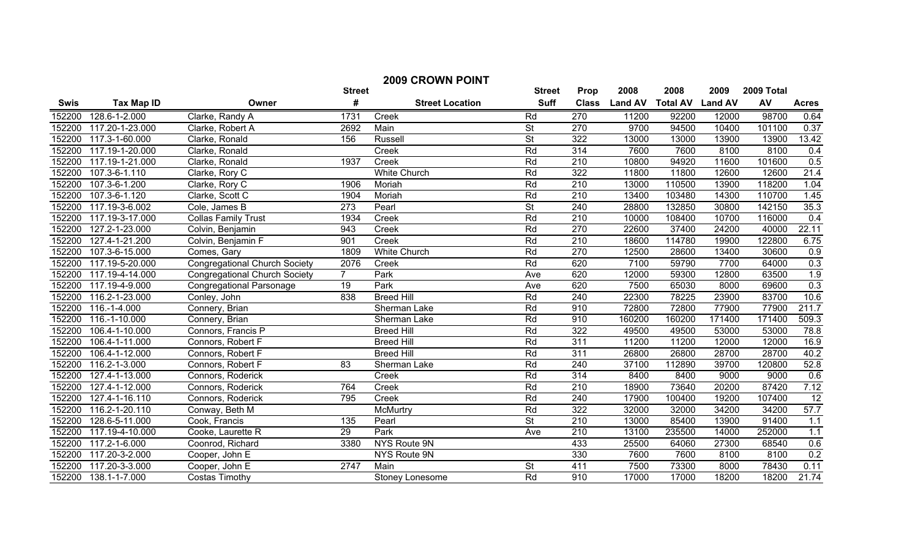| <b>2009 CROWN POINT</b> |                   |                                      |                 |                        |                          |                  |                |                 |                |            |                  |
|-------------------------|-------------------|--------------------------------------|-----------------|------------------------|--------------------------|------------------|----------------|-----------------|----------------|------------|------------------|
|                         |                   |                                      | <b>Street</b>   |                        | <b>Street</b>            | Prop             | 2008           | 2008            | 2009           | 2009 Total |                  |
| <b>Swis</b>             | <b>Tax Map ID</b> | Owner                                | #               | <b>Street Location</b> | <b>Suff</b>              | <b>Class</b>     | <b>Land AV</b> | <b>Total AV</b> | <b>Land AV</b> | AV         | <b>Acres</b>     |
| 152200                  | 128.6-1-2.000     | Clarke, Randy A                      | 1731            | Creek                  | Rd                       | 270              | 11200          | 92200           | 12000          | 98700      | 0.64             |
| 152200                  | 117.20-1-23.000   | Clarke, Robert A                     | 2692            | Main                   | <b>St</b>                | 270              | 9700           | 94500           | 10400          | 101100     | 0.37             |
| 152200                  | 117.3-1-60.000    | Clarke, Ronald                       | 156             | <b>Russell</b>         | $\overline{\mathsf{St}}$ | 322              | 13000          | 13000           | 13900          | 13900      | 13.42            |
| 152200                  | 117.19-1-20.000   | Clarke, Ronald                       |                 | Creek                  | Rd                       | 314              | 7600           | 7600            | 8100           | 8100       | 0.4              |
| 152200                  | 117.19-1-21.000   | Clarke, Ronald                       | 1937            | Creek                  | Rd                       | $\overline{210}$ | 10800          | 94920           | 11600          | 101600     | 0.5              |
| 152200                  | 107.3-6-1.110     | Clarke, Rory C                       |                 | <b>White Church</b>    | Rd                       | 322              | 11800          | 11800           | 12600          | 12600      | 21.4             |
| 152200                  | 107.3-6-1.200     | Clarke, Rory C                       | 1906            | Moriah                 | Rd                       | 210              | 13000          | 110500          | 13900          | 118200     | 1.04             |
| 152200                  | 107.3-6-1.120     | Clarke, Scott C                      | 1904            | Moriah                 | Rd                       | 210              | 13400          | 103480          | 14300          | 110700     | 1.45             |
| 152200                  | 117.19-3-6.002    | Cole, James B                        | 273             | Pearl                  | <b>St</b>                | 240              | 28800          | 132850          | 30800          | 142150     | 35.3             |
| 152200                  | 117.19-3-17.000   | <b>Collas Family Trust</b>           | 1934            | Creek                  | Rd                       | $\overline{210}$ | 10000          | 108400          | 10700          | 116000     | 0.4              |
| 152200                  | 127.2-1-23.000    | Colvin, Benjamin                     | 943             | Creek                  | Rd                       | 270              | 22600          | 37400           | 24200          | 40000      | 22.11            |
| 152200                  | 127.4-1-21.200    | Colvin, Benjamin F                   | 901             | Creek                  | Rd                       | 210              | 18600          | 114780          | 19900          | 122800     | 6.75             |
| 152200                  | 107.3-6-15.000    | Comes, Gary                          | 1809            | <b>White Church</b>    | Rd                       | 270              | 12500          | 28600           | 13400          | 30600      | 0.9              |
| 152200                  | 117.19-5-20.000   | <b>Congregational Church Society</b> | 2076            | Creek                  | Rd                       | 620              | 7100           | 59790           | 7700           | 64000      | 0.3              |
| 152200                  | 117.19-4-14.000   | <b>Congregational Church Society</b> | $\overline{7}$  | Park                   | Ave                      | 620              | 12000          | 59300           | 12800          | 63500      | 1.9              |
| 152200                  | 117.19-4-9.000    | <b>Congregational Parsonage</b>      | 19              | Park                   | Ave                      | 620              | 7500           | 65030           | 8000           | 69600      | 0.3              |
| 152200                  | 116.2-1-23.000    | Conley, John                         | 838             | <b>Breed Hill</b>      | Rd                       | 240              | 22300          | 78225           | 23900          | 83700      | 10.6             |
| 152200                  | 116.-1-4.000      | Connery, Brian                       |                 | Sherman Lake           | Rd                       | 910              | 72800          | 72800           | 77900          | 77900      | 211.7            |
| 152200                  | 116.-1-10.000     | Connery, Brian                       |                 | Sherman Lake           | Rd                       | 910              | 160200         | 160200          | 171400         | 171400     | 509.3            |
| 152200                  | 106.4-1-10.000    | Connors, Francis P                   |                 | <b>Breed Hill</b>      | Rd                       | $\overline{322}$ | 49500          | 49500           | 53000          | 53000      | 78.8             |
| 152200                  | 106.4-1-11.000    | Connors, Robert F                    |                 | <b>Breed Hill</b>      | Rd                       | 311              | 11200          | 11200           | 12000          | 12000      | 16.9             |
| 152200                  | 106.4-1-12.000    | Connors, Robert F                    |                 | <b>Breed Hill</b>      | Rd                       | 311              | 26800          | 26800           | 28700          | 28700      | 40.2             |
| 152200                  | 116.2-1-3.000     | Connors, Robert F                    | $\overline{83}$ | Sherman Lake           | Rd                       | 240              | 37100          | 112890          | 39700          | 120800     | 52.8             |
| 152200                  | 127.4-1-13.000    | Connors, Roderick                    |                 | Creek                  | Rd                       | 314              | 8400           | 8400            | 9000           | 9000       | 0.6              |
| 152200                  | 127.4-1-12.000    | Connors, Roderick                    | 764             | Creek                  | Rd                       | $\overline{210}$ | 18900          | 73640           | 20200          | 87420      | 7.12             |
| 152200                  | 127.4-1-16.110    | Connors, Roderick                    | 795             | Creek                  | Rd                       | 240              | 17900          | 100400          | 19200          | 107400     | 12               |
| 152200                  | 116.2-1-20.110    | Conway, Beth M                       |                 | McMurtry               | Rd                       | 322              | 32000          | 32000           | 34200          | 34200      | 57.7             |
| 152200                  | 128.6-5-11.000    | Cook, Francis                        | 135             | Pearl                  | <b>St</b>                | 210              | 13000          | 85400           | 13900          | 91400      | $\overline{1.1}$ |
| 152200                  | 117.19-4-10.000   | Cooke, Laurette R                    | 29              | Park                   | Ave                      | $\overline{210}$ | 13100          | 235500          | 14000          | 252000     | 1.1              |
| 152200                  | 117.2-1-6.000     | Coonrod, Richard                     | 3380            | NYS Route 9N           |                          | 433              | 25500          | 64060           | 27300          | 68540      | 0.6              |
| 152200                  | 117.20-3-2.000    | Cooper, John E                       |                 | NYS Route 9N           |                          | 330              | 7600           | 7600            | 8100           | 8100       | 0.2              |
| 152200                  | 117.20-3-3.000    | Cooper, John E                       | 2747            | Main                   | $\overline{\mathsf{St}}$ | 411              | 7500           | 73300           | 8000           | 78430      | 0.11             |
| 152200                  | 138.1-1-7.000     | Costas Timothy                       |                 | Stoney Lonesome        | Rd                       | 910              | 17000          | 17000           | 18200          | 18200      | 21.74            |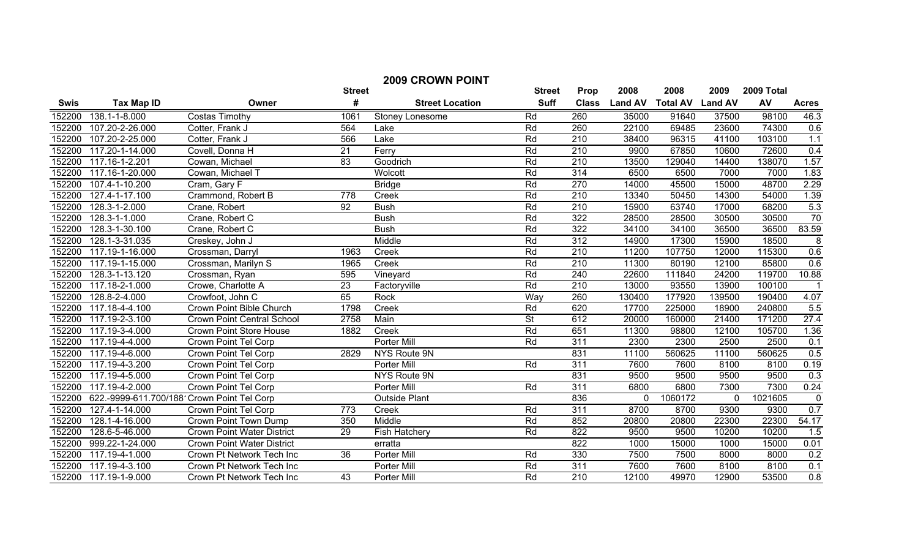| <b>2009 CROWN POINT</b> |                                            |                                   |                 |                        |                          |                  |                |                 |                |            |                         |
|-------------------------|--------------------------------------------|-----------------------------------|-----------------|------------------------|--------------------------|------------------|----------------|-----------------|----------------|------------|-------------------------|
|                         |                                            |                                   | <b>Street</b>   |                        | <b>Street</b>            | Prop             | 2008           | 2008            | 2009           | 2009 Total |                         |
| <b>Swis</b>             | <b>Tax Map ID</b>                          | Owner                             | #               | <b>Street Location</b> | <b>Suff</b>              | <b>Class</b>     | <b>Land AV</b> | <b>Total AV</b> | <b>Land AV</b> | AV         | <b>Acres</b>            |
| 152200                  | 138.1-1-8.000                              | <b>Costas Timothy</b>             | 1061            | Stoney Lonesome        | Rd                       | 260              | 35000          | 91640           | 37500          | 98100      | 46.3                    |
| 152200                  | 107.20-2-26.000                            | Cotter, Frank J                   | 564             | Lake                   | Rd                       | 260              | 22100          | 69485           | 23600          | 74300      | 0.6                     |
| 152200                  | 107.20-2-25.000                            | Cotter, Frank J                   | 566             | Lake                   | Rd                       | $\overline{210}$ | 38400          | 96315           | 41100          | 103100     | 1.1                     |
| 152200                  | 117.20-1-14.000                            | Covell, Donna H                   | $\overline{21}$ | Ferry                  | Rd                       | 210              | 9900           | 67850           | 10600          | 72600      | 0.4                     |
| 152200                  | 117.16-1-2.201                             | Cowan, Michael                    | $\overline{83}$ | Goodrich               | Rd                       | $\overline{210}$ | 13500          | 129040          | 14400          | 138070     | 1.57                    |
| 152200                  | 117.16-1-20.000                            | Cowan, Michael T                  |                 | Wolcott                | Rd                       | 314              | 6500           | 6500            | 7000           | 7000       | 1.83                    |
| 152200                  | 107.4-1-10.200                             | Cram, Gary F                      |                 | <b>Bridge</b>          | Rd                       | 270              | 14000          | 45500           | 15000          | 48700      | 2.29                    |
| 152200                  | 127.4-1-17.100                             | Crammond, Robert B                | 778             | Creek                  | Rd                       | 210              | 13340          | 50450           | 14300          | 54000      | 1.39                    |
| 152200                  | $\overline{128.3} - 1 - 2.000$             | Crane, Robert                     | 92              | <b>Bush</b>            | Rd                       | 210              | 15900          | 63740           | 17000          | 68200      | 5.3                     |
| 152200                  | 128.3-1-1.000                              | Crane, Robert C                   |                 | <b>Bush</b>            | Rd                       | 322              | 28500          | 28500           | 30500          | 30500      | 70                      |
| 152200                  | 128.3-1-30.100                             | Crane, Robert C                   |                 | <b>Bush</b>            | Rd                       | 322              | 34100          | 34100           | 36500          | 36500      | 83.59                   |
| 152200                  | 128.1-3-31.035                             | Creskey, John J                   |                 | Middle                 | Rd                       | 312              | 14900          | 17300           | 15900          | 18500      | 8                       |
| 152200                  | 117.19-1-16.000                            | Crossman, Darryl                  | 1963            | Creek                  | Rd                       | 210              | 11200          | 107750          | 12000          | 115300     | 0.6                     |
| 152200                  | 117.19-1-15.000                            | Crossman, Marilyn S               | 1965            | Creek                  | Rd                       | $\overline{210}$ | 11300          | 80190           | 12100          | 85800      | 0.6                     |
| 152200                  | 128.3-1-13.120                             | Crossman, Ryan                    | 595             | Vineyard               | Rd                       | 240              | 22600          | 111840          | 24200          | 119700     | 10.88                   |
| 152200                  | 117.18-2-1.000                             | Crowe, Charlotte A                | $\overline{23}$ | Factoryville           | Rd                       | 210              | 13000          | 93550           | 13900          | 100100     | $\overline{\mathbf{1}}$ |
| 152200                  | 128.8-2-4.000                              | Crowfoot, John C                  | 65              | Rock                   | Way                      | 260              | 130400         | 177920          | 139500         | 190400     | 4.07                    |
| 152200                  | 117.18-4-4.100                             | Crown Point Bible Church          | 1798            | Creek                  | Rd                       | 620              | 17700          | 225000          | 18900          | 240800     | 5.5                     |
| 152200                  | 117.19-2-3.100                             | <b>Crown Point Central School</b> | 2758            | Main                   | $\overline{\mathsf{St}}$ | 612              | 20000          | 160000          | 21400          | 171200     | 27.4                    |
| 152200                  | 117.19-3-4.000                             | <b>Crown Point Store House</b>    | 1882            | Creek                  | Rd                       | 651              | 11300          | 98800           | 12100          | 105700     | 1.36                    |
| 152200                  | 117.19-4-4.000                             | Crown Point Tel Corp              |                 | Porter Mill            | Rd                       | 311              | 2300           | 2300            | 2500           | 2500       | 0.1                     |
| 152200                  | 117.19-4-6.000                             | Crown Point Tel Corp              | 2829            | NYS Route 9N           |                          | 831              | 11100          | 560625          | 11100          | 560625     | 0.5                     |
| 152200                  | 117.19-4-3.200                             | Crown Point Tel Corp              |                 | Porter Mill            | Rd                       | 311              | 7600           | 7600            | 8100           | 8100       | 0.19                    |
| 152200                  | 117.19-4-5.000                             | Crown Point Tel Corp              |                 | NYS Route 9N           |                          | 831              | 9500           | 9500            | 9500           | 9500       | 0.3                     |
| 152200                  | 117.19-4-2.000                             | Crown Point Tel Corp              |                 | Porter Mill            | Rd                       | 311              | 6800           | 6800            | 7300           | 7300       | 0.24                    |
| 152200                  | 622.-9999-611.700/188 Crown Point Tel Corp |                                   |                 | <b>Outside Plant</b>   |                          | 836              | $\mathbf{0}$   | 1060172         | $\mathbf{0}$   | 1021605    | $\mathbf 0$             |
| 152200                  | 127.4-1-14.000                             | Crown Point Tel Corp              | 773             | Creek                  | Rd                       | 311              | 8700           | 8700            | 9300           | 9300       | 0.7                     |
| 152200                  | 128.1-4-16.000                             | Crown Point Town Dump             | 350             | Middle                 | Rd                       | 852              | 20800          | 20800           | 22300          | 22300      | 54.17                   |
| 152200                  | 128.6-5-46.000                             | Crown Point Water District        | 29              | Fish Hatchery          | Rd                       | 822              | 9500           | 9500            | 10200          | 10200      | 1.5                     |
| 152200                  | 999.22-1-24.000                            | Crown Point Water District        |                 | erratta                |                          | $\overline{822}$ | 1000           | 15000           | 1000           | 15000      | 0.01                    |
| 152200                  | 117.19-4-1.000                             | Crown Pt Network Tech Inc         | $\overline{36}$ | Porter Mill            | Rd                       | 330              | 7500           | 7500            | 8000           | 8000       | 0.2                     |
| 152200                  | 117.19-4-3.100                             | Crown Pt Network Tech Inc         |                 | Porter Mill            | Rd                       | 311              | 7600           | 7600            | 8100           | 8100       | 0.1                     |
| 152200                  | 117.19-1-9.000                             | Crown Pt Network Tech Inc         | 43              | Porter Mill            | Rd                       | 210              | 12100          | 49970           | 12900          | 53500      | $\overline{0.8}$        |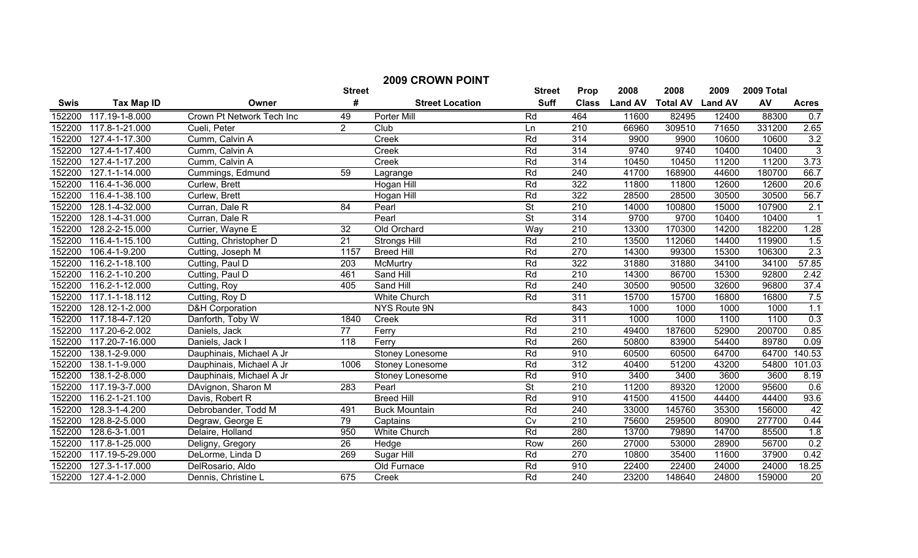| <b>2009 CROWN POINT</b> |                   |                            |                  |                        |                          |                  |                |                 |                |            |                   |
|-------------------------|-------------------|----------------------------|------------------|------------------------|--------------------------|------------------|----------------|-----------------|----------------|------------|-------------------|
|                         |                   |                            | <b>Street</b>    |                        | <b>Street</b>            | Prop             | 2008           | 2008            | 2009           | 2009 Total |                   |
| <b>Swis</b>             | <b>Tax Map ID</b> | Owner                      | #                | <b>Street Location</b> | <b>Suff</b>              | <b>Class</b>     | <b>Land AV</b> | <b>Total AV</b> | <b>Land AV</b> | AV         | <b>Acres</b>      |
| 152200                  | 117.19-1-8.000    | Crown Pt Network Tech Inc  | 49               | Porter Mill            | Rd                       | 464              | 11600          | 82495           | 12400          | 88300      | 0.7               |
| 152200                  | 117.8-1-21.000    | Cueli, Peter               | $\overline{2}$   | Club                   | Ln                       | $\overline{210}$ | 66960          | 309510          | 71650          | 331200     | 2.65              |
| 152200                  | 127.4-1-17.300    | Cumm, Calvin A             |                  | Creek                  | Rd                       | 314              | 9900           | 9900            | 10600          | 10600      | 3.2               |
| 152200                  | 127.4-1-17.400    | Cumm, Calvin A             |                  | Creek                  | Rd                       | 314              | 9740           | 9740            | 10400          | 10400      | $\overline{3}$    |
| 152200                  | 127.4-1-17.200    | Cumm, Calvin A             |                  | Creek                  | Rd                       | 314              | 10450          | 10450           | 11200          | 11200      | 3.73              |
| 152200                  | 127.1-1-14.000    | Cummings, Edmund           | 59               | Lagrange               | Rd                       | 240              | 41700          | 168900          | 44600          | 180700     | 66.7              |
| 152200                  | 116.4-1-36.000    | Curlew, Brett              |                  | <b>Hogan Hill</b>      | Rd                       | 322              | 11800          | 11800           | 12600          | 12600      | $\overline{20.6}$ |
| 152200                  | 116.4-1-38.100    | Curlew, Brett              |                  | Hogan Hill             | Rd                       | 322              | 28500          | 28500           | 30500          | 30500      | 56.7              |
| 152200                  | 128.1-4-32.000    | Curran, Dale R             | 84               | Pearl                  | $\overline{\mathsf{St}}$ | 210              | 14000          | 100800          | 15000          | 107900     | 2.1               |
| 152200                  | 128.1-4-31.000    | Curran, Dale R             |                  | Pearl                  | $\overline{\mathsf{St}}$ | 314              | 9700           | 9700            | 10400          | 10400      |                   |
| 152200                  | 128.2-2-15.000    | Currier, Wayne E           | 32               | Old Orchard            | Way                      | 210              | 13300          | 170300          | 14200          | 182200     | 1.28              |
| 152200                  | 116.4-1-15.100    | Cutting, Christopher D     | $\overline{21}$  | <b>Strongs Hill</b>    | Rd                       | 210              | 13500          | 112060          | 14400          | 119900     | 1.5               |
| 152200                  | 106.4-1-9.200     | Cutting, Joseph M          | 1157             | <b>Breed Hill</b>      | Rd                       | 270              | 14300          | 99300           | 15300          | 106300     | 2.3               |
| 152200                  | 116.2-1-18.100    | Cutting, Paul D            | 203              | McMurtry               | Rd                       | 322              | 31880          | 31880           | 34100          | 34100      | 57.85             |
| 152200                  | 116.2-1-10.200    | Cutting, Paul D            | 461              | Sand Hill              | Rd                       | 210              | 14300          | 86700           | 15300          | 92800      | 2.42              |
| 152200                  | 116.2-1-12.000    | Cutting, Roy               | 405              | Sand Hill              | Rd                       | 240              | 30500          | 90500           | 32600          | 96800      | 37.4              |
| 152200                  | 117.1-1-18.112    | Cutting, Roy D             |                  | <b>White Church</b>    | Rd                       | 311              | 15700          | 15700           | 16800          | 16800      | 7.5               |
| 152200                  | 128.12-1-2.000    | <b>D&amp;H Corporation</b> |                  | <b>NYS Route 9N</b>    |                          | 843              | 1000           | 1000            | 1000           | 1000       | 1.1               |
| 152200                  | 117.18-4-7.120    | Danforth, Toby W           | 1840             | Creek                  | Rd                       | 311              | 1000           | 1000            | 1100           | 1100       | 0.3               |
| 152200                  | 117.20-6-2.002    | Daniels, Jack              | $\overline{77}$  | Ferry                  | Rd                       | $\overline{210}$ | 49400          | 187600          | 52900          | 200700     | 0.85              |
| 152200                  | 117.20-7-16.000   | Daniels, Jack I            | $\overline{118}$ | Ferry                  | Rd                       | 260              | 50800          | 83900           | 54400          | 89780      | 0.09              |
| 152200                  | 138.1-2-9.000     | Dauphinais, Michael A Jr   |                  | Stoney Lonesome        | Rd                       | 910              | 60500          | 60500           | 64700          | 64700      | 140.53            |
| 152200                  | 138.1-1-9.000     | Dauphinais, Michael A Jr   | 1006             | Stoney Lonesome        | Rd                       | 312              | 40400          | 51200           | 43200          | 54800      | 101.03            |
| 152200                  | 138.1-2-8.000     | Dauphinais, Michael A Jr   |                  | Stoney Lonesome        | Rd                       | 910              | 3400           | 3400            | 3600           | 3600       | 8.19              |
| 152200                  | 117.19-3-7.000    | DAvignon, Sharon M         | 283              | Pearl                  | $\overline{\mathsf{St}}$ | 210              | 11200          | 89320           | 12000          | 95600      | 0.6               |
| 152200                  | 116.2-1-21.100    | Davis, Robert R            |                  | <b>Breed Hill</b>      | Rd                       | 910              | 41500          | 41500           | 44400          | 44400      | 93.6              |
| 152200                  | 128.3-1-4.200     | Debrobander, Todd M        | 491              | <b>Buck Mountain</b>   | Rd                       | 240              | 33000          | 145760          | 35300          | 156000     | 42                |
| 152200                  | 128.8-2-5.000     | Degraw, George E           | 79               | Captains               | Cv                       | 210              | 75600          | 259500          | 80900          | 277700     | 0.44              |
| 152200                  | 128.6-3-1.001     | Delaire, Holland           | 950              | <b>White Church</b>    | Rd                       | 280              | 13700          | 79890           | 14700          | 85500      | 1.8               |
| 152200                  | 117.8-1-25.000    | Deligny, Gregory           | 26               | Hedge                  | Row                      | 260              | 27000          | 53000           | 28900          | 56700      | 0.2               |
| 152200                  | 117.19-5-29.000   | DeLorme, Linda D           | 269              | Sugar Hill             | Rd                       | 270              | 10800          | 35400           | 11600          | 37900      | 0.42              |
| 152200                  | 127.3-1-17.000    | DelRosario, Aldo           |                  | Old Furnace            | Rd                       | 910              | 22400          | 22400           | 24000          | 24000      | 18.25             |
| 152200                  | 127.4-1-2.000     | Dennis, Christine L        | 675              | Creek                  | Rd                       | 240              | 23200          | 148640          | 24800          | 159000     | 20                |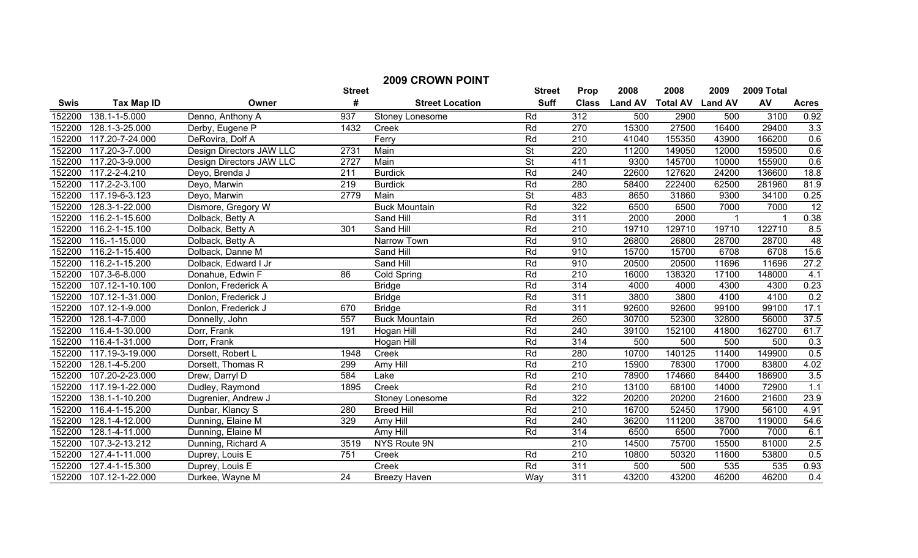| <b>2009 CROWN POINT</b> |                      |                          |                 |                        |                          |                  |                |                         |       |        |                  |
|-------------------------|----------------------|--------------------------|-----------------|------------------------|--------------------------|------------------|----------------|-------------------------|-------|--------|------------------|
| <b>Street</b>           |                      |                          | <b>Street</b>   | Prop                   | 2008                     | 2008             | 2009           | 2009 Total              |       |        |                  |
| <b>Swis</b>             | <b>Tax Map ID</b>    | Owner                    | #               | <b>Street Location</b> | <b>Suff</b>              | <b>Class</b>     | <b>Land AV</b> | <b>Total AV Land AV</b> |       | AV     | <b>Acres</b>     |
| 152200                  | 138.1-1-5.000        | Denno, Anthony A         | 937             | Stoney Lonesome        | Rd                       | 312              | 500            | 2900                    | 500   | 3100   | 0.92             |
| 152200                  | 128.1-3-25.000       | Derby, Eugene P          | 1432            | Creek                  | Rd                       | 270              | 15300          | 27500                   | 16400 | 29400  | 3.3              |
| 152200                  | 117.20-7-24.000      | DeRovira, Dolf A         |                 | Ferry                  | Rd                       | $\overline{210}$ | 41040          | 155350                  | 43900 | 166200 | 0.6              |
| 152200                  | 117.20-3-7.000       | Design Directors JAW LLC | 2731            | Main                   | $\overline{\mathsf{St}}$ | 220              | 11200          | 149050                  | 12000 | 159500 | 0.6              |
| 152200                  | 117.20-3-9.000       | Design Directors JAW LLC | 2727            | Main                   | $\overline{\mathsf{St}}$ | 411              | 9300           | 145700                  | 10000 | 155900 | 0.6              |
| 152200                  | 117.2-2-4.210        | Deyo, Brenda J           | 211             | <b>Burdick</b>         | Rd                       | 240              | 22600          | 127620                  | 24200 | 136600 | 18.8             |
| 152200                  | 117.2-2-3.100        | Deyo, Marwin             | 219             | <b>Burdick</b>         | Rd                       | 280              | 58400          | 222400                  | 62500 | 281960 | 81.9             |
| 152200                  | 117.19-6-3.123       | Deyo, Marwin             | 2779            | Main                   | $\overline{\mathsf{St}}$ | 483              | 8650           | 31860                   | 9300  | 34100  | 0.25             |
| 152200                  | 128.3-1-22.000       | Dismore, Gregory W       |                 | <b>Buck Mountain</b>   | Rd                       | 322              | 6500           | 6500                    | 7000  | 7000   | $\overline{12}$  |
| 152200                  | 116.2-1-15.600       | Dolback, Betty A         |                 | Sand Hill              | Rd                       | 311              | 2000           | 2000                    |       |        | 0.38             |
| 152200                  | 116.2-1-15.100       | Dolback, Betty A         | 301             | Sand Hill              | Rd                       | $\overline{210}$ | 19710          | 129710                  | 19710 | 122710 | 8.5              |
| 152200                  | 116.-1-15.000        | Dolback, Betty A         |                 | Narrow Town            | Rd                       | 910              | 26800          | 26800                   | 28700 | 28700  | 48               |
| 152200                  | 116.2-1-15.400       | Dolback, Danne M         |                 | Sand Hill              | Rd                       | 910              | 15700          | 15700                   | 6708  | 6708   | 15.6             |
| 152200                  | 116.2-1-15.200       | Dolback, Edward I Jr     |                 | Sand Hill              | Rd                       | 910              | 20500          | 20500                   | 11696 | 11696  | 27.2             |
| 152200                  | 107.3-6-8.000        | Donahue, Edwin F         | 86              | <b>Cold Spring</b>     | Rd                       | 210              | 16000          | 138320                  | 17100 | 148000 | 4.1              |
| 152200                  | 107.12-1-10.100      | Donlon, Frederick A      |                 | <b>Bridge</b>          | Rd                       | 314              | 4000           | 4000                    | 4300  | 4300   | 0.23             |
| 152200                  | 107.12-1-31.000      | Donlon, Frederick J      |                 | <b>Bridge</b>          | Rd                       | 311              | 3800           | 3800                    | 4100  | 4100   | 0.2              |
| 152200                  | 107.12-1-9.000       | Donlon, Frederick J      | 670             | <b>Bridge</b>          | Rd                       | 311              | 92600          | 92600                   | 99100 | 99100  | 17.1             |
| 152200                  | 128.1-4-7.000        | Donnelly, John           | 557             | <b>Buck Mountain</b>   | Rd                       | 260              | 30700          | 52300                   | 32800 | 56000  | 37.5             |
| 152200                  | 116.4-1-30.000       | Dorr, Frank              | 191             | Hogan Hill             | Rd                       | 240              | 39100          | 152100                  | 41800 | 162700 | 61.7             |
| 152200                  | 116.4-1-31.000       | Dorr, Frank              |                 | Hogan Hill             | Rd                       | 314              | 500            | 500                     | 500   | 500    | 0.3              |
| 152200                  | 117.19-3-19.000      | Dorsett, Robert L        | 1948            | Creek                  | Rd                       | 280              | 10700          | 140125                  | 11400 | 149900 | 0.5              |
| 152200                  | 128.1-4-5.200        | Dorsett, Thomas R        | 299             | Amy Hill               | Rd                       | 210              | 15900          | 78300                   | 17000 | 83800  | 4.02             |
| 152200                  | 107.20-2-23.000      | Drew, Darryl D           | 584             | Lake                   | Rd                       | $\overline{210}$ | 78900          | 174660                  | 84400 | 186900 | 3.5              |
| 152200                  | 117.19-1-22.000      | Dudley, Raymond          | 1895            | Creek                  | Rd                       | $\overline{210}$ | 13100          | 68100                   | 14000 | 72900  | 1.1              |
| 152200                  | 138.1-1-10.200       | Dugrenier, Andrew J      |                 | Stoney Lonesome        | Rd                       | 322              | 20200          | 20200                   | 21600 | 21600  | 23.9             |
| 152200                  | 116.4-1-15.200       | Dunbar, Klancy S         | 280             | <b>Breed Hill</b>      | Rd                       | $\overline{210}$ | 16700          | 52450                   | 17900 | 56100  | 4.91             |
| 152200                  | 128.1-4-12.000       | Dunning, Elaine M        | 329             | Amy Hill               | Rd                       | 240              | 36200          | 111200                  | 38700 | 119000 | 54.6             |
| 152200                  | $128.1 - 4 - 11.000$ | Dunning, Elaine M        |                 | Amy Hill               | Rd                       | 314              | 6500           | 6500                    | 7000  | 7000   | 6.1              |
| 152200                  | 107.3-2-13.212       | Dunning, Richard A       | 3519            | NYS Route 9N           |                          | $\overline{210}$ | 14500          | 75700                   | 15500 | 81000  | 2.5              |
| 152200                  | 127.4-1-11.000       | Duprey, Louis E          | 751             | Creek                  | Rd                       | $\overline{210}$ | 10800          | 50320                   | 11600 | 53800  | 0.5              |
| 152200                  | 127.4-1-15.300       | Duprey, Louis E          |                 | Creek                  | Rd                       | 311              | 500            | 500                     | 535   | 535    | 0.93             |
| 152200                  | 107.12-1-22.000      | Durkee, Wayne M          | $\overline{24}$ | <b>Breezy Haven</b>    | Way                      | 311              | 43200          | 43200                   | 46200 | 46200  | $\overline{0.4}$ |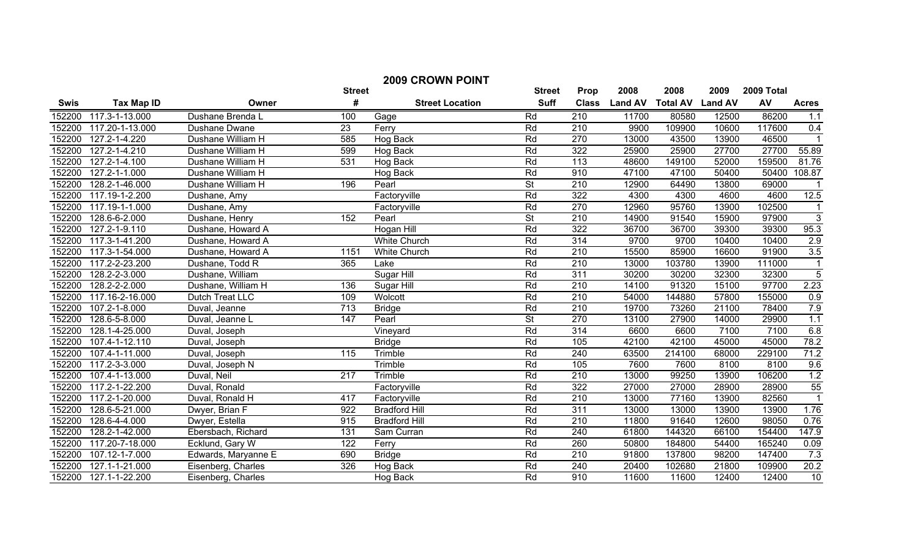| <b>2009 CROWN POINT</b> |                             |                     |                  |                        |                          |                  |                |                 |                |            |                 |
|-------------------------|-----------------------------|---------------------|------------------|------------------------|--------------------------|------------------|----------------|-----------------|----------------|------------|-----------------|
|                         |                             |                     | <b>Street</b>    |                        | <b>Street</b>            | Prop             | 2008           | 2008            | 2009           | 2009 Total |                 |
| <b>Swis</b>             | <b>Tax Map ID</b>           | Owner               | #                | <b>Street Location</b> | <b>Suff</b>              | <b>Class</b>     | <b>Land AV</b> | <b>Total AV</b> | <b>Land AV</b> | AV         | <b>Acres</b>    |
| 152200                  | 117.3-1-13.000              | Dushane Brenda L    | 100              | Gage                   | Rd                       | 210              | 11700          | 80580           | 12500          | 86200      | 1.1             |
| 152200                  | 117.20-1-13.000             | Dushane Dwane       | 23               | Ferry                  | Rd                       | 210              | 9900           | 109900          | 10600          | 117600     | 0.4             |
| 152200                  | 127.2-1-4.220               | Dushane William H   | 585              | Hog Back               | Rd                       | 270              | 13000          | 43500           | 13900          | 46500      |                 |
| 152200                  | 127.2-1-4.210               | Dushane William H   | 599              | Hog Back               | Rd                       | 322              | 25900          | 25900           | 27700          | 27700      | 55.89           |
| 152200                  | $\overline{127}$ .2-1-4.100 | Dushane William H   | 531              | Hog Back               | Rd                       | 113              | 48600          | 149100          | 52000          | 159500     | 81.76           |
| 152200                  | $127.2 - 1 - 1.000$         | Dushane William H   |                  | Hog Back               | Rd                       | 910              | 47100          | 47100           | 50400          | 50400      | 108.87          |
| 152200                  | 128.2-1-46.000              | Dushane William H   | 196              | Pearl                  | <b>St</b>                | $\overline{210}$ | 12900          | 64490           | 13800          | 69000      |                 |
| 152200                  | 117.19-1-2.200              | Dushane, Amy        |                  | Factoryville           | Rd                       | 322              | 4300           | 4300            | 4600           | 4600       | 12.5            |
| 152200                  | 117.19-1-1.000              | Dushane, Amy        |                  | Factoryville           | Rd                       | 270              | 12960          | 95760           | 13900          | 102500     | $\mathbf{1}$    |
| 152200                  | 128.6-6-2.000               | Dushane, Henry      | 152              | Pearl                  | <b>St</b>                | 210              | 14900          | 91540           | 15900          | 97900      | 3               |
| 152200                  | $\overline{127}$ .2-1-9.110 | Dushane, Howard A   |                  | Hogan Hill             | Rd                       | 322              | 36700          | 36700           | 39300          | 39300      | 95.3            |
| 152200                  | 117.3-1-41.200              | Dushane, Howard A   |                  | White Church           | Rd                       | 314              | 9700           | 9700            | 10400          | 10400      | 2.9             |
| 152200                  | 117.3-1-54.000              | Dushane, Howard A   | 1151             | White Church           | Rd                       | $\overline{210}$ | 15500          | 85900           | 16600          | 91900      | 3.5             |
| 152200                  | 117.2-2-23.200              | Dushane, Todd R     | 365              | Lake                   | Rd                       | $\overline{210}$ | 13000          | 103780          | 13900          | 111000     | $\mathbf{1}$    |
| 152200                  | 128.2-2-3.000               | Dushane, William    |                  | <b>Sugar Hill</b>      | Rd                       | 311              | 30200          | 30200           | 32300          | 32300      | $\overline{5}$  |
| 152200                  | 128.2-2-2.000               | Dushane, William H  | 136              | <b>Sugar Hill</b>      | Rd                       | 210              | 14100          | 91320           | 15100          | 97700      | 2.23            |
| 152200                  | 117.16-2-16.000             | Dutch Treat LLC     | 109              | Wolcott                | Rd                       | 210              | 54000          | 144880          | 57800          | 155000     | 0.9             |
| 152200                  | 107.2-1-8.000               | Duval, Jeanne       | $\overline{713}$ | <b>Bridge</b>          | Rd                       | 210              | 19700          | 73260           | 21100          | 78400      | 7.9             |
| 152200                  | 128.6-5-8.000               | Duval, Jeanne L     | 147              | Pearl                  | $\overline{\mathsf{St}}$ | 270              | 13100          | 27900           | 14000          | 29900      | 1.1             |
| 152200                  | 128.1-4-25.000              | Duval, Joseph       |                  | Vineyard               | Rd                       | 314              | 6600           | 6600            | 7100           | 7100       | 6.8             |
| 152200                  | 107.4-1-12.110              | Duval, Joseph       |                  | <b>Bridge</b>          | Rd                       | 105              | 42100          | 42100           | 45000          | 45000      | 78.2            |
| 152200                  | 107.4-1-11.000              | Duval, Joseph       | 115              | Trimble                | Rd                       | 240              | 63500          | 214100          | 68000          | 229100     | 71.2            |
| 152200                  | 117.2-3-3.000               | Duval, Joseph N     |                  | Trimble                | Rd                       | 105              | 7600           | 7600            | 8100           | 8100       | 9.6             |
| 152200                  | 107.4-1-13.000              | Duval, Neil         | 217              | Trimble                | Rd                       | $\overline{210}$ | 13000          | 99250           | 13900          | 106200     | 1.2             |
| 152200                  | 117.2-1-22.200              | Duval, Ronald       |                  | Factoryville           | Rd                       | 322              | 27000          | 27000           | 28900          | 28900      | 55              |
| 152200                  | 117.2-1-20.000              | Duval, Ronald H     | 417              | Factoryville           | Rd                       | $\overline{210}$ | 13000          | 77160           | 13900          | 82560      | $\overline{1}$  |
| 152200                  | 128.6-5-21.000              | Dwyer, Brian F      | 922              | <b>Bradford Hill</b>   | Rd                       | 311              | 13000          | 13000           | 13900          | 13900      | 1.76            |
| 152200                  | 128.6-4-4.000               | Dwyer, Estella      | 915              | <b>Bradford Hill</b>   | Rd                       | $\overline{210}$ | 11800          | 91640           | 12600          | 98050      | 0.76            |
| 152200                  | 128.2-1-42.000              | Ebersbach, Richard  | 131              | Sam Curran             | Rd                       | 240              | 61800          | 144320          | 66100          | 154400     | 147.9           |
| 152200                  | 117.20-7-18.000             | Ecklund, Gary W     | 122              | Ferry                  | Rd                       | 260              | 50800          | 184800          | 54400          | 165240     | 0.09            |
| 152200                  | $107.12 - 1 - 7.000$        | Edwards, Maryanne E | 690              | <b>Bridge</b>          | Rd                       | 210              | 91800          | 137800          | 98200          | 147400     | 7.3             |
| 152200                  | 127.1-1-21.000              | Eisenberg, Charles  | 326              | Hog Back               | Rd                       | $\overline{240}$ | 20400          | 102680          | 21800          | 109900     | 20.2            |
| 152200                  | 127.1-1-22.200              | Eisenberg, Charles  |                  | Hog Back               | Rd                       | $\overline{910}$ | 11600          | 11600           | 12400          | 12400      | $\overline{10}$ |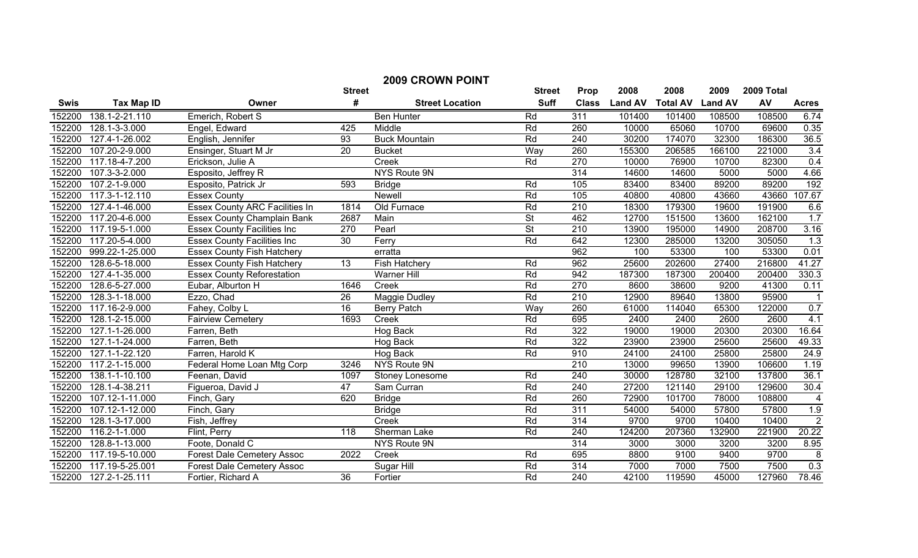| <b>2009 CROWN POINT</b> |                   |                                       |                 |                        |                          |                  |                |                 |                |            |                |
|-------------------------|-------------------|---------------------------------------|-----------------|------------------------|--------------------------|------------------|----------------|-----------------|----------------|------------|----------------|
|                         |                   |                                       | <b>Street</b>   |                        | <b>Street</b>            | Prop             | 2008           | 2008            | 2009           | 2009 Total |                |
| <b>Swis</b>             | <b>Tax Map ID</b> | Owner                                 | #               | <b>Street Location</b> | <b>Suff</b>              | <b>Class</b>     | <b>Land AV</b> | <b>Total AV</b> | <b>Land AV</b> | AV         | <b>Acres</b>   |
| 152200                  | 138.1-2-21.110    | Emerich, Robert S                     |                 | <b>Ben Hunter</b>      | Rd                       | 311              | 101400         | 101400          | 108500         | 108500     | 6.74           |
| 152200                  | 128.1-3-3.000     | Engel, Edward                         | 425             | Middle                 | Rd                       | 260              | 10000          | 65060           | 10700          | 69600      | 0.35           |
| 152200                  | 127.4-1-26.002    | English, Jennifer                     | 93              | <b>Buck Mountain</b>   | Rd                       | $\overline{240}$ | 30200          | 174070          | 32300          | 186300     | 36.5           |
| 152200                  | 107.20-2-9.000    | Ensinger, Stuart M Jr                 | $\overline{20}$ | <b>Bucket</b>          | Way                      | 260              | 155300         | 206585          | 166100         | 221000     | 3.4            |
| 152200                  | 117.18-4-7.200    | Erickson, Julie A                     |                 | Creek                  | Rd                       | 270              | 10000          | 76900           | 10700          | 82300      | 0.4            |
| 152200                  | 107.3-3-2.000     | Esposito, Jeffrey R                   |                 | <b>NYS Route 9N</b>    |                          | 314              | 14600          | 14600           | 5000           | 5000       | 4.66           |
| 152200                  | 107.2-1-9.000     | Esposito, Patrick Jr                  | 593             | <b>Bridge</b>          | Rd                       | 105              | 83400          | 83400           | 89200          | 89200      | 192            |
| 152200                  | 117.3-1-12.110    | <b>Essex County</b>                   |                 | <b>Newell</b>          | Rd                       | 105              | 40800          | 40800           | 43660          | 43660      | 107.67         |
| 152200                  | 127.4-1-46.000    | <b>Essex County ARC Facilities In</b> | 1814            | Old Furnace            | Rd                       | 210              | 18300          | 179300          | 19600          | 191900     | 6.6            |
| 152200                  | 117.20-4-6.000    | <b>Essex County Champlain Bank</b>    | 2687            | Main                   | $\overline{\mathsf{St}}$ | 462              | 12700          | 151500          | 13600          | 162100     | 1.7            |
| 152200                  | 117.19-5-1.000    | <b>Essex County Facilities Inc</b>    | 270             | Pearl                  | $\overline{\mathsf{St}}$ | $\overline{210}$ | 13900          | 195000          | 14900          | 208700     | 3.16           |
| 152200                  | 117.20-5-4.000    | <b>Essex County Facilities Inc</b>    | $\overline{30}$ | Ferry                  | Rd                       | 642              | 12300          | 285000          | 13200          | 305050     | 1.3            |
| 152200                  | 999.22-1-25.000   | <b>Essex County Fish Hatchery</b>     |                 | erratta                |                          | 962              | 100            | 53300           | 100            | 53300      | 0.01           |
| 152200                  | 128.6-5-18.000    | <b>Essex County Fish Hatchery</b>     | $\overline{13}$ | <b>Fish Hatchery</b>   | Rd                       | 962              | 25600          | 202600          | 27400          | 216800     | 41.27          |
| 152200                  | 127.4-1-35.000    | <b>Essex County Reforestation</b>     |                 | <b>Warner Hill</b>     | Rd                       | 942              | 187300         | 187300          | 200400         | 200400     | 330.3          |
| 152200                  | 128.6-5-27.000    | Eubar, Alburton H                     | 1646            | Creek                  | Rd                       | 270              | 8600           | 38600           | 9200           | 41300      | 0.11           |
| 152200                  | 128.3-1-18.000    | Ezzo, Chad                            | $\overline{26}$ | Maggie Dudley          | Rd                       | 210              | 12900          | 89640           | 13800          | 95900      | - 1            |
| 152200                  | 117.16-2-9.000    | Fahey, Colby L                        | 16              | <b>Berry Patch</b>     | Way                      | 260              | 61000          | 114040          | 65300          | 122000     | 0.7            |
| 152200                  | 128.1-2-15.000    | <b>Fairview Cemetery</b>              | 1693            | Creek                  | Rd                       | 695              | 2400           | 2400            | 2600           | 2600       | 4.1            |
| 152200                  | 127.1-1-26.000    | Farren, Beth                          |                 | Hog Back               | Rd                       | 322              | 19000          | 19000           | 20300          | 20300      | 16.64          |
| 152200                  | 127.1-1-24.000    | Farren, Beth                          |                 | Hog Back               | Rd                       | 322              | 23900          | 23900           | 25600          | 25600      | 49.33          |
| 152200                  | 127.1-1-22.120    | Farren, Harold K                      |                 | Hog Back               | Rd                       | 910              | 24100          | 24100           | 25800          | 25800      | 24.9           |
| 152200                  | 117.2-1-15.000    | Federal Home Loan Mtg Corp            | 3246            | <b>NYS Route 9N</b>    |                          | 210              | 13000          | 99650           | 13900          | 106600     | 1.19           |
| 152200                  | 138.1-1-10.100    | Feenan, David                         | 1097            | Stoney Lonesome        | Rd                       | $\overline{240}$ | 30000          | 128780          | 32100          | 137800     | 36.1           |
| 152200                  | 128.1-4-38.211    | Figueroa, David J                     | 47              | Sam Curran             | Rd                       | 240              | 27200          | 121140          | 29100          | 129600     | 30.4           |
| 152200                  | 107.12-1-11.000   | Finch, Gary                           | 620             | <b>Bridge</b>          | Rd                       | 260              | 72900          | 101700          | 78000          | 108800     | 4              |
| 152200                  | 107.12-1-12.000   | Finch, Gary                           |                 | <b>Bridge</b>          | Rd                       | $\overline{311}$ | 54000          | 54000           | 57800          | 57800      | 1.9            |
| 152200                  | 128.1-3-17.000    | Fish, Jeffrey                         |                 | Creek                  | Rd                       | 314              | 9700           | 9700            | 10400          | 10400      | $\overline{2}$ |
| 152200                  | 116.2-1-1.000     | Flint, Perry                          | 118             | Sherman Lake           | Rd                       | 240              | 124200         | 207360          | 132900         | 221900     | 20.22          |
| 152200                  | 128.8-1-13.000    | Foote, Donald C                       |                 | <b>NYS Route 9N</b>    |                          | 314              | 3000           | 3000            | 3200           | 3200       | 8.95           |
| 152200                  | 117.19-5-10.000   | Forest Dale Cemetery Assoc            | 2022            | Creek                  | Rd                       | 695              | 8800           | 9100            | 9400           | 9700       | $\bf 8$        |
| 152200                  | 117.19-5-25.001   | <b>Forest Dale Cemetery Assoc</b>     |                 | Sugar Hill             | Rd                       | 314              | 7000           | 7000            | 7500           | 7500       | 0.3            |
| 152200                  | 127.2-1-25.111    | Fortier, Richard A                    | $\overline{36}$ | Fortier                | Rd                       | 240              | 42100          | 119590          | 45000          | 127960     | 78.46          |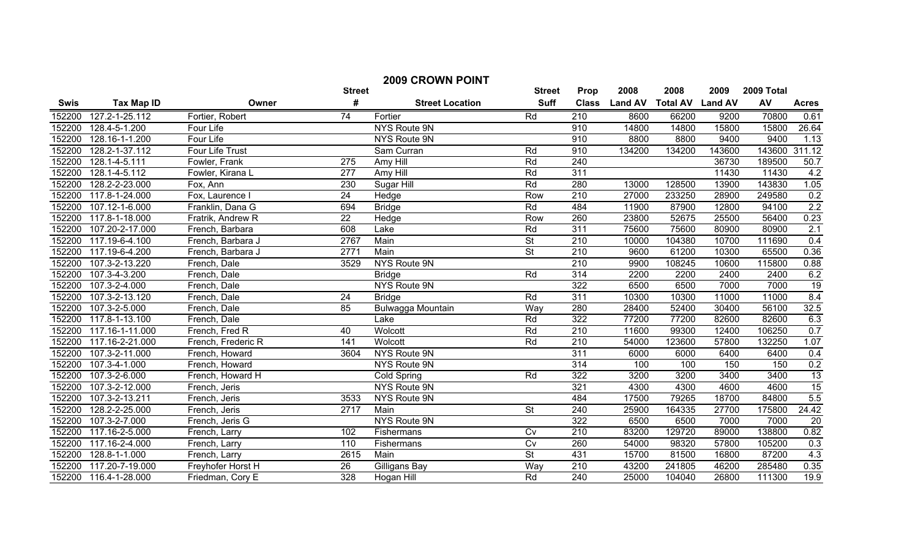| <b>2009 CROWN POINT</b> |                   |                    |                  |                        |                          |                  |                |                 |                |            |                  |
|-------------------------|-------------------|--------------------|------------------|------------------------|--------------------------|------------------|----------------|-----------------|----------------|------------|------------------|
|                         |                   |                    | <b>Street</b>    |                        | <b>Street</b>            | Prop             | 2008           | 2008            | 2009           | 2009 Total |                  |
| <b>Swis</b>             | <b>Tax Map ID</b> | Owner              | #                | <b>Street Location</b> | <b>Suff</b>              | <b>Class</b>     | <b>Land AV</b> | <b>Total AV</b> | <b>Land AV</b> | AV         | <b>Acres</b>     |
| 152200                  | 127.2-1-25.112    | Fortier, Robert    | 74               | Fortier                | Rd                       | 210              | 8600           | 66200           | 9200           | 70800      | 0.61             |
| 152200                  | 128.4-5-1.200     | Four Life          |                  | <b>NYS Route 9N</b>    |                          | 910              | 14800          | 14800           | 15800          | 15800      | 26.64            |
| 152200                  | 128.16-1-1.200    | Four Life          |                  | NYS Route 9N           |                          | 910              | 8800           | 8800            | 9400           | 9400       | 1.13             |
| 152200                  | 128.2-1-37.112    | Four Life Trust    |                  | Sam Curran             | Rd                       | 910              | 134200         | 134200          | 143600         | 143600     | 311.12           |
| 152200                  | 128.1-4-5.111     | Fowler, Frank      | 275              | Amy Hill               | Rd                       | 240              |                |                 | 36730          | 189500     | 50.7             |
| 152200                  | 128.1-4-5.112     | Fowler, Kirana L   | 277              | Amy Hill               | Rd                       | 311              |                |                 | 11430          | 11430      | 4.2              |
| 152200                  | 128.2-2-23.000    | Fox, Ann           | 230              | Sugar Hill             | Rd                       | 280              | 13000          | 128500          | 13900          | 143830     | 1.05             |
| 152200                  | 117.8-1-24.000    | Fox, Laurence I    | $\overline{24}$  | Hedge                  | Row                      | $\overline{210}$ | 27000          | 233250          | 28900          | 249580     | 0.2              |
| 152200                  | 107.12-1-6.000    | Franklin, Dana G   | 694              | <b>Bridge</b>          | Rd                       | 484              | 11900          | 87900           | 12800          | 94100      | 2.2              |
| 152200                  | 117.8-1-18.000    | Fratrik, Andrew R  | 22               | Hedge                  | Row                      | 260              | 23800          | 52675           | 25500          | 56400      | 0.23             |
| 152200                  | 107.20-2-17.000   | French, Barbara    | 608              | Lake                   | Rd                       | 311              | 75600          | 75600           | 80900          | 80900      | 2.1              |
| 152200                  | 117.19-6-4.100    | French, Barbara J  | 2767             | Main                   | $\overline{\mathsf{St}}$ | $\overline{210}$ | 10000          | 104380          | 10700          | 111690     | 0.4              |
| 152200                  | 117.19-6-4.200    | French, Barbara J  | 2771             | Main                   | $\overline{\mathsf{St}}$ | 210              | 9600           | 61200           | 10300          | 65500      | 0.36             |
| 152200                  | 107.3-2-13.220    | French, Dale       | 3529             | NYS Route 9N           |                          | 210              | 9900           | 108245          | 10600          | 115800     | 0.88             |
| 152200                  | 107.3-4-3.200     | French, Dale       |                  | <b>Bridge</b>          | Rd                       | 314              | 2200           | 2200            | 2400           | 2400       | 6.2              |
| 152200                  | 107.3-2-4.000     | French, Dale       |                  | <b>NYS Route 9N</b>    |                          | 322              | 6500           | 6500            | 7000           | 7000       | $\overline{19}$  |
| 152200                  | 107.3-2-13.120    | French, Dale       | $\overline{24}$  | <b>Bridge</b>          | Rd                       | 311              | 10300          | 10300           | 11000          | 11000      | 8.4              |
| 152200                  | 107.3-2-5.000     | French, Dale       | 85               | Bulwagga Mountain      | Way                      | 280              | 28400          | 52400           | 30400          | 56100      | 32.5             |
| 152200                  | 117.8-1-13.100    | French, Dale       |                  | Lake                   | Rd                       | 322              | 77200          | 77200           | 82600          | 82600      | 6.3              |
| 152200                  | 117.16-1-11.000   | French, Fred R     | 40               | Wolcott                | Rd                       | $\overline{210}$ | 11600          | 99300           | 12400          | 106250     | 0.7              |
| 152200                  | 117.16-2-21.000   | French, Frederic R | $\overline{141}$ | Wolcott                | Rd                       | $\overline{210}$ | 54000          | 123600          | 57800          | 132250     | 1.07             |
| 152200                  | 107.3-2-11.000    | French, Howard     | 3604             | <b>NYS Route 9N</b>    |                          | 311              | 6000           | 6000            | 6400           | 6400       | 0.4              |
| 152200                  | 107.3-4-1.000     | French, Howard     |                  | NYS Route 9N           |                          | 314              | 100            | 100             | 150            | 150        | 0.2              |
| 152200                  | 107.3-2-6.000     | French, Howard H   |                  | <b>Cold Spring</b>     | Rd                       | 322              | 3200           | 3200            | 3400           | 3400       | 13               |
| 152200                  | 107.3-2-12.000    | French, Jeris      |                  | <b>NYS Route 9N</b>    |                          | 321              | 4300           | 4300            | 4600           | 4600       | $\frac{15}{5.5}$ |
| 152200                  | 107.3-2-13.211    | French, Jeris      | 3533             | NYS Route 9N           |                          | 484              | 17500          | 79265           | 18700          | 84800      |                  |
| 152200                  | 128.2-2-25.000    | French, Jeris      | 2717             | Main                   | $\overline{\mathsf{St}}$ | 240              | 25900          | 164335          | 27700          | 175800     | 24.42            |
| 152200                  | 107.3-2-7.000     | French, Jeris G    |                  | NYS Route 9N           |                          | 322              | 6500           | 6500            | 7000           | 7000       | $\overline{20}$  |
| 152200                  | 117.16-2-5.000    | French, Larry      | 102              | Fishermans             | Cv                       | $\overline{210}$ | 83200          | 129720          | 89000          | 138800     | 0.82             |
| 152200                  | 117.16-2-4.000    | French, Larry      | 110              | Fishermans             | Cv                       | 260              | 54000          | 98320           | 57800          | 105200     | 0.3              |
| 152200                  | 128.8-1-1.000     | French, Larry      | 2615             | Main                   | $\overline{\mathsf{St}}$ | 431              | 15700          | 81500           | 16800          | 87200      | 4.3              |
| 152200                  | 117.20-7-19.000   | Freyhofer Horst H  | 26               | Gilligans Bay          | Way                      | $\overline{210}$ | 43200          | 241805          | 46200          | 285480     | 0.35             |
| 152200                  | 116.4-1-28.000    | Friedman, Cory E   | 328              | Hogan Hill             | Rd                       | 240              | 25000          | 104040          | 26800          | 111300     | 19.9             |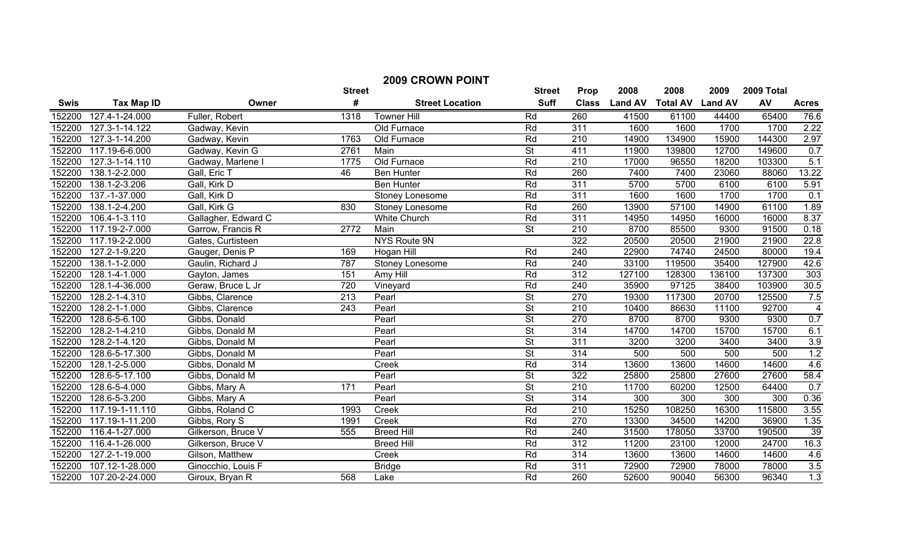| <b>2009 CROWN POINT</b> |                              |                     |                  |                        |                          |                  |                |                         |        |            |                  |
|-------------------------|------------------------------|---------------------|------------------|------------------------|--------------------------|------------------|----------------|-------------------------|--------|------------|------------------|
|                         |                              |                     | <b>Street</b>    |                        | <b>Street</b>            | Prop             | 2008           | 2008                    | 2009   | 2009 Total |                  |
| <b>Swis</b>             | <b>Tax Map ID</b>            | Owner               | #                | <b>Street Location</b> | <b>Suff</b>              | <b>Class</b>     | <b>Land AV</b> | <b>Total AV Land AV</b> |        | AV         | <b>Acres</b>     |
| 152200                  | 127.4-1-24.000               | Fuller, Robert      | 1318             | <b>Towner Hill</b>     | Rd                       | 260              | 41500          | 61100                   | 44400  | 65400      | 76.6             |
| 152200                  | 127.3-1-14.122               | Gadway, Kevin       |                  | Old Furnace            | Rd                       | 311              | 1600           | 1600                    | 1700   | 1700       | 2.22             |
| 152200                  | 127.3-1-14.200               | Gadway, Kevin       | 1763             | Old Furnace            | Rd                       | $\overline{210}$ | 14900          | 134900                  | 15900  | 144300     | 2.97             |
| 152200                  | 117.19-6-6.000               | Gadway, Kevin G     | 2761             | Main                   | $\overline{\mathsf{St}}$ | 411              | 11900          | 139800                  | 12700  | 149600     | 0.7              |
| 152200                  | 127.3-1-14.110               | Gadway, Marlene I   | 1775             | Old Furnace            | Rd                       | $\overline{210}$ | 17000          | 96550                   | 18200  | 103300     | 5.1              |
| 152200                  | 138.1-2-2.000                | Gall, Eric T        | 46               | <b>Ben Hunter</b>      | Rd                       | 260              | 7400           | 7400                    | 23060  | 88060      | 13.22            |
| 152200                  | 138.1-2-3.206                | Gall, Kirk D        |                  | <b>Ben Hunter</b>      | Rd                       | 311              | 5700           | 5700                    | 6100   | 6100       | 5.91             |
| 152200                  | 137.-1-37.000                | Gall, Kirk D        |                  | Stoney Lonesome        | Rd                       | 311              | 1600           | 1600                    | 1700   | 1700       | 0.1              |
| 152200                  | 138.1-2-4.200                | Gall, Kirk G        | 830              | Stoney Lonesome        | Rd                       | 260              | 13900          | 57100                   | 14900  | 61100      | 1.89             |
| 152200                  | 106.4-1-3.110                | Gallagher, Edward C |                  | <b>White Church</b>    | Rd                       | 311              | 14950          | 14950                   | 16000  | 16000      | 8.37             |
| 152200                  | 117.19-2-7.000               | Garrow, Francis R   | 2772             | Main                   | <b>St</b>                | $\overline{210}$ | 8700           | 85500                   | 9300   | 91500      | 0.18             |
| 152200                  | 117.19-2-2.000               | Gates, Curtisteen   |                  | <b>NYS Route 9N</b>    |                          | 322              | 20500          | 20500                   | 21900  | 21900      | 22.8             |
| 152200                  | 127.2-1-9.220                | Gauger, Denis P     | 169              | <b>Hogan Hill</b>      | Rd                       | $\overline{240}$ | 22900          | 74740                   | 24500  | 80000      | 19.4             |
| 152200                  | 138.1-1-2.000                | Gaulin, Richard J   | 787              | <b>Stoney Lonesome</b> | Rd                       | $\overline{240}$ | 33100          | 119500                  | 35400  | 127900     | 42.6             |
| 152200                  | 128.1-4-1.000                | Gayton, James       | 151              | Amy Hill               | Rd                       | 312              | 127100         | 128300                  | 136100 | 137300     | 303              |
| 152200                  | 128.1-4-36.000               | Geraw, Bruce L Jr   | 720              | Vineyard               | Rd                       | 240              | 35900          | 97125                   | 38400  | 103900     | 30.5             |
| 152200                  | 128.2-1-4.310                | Gibbs, Clarence     | $\overline{213}$ | Pearl                  | $\overline{\mathsf{St}}$ | 270              | 19300          | 117300                  | 20700  | 125500     | 7.5              |
| 152200                  | 128.2-1-1.000                | Gibbs, Clarence     | $\overline{243}$ | Pearl                  | <b>St</b>                | 210              | 10400          | 86630                   | 11100  | 92700      | $\overline{4}$   |
| 152200                  | 128.6-5-6.100                | Gibbs, Donald       |                  | Pearl                  | <b>St</b>                | 270              | 8700           | 8700                    | 9300   | 9300       | 0.7              |
| 152200                  | 128.2-1-4.210                | Gibbs, Donald M     |                  | Pearl                  | $\overline{\mathsf{St}}$ | 314              | 14700          | 14700                   | 15700  | 15700      | 6.1              |
| 152200                  | 128.2-1-4.120                | Gibbs, Donald M     |                  | Pearl                  | $\overline{\mathsf{St}}$ | 311              | 3200           | 3200                    | 3400   | 3400       | 3.9              |
| 152200                  | 128.6-5-17.300               | Gibbs, Donald M     |                  | Pearl                  | $\overline{\mathsf{St}}$ | 314              | 500            | 500                     | 500    | 500        | 1.2              |
| 152200                  | $128.1 - 2 - 5.000$          | Gibbs, Donald M     |                  | Creek                  | Rd                       | 314              | 13600          | 13600                   | 14600  | 14600      | 4.6              |
| 152200                  | 128.6-5-17.100               | Gibbs, Donald M     |                  | Pearl                  | $\overline{\mathsf{St}}$ | 322              | 25800          | 25800                   | 27600  | 27600      | 58.4             |
| 152200                  | 128.6-5-4.000                | Gibbs, Mary A       | 171              | Pearl                  | $\overline{\mathsf{St}}$ | $\overline{210}$ | 11700          | 60200                   | 12500  | 64400      | 0.7              |
| 152200                  | 128.6-5-3.200                | Gibbs, Mary A       |                  | Pearl                  | $\overline{\mathsf{St}}$ | 314              | 300            | 300                     | 300    | 300        | 0.36             |
| 152200                  | 117.19-1-11.110              | Gibbs, Roland C     | 1993             | Creek                  | Rd                       | $\overline{210}$ | 15250          | 108250                  | 16300  | 115800     | 3.55             |
| 152200                  | 117.19-1-11.200              | Gibbs, Rory S       | 1991             | Creek                  | Rd                       | 270              | 13300          | 34500                   | 14200  | 36900      | 1.35             |
| 152200                  | 116.4-1-27.000               | Gilkerson, Bruce V  | 555              | <b>Breed Hill</b>      | Rd                       | 240              | 31500          | 178050                  | 33700  | 190500     | 39               |
| 152200                  | 116.4-1-26.000               | Gilkerson, Bruce V  |                  | <b>Breed Hill</b>      | Rd                       | 312              | 11200          | 23100                   | 12000  | 24700      | 16.3             |
| 152200                  | $\overline{127}$ .2-1-19.000 | Gilson, Matthew     |                  | Creek                  | Rd                       | $\overline{314}$ | 13600          | 13600                   | 14600  | 14600      | 4.6              |
| 152200                  | 107.12-1-28.000              | Ginocchio, Louis F  |                  | <b>Bridge</b>          | Rd                       | 311              | 72900          | 72900                   | 78000  | 78000      | 3.5              |
| 152200                  | 107.20-2-24.000              | Giroux, Bryan R     | 568              | Lake                   | Rd                       | 260              | 52600          | 90040                   | 56300  | 96340      | $\overline{1.3}$ |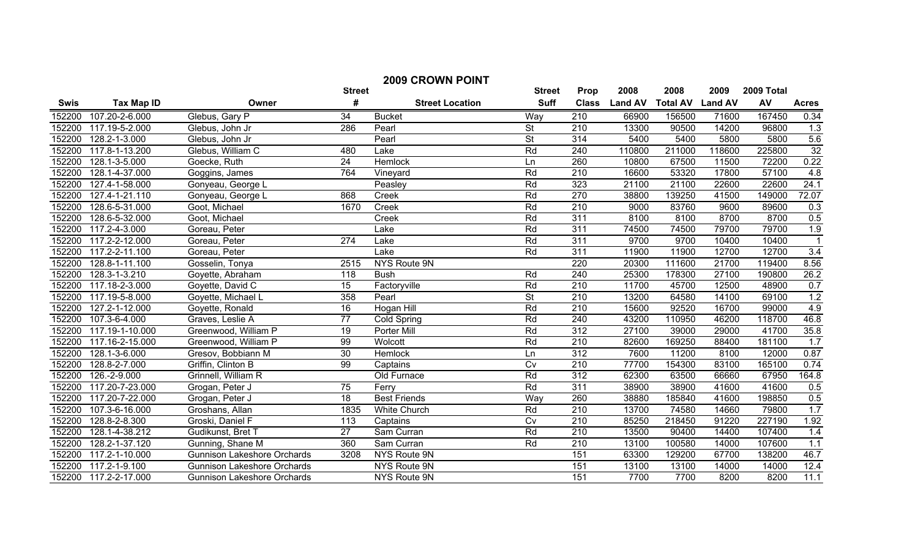| <b>2009 CROWN POINT</b> |                                                                              |                                    |                  |                        |                          |                  |                |                 |                |        |                 |
|-------------------------|------------------------------------------------------------------------------|------------------------------------|------------------|------------------------|--------------------------|------------------|----------------|-----------------|----------------|--------|-----------------|
|                         | 2008<br>2008<br><b>Street</b><br>2009<br>2009 Total<br><b>Street</b><br>Prop |                                    |                  |                        |                          |                  |                |                 |                |        |                 |
| <b>Swis</b>             | <b>Tax Map ID</b>                                                            | Owner                              | #                | <b>Street Location</b> | <b>Suff</b>              | <b>Class</b>     | <b>Land AV</b> | <b>Total AV</b> | <b>Land AV</b> | AV     | <b>Acres</b>    |
| 152200                  | 107.20-2-6.000                                                               | Glebus, Gary P                     | 34               | <b>Bucket</b>          | Way                      | 210              | 66900          | 156500          | 71600          | 167450 | 0.34            |
| 152200                  | 117.19-5-2.000                                                               | Glebus, John Jr                    | 286              | Pearl                  | $\overline{\mathsf{St}}$ | 210              | 13300          | 90500           | 14200          | 96800  | 1.3             |
| 152200                  | 128.2-1-3.000                                                                | Glebus, John Jr                    |                  | Pearl                  | <b>St</b>                | 314              | 5400           | 5400            | 5800           | 5800   | 5.6             |
| 152200                  | 117.8-1-13.200                                                               | Glebus, William C                  | 480              | Lake                   | Rd                       | 240              | 110800         | 211000          | 118600         | 225800 | $\overline{32}$ |
| 152200                  | 128.1-3-5.000                                                                | Goecke, Ruth                       | $\overline{24}$  | Hemlock                | Ln                       | 260              | 10800          | 67500           | 11500          | 72200  | 0.22            |
| 152200                  | 128.1-4-37.000                                                               | Goggins, James                     | 764              | Vineyard               | Rd                       | $\overline{210}$ | 16600          | 53320           | 17800          | 57100  | 4.8             |
| 152200                  | 127.4-1-58.000                                                               | Gonyeau, George L                  |                  | Peasley                | Rd                       | 323              | 21100          | 21100           | 22600          | 22600  | 24.1            |
| 152200                  | 127.4-1-21.110                                                               | Gonyeau, George L                  | 868              | Creek                  | Rd                       | 270              | 38800          | 139250          | 41500          | 149000 | 72.07           |
| 152200                  | 128.6-5-31.000                                                               | Goot, Michael                      | 1670             | Creek                  | Rd                       | 210              | 9000           | 83760           | 9600           | 89600  | 0.3             |
| 152200                  | 128.6-5-32.000                                                               | Goot, Michael                      |                  | Creek                  | Rd                       | 311              | 8100           | 8100            | 8700           | 8700   | 0.5             |
| 152200                  | 117.2-4-3.000                                                                | Goreau, Peter                      |                  | Lake                   | Rd                       | 311              | 74500          | 74500           | 79700          | 79700  | 1.9             |
| 152200                  | 117.2-2-12.000                                                               | Goreau, Peter                      | 274              | Lake                   | Rd                       | 311              | 9700           | 9700            | 10400          | 10400  | $\overline{1}$  |
| 152200                  | 117.2-2-11.100                                                               | Goreau, Peter                      |                  | Lake                   | Rd                       | 311              | 11900          | 11900           | 12700          | 12700  | 3.4             |
| 152200                  | 128.8-1-11.100                                                               | Gosselin, Tonya                    | 2515             | NYS Route 9N           |                          | 220              | 20300          | 111600          | 21700          | 119400 | 8.56            |
| 152200                  | 128.3-1-3.210                                                                | Goyette, Abraham                   | $\overline{118}$ | <b>Bush</b>            | Rd                       | 240              | 25300          | 178300          | 27100          | 190800 | 26.2            |
| 152200                  | 117.18-2-3.000                                                               | Goyette, David C                   | 15               | Factoryville           | Rd                       | 210              | 11700          | 45700           | 12500          | 48900  | 0.7             |
| 152200                  | 117.19-5-8.000                                                               | Goyette, Michael L                 | 358              | Pearl                  | $\overline{\mathsf{St}}$ | 210              | 13200          | 64580           | 14100          | 69100  | 1.2             |
| 152200                  | 127.2-1-12.000                                                               | Goyette, Ronald                    | 16               | <b>Hogan Hill</b>      | Rd                       | 210              | 15600          | 92520           | 16700          | 99000  | 4.9             |
| 152200                  | 107.3-6-4.000                                                                | Graves, Leslie A                   | $\overline{77}$  | <b>Cold Spring</b>     | Rd                       | 240              | 43200          | 110950          | 46200          | 118700 | 46.8            |
| 152200                  | 117.19-1-10.000                                                              | Greenwood, William P               | $\overline{19}$  | Porter Mill            | Rd                       | 312              | 27100          | 39000           | 29000          | 41700  | 35.8            |
| 152200                  | 117.16-2-15.000                                                              | Greenwood, William P               | 99               | Wolcott                | Rd                       | $\overline{210}$ | 82600          | 169250          | 88400          | 181100 | 1.7             |
| 152200                  | 128.1-3-6.000                                                                | Gresov, Bobbiann M                 | 30               | <b>Hemlock</b>         | Ln                       | 312              | 7600           | 11200           | 8100           | 12000  | 0.87            |
| 152200                  | 128.8-2-7.000                                                                | Griffin, Clinton B                 | 99               | Captains               | $\overline{C}$           | 210              | 77700          | 154300          | 83100          | 165100 | 0.74            |
| 152200                  | 126.-2-9.000                                                                 | Grinnell, William R                |                  | Old Furnace            | Rd                       | 312              | 62300          | 63500           | 66660          | 67950  | 164.8           |
| 152200                  | 117.20-7-23.000                                                              | Grogan, Peter J                    | 75               | Ferry                  | Rd                       | 311              | 38900          | 38900           | 41600          | 41600  | 0.5             |
| 152200                  | 117.20-7-22.000                                                              | Grogan, Peter J                    | $\overline{18}$  | <b>Best Friends</b>    | Way                      | 260              | 38880          | 185840          | 41600          | 198850 | 0.5             |
| 152200                  | 107.3-6-16.000                                                               | Groshans, Allan                    | 1835             | White Church           | Rd                       | $\overline{210}$ | 13700          | 74580           | 14660          | 79800  | 1.7             |
| 152200                  | 128.8-2-8.300                                                                | Groski, Daniel F                   | 113              | Captains               | $\overline{C}$           | $\overline{210}$ | 85250          | 218450          | 91220          | 227190 | 1.92            |
| 152200                  | 128.1-4-38.212                                                               | Gudikunst, Bret T                  | 27               | Sam Curran             | Rd                       | 210              | 13500          | 90400           | 14400          | 107400 | 1.4             |
| 152200                  | 128.2-1-37.120                                                               | Gunning, Shane M                   | 360              | Sam Curran             | Rd                       | $\overline{210}$ | 13100          | 100580          | 14000          | 107600 | 1.1             |
| 152200                  | 117.2-1-10.000                                                               | <b>Gunnison Lakeshore Orchards</b> | 3208             | NYS Route 9N           |                          | 151              | 63300          | 129200          | 67700          | 138200 | 46.7            |
| 152200                  | 117.2-1-9.100                                                                | <b>Gunnison Lakeshore Orchards</b> |                  | NYS Route 9N           |                          | 151              | 13100          | 13100           | 14000          | 14000  | 12.4            |
| 152200                  | 117.2-2-17.000                                                               | <b>Gunnison Lakeshore Orchards</b> |                  | <b>NYS Route 9N</b>    |                          | 151              | 7700           | 7700            | 8200           | 8200   | 11.1            |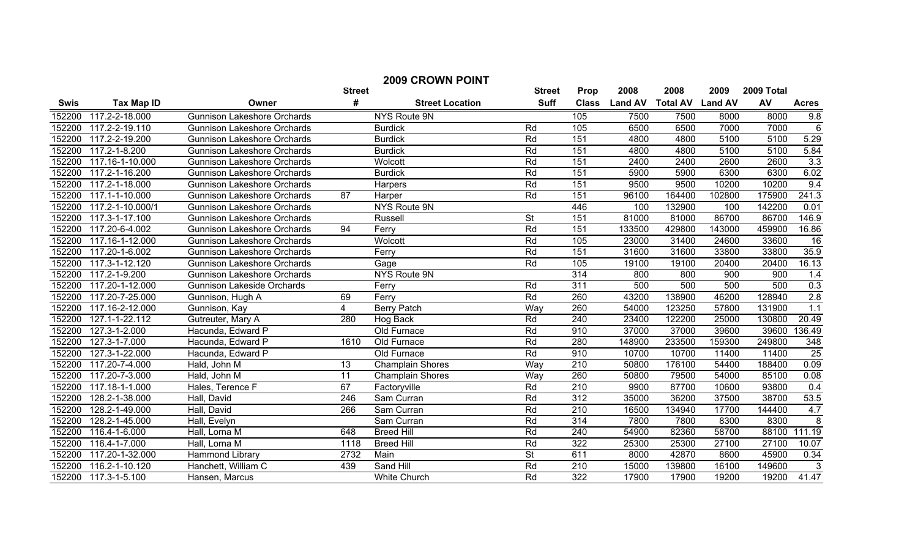| <b>2009 CROWN POINT</b> |                      |                                    |                 |                         |                          |                  |                |                         |        |            |                  |
|-------------------------|----------------------|------------------------------------|-----------------|-------------------------|--------------------------|------------------|----------------|-------------------------|--------|------------|------------------|
|                         |                      |                                    | <b>Street</b>   |                         | <b>Street</b>            | <b>Prop</b>      | 2008           | 2008                    | 2009   | 2009 Total |                  |
| Swis                    | <b>Tax Map ID</b>    | Owner                              | #               | <b>Street Location</b>  | <b>Suff</b>              | <b>Class</b>     | <b>Land AV</b> | <b>Total AV Land AV</b> |        | AV         | <b>Acres</b>     |
| 152200                  | 117.2-2-18.000       | <b>Gunnison Lakeshore Orchards</b> |                 | NYS Route 9N            |                          | 105              | 7500           | 7500                    | 8000   | 8000       | 9.8              |
| 152200                  | 117.2-2-19.110       | <b>Gunnison Lakeshore Orchards</b> |                 | <b>Burdick</b>          | Rd                       | 105              | 6500           | 6500                    | 7000   | 7000       | 6                |
| 152200                  | $117.2 - 2 - 19.200$ | <b>Gunnison Lakeshore Orchards</b> |                 | <b>Burdick</b>          | Rd                       | 151              | 4800           | 4800                    | 5100   | 5100       | 5.29             |
| 152200                  | 117.2-1-8.200        | <b>Gunnison Lakeshore Orchards</b> |                 | <b>Burdick</b>          | Rd                       | 151              | 4800           | 4800                    | 5100   | 5100       | 5.84             |
| 152200                  | 117.16-1-10.000      | <b>Gunnison Lakeshore Orchards</b> |                 | Wolcott                 | Rd                       | 151              | 2400           | 2400                    | 2600   | 2600       | 3.3              |
| 152200                  | 117.2-1-16.200       | <b>Gunnison Lakeshore Orchards</b> |                 | <b>Burdick</b>          | Rd                       | 151              | 5900           | 5900                    | 6300   | 6300       | 6.02             |
| 152200                  | 117.2-1-18.000       | <b>Gunnison Lakeshore Orchards</b> |                 | Harpers                 | Rd                       | 151              | 9500           | 9500                    | 10200  | 10200      | 9.4              |
| 152200                  | 117.1-1-10.000       | <b>Gunnison Lakeshore Orchards</b> | 87              | Harper                  | Rd                       | 151              | 96100          | 164400                  | 102800 | 175900     | 241.3            |
| 152200                  | 117.2-1-10.000/1     | <b>Gunnison Lakeshore Orchards</b> |                 | NYS Route 9N            |                          | 446              | 100            | 132900                  | 100    | 142200     | 0.01             |
| 152200                  | 117.3-1-17.100       | <b>Gunnison Lakeshore Orchards</b> |                 | Russell                 | <b>St</b>                | 151              | 81000          | 81000                   | 86700  | 86700      | 146.9            |
| 152200                  | 117.20-6-4.002       | <b>Gunnison Lakeshore Orchards</b> | 94              | Ferry                   | Rd                       | 151              | 133500         | 429800                  | 143000 | 459900     | 16.86            |
| 152200                  | 117.16-1-12.000      | <b>Gunnison Lakeshore Orchards</b> |                 | Wolcott                 | Rd                       | 105              | 23000          | 31400                   | 24600  | 33600      | 16               |
| 152200                  | $117.20 - 1 - 6.002$ | <b>Gunnison Lakeshore Orchards</b> |                 | Ferry                   | Rd                       | 151              | 31600          | 31600                   | 33800  | 33800      | 35.9             |
| 152200                  | 117.3-1-12.120       | <b>Gunnison Lakeshore Orchards</b> |                 | Gage                    | Rd                       | 105              | 19100          | 19100                   | 20400  | 20400      | 16.13            |
| 152200                  | 117.2-1-9.200        | <b>Gunnison Lakeshore Orchards</b> |                 | <b>NYS Route 9N</b>     |                          | 314              | 800            | 800                     | 900    | 900        | 1.4              |
| 152200                  | 117.20-1-12.000      | <b>Gunnison Lakeside Orchards</b>  |                 | Ferry                   | Rd                       | 311              | 500            | 500                     | 500    | 500        | 0.3              |
| 152200                  | 117.20-7-25.000      | Gunnison, Hugh A                   | 69              | Ferry                   | Rd                       | 260              | 43200          | 138900                  | 46200  | 128940     | $\overline{2.8}$ |
| 152200                  | 117.16-2-12.000      | Gunnison, Kay                      | $\overline{4}$  | <b>Berry Patch</b>      | Way                      | 260              | 54000          | 123250                  | 57800  | 131900     | 1.1              |
| 152200                  | 127.1-1-22.112       | Gutreuter, Mary A                  | 280             | Hog Back                | Rd                       | 240              | 23400          | 122200                  | 25000  | 130800     | 20.49            |
| 152200                  | 127.3-1-2.000        | Hacunda, Edward P                  |                 | Old Furnace             | Rd                       | 910              | 37000          | 37000                   | 39600  | 39600      | 136.49           |
| 152200                  | 127.3-1-7.000        | Hacunda, Edward P                  | 1610            | Old Furnace             | Rd                       | 280              | 148900         | 233500                  | 159300 | 249800     | $\frac{348}{ }$  |
| 152200                  | 127.3-1-22.000       | Hacunda, Edward P                  |                 | Old Furnace             | Rd                       | 910              | 10700          | 10700                   | 11400  | 11400      | $\overline{25}$  |
| 152200                  | 117.20-7-4.000       | Hald, John M                       | 13              | <b>Champlain Shores</b> | Way                      | 210              | 50800          | 176100                  | 54400  | 188400     | 0.09             |
| 152200                  | 117.20-7-3.000       | Hald, John M                       | $\overline{11}$ | Champlain Shores        | Way                      | 260              | 50800          | 79500                   | 54000  | 85100      | 0.08             |
| 152200                  | 117.18-1-1.000       | Hales, Terence F                   | 67              | Factoryville            | Rd                       | 210              | 9900           | 87700                   | 10600  | 93800      | 0.4              |
| 152200                  | 128.2-1-38.000       | Hall, David                        | 246             | Sam Curran              | Rd                       | $\overline{312}$ | 35000          | 36200                   | 37500  | 38700      | 53.5             |
| 152200                  | 128.2-1-49.000       | Hall, David                        | 266             | Sam Curran              | Rd                       | 210              | 16500          | 134940                  | 17700  | 144400     | 4.7              |
| 152200                  | 128.2-1-45.000       | Hall, Evelyn                       |                 | Sam Curran              | Rd                       | 314              | 7800           | 7800                    | 8300   | 8300       | 8                |
| 152200                  | 116.4-1-6.000        | Hall, Lorna M                      | 648             | <b>Breed Hill</b>       | Rd                       | 240              | 54900          | 82360                   | 58700  | 88100      | 111.19           |
| 152200                  | 116.4-1-7.000        | Hall, Lorna M                      | 1118            | <b>Breed Hill</b>       | Rd                       | 322              | 25300          | 25300                   | 27100  | 27100      | 10.07            |
| 152200                  | 117.20-1-32.000      | Hammond Library                    | 2732            | Main                    | $\overline{\mathsf{St}}$ | 611              | 8000           | 42870                   | 8600   | 45900      | 0.34             |
| 152200                  | 116.2-1-10.120       | Hanchett, William C                | 439             | Sand Hill               | Rd                       | $\overline{210}$ | 15000          | 139800                  | 16100  | 149600     | 3                |
| 152200                  | 117.3-1-5.100        | Hansen, Marcus                     |                 | <b>White Church</b>     | Rd                       | $\overline{322}$ | 17900          | 17900                   | 19200  | 19200      | 41.47            |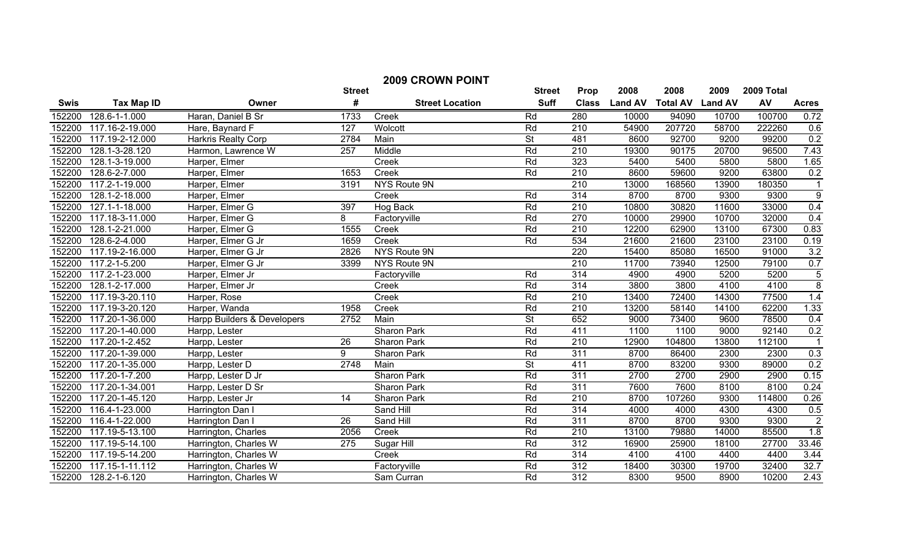| <b>2009 CROWN POINT</b> |                   |                             |                 |                        |               |                  |                |                 |                |            |                         |
|-------------------------|-------------------|-----------------------------|-----------------|------------------------|---------------|------------------|----------------|-----------------|----------------|------------|-------------------------|
|                         |                   |                             | <b>Street</b>   |                        | <b>Street</b> | Prop             | 2008           | 2008            | 2009           | 2009 Total |                         |
| <b>Swis</b>             | <b>Tax Map ID</b> | Owner                       | #               | <b>Street Location</b> | <b>Suff</b>   | <b>Class</b>     | <b>Land AV</b> | <b>Total AV</b> | <b>Land AV</b> | AV         | <b>Acres</b>            |
| 152200                  | 128.6-1-1.000     | Haran, Daniel B Sr          | 1733            | Creek                  | Rd            | 280              | 10000          | 94090           | 10700          | 100700     | 0.72                    |
| 152200                  | 117.16-2-19.000   | Hare, Baynard F             | 127             | Wolcott                | Rd            | 210              | 54900          | 207720          | 58700          | 222260     | 0.6                     |
| 152200                  | 117.19-2-12.000   | <b>Harkris Realty Corp</b>  | 2784            | Main                   | <b>St</b>     | 481              | 8600           | 92700           | 9200           | 99200      | 0.2                     |
| 152200                  | 128.1-3-28.120    | Harmon, Lawrence W          | 257             | Middle                 | Rd            | $\overline{210}$ | 19300          | 90175           | 20700          | 96500      | 7.43                    |
| 152200                  | 128.1-3-19.000    | Harper, Elmer               |                 | Creek                  | Rd            | 323              | 5400           | 5400            | 5800           | 5800       | 1.65                    |
| 152200                  | 128.6-2-7.000     | Harper, Elmer               | 1653            | Creek                  | Rd            | $\overline{210}$ | 8600           | 59600           | 9200           | 63800      | 0.2                     |
| 152200                  | 117.2-1-19.000    | Harper, Elmer               | 3191            | <b>NYS Route 9N</b>    |               | 210              | 13000          | 168560          | 13900          | 180350     | $\overline{1}$          |
| 152200                  | 128.1-2-18.000    | Harper, Elmer               |                 | Creek                  | Rd            | 314              | 8700           | 8700            | 9300           | 9300       | $\overline{9}$          |
| 152200                  | 127.1-1-18.000    | Harper, Elmer G             | 397             | Hog Back               | Rd            | $\overline{210}$ | 10800          | 30820           | 11600          | 33000      | 0.4                     |
| 152200                  | 117.18-3-11.000   | Harper, Elmer G             | 8               | Factoryville           | Rd            | 270              | 10000          | 29900           | 10700          | 32000      | 0.4                     |
| 152200                  | 128.1-2-21.000    | Harper, Elmer G             | 1555            | Creek                  | Rd            | $\overline{210}$ | 12200          | 62900           | 13100          | 67300      | 0.83                    |
| 152200                  | 128.6-2-4.000     | Harper, Elmer G Jr          | 1659            | Creek                  | Rd            | 534              | 21600          | 21600           | 23100          | 23100      | 0.19                    |
| 152200                  | 117.19-2-16.000   | Harper, Elmer G Jr          | 2826            | NYS Route 9N           |               | 220              | 15400          | 85080           | 16500          | 91000      | 3.2                     |
| 152200                  | 117.2-1-5.200     | Harper, Elmer G Jr          | 3399            | NYS Route 9N           |               | 210              | 11700          | 73940           | 12500          | 79100      | 0.7                     |
| 152200                  | 117.2-1-23.000    | Harper, Elmer Jr            |                 | Factoryville           | Rd            | 314              | 4900           | 4900            | 5200           | 5200       | $\overline{5}$          |
| 152200                  | 128.1-2-17.000    | Harper, Elmer Jr            |                 | Creek                  | Rd            | 314              | 3800           | 3800            | 4100           | 4100       | $\overline{\mathbf{8}}$ |
| 152200                  | 117.19-3-20.110   | Harper, Rose                |                 | Creek                  | Rd            | 210              | 13400          | 72400           | 14300          | 77500      | 1.4                     |
| 152200                  | 117.19-3-20.120   | Harper, Wanda               | 1958            | Creek                  | Rd            | 210              | 13200          | 58140           | 14100          | 62200      | 1.33                    |
| 152200                  | 117.20-1-36.000   | Harpp Builders & Developers | 2752            | Main                   | <b>St</b>     | 652              | 9000           | 73400           | 9600           | 78500      | 0.4                     |
| 152200                  | 117.20-1-40.000   | Harpp, Lester               |                 | <b>Sharon Park</b>     | Rd            | 411              | 1100           | 1100            | 9000           | 92140      | 0.2                     |
| 152200                  | 117.20-1-2.452    | Harpp, Lester               | $\overline{26}$ | Sharon Park            | Rd            | 210              | 12900          | 104800          | 13800          | 112100     |                         |
| 152200                  | 117.20-1-39.000   | Harpp, Lester               | 9               | Sharon Park            | Rd            | 311              | 8700           | 86400           | 2300           | 2300       | 0.3                     |
| 152200                  | 117.20-1-35.000   | Harpp, Lester D             | 2748            | Main                   | <b>St</b>     | 411              | 8700           | 83200           | 9300           | 89000      | 0.2                     |
| 152200                  | 117.20-1-7.200    | Harpp, Lester D Jr          |                 | <b>Sharon Park</b>     | Rd            | 311              | 2700           | 2700            | 2900           | 2900       | 0.15                    |
| 152200                  | 117.20-1-34.001   | Harpp, Lester D Sr          |                 | Sharon Park            | Rd            | 311              | 7600           | 7600            | 8100           | 8100       | 0.24                    |
| 152200                  | 117.20-1-45.120   | Harpp, Lester Jr            | 14              | Sharon Park            | Rd            | $\overline{210}$ | 8700           | 107260          | 9300           | 114800     | 0.26                    |
| 152200                  | 116.4-1-23.000    | Harrington Dan I            |                 | Sand Hill              | Rd            | 314              | 4000           | 4000            | 4300           | 4300       | 0.5                     |
| 152200                  | 116.4-1-22.000    | Harrington Dan I            | $\overline{26}$ | Sand Hill              | Rd            | 311              | 8700           | 8700            | 9300           | 9300       | $\overline{2}$          |
| 152200                  | 117.19-5-13.100   | Harrington, Charles         | 2056            | Creek                  | Rd            | $\overline{210}$ | 13100          | 79880           | 14000          | 85500      | $\overline{1.8}$        |
| 152200                  | 117.19-5-14.100   | Harrington, Charles W       | 275             | Sugar Hill             | Rd            | 312              | 16900          | 25900           | 18100          | 27700      | 33.46                   |
| 152200                  | 117.19-5-14.200   | Harrington, Charles W       |                 | Creek                  | Rd            | 314              | 4100           | 4100            | 4400           | 4400       | 3.44                    |
| 152200                  | 117.15-1-11.112   | Harrington, Charles W       |                 | Factoryville           | Rd            | $\overline{312}$ | 18400          | 30300           | 19700          | 32400      | 32.7                    |
| 152200                  | 128.2-1-6.120     | Harrington, Charles W       |                 | Sam Curran             | Rd            | $\overline{312}$ | 8300           | 9500            | 8900           | 10200      | 2.43                    |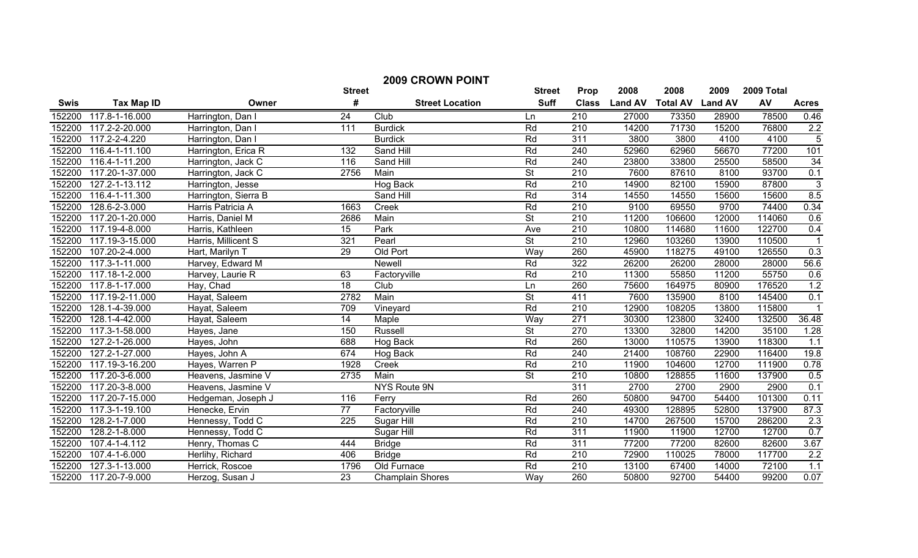| <b>2009 CROWN POINT</b> |                   |                      |                  |                         |                          |                  |                |                 |                |            |                |
|-------------------------|-------------------|----------------------|------------------|-------------------------|--------------------------|------------------|----------------|-----------------|----------------|------------|----------------|
|                         |                   |                      | <b>Street</b>    |                         | <b>Street</b>            | Prop             | 2008           | 2008            | 2009           | 2009 Total |                |
| <b>Swis</b>             | <b>Tax Map ID</b> | Owner                | #                | <b>Street Location</b>  | <b>Suff</b>              | <b>Class</b>     | <b>Land AV</b> | <b>Total AV</b> | <b>Land AV</b> | AV         | <b>Acres</b>   |
| 152200                  | 117.8-1-16.000    | Harrington, Dan I    | 24               | Club                    | Ln                       | 210              | 27000          | 73350           | 28900          | 78500      | 0.46           |
| 152200                  | 117.2-2-20.000    | Harrington, Dan I    | 111              | <b>Burdick</b>          | Rd                       | 210              | 14200          | 71730           | 15200          | 76800      | 2.2            |
| 152200                  | 117.2-2-4.220     | Harrington, Dan I    |                  | <b>Burdick</b>          | Rd                       | 311              | 3800           | 3800            | 4100           | 4100       | $\overline{5}$ |
| 152200                  | 116.4-1-11.100    | Harrington, Erica R  | $\overline{132}$ | Sand Hill               | Rd                       | 240              | 52960          | 62960           | 56670          | 77200      | 101            |
| 152200                  | 116.4-1-11.200    | Harrington, Jack C   | 116              | Sand Hill               | Rd                       | 240              | 23800          | 33800           | 25500          | 58500      | 34             |
| 152200                  | 117.20-1-37.000   | Harrington, Jack C   | 2756             | Main                    | $\overline{\mathsf{St}}$ | $\overline{210}$ | 7600           | 87610           | 8100           | 93700      | 0.1            |
| 152200                  | 127.2-1-13.112    | Harrington, Jesse    |                  | Hog Back                | Rd                       | $\overline{210}$ | 14900          | 82100           | 15900          | 87800      | $\mathbf{3}$   |
| 152200                  | 116.4-1-11.300    | Harrington, Sierra B |                  | Sand Hill               | Rd                       | 314              | 14550          | 14550           | 15600          | 15600      | 8.5            |
| 152200                  | 128.6-2-3.000     | Harris Patricia A    | 1663             | Creek                   | Rd                       | 210              | 9100           | 69550           | 9700           | 74400      | 0.34           |
| 152200                  | 117.20-1-20.000   | Harris, Daniel M     | 2686             | Main                    | $\overline{\mathsf{St}}$ | 210              | 11200          | 106600          | 12000          | 114060     | 0.6            |
| 152200                  | 117.19-4-8.000    | Harris, Kathleen     | 15               | Park                    | Ave                      | 210              | 10800          | 114680          | 11600          | 122700     | 0.4            |
| 152200                  | 117.19-3-15.000   | Harris, Millicent S  | 321              | Pearl                   | $\overline{\mathsf{St}}$ | 210              | 12960          | 103260          | 13900          | 110500     |                |
| 152200                  | 107.20-2-4.000    | Hart, Marilyn T      | 29               | Old Port                | Way                      | 260              | 45900          | 118275          | 49100          | 126550     | 0.3            |
| 152200                  | 117.3-1-11.000    | Harvey, Edward M     |                  | <b>Newell</b>           | Rd                       | $\overline{322}$ | 26200          | 26200           | 28000          | 28000      | 56.6           |
| 152200                  | 117.18-1-2.000    | Harvey, Laurie R     | 63               | Factoryville            | Rd                       | 210              | 11300          | 55850           | 11200          | 55750      | 0.6            |
| 152200                  | 117.8-1-17.000    | Hay, Chad            | 18               | Club                    | Ln                       | 260              | 75600          | 164975          | 80900          | 176520     | 1.2            |
| 152200                  | 117.19-2-11.000   | Hayat, Saleem        | 2782             | Main                    | <b>St</b>                | 411              | 7600           | 135900          | 8100           | 145400     | 0.1            |
| 152200                  | 128.1-4-39.000    | Hayat, Saleem        | 709              | Vineyard                | Rd                       | 210              | 12900          | 108205          | 13800          | 115800     |                |
| 152200                  | 128.1-4-42.000    | Hayat, Saleem        | 14               | Maple                   | Way                      | 271              | 30300          | 123800          | 32400          | 132500     | 36.48          |
| 152200                  | 117.3-1-58.000    | Hayes, Jane          | 150              | Russell                 | $\overline{\mathsf{St}}$ | 270              | 13300          | 32800           | 14200          | 35100      | 1.28           |
| 152200                  | 127.2-1-26.000    | Hayes, John          | 688              | Hog Back                | Rd                       | 260              | 13000          | 110575          | 13900          | 118300     | 1.1            |
| 152200                  | 127.2-1-27.000    | Hayes, John A        | 674              | Hog Back                | Rd                       | 240              | 21400          | 108760          | 22900          | 116400     | 19.8           |
| 152200                  | 117.19-3-16.200   | Hayes, Warren P      | 1928             | Creek                   | Rd                       | 210              | 11900          | 104600          | 12700          | 111900     | 0.78           |
| 152200                  | 117.20-3-6.000    | Heavens, Jasmine V   | 2735             | Main                    | <b>St</b>                | 210              | 10800          | 128855          | 11600          | 137900     | 0.5            |
| 152200                  | 117.20-3-8.000    | Heavens, Jasmine V   |                  | NYS Route 9N            |                          | 311              | 2700           | 2700            | 2900           | 2900       | 0.1            |
| 152200                  | 117.20-7-15.000   | Hedgeman, Joseph J   | 116              | Ferry                   | Rd                       | 260              | 50800          | 94700           | 54400          | 101300     | 0.11           |
| 152200                  | 117.3-1-19.100    | Henecke, Ervin       | $\overline{77}$  | Factoryville            | Rd                       | 240              | 49300          | 128895          | 52800          | 137900     | 87.3           |
| 152200                  | 128.2-1-7.000     | Hennessy, Todd C     | 225              | Sugar Hill              | Rd                       | 210              | 14700          | 267500          | 15700          | 286200     | 2.3            |
| 152200                  | 128.2-1-8.000     | Hennessy, Todd C     |                  | Sugar Hill              | Rd                       | 311              | 11900          | 11900           | 12700          | 12700      | 0.7            |
| 152200                  | 107.4-1-4.112     | Henry, Thomas C      | 444              | <b>Bridge</b>           | Rd                       | 311              | 77200          | 77200           | 82600          | 82600      | 3.67           |
| 152200                  | 107.4-1-6.000     | Herlihy, Richard     | 406              | <b>Bridge</b>           | Rd                       | 210              | 72900          | 110025          | 78000          | 117700     | 2.2            |
| 152200                  | 127.3-1-13.000    | Herrick, Roscoe      | 1796             | Old Furnace             | Rd                       | $\overline{210}$ | 13100          | 67400           | 14000          | 72100      | 1.1            |
| 152200                  | 117.20-7-9.000    | Herzog, Susan J      | $\overline{23}$  | <b>Champlain Shores</b> | Way                      | 260              | 50800          | 92700           | 54400          | 99200      | 0.07           |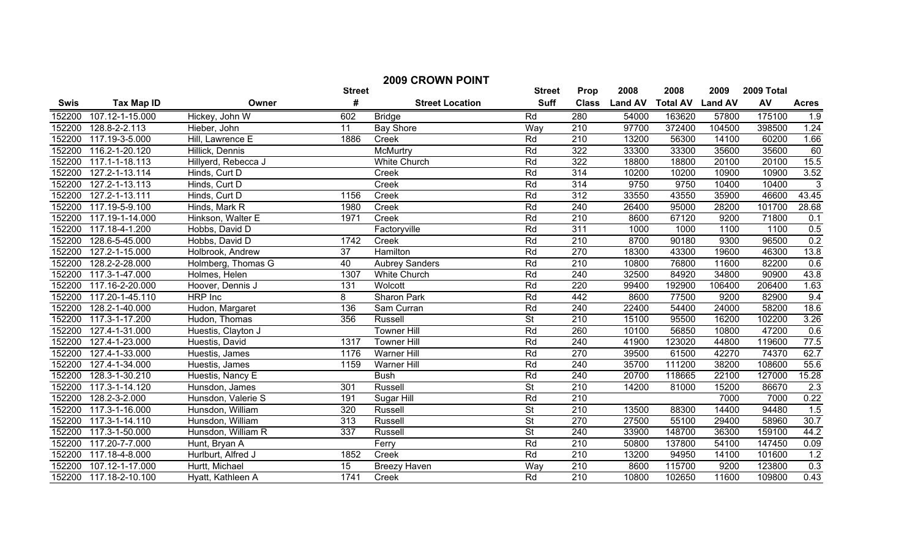| <b>2009 CROWN POINT</b> |                   |                     |                 |                        |                          |                  |                |                 |                |            |                   |
|-------------------------|-------------------|---------------------|-----------------|------------------------|--------------------------|------------------|----------------|-----------------|----------------|------------|-------------------|
|                         |                   |                     | <b>Street</b>   |                        | <b>Street</b>            | Prop             | 2008           | 2008            | 2009           | 2009 Total |                   |
| <b>Swis</b>             | <b>Tax Map ID</b> | Owner               | #               | <b>Street Location</b> | <b>Suff</b>              | <b>Class</b>     | <b>Land AV</b> | <b>Total AV</b> | <b>Land AV</b> | AV         | <b>Acres</b>      |
| 152200                  | 107.12-1-15.000   | Hickey, John W      | 602             | <b>Bridge</b>          | Rd                       | 280              | 54000          | 163620          | 57800          | 175100     | 1.9               |
| 152200                  | 128.8-2-2.113     | Hieber, John        | 11              | <b>Bay Shore</b>       | Way                      | 210              | 97700          | 372400          | 104500         | 398500     | 1.24              |
| 152200                  | 117.19-3-5.000    | Hill, Lawrence E    | 1886            | Creek                  | Rd                       | $\overline{210}$ | 13200          | 56300           | 14100          | 60200      | 1.66              |
| 152200                  | 116.2-1-20.120    | Hillick, Dennis     |                 | McMurtry               | Rd                       | 322              | 33300          | 33300           | 35600          | 35600      | 60                |
| 152200                  | 117.1-1-18.113    | Hillyerd, Rebecca J |                 | <b>White Church</b>    | Rd                       | 322              | 18800          | 18800           | 20100          | 20100      | 15.5              |
| 152200                  | 127.2-1-13.114    | Hinds, Curt D       |                 | Creek                  | Rd                       | 314              | 10200          | 10200           | 10900          | 10900      | 3.52              |
| 152200                  | 127.2-1-13.113    | Hinds, Curt D       |                 | Creek                  | Rd                       | 314              | 9750           | 9750            | 10400          | 10400      | 3                 |
| 152200                  | 127.2-1-13.111    | Hinds, Curt D       | 1156            | Creek                  | Rd                       | $\overline{312}$ | 33550          | 43550           | 35900          | 46600      | 43.45             |
| 152200                  | 117.19-5-9.100    | Hinds, Mark R       | 1980            | Creek                  | Rd                       | 240              | 26400          | 95000           | 28200          | 101700     | 28.68             |
| 152200                  | 117.19-1-14.000   | Hinkson, Walter E   | 1971            | Creek                  | Rd                       | $\overline{210}$ | 8600           | 67120           | 9200           | 71800      | 0.1               |
| 152200                  | 117.18-4-1.200    | Hobbs, David D      |                 | Factoryville           | Rd                       | $\overline{311}$ | 1000           | 1000            | 1100           | 1100       | 0.5               |
| 152200                  | 128.6-5-45.000    | Hobbs, David D      | 1742            | Creek                  | Rd                       | $\overline{210}$ | 8700           | 90180           | 9300           | 96500      | 0.2               |
| 152200                  | 127.2-1-15.000    | Holbrook, Andrew    | $\overline{37}$ | <b>Hamilton</b>        | Rd                       | 270              | 18300          | 43300           | 19600          | 46300      | 13.8              |
| 152200                  | 128.2-2-28.000    | Holmberg, Thomas G  | 40              | <b>Aubrey Sanders</b>  | Rd                       | $\overline{210}$ | 10800          | 76800           | 11600          | 82200      | 0.6               |
| 152200                  | 117.3-1-47.000    | Holmes, Helen       | 1307            | <b>White Church</b>    | Rd                       | 240              | 32500          | 84920           | 34800          | 90900      | 43.8              |
| 152200                  | 117.16-2-20.000   | Hoover, Dennis J    | 131             | Wolcott                | Rd                       | 220              | 99400          | 192900          | 106400         | 206400     | 1.63              |
| 152200                  | 117.20-1-45.110   | <b>HRP</b> Inc      | $\overline{8}$  | <b>Sharon Park</b>     | Rd                       | 442              | 8600           | 77500           | 9200           | 82900      | 9.4               |
| 152200                  | 128.2-1-40.000    | Hudon, Margaret     | 136             | Sam Curran             | Rd                       | 240              | 22400          | 54400           | 24000          | 58200      | 18.6              |
| 152200                  | 117.3-1-17.200    | Hudon, Thomas       | 356             | Russell                | $\overline{\mathsf{St}}$ | 210              | 15100          | 95500           | 16200          | 102200     | 3.26              |
| 152200                  | 127.4-1-31.000    | Huestis, Clayton J  |                 | <b>Towner Hill</b>     | Rd                       | 260              | 10100          | 56850           | 10800          | 47200      | 0.6               |
| 152200                  | 127.4-1-23.000    | Huestis, David      | 1317            | <b>Towner Hill</b>     | Rd                       | 240              | 41900          | 123020          | 44800          | 119600     | 77.5              |
| 152200                  | 127.4-1-33.000    | Huestis, James      | 1176            | <b>Warner Hill</b>     | Rd                       | 270              | 39500          | 61500           | 42270          | 74370      | 62.7              |
| 152200                  | 127.4-1-34.000    | Huestis, James      | 1159            | Warner Hill            | Rd                       | 240              | 35700          | 111200          | 38200          | 108600     | 55.6              |
| 152200                  | 128.3-1-30.210    | Huestis, Nancy E    |                 | <b>Bush</b>            | Rd                       | 240              | 20700          | 118665          | 22100          | 127000     | 15.28             |
| 152200                  | 117.3-1-14.120    | Hunsdon, James      | 301             | <b>Russell</b>         | $\overline{\mathsf{St}}$ | $\overline{210}$ | 14200          | 81000           | 15200          | 86670      | 2.3               |
| 152200                  | 128.2-3-2.000     | Hunsdon, Valerie S  | 191             | Sugar Hill             | Rd                       | 210              |                |                 | 7000           | 7000       | 0.22              |
| 152200                  | 117.3-1-16.000    | Hunsdon, William    | 320             | <b>Russell</b>         | $\overline{\mathsf{St}}$ | $\overline{210}$ | 13500          | 88300           | 14400          | 94480      | 1.5               |
| 152200                  | 117.3-1-14.110    | Hunsdon, William    | 313             | Russell                | <b>St</b>                | 270              | 27500          | 55100           | 29400          | 58960      | $\overline{30.7}$ |
| 152200                  | 117.3-1-50.000    | Hunsdon, William R  | 337             | Russell                | $\overline{\mathsf{St}}$ | 240              | 33900          | 148700          | 36300          | 159100     | 44.2              |
| 152200                  | 117.20-7-7.000    | Hunt, Bryan A       |                 | Ferry                  | Rd                       | $\overline{210}$ | 50800          | 137800          | 54100          | 147450     | 0.09              |
| 152200                  | 117.18-4-8.000    | Hurlburt, Alfred J  | 1852            | Creek                  | Rd                       | $\overline{210}$ | 13200          | 94950           | 14100          | 101600     | 1.2               |
| 152200                  | 107.12-1-17.000   | Hurtt, Michael      | $\overline{15}$ | <b>Breezy Haven</b>    | Way                      | $\overline{210}$ | 8600           | 115700          | 9200           | 123800     | 0.3               |
| 152200                  | 117.18-2-10.100   | Hyatt, Kathleen A   | 1741            | Creek                  | <b>Rd</b>                | $\overline{210}$ | 10800          | 102650          | 11600          | 109800     | 0.43              |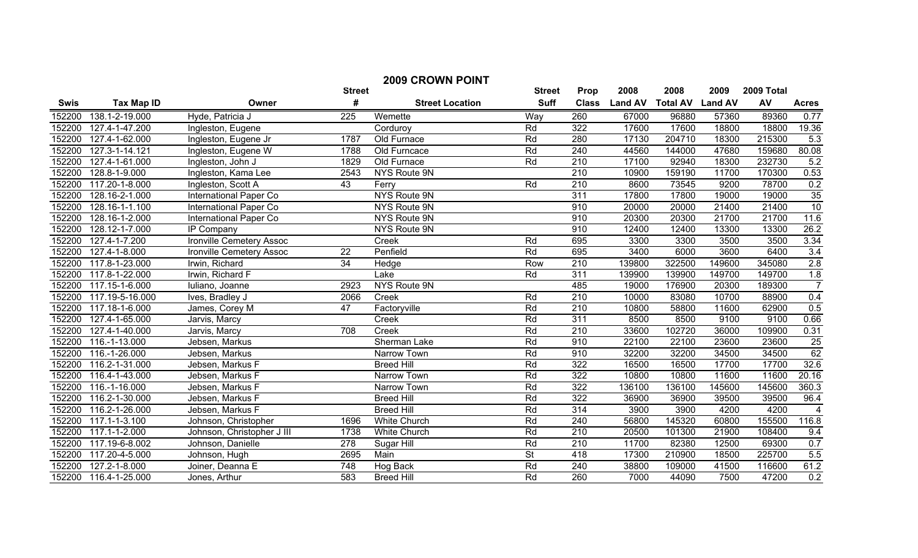|             | <b>2009 CROWN POINT</b> |                            |                 |                        |                          |                  |                |                 |                |            |                 |
|-------------|-------------------------|----------------------------|-----------------|------------------------|--------------------------|------------------|----------------|-----------------|----------------|------------|-----------------|
|             |                         |                            | <b>Street</b>   |                        | <b>Street</b>            | Prop             | 2008           | 2008            | 2009           | 2009 Total |                 |
| <b>Swis</b> | <b>Tax Map ID</b>       | Owner                      | #               | <b>Street Location</b> | <b>Suff</b>              | <b>Class</b>     | <b>Land AV</b> | <b>Total AV</b> | <b>Land AV</b> | AV         | <b>Acres</b>    |
| 152200      | 138.1-2-19.000          | Hyde, Patricia J           | 225             | Wemette                | Way                      | 260              | 67000          | 96880           | 57360          | 89360      | 0.77            |
| 152200      | 127.4-1-47.200          | Ingleston, Eugene          |                 | Corduroy               | Rd                       | 322              | 17600          | 17600           | 18800          | 18800      | 19.36           |
| 152200      | 127.4-1-62.000          | Ingleston, Eugene Jr       | 1787            | Old Furnace            | Rd                       | 280              | 17130          | 204710          | 18300          | 215300     | 5.3             |
| 152200      | 127.3-1-14.121          | Ingleston, Eugene W        | 1788            | Old Furncace           | Rd                       | 240              | 44560          | 144000          | 47680          | 159680     | 80.08           |
| 152200      | 127.4-1-61.000          | Ingleston, John J          | 1829            | Old Furnace            | Rd                       | $\overline{210}$ | 17100          | 92940           | 18300          | 232730     | 5.2             |
| 152200      | 128.8-1-9.000           | Ingleston, Kama Lee        | 2543            | NYS Route 9N           |                          | $\overline{210}$ | 10900          | 159190          | 11700          | 170300     | 0.53            |
| 152200      | 117.20-1-8.000          | Ingleston, Scott A         | 43              | Ferry                  | Rd                       | 210              | 8600           | 73545           | 9200           | 78700      | 0.2             |
| 152200      | 128.16-2-1.000          | International Paper Co     |                 | NYS Route 9N           |                          | $\overline{311}$ | 17800          | 17800           | 19000          | 19000      | 35              |
| 152200      | 128.16-1-1.100          | International Paper Co     |                 | NYS Route 9N           |                          | 910              | 20000          | 20000           | 21400          | 21400      | 10              |
| 152200      | 128.16-1-2.000          | International Paper Co     |                 | NYS Route 9N           |                          | 910              | 20300          | 20300           | 21700          | 21700      | 11.6            |
| 152200      | 128.12-1-7.000          | <b>IP Company</b>          |                 | NYS Route 9N           |                          | 910              | 12400          | 12400           | 13300          | 13300      | 26.2            |
| 152200      | 127.4-1-7.200           | Ironville Cemetery Assoc   |                 | Creek                  | Rd                       | 695              | 3300           | 3300            | 3500           | 3500       | 3.34            |
| 152200      | 127.4-1-8.000           | Ironville Cemetery Assoc   | $\overline{22}$ | Penfield               | Rd                       | 695              | 3400           | 6000            | 3600           | 6400       | 3.4             |
| 152200      | 117.8-1-23.000          | Irwin, Richard             | $\overline{34}$ | Hedge                  | Row                      | $\overline{210}$ | 139800         | 322500          | 149600         | 345080     | 2.8             |
| 152200      | 117.8-1-22.000          | Irwin, Richard F           |                 | Lake                   | Rd                       | 311              | 139900         | 139900          | 149700         | 149700     | 1.8             |
| 152200      | 117.15-1-6.000          | Iuliano, Joanne            | 2923            | NYS Route 9N           |                          | 485              | 19000          | 176900          | 20300          | 189300     | $\overline{7}$  |
| 152200      | 117.19-5-16.000         | Ives, Bradley J            | 2066            | Creek                  | Rd                       | 210              | 10000          | 83080           | 10700          | 88900      | 0.4             |
| 152200      | 117.18-1-6.000          | James, Corey M             | 47              | Factoryville           | Rd                       | 210              | 10800          | 58800           | 11600          | 62900      | 0.5             |
| 152200      | 127.4-1-65.000          | Jarvis, Marcy              |                 | Creek                  | Rd                       | 311              | 8500           | 8500            | 9100           | 9100       | 0.66            |
| 152200      | 127.4-1-40.000          | Jarvis, Marcy              | 708             | Creek                  | Rd                       | $\overline{210}$ | 33600          | 102720          | 36000          | 109900     | 0.31            |
| 152200      | 116.-1-13.000           | Jebsen, Markus             |                 | Sherman Lake           | Rd                       | 910              | 22100          | 22100           | 23600          | 23600      | $\frac{25}{62}$ |
| 152200      | 116.-1-26.000           | Jebsen, Markus             |                 | Narrow Town            | Rd                       | 910              | 32200          | 32200           | 34500          | 34500      |                 |
| 152200      | 116.2-1-31.000          | Jebsen, Markus F           |                 | <b>Breed Hill</b>      | Rd                       | 322              | 16500          | 16500           | 17700          | 17700      | 32.6            |
| 152200      | 116.4-1-43.000          | Jebsen, Markus F           |                 | Narrow Town            | Rd                       | $\overline{322}$ | 10800          | 10800           | 11600          | 11600      | 20.16           |
| 152200      | 116.-1-16.000           | Jebsen, Markus F           |                 | Narrow Town            | Rd                       | $\overline{322}$ | 136100         | 136100          | 145600         | 145600     | 360.3           |
| 152200      | 116.2-1-30.000          | Jebsen, Markus F           |                 | <b>Breed Hill</b>      | Rd                       | 322              | 36900          | 36900           | 39500          | 39500      | 96.4            |
| 152200      | 116.2-1-26.000          | Jebsen, Markus F           |                 | <b>Breed Hill</b>      | Rd                       | 314              | 3900           | 3900            | 4200           | 4200       | $\overline{4}$  |
| 152200      | 117.1-1-3.100           | Johnson, Christopher       | 1696            | <b>White Church</b>    | Rd                       | 240              | 56800          | 145320          | 60800          | 155500     | 116.8           |
| 152200      | 117.1-1-2.000           | Johnson, Christopher J III | 1738            | <b>White Church</b>    | Rd                       | $\overline{210}$ | 20500          | 101300          | 21900          | 108400     | 9.4             |
| 152200      | 117.19-6-8.002          | Johnson, Danielle          | 278             | Sugar Hill             | Rd                       | $\overline{210}$ | 11700          | 82380           | 12500          | 69300      | 0.7             |
| 152200      | 117.20-4-5.000          | Johnson, Hugh              | 2695            | Main                   | $\overline{\mathsf{St}}$ | 418              | 17300          | 210900          | 18500          | 225700     | 5.5             |
| 152200      | $127.2 - 1 - 8.000$     | Joiner, Deanna E           | 748             | Hog Back               | Rd                       | 240              | 38800          | 109000          | 41500          | 116600     | 61.2            |
| 152200      | 116.4-1-25.000          | Jones, Arthur              | 583             | <b>Breed Hill</b>      | Rd                       | 260              | 7000           | 44090           | 7500           | 47200      | 0.2             |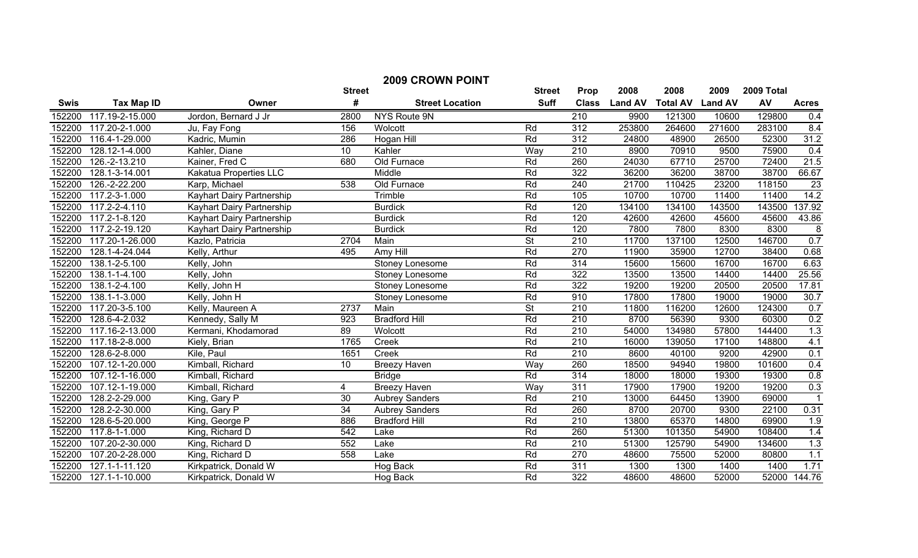| <b>2009 CROWN POINT</b> |                               |                           |                 |                        |                          |                  |                |                         |        |            |                |
|-------------------------|-------------------------------|---------------------------|-----------------|------------------------|--------------------------|------------------|----------------|-------------------------|--------|------------|----------------|
|                         |                               |                           | <b>Street</b>   |                        | <b>Street</b>            | Prop             | 2008           | 2008                    | 2009   | 2009 Total |                |
| Swis                    | <b>Tax Map ID</b>             | Owner                     | #               | <b>Street Location</b> | <b>Suff</b>              | <b>Class</b>     | <b>Land AV</b> | <b>Total AV Land AV</b> |        | AV         | <b>Acres</b>   |
| 152200                  | 117.19-2-15.000               | Jordon, Bernard J Jr      | 2800            | NYS Route 9N           |                          | 210              | 9900           | 121300                  | 10600  | 129800     | 0.4            |
| 152200                  | 117.20-2-1.000                | Ju, Fay Fong              | 156             | Wolcott                | Rd                       | 312              | 253800         | 264600                  | 271600 | 283100     | 8.4            |
| 152200                  | 116.4-1-29.000                | Kadric, Mumin             | 286             | Hogan Hill             | Rd                       | 312              | 24800          | 48900                   | 26500  | 52300      | 31.2           |
| 152200                  | 128.12-1-4.000                | Kahler, Diane             | $\overline{10}$ | Kahler                 | Way                      | $\overline{210}$ | 8900           | 70910                   | 9500   | 75900      | 0.4            |
| 152200                  | 126.-2-13.210                 | Kainer, Fred C            | 680             | Old Furnace            | Rd                       | 260              | 24030          | 67710                   | 25700  | 72400      | 21.5           |
| 152200                  | 128.1-3-14.001                | Kakatua Properties LLC    |                 | Middle                 | Rd                       | $\overline{322}$ | 36200          | 36200                   | 38700  | 38700      | 66.67          |
| 152200                  | 126.-2-22.200                 | Karp, Michael             | 538             | Old Furnace            | Rd                       | 240              | 21700          | 110425                  | 23200  | 118150     | 23             |
| 152200                  | 117.2-3-1.000                 | Kayhart Dairy Partnership |                 | Trimble                | Rd                       | 105              | 10700          | 10700                   | 11400  | 11400      | 14.2           |
| 152200                  | 117.2-2-4.110                 | Kayhart Dairy Partnership |                 | <b>Burdick</b>         | Rd                       | 120              | 134100         | 134100                  | 143500 | 143500     | 137.92         |
| 152200                  | 117.2-1-8.120                 | Kayhart Dairy Partnership |                 | <b>Burdick</b>         | Rd                       | 120              | 42600          | 42600                   | 45600  | 45600      | 43.86          |
| 152200                  | 117.2-2-19.120                | Kayhart Dairy Partnership |                 | <b>Burdick</b>         | Rd                       | 120              | 7800           | 7800                    | 8300   | 8300       | $\frac{8}{ }$  |
| 152200                  | 117.20-1-26.000               | Kazlo, Patricia           | 2704            | Main                   | $\overline{\mathsf{St}}$ | 210              | 11700          | 137100                  | 12500  | 146700     | 0.7            |
| 152200                  | 128.1-4-24.044                | Kelly, Arthur             | 495             | Amy Hill               | Rd                       | 270              | 11900          | 35900                   | 12700  | 38400      | 0.68           |
| 152200                  | 138.1-2-5.100                 | Kelly, John               |                 | <b>Stoney Lonesome</b> | Rd                       | 314              | 15600          | 15600                   | 16700  | 16700      | 6.63           |
| 152200                  | 138.1-1-4.100                 | Kelly, John               |                 | <b>Stoney Lonesome</b> | Rd                       | 322              | 13500          | 13500                   | 14400  | 14400      | 25.56          |
| 152200                  | 138.1-2-4.100                 | Kelly, John H             |                 | <b>Stoney Lonesome</b> | Rd                       | 322              | 19200          | 19200                   | 20500  | 20500      | 17.81          |
| 152200                  | 138.1-1-3.000                 | Kelly, John H             |                 | Stoney Lonesome        | Rd                       | 910              | 17800          | 17800                   | 19000  | 19000      | 30.7           |
| 152200                  | 117.20-3-5.100                | Kelly, Maureen A          | 2737            | Main                   | $\overline{\mathsf{St}}$ | 210              | 11800          | 116200                  | 12600  | 124300     | 0.7            |
| 152200                  | 128.6-4-2.032                 | Kennedy, Sally M          | 923             | <b>Bradford Hill</b>   | Rd                       | 210              | 8700           | 56390                   | 9300   | 60300      | 0.2            |
| 152200                  | 117.16-2-13.000               | Kermani, Khodamorad       | $\overline{89}$ | Wolcott                | Rd                       | 210              | 54000          | 134980                  | 57800  | 144400     | 1.3            |
| 152200                  | 117.18-2-8.000                | Kiely, Brian              | 1765            | Creek                  | Rd                       | 210              | 16000          | 139050                  | 17100  | 148800     | 4.1            |
| 152200                  | 128.6-2-8.000                 | Kile, Paul                | 1651            | Creek                  | Rd                       | 210              | 8600           | 40100                   | 9200   | 42900      | 0.1            |
| 152200                  | 107.12-1-20.000               | Kimball, Richard          | 10              | <b>Breezy Haven</b>    | Way                      | 260              | 18500          | 94940                   | 19800  | 101600     | 0.4            |
| 152200                  | $\overline{107}$ .12-1-16.000 | Kimball, Richard          |                 | <b>Bridge</b>          | Rd                       | 314              | 18000          | 18000                   | 19300  | 19300      | 0.8            |
| 152200                  | 107.12-1-19.000               | Kimball, Richard          | 4               | <b>Breezy Haven</b>    | Way                      | 311              | 17900          | 17900                   | 19200  | 19200      | 0.3            |
| 152200                  | 128.2-2-29.000                | King, Gary P              | $\overline{30}$ | <b>Aubrey Sanders</b>  | Rd                       | 210              | 13000          | 64450                   | 13900  | 69000      | $\overline{1}$ |
| 152200                  | 128.2-2-30.000                | King, Gary P              | $\overline{34}$ | <b>Aubrey Sanders</b>  | Rd                       | 260              | 8700           | 20700                   | 9300   | 22100      | 0.31           |
| 152200                  | 128.6-5-20.000                | King, George P            | 886             | <b>Bradford Hill</b>   | Rd                       | 210              | 13800          | 65370                   | 14800  | 69900      | 1.9            |
| 152200                  | $\overline{117.8}$ -1-1.000   | King, Richard D           | 542             | Lake                   | Rd                       | 260              | 51300          | 101350                  | 54900  | 108400     | 1.4            |
| 152200                  | 107.20-2-30.000               | King, Richard D           | 552             | Lake                   | Rd                       | $\overline{210}$ | 51300          | 125790                  | 54900  | 134600     | 1.3            |
| 152200                  | 107.20-2-28.000               | King, Richard D           | 558             | Lake                   | Rd                       | 270              | 48600          | 75500                   | 52000  | 80800      | 1.1            |
| 152200                  | 127.1-1-11.120                | Kirkpatrick, Donald W     |                 | Hog Back               | Rd                       | 311              | 1300           | 1300                    | 1400   | 1400       | 1.71           |
| 152200                  | $\overline{127.1}$ -1-10.000  | Kirkpatrick, Donald W     |                 | Hog Back               | Rd                       | $\overline{322}$ | 48600          | 48600                   | 52000  |            | 52000 144.76   |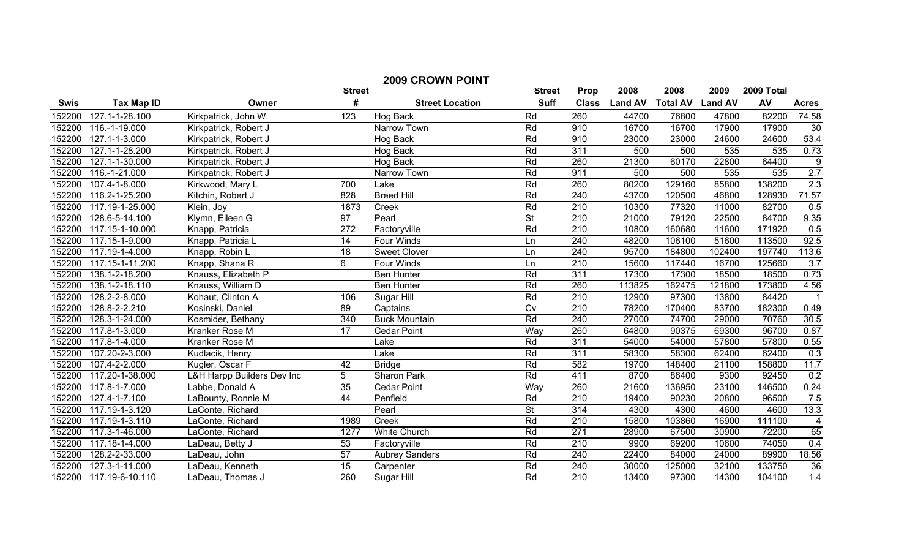| <b>2009 CROWN POINT</b> |                              |                            |                  |                        |                          |                  |                |                 |                |            |                |
|-------------------------|------------------------------|----------------------------|------------------|------------------------|--------------------------|------------------|----------------|-----------------|----------------|------------|----------------|
|                         |                              |                            | <b>Street</b>    |                        | <b>Street</b>            | Prop             | 2008           | 2008            | 2009           | 2009 Total |                |
| <b>Swis</b>             | <b>Tax Map ID</b>            | Owner                      | #                | <b>Street Location</b> | <b>Suff</b>              | <b>Class</b>     | <b>Land AV</b> | <b>Total AV</b> | <b>Land AV</b> | AV         | <b>Acres</b>   |
| 152200                  | 127.1-1-28.100               | Kirkpatrick, John W        | 123              | Hog Back               | Rd                       | 260              | 44700          | 76800           | 47800          | 82200      | 74.58          |
| 152200                  | 116.-1-19.000                | Kirkpatrick, Robert J      |                  | Narrow Town            | Rd                       | 910              | 16700          | 16700           | 17900          | 17900      | 30             |
| 152200                  | 127.1-1-3.000                | Kirkpatrick, Robert J      |                  | Hog Back               | Rd                       | 910              | 23000          | 23000           | 24600          | 24600      | 53.4           |
| 152200                  | 127.1-1-28.200               | Kirkpatrick, Robert J      |                  | Hog Back               | Rd                       | 311              | 500            | 500             | 535            | 535        | 0.73           |
| 152200                  | 127.1-1-30.000               | Kirkpatrick, Robert J      |                  | Hog Back               | Rd                       | 260              | 21300          | 60170           | 22800          | 64400      | $\overline{9}$ |
| 152200                  | 116.-1-21.000                | Kirkpatrick, Robert J      |                  | Narrow Town            | Rd                       | 911              | 500            | 500             | 535            | 535        | 2.7            |
| 152200                  | 107.4-1-8.000                | Kirkwood, Mary L           | 700              | Lake                   | Rd                       | 260              | 80200          | 129160          | 85800          | 138200     | 2.3            |
| 152200                  | 116.2-1-25.200               | Kitchin, Robert J          | 828              | <b>Breed Hill</b>      | Rd                       | 240              | 43700          | 120500          | 46800          | 128930     | 71.57          |
| 152200                  | 117.19-1-25.000              | Klein, Joy                 | 1873             | Creek                  | Rd                       | 210              | 10300          | 77320           | 11000          | 82700      | 0.5            |
| 152200                  | 128.6-5-14.100               | Klymn, Eileen G            | $\overline{97}$  | Pearl                  | $\overline{\mathsf{St}}$ | 210              | 21000          | 79120           | 22500          | 84700      | 9.35           |
| 152200                  | 117.15-1-10.000              | Knapp, Patricia            | $\overline{272}$ | Factoryville           | Rd                       | 210              | 10800          | 160680          | 11600          | 171920     | 0.5            |
| 152200                  | 117.15-1-9.000               | Knapp, Patricia L          | 14               | Four Winds             | Ln                       | 240              | 48200          | 106100          | 51600          | 113500     | 92.5           |
| 152200                  | 117.19-1-4.000               | Knapp, Robin L             | 18               | <b>Sweet Clover</b>    | Ln                       | 240              | 95700          | 184800          | 102400         | 197740     | 113.6          |
| 152200                  | 117.15-1-11.200              | Knapp, Shana R             | 6                | Four Winds             | Ln                       | $\overline{210}$ | 15600          | 117440          | 16700          | 125660     | 3.7            |
| 152200                  | 138.1-2-18.200               | Knauss, Elizabeth P        |                  | <b>Ben Hunter</b>      | Rd                       | 311              | 17300          | 17300           | 18500          | 18500      | 0.73           |
| 152200                  | 138.1-2-18.110               | Knauss, William D          |                  | <b>Ben Hunter</b>      | Rd                       | 260              | 113825         | 162475          | 121800         | 173800     | 4.56           |
| 152200                  | 128.2-2-8.000                | Kohaut, Clinton A          | 106              | Sugar Hill             | Rd                       | 210              | 12900          | 97300           | 13800          | 84420      | $\overline{1}$ |
| 152200                  | 128.8-2-2.210                | Kosinski, Daniel           | 89               | Captains               | $\overline{C}$           | 210              | 78200          | 170400          | 83700          | 182300     | 0.49           |
| 152200                  | 128.3-1-24.000               | Kosmider, Bethany          | 340              | <b>Buck Mountain</b>   | Rd                       | 240              | 27000          | 74700           | 29000          | 70760      | 30.5           |
| 152200                  | 117.8-1-3.000                | Kranker Rose M             | $\overline{17}$  | <b>Cedar Point</b>     | Way                      | 260              | 64800          | 90375           | 69300          | 96700      | 0.87           |
| 152200                  | 117.8-1-4.000                | Kranker Rose M             |                  | Lake                   | Rd                       | 311              | 54000          | 54000           | 57800          | 57800      | 0.55           |
| 152200                  | 107.20-2-3.000               | Kudlacik, Henry            |                  | Lake                   | Rd                       | 311              | 58300          | 58300           | 62400          | 62400      | 0.3            |
| 152200                  | 107.4-2-2.000                | Kugler, Oscar F            | 42               | <b>Bridge</b>          | Rd                       | 582              | 19700          | 148400          | 21100          | 158800     | 11.7           |
| 152200                  | 117.20-1-38.000              | L&H Harpp Builders Dev Inc | 5                | Sharon Park            | Rd                       | 411              | 8700           | 86400           | 9300           | 92450      | 0.2            |
| 152200                  | 117.8-1-7.000                | Labbe, Donald A            | 35               | <b>Cedar Point</b>     | Way                      | 260              | 21600          | 136950          | 23100          | 146500     | 0.24           |
| 152200                  | 127.4-1-7.100                | LaBounty, Ronnie M         | $\overline{44}$  | Penfield               | Rd                       | 210              | 19400          | 90230           | 20800          | 96500      | 7.5            |
| 152200                  | $117.19 - 1 - 3.120$         | LaConte, Richard           |                  | Pearl                  | $\overline{\mathsf{St}}$ | $\overline{314}$ | 4300           | 4300            | 4600           | 4600       | 13.3           |
| 152200                  | 117.19-1-3.110               | LaConte, Richard           | 1989             | Creek                  | Rd                       | $\overline{210}$ | 15800          | 103860          | 16900          | 111100     | $\overline{4}$ |
| 152200                  | $\overline{117.3}$ -1-46.000 | LaConte, Richard           | 1277             | White Church           | Rd                       | 271              | 28900          | 67500           | 30900          | 72200      | 65             |
| 152200                  | 117.18-1-4.000               | LaDeau, Betty J            | 53               | Factoryville           | Rd                       | $\overline{210}$ | 9900           | 69200           | 10600          | 74050      | 0.4            |
| 152200                  | 128.2-2-33.000               | LaDeau, John               | 57               | <b>Aubrey Sanders</b>  | Rd                       | 240              | 22400          | 84000           | 24000          | 89900      | 18.56          |
| 152200                  | 127.3-1-11.000               | LaDeau, Kenneth            | $\overline{15}$  | Carpenter              | Rd                       | 240              | 30000          | 125000          | 32100          | 133750     | 36             |
| 152200                  | 117.19-6-10.110              | LaDeau, Thomas J           | 260              | Sugar Hill             | Rd                       | $\overline{210}$ | 13400          | 97300           | 14300          | 104100     | 1.4            |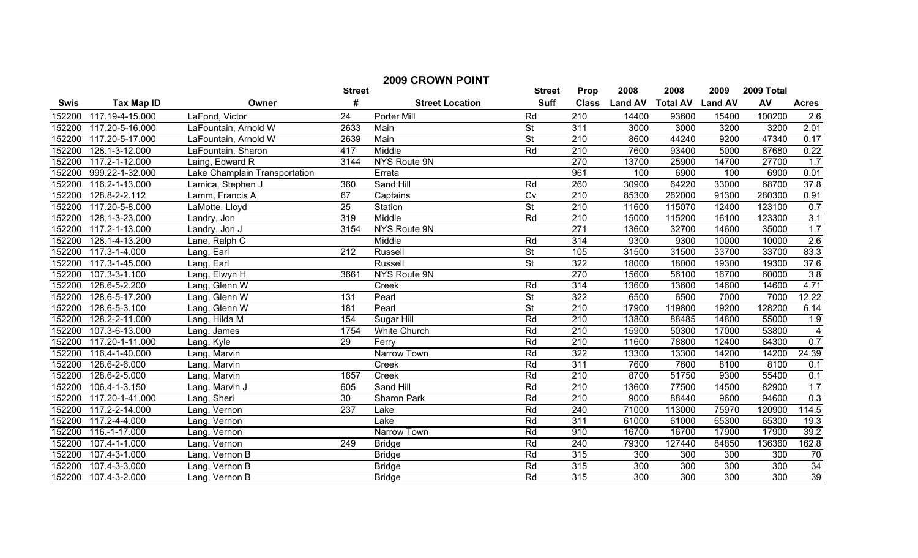|        | <b>2009 CROWN POINT</b> |                               |                  |                        |                          |                  |                |                  |                  |            |                 |
|--------|-------------------------|-------------------------------|------------------|------------------------|--------------------------|------------------|----------------|------------------|------------------|------------|-----------------|
|        |                         |                               | <b>Street</b>    |                        | <b>Street</b>            | Prop             | 2008           | 2008             | 2009             | 2009 Total |                 |
| Swis   | <b>Tax Map ID</b>       | Owner                         | #                | <b>Street Location</b> | <b>Suff</b>              | <b>Class</b>     | <b>Land AV</b> | <b>Total AV</b>  | <b>Land AV</b>   | AV         | <b>Acres</b>    |
| 152200 | 117.19-4-15.000         | LaFond, Victor                | 24               | Porter Mill            | Rd                       | 210              | 14400          | 93600            | 15400            | 100200     | 2.6             |
| 152200 | 117.20-5-16.000         | LaFountain, Arnold W          | 2633             | Main                   | <b>St</b>                | 311              | 3000           | 3000             | 3200             | 3200       | 2.01            |
| 152200 | 117.20-5-17.000         | LaFountain, Arnold W          | 2639             | Main                   | $\overline{\mathsf{St}}$ | 210              | 8600           | 44240            | 9200             | 47340      | 0.17            |
| 152200 | 128.1-3-12.000          | LaFountain, Sharon            | 417              | Middle                 | Rd                       | 210              | 7600           | 93400            | 5000             | 87680      | 0.22            |
| 152200 | 117.2-1-12.000          | Laing, Edward R               | 3144             | NYS Route 9N           |                          | 270              | 13700          | 25900            | 14700            | 27700      | 1.7             |
| 152200 | 999.22-1-32.000         | Lake Champlain Transportation |                  | Errata                 |                          | 961              | 100            | 6900             | 100              | 6900       | 0.01            |
| 152200 | 116.2-1-13.000          | Lamica, Stephen J             | 360              | Sand Hill              | Rd                       | 260              | 30900          | 64220            | 33000            | 68700      | 37.8            |
| 152200 | 128.8-2-2.112           | Lamm, Francis A               | 67               | Captains               | Cv                       | 210              | 85300          | 262000           | 91300            | 280300     | 0.91            |
| 152200 | 117.20-5-8.000          | LaMotte, Lloyd                | 25               | Station                | $\overline{\mathsf{St}}$ | $\overline{210}$ | 11600          | 115070           | 12400            | 123100     | 0.7             |
| 152200 | 128.1-3-23.000          | Landry, Jon                   | 319              | Middle                 | Rd                       | 210              | 15000          | 115200           | 16100            | 123300     | 3.1             |
| 152200 | 117.2-1-13.000          | Landry, Jon J                 | 3154             | NYS Route 9N           |                          | 271              | 13600          | 32700            | 14600            | 35000      | 1.7             |
| 152200 | 128.1-4-13.200          | Lane, Ralph C                 |                  | Middle                 | Rd                       | 314              | 9300           | 9300             | 10000            | 10000      | 2.6             |
| 152200 | 117.3-1-4.000           | Lang, Earl                    | 212              | Russell                | $\overline{\mathsf{St}}$ | 105              | 31500          | 31500            | 33700            | 33700      | 83.3            |
| 152200 | 117.3-1-45.000          | Lang, Earl                    |                  | Russell                | $\overline{\mathsf{St}}$ | 322              | 18000          | 18000            | 19300            | 19300      | 37.6            |
| 152200 | 107.3-3-1.100           | Lang, Elwyn H                 | 3661             | NYS Route 9N           |                          | 270              | 15600          | 56100            | 16700            | 60000      | 3.8             |
| 152200 | 128.6-5-2.200           | Lang, Glenn W                 |                  | Creek                  | Rd                       | 314              | 13600          | 13600            | 14600            | 14600      | 4.71            |
| 152200 | 128.6-5-17.200          | Lang, Glenn W                 | 131              | Pearl                  | $\overline{\mathsf{St}}$ | 322              | 6500           | 6500             | 7000             | 7000       | 12.22           |
| 152200 | 128.6-5-3.100           | Lang, Glenn W                 | 181              | Pearl                  | $\overline{\mathsf{St}}$ | 210              | 17900          | 119800           | 19200            | 128200     | 6.14            |
| 152200 | 128.2-2-11.000          | Lang, Hilda M                 | 154              | Sugar Hill             | Rd                       | $\overline{210}$ | 13800          | 88485            | 14800            | 55000      | 1.9             |
| 152200 | 107.3-6-13.000          | Lang, James                   | 1754             | <b>White Church</b>    | Rd                       | 210              | 15900          | 50300            | 17000            | 53800      | $\overline{4}$  |
| 152200 | 117.20-1-11.000         | Lang, Kyle                    | $\overline{29}$  | Ferry                  | Rd                       | 210              | 11600          | 78800            | 12400            | 84300      | 0.7             |
| 152200 | 116.4-1-40.000          | Lang, Marvin                  |                  | Narrow Town            | Rd                       | 322              | 13300          | 13300            | 14200            | 14200      | 24.39           |
| 152200 | 128.6-2-6.000           | Lang, Marvin                  |                  | Creek                  | Rd                       | 311              | 7600           | 7600             | 8100             | 8100       | 0.1             |
| 152200 | 128.6-2-5.000           | Lang, Marvin                  | 1657             | Creek                  | Rd                       | 210              | 8700           | 51750            | 9300             | 55400      | 0.1             |
| 152200 | 106.4-1-3.150           | Lang, Marvin J                | 605              | Sand Hill              | Rd                       | 210              | 13600          | 77500            | 14500            | 82900      | 1.7             |
| 152200 | 117.20-1-41.000         | Lang, Sheri                   | 30               | Sharon Park            | Rd                       | 210              | 9000           | 88440            | 9600             | 94600      | 0.3             |
| 152200 | 117.2-2-14.000          | Lang, Vernon                  | $\overline{237}$ | Lake                   | Rd                       | 240              | 71000          | 113000           | 75970            | 120900     | 114.5           |
| 152200 | 117.2-4-4.000           | Lang, Vernon                  |                  | Lake                   | Rd                       | 311              | 61000          | 61000            | 65300            | 65300      | 19.3            |
| 152200 | 116.-1-17.000           | Lang, Vernon                  |                  | Narrow Town            | Rd                       | 910              | 16700          | 16700            | 17900            | 17900      | 39.2            |
| 152200 | $107.4 - 1 - 1.000$     | Lang, Vernon                  | 249              | <b>Bridge</b>          | Rd                       | 240              | 79300          | 127440           | 84850            | 136360     | 162.8           |
| 152200 | 107.4-3-1.000           | Lang, Vernon B                |                  | <b>Bridge</b>          | Rd                       | 315              | 300            | 300              | 300              | 300        | 70              |
| 152200 | $107.4 - 3 - 3.000$     | Lang, Vernon B                |                  | <b>Bridge</b>          | Rd                       | 315              | 300            | 300              | 300              | 300        | 34              |
| 152200 | 107.4-3-2.000           | Lang, Vernon B                |                  | <b>Bridge</b>          | Rd                       | $\overline{315}$ | 300            | $\overline{300}$ | $\overline{300}$ | 300        | $\overline{39}$ |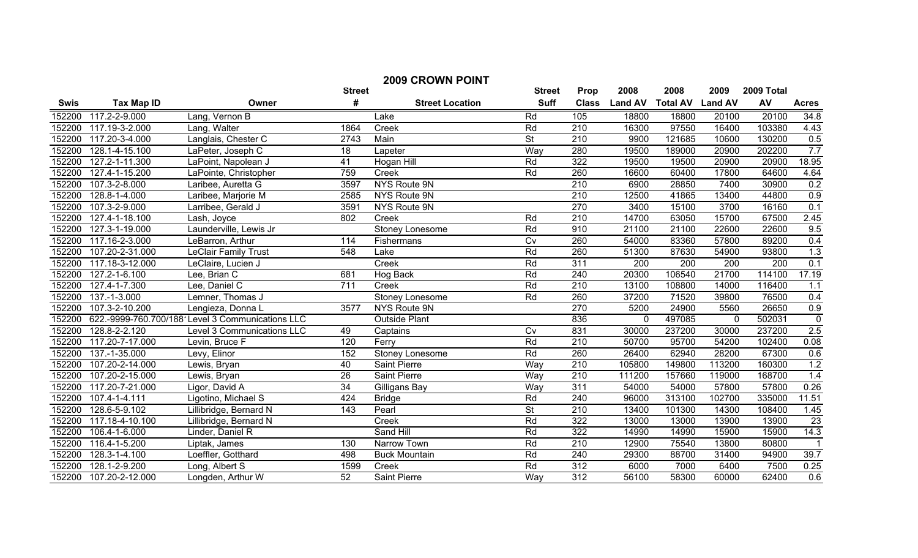| <b>2009 CROWN POINT</b> |                   |                                                   |                 |                        |                          |                  |                |                  |                  |                   |                 |
|-------------------------|-------------------|---------------------------------------------------|-----------------|------------------------|--------------------------|------------------|----------------|------------------|------------------|-------------------|-----------------|
|                         |                   |                                                   | <b>Street</b>   |                        | <b>Street</b>            | <b>Prop</b>      | 2008           | 2008             | 2009             | 2009 Total        |                 |
| <b>Swis</b>             | <b>Tax Map ID</b> | Owner                                             | $\pmb{\#}$      | <b>Street Location</b> | <b>Suff</b>              | <b>Class</b>     | <b>Land AV</b> | <b>Total AV</b>  | <b>Land AV</b>   | AV                | <b>Acres</b>    |
| 152200                  | 117.2-2-9.000     | Lang, Vernon B                                    |                 | Lake                   | Rd                       | 105              | 18800          | 18800            | 20100            | 20100             | 34.8            |
| 152200                  | 117.19-3-2.000    | Lang, Walter                                      | 1864            | Creek                  | Rd                       | 210              | 16300          | 97550            | 16400            | 103380            | 4.43            |
| 152200                  | 117.20-3-4.000    | Langlais, Chester C                               | 2743            | Main                   | $\overline{\mathsf{St}}$ | 210              | 9900           | 121685           | 10600            | 130200            | 0.5             |
| 152200                  | 128.1-4-15.100    | LaPeter, Joseph C                                 | 18              | Lapeter                | Way                      | 280              | 19500          | 189000           | 20900            | 202200            | 7.7             |
| 152200                  | 127.2-1-11.300    | LaPoint, Napolean J                               | $\overline{41}$ | <b>Hogan Hill</b>      | Rd                       | 322              | 19500          | 19500            | 20900            | 20900             | 18.95           |
| 152200                  | 127.4-1-15.200    | LaPointe, Christopher                             | 759             | Creek                  | Rd                       | 260              | 16600          | 60400            | 17800            | 64600             | 4.64            |
| 152200                  | 107.3-2-8.000     | Laribee, Auretta G                                | 3597            | NYS Route 9N           |                          | 210              | 6900           | 28850            | 7400             | 30900             | 0.2             |
| 152200                  | 128.8-1-4.000     | Laribee, Marjorie M                               | 2585            | NYS Route 9N           |                          | 210              | 12500          | 41865            | 13400            | 44800             | 0.9             |
| 152200                  | 107.3-2-9.000     | Larribee, Gerald J                                | 3591            | NYS Route 9N           |                          | 270              | 3400           | 15100            | 3700             | 16160             | 0.1             |
| 152200                  | 127.4-1-18.100    | Lash, Joyce                                       | 802             | Creek                  | Rd                       | 210              | 14700          | 63050            | 15700            | 67500             | 2.45            |
| 152200                  | 127.3-1-19.000    | Launderville, Lewis Jr                            |                 | Stoney Lonesome        | Rd                       | 910              | 21100          | 21100            | 22600            | 22600             | 9.5             |
| 152200                  | 117.16-2-3.000    | LeBarron, Arthur                                  | 114             | Fishermans             | $\overline{C}$           | 260              | 54000          | 83360            | 57800            | 89200             | 0.4             |
| 152200                  | 107.20-2-31.000   | <b>LeClair Family Trust</b>                       | 548             | Lake                   | Rd                       | 260              | 51300          | 87630            | 54900            | 93800             | 1.3             |
| 152200                  | 117.18-3-12.000   | LeClaire, Lucien J                                |                 | Creek                  | Rd                       | $\overline{311}$ | 200            | $\overline{200}$ | $\overline{200}$ | 200               | 0.1             |
| 152200                  | 127.2-1-6.100     | Lee, Brian C                                      | 681             | Hog Back               | Rd                       | 240              | 20300          | 106540           | 21700            | 114100            | 17.19           |
| 152200                  | 127.4-1-7.300     | Lee, Daniel C                                     | 711             | Creek                  | Rd                       | 210              | 13100          | 108800           | 14000            | 116400            | 1.1             |
| 152200                  | 137.-1-3.000      | Lemner, Thomas J                                  |                 | Stoney Lonesome        | Rd                       | 260              | 37200          | 71520            | 39800            | 76500             | 0.4             |
| 152200                  | 107.3-2-10.200    | Lengieza, Donna L                                 | 3577            | NYS Route 9N           |                          | 270              | 5200           | 24900            | 5560             | 26650             | 0.9             |
| 152200                  |                   | 622.-9999-760.700/188' Level 3 Communications LLC |                 | <b>Outside Plant</b>   |                          | 836              | $\Omega$       | 497085           | $\mathbf 0$      | 502031            | $\overline{0}$  |
| 152200                  | 128.8-2-2.120     | Level 3 Communications LLC                        | 49              | Captains               | $\overline{C}$           | 831              | 30000          | 237200           | 30000            | 237200            | 2.5             |
| 152200                  | 117.20-7-17.000   | Levin, Bruce F                                    | 120             | Ferry                  | Rd                       | 210              | 50700          | 95700            | 54200            | 102400            | 0.08            |
| 152200                  | 137.-1-35.000     | Levy, Elinor                                      | 152             | Stoney Lonesome        | Rd                       | 260              | 26400          | 62940            | 28200            | 67300             | 0.6             |
| 152200                  | 107.20-2-14.000   | Lewis, Bryan                                      | 40              | Saint Pierre           | Way                      | 210              | 105800         | 149800           | 113200           | 160300            | 1.2             |
| 152200                  | 107.20-2-15.000   | Lewis, Bryan                                      | $\overline{26}$ | Saint Pierre           | Way                      | 210              | 111200         | 157660           | 119000           | 168700            | 1.4             |
| 152200                  | 117.20-7-21.000   | Ligor, David A                                    | 34              | Gilligans Bay          | Way                      | 311              | 54000          | 54000            | 57800            | 57800             | 0.26            |
| 152200                  | 107.4-1-4.111     | Ligotino, Michael S                               | 424             | <b>Bridge</b>          | Rd                       | 240              | 96000          | 313100           | 102700           | 335000            | 11.51           |
| 152200                  | 128.6-5-9.102     | Lillibridge, Bernard N                            | 143             | Pearl                  | $\overline{\mathsf{St}}$ | 210              | 13400          | 101300           | 14300            | 108400            | 1.45            |
| 152200                  | 117.18-4-10.100   | Lillibridge, Bernard N                            |                 | Creek                  | Rd                       | 322              | 13000          | 13000            | 13900            | 13900             | $\overline{23}$ |
| 152200                  | 106.4-1-6.000     | Linder, Daniel R                                  |                 | Sand Hill              | Rd                       | 322              | 14990          | 14990            | 15900            | 15900             | 14.3            |
| 152200                  | 116.4-1-5.200     | Liptak, James                                     | 130             | Narrow Town            | Rd                       | 210              | 12900          | 75540            | 13800            | 80800             | $\overline{1}$  |
| 152200                  | 128.3-1-4.100     | Loeffler, Gotthard                                | 498             | <b>Buck Mountain</b>   | Rd                       | 240              | 29300          | 88700            | 31400            | $\frac{1}{94900}$ | 39.7            |
| 152200                  | 128.1-2-9.200     | Long, Albert S                                    | 1599            | Creek                  | Rd                       | 312              | 6000           | 7000             | 6400             | 7500              | 0.25            |
| 152200                  | 107.20-2-12.000   | Longden, Arthur W                                 | 52              | <b>Saint Pierre</b>    | Way                      | $\overline{312}$ | 56100          | 58300            | 60000            | 62400             | 0.6             |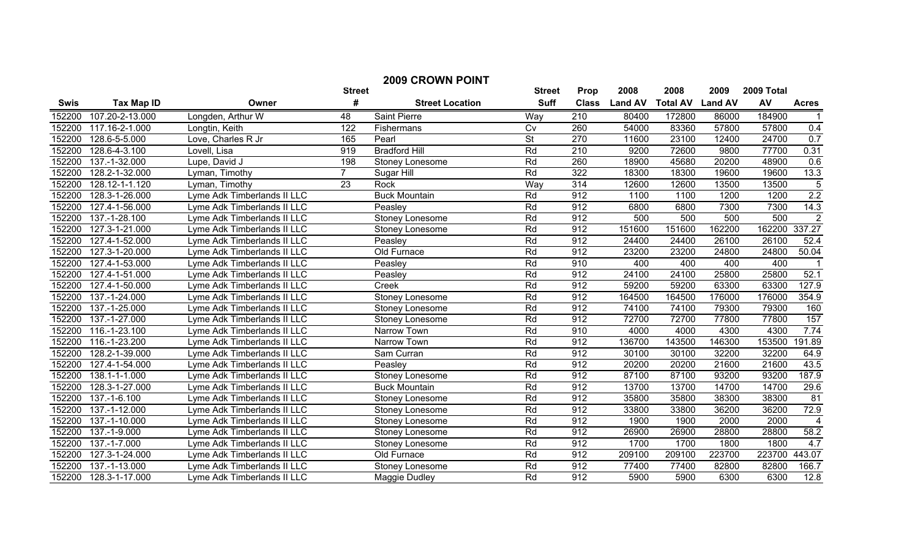| <b>2009 CROWN POINT</b> |                     |                             |               |                        |               |                  |                |                 |                |            |                  |
|-------------------------|---------------------|-----------------------------|---------------|------------------------|---------------|------------------|----------------|-----------------|----------------|------------|------------------|
|                         |                     |                             | <b>Street</b> |                        | <b>Street</b> | <b>Prop</b>      | 2008           | 2008            | 2009           | 2009 Total |                  |
| <b>Swis</b>             | <b>Tax Map ID</b>   | Owner                       | #             | <b>Street Location</b> | <b>Suff</b>   | <b>Class</b>     | <b>Land AV</b> | <b>Total AV</b> | <b>Land AV</b> | AV         | <b>Acres</b>     |
| 152200                  | 107.20-2-13.000     | Longden, Arthur W           | 48            | <b>Saint Pierre</b>    | Way           | 210              | 80400          | 172800          | 86000          | 184900     |                  |
| 152200                  | 117.16-2-1.000      | Longtin, Keith              | 122           | Fishermans             | Cv            | 260              | 54000          | 83360           | 57800          | 57800      | 0.4              |
| 152200                  | 128.6-5-5.000       | Love, Charles R Jr          | 165           | Pearl                  | <b>St</b>     | 270              | 11600          | 23100           | 12400          | 24700      | 0.7              |
| 152200                  | 128.6-4-3.100       | Lovell, Lisa                | 919           | <b>Bradford Hill</b>   | Rd            | 210              | 9200           | 72600           | 9800           | 77700      | 0.31             |
| 152200                  | 137.-1-32.000       | Lupe, David J               | 198           | Stoney Lonesome        | Rd            | 260              | 18900          | 45680           | 20200          | 48900      | 0.6              |
| 152200                  | 128.2-1-32.000      | Lyman, Timothy              | 7             | Sugar Hill             | Rd            | 322              | 18300          | 18300           | 19600          | 19600      | 13.3             |
| 152200                  | 128.12-1-1.120      | Lyman, Timothy              | 23            | Rock                   | Way           | 314              | 12600          | 12600           | 13500          | 13500      | 5                |
| 152200                  | 128.3-1-26.000      | Lyme Adk Timberlands II LLC |               | <b>Buck Mountain</b>   | Rd            | $\overline{912}$ | 1100           | 1100            | 1200           | 1200       | $\overline{2.2}$ |
| 152200                  | 127.4-1-56.000      | Lyme Adk Timberlands II LLC |               | Peasley                | Rd            | 912              | 6800           | 6800            | 7300           | 7300       | 14.3             |
| 152200                  | 137.-1-28.100       | Lyme Adk Timberlands II LLC |               | <b>Stoney Lonesome</b> | Rd            | 912              | 500            | 500             | 500            | 500        | $\overline{2}$   |
| 152200                  | 127.3-1-21.000      | Lyme Adk Timberlands II LLC |               | Stoney Lonesome        | Rd            | 912              | 151600         | 151600          | 162200         | 162200     | 337.27           |
| 152200                  | 127.4-1-52.000      | Lyme Adk Timberlands II LLC |               | Peasley                | Rd            | 912              | 24400          | 24400           | 26100          | 26100      | 52.4             |
| 152200                  | 127.3-1-20.000      | Lyme Adk Timberlands II LLC |               | Old Furnace            | Rd            | 912              | 23200          | 23200           | 24800          | 24800      | 50.04            |
| 152200                  | 127.4-1-53.000      | Lyme Adk Timberlands II LLC |               | Peasley                | Rd            | 910              | 400            | 400             | 400            | 400        |                  |
| 152200                  | 127.4-1-51.000      | Lyme Adk Timberlands II LLC |               | Peasley                | Rd            | 912              | 24100          | 24100           | 25800          | 25800      | 52.1             |
| 152200                  | 127.4-1-50.000      | Lyme Adk Timberlands II LLC |               | Creek                  | Rd            | 912              | 59200          | 59200           | 63300          | 63300      | 127.9            |
| 152200                  | 137.-1-24.000       | Lyme Adk Timberlands II LLC |               | Stoney Lonesome        | Rd            | 912              | 164500         | 164500          | 176000         | 176000     | 354.9            |
| 152200                  | 137.-1-25.000       | Lyme Adk Timberlands II LLC |               | <b>Stoney Lonesome</b> | Rd            | 912              | 74100          | 74100           | 79300          | 79300      | 160              |
| 152200                  | 137.-1-27.000       | Lyme Adk Timberlands II LLC |               | Stoney Lonesome        | Rd            | 912              | 72700          | 72700           | 77800          | 77800      | 157              |
| 152200                  | 116.-1-23.100       | Lyme Adk Timberlands II LLC |               | Narrow Town            | Rd            | 910              | 4000           | 4000            | 4300           | 4300       | 7.74             |
| 152200                  | 116.-1-23.200       | Lyme Adk Timberlands II LLC |               | Narrow Town            | Rd            | 912              | 136700         | 143500          | 146300         | 153500     | 191.89           |
| 152200                  | 128.2-1-39.000      | Lyme Adk Timberlands II LLC |               | Sam Curran             | Rd            | 912              | 30100          | 30100           | 32200          | 32200      | 64.9             |
| 152200                  | 127.4-1-54.000      | Lyme Adk Timberlands II LLC |               | Peasley                | Rd            | 912              | 20200          | 20200           | 21600          | 21600      | 43.5             |
| 152200                  | 138.1-1-1.000       | Lyme Adk Timberlands II LLC |               | Stoney Lonesome        | Rd            | $\overline{912}$ | 87100          | 87100           | 93200          | 93200      | 187.9            |
| 152200                  | 128.3-1-27.000      | Lyme Adk Timberlands II LLC |               | <b>Buck Mountain</b>   | Rd            | 912              | 13700          | 13700           | 14700          | 14700      | 29.6             |
| 152200                  | 137.-1-6.100        | Lyme Adk Timberlands II LLC |               | Stoney Lonesome        | Rd            | 912              | 35800          | 35800           | 38300          | 38300      | 81               |
| 152200                  | 137.-1-12.000       | Lyme Adk Timberlands II LLC |               | Stoney Lonesome        | Rd            | $\overline{912}$ | 33800          | 33800           | 36200          | 36200      | 72.9             |
| 152200                  | 137.-1-10.000       | Lyme Adk Timberlands II LLC |               | <b>Stoney Lonesome</b> | Rd            | 912              | 1900           | 1900            | 2000           | 2000       | $\overline{4}$   |
| 152200                  | 137.-1-9.000        | Lyme Adk Timberlands II LLC |               | Stoney Lonesome        | Rd            | 912              | 26900          | 26900           | 28800          | 28800      | 58.2             |
| 152200                  | 137.-1-7.000        | Lyme Adk Timberlands II LLC |               | Stoney Lonesome        | Rd            | 912              | 1700           | 1700            | 1800           | 1800       | 4.7              |
| 152200                  | 127.3-1-24.000      | Lyme Adk Timberlands II LLC |               | Old Furnace            | Rd            | 912              | 209100         | 209100          | 223700         | 223700     | 443.07           |
| 152200                  | $137. - 1 - 13.000$ | Lyme Adk Timberlands II LLC |               | Stoney Lonesome        | Rd            | 912              | 77400          | 77400           | 82800          | 82800      | 166.7            |
| 152200                  | 128.3-1-17.000      | Lyme Adk Timberlands II LLC |               | Maggie Dudley          | Rd            | $\overline{912}$ | 5900           | 5900            | 6300           | 6300       | 12.8             |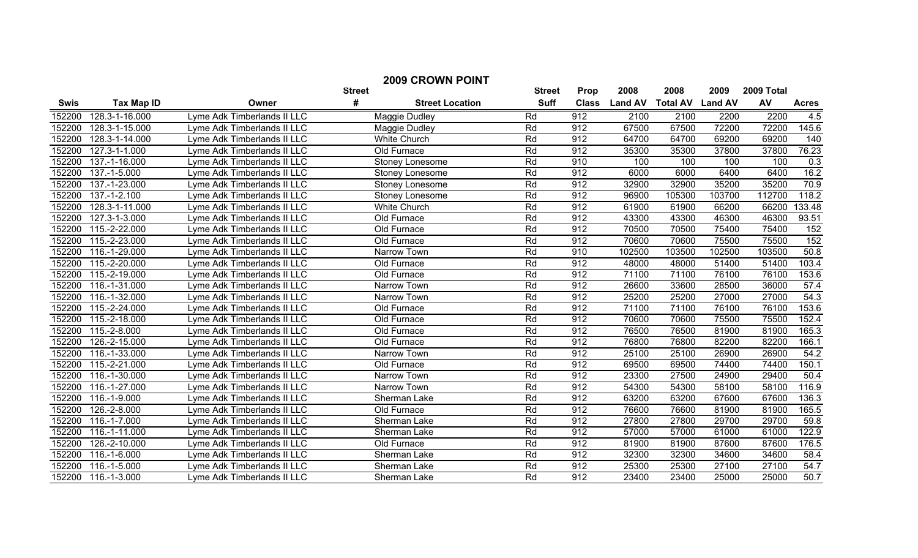| <b>2009 CROWN POINT</b>                        |                 |                             |                        |               |              |                |                 |                |            |                  |  |
|------------------------------------------------|-----------------|-----------------------------|------------------------|---------------|--------------|----------------|-----------------|----------------|------------|------------------|--|
| #<br><b>Tax Map ID</b><br><b>Swis</b><br>Owner |                 |                             | <b>Street</b>          | <b>Street</b> | <b>Prop</b>  | 2008           | 2008            | 2009           | 2009 Total |                  |  |
|                                                |                 |                             | <b>Street Location</b> | <b>Suff</b>   | <b>Class</b> | <b>Land AV</b> | <b>Total AV</b> | <b>Land AV</b> | AV         | <b>Acres</b>     |  |
| 152200                                         | 128.3-1-16.000  | Lyme Adk Timberlands II LLC | Maggie Dudley          | Rd            | 912          | 2100           | 2100            | 2200           | 2200       | 4.5              |  |
| 152200                                         | 128.3-1-15.000  | Lyme Adk Timberlands II LLC | Maggie Dudley          | Rd            | 912          | 67500          | 67500           | 72200          | 72200      | 145.6            |  |
| 152200                                         | 128.3-1-14.000  | Lyme Adk Timberlands II LLC | <b>White Church</b>    | Rd            | 912          | 64700          | 64700           | 69200          | 69200      | 140              |  |
| 152200                                         | 127.3-1-1.000   | Lyme Adk Timberlands II LLC | Old Furnace            | Rd            | 912          | 35300          | 35300           | 37800          | 37800      | 76.23            |  |
| 152200                                         | 137.-1-16.000   | Lyme Adk Timberlands II LLC | Stoney Lonesome        | Rd            | 910          | 100            | 100             | 100            | 100        | $\overline{0.3}$ |  |
| 152200                                         | 137.-1-5.000    | Lyme Adk Timberlands II LLC | Stoney Lonesome        | Rd            | 912          | 6000           | 6000            | 6400           | 6400       | 16.2             |  |
| 152200                                         | 137.-1-23.000   | Lyme Adk Timberlands II LLC | Stoney Lonesome        | Rd            | 912          | 32900          | 32900           | 35200          | 35200      | 70.9             |  |
| 152200                                         | 137.-1-2.100    | Lyme Adk Timberlands II LLC | Stoney Lonesome        | Rd            | 912          | 96900          | 105300          | 103700         | 112700     | 118.2            |  |
| 152200                                         | 128.3-1-11.000  | Lyme Adk Timberlands II LLC | White Church           | Rd            | 912          | 61900          | 61900           | 66200          | 66200      | 133.48           |  |
| 152200                                         | 127.3-1-3.000   | Lyme Adk Timberlands II LLC | Old Furnace            | Rd            | 912          | 43300          | 43300           | 46300          | 46300      | 93.51            |  |
| 152200                                         | $115.-2-22.000$ | Lyme Adk Timberlands II LLC | Old Furnace            | Rd            | 912          | 70500          | 70500           | 75400          | 75400      | 152              |  |
| 152200                                         | 115.-2-23.000   | Lyme Adk Timberlands II LLC | Old Furnace            | Rd            | 912          | 70600          | 70600           | 75500          | 75500      | 152              |  |
| 152200                                         | 116.-1-29.000   | Lyme Adk Timberlands II LLC | Narrow Town            | Rd            | 910          | 102500         | 103500          | 102500         | 103500     | 50.8             |  |
| 152200                                         | 115.-2-20.000   | Lyme Adk Timberlands II LLC | Old Furnace            | Rd            | 912          | 48000          | 48000           | 51400          | 51400      | 103.4            |  |
| 152200                                         | 115.-2-19.000   | Lyme Adk Timberlands II LLC | Old Furnace            | Rd            | 912          | 71100          | 71100           | 76100          | 76100      | 153.6            |  |
| 152200                                         | 116.-1-31.000   | Lyme Adk Timberlands II LLC | Narrow Town            | Rd            | 912          | 26600          | 33600           | 28500          | 36000      | 57.4             |  |
| 152200                                         | 116.-1-32.000   | Lyme Adk Timberlands II LLC | Narrow Town            | Rd            | 912          | 25200          | 25200           | 27000          | 27000      | 54.3             |  |
| 152200                                         | 115.-2-24.000   | Lyme Adk Timberlands II LLC | Old Furnace            | Rd            | 912          | 71100          | 71100           | 76100          | 76100      | 153.6            |  |
| 152200                                         | 115.-2-18.000   | Lyme Adk Timberlands II LLC | Old Furnace            | Rd            | 912          | 70600          | 70600           | 75500          | 75500      | 152.4            |  |
| 152200                                         | 115.-2-8.000    | Lyme Adk Timberlands II LLC | Old Furnace            | Rd            | 912          | 76500          | 76500           | 81900          | 81900      | 165.3            |  |
| 152200                                         | 126.-2-15.000   | Lyme Adk Timberlands II LLC | Old Furnace            | Rd            | 912          | 76800          | 76800           | 82200          | 82200      | 166.1            |  |
| 152200                                         | 116.-1-33.000   | Lyme Adk Timberlands II LLC | Narrow Town            | Rd            | 912          | 25100          | 25100           | 26900          | 26900      | 54.2             |  |
| 152200                                         | 115.-2-21.000   | Lyme Adk Timberlands II LLC | Old Furnace            | Rd            | 912          | 69500          | 69500           | 74400          | 74400      | 150.1            |  |
| 152200                                         | 116.-1-30.000   | Lyme Adk Timberlands II LLC | Narrow Town            | Rd            | 912          | 23300          | 27500           | 24900          | 29400      | 50.4             |  |
| 152200                                         | 116.-1-27.000   | Lyme Adk Timberlands II LLC | Narrow Town            | Rd            | 912          | 54300          | 54300           | 58100          | 58100      | 116.9            |  |
| 152200                                         | 116.-1-9.000    | Lyme Adk Timberlands II LLC | Sherman Lake           | Rd            | 912          | 63200          | 63200           | 67600          | 67600      | 136.3            |  |
| 152200                                         | 126.-2-8.000    | Lyme Adk Timberlands II LLC | Old Furnace            | Rd            | 912          | 76600          | 76600           | 81900          | 81900      | 165.5            |  |
| 152200                                         | 116.-1-7.000    | Lyme Adk Timberlands II LLC | Sherman Lake           | Rd            | 912          | 27800          | 27800           | 29700          | 29700      | 59.8             |  |
| 152200                                         | $116.-1-11.000$ | Lyme Adk Timberlands II LLC | Sherman Lake           | Rd            | 912          | 57000          | 57000           | 61000          | 61000      | 122.9            |  |
| 152200                                         | 126.-2-10.000   | Lyme Adk Timberlands II LLC | Old Furnace            | Rd            | 912          | 81900          | 81900           | 87600          | 87600      | 176.5            |  |
| 152200                                         | 116.-1-6.000    | Lyme Adk Timberlands II LLC | Sherman Lake           | Rd            | 912          | 32300          | 32300           | 34600          | 34600      | 58.4             |  |
| 152200                                         | 116.-1-5.000    | Lyme Adk Timberlands II LLC | Sherman Lake           | Rd            | 912          | 25300          | 25300           | 27100          | 27100      | 54.7             |  |
| 152200                                         | 116.-1-3.000    | Lyme Adk Timberlands II LLC | Sherman Lake           | Rd            | 912          | 23400          | 23400           | 25000          | 25000      | 50.7             |  |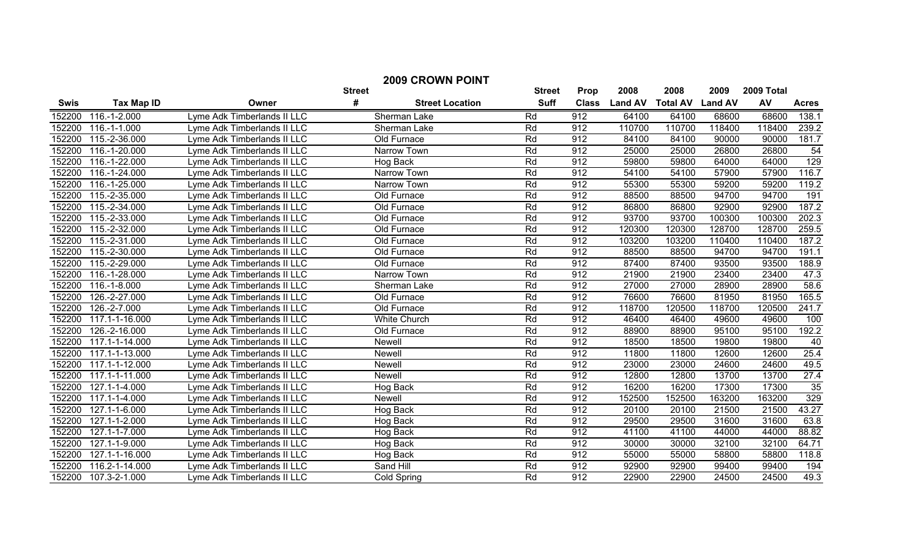| <b>2009 CROWN POINT</b><br><b>Street</b> |                             |                             |                             |             |              |                |                 |                |        |              |  |  |
|------------------------------------------|-----------------------------|-----------------------------|-----------------------------|-------------|--------------|----------------|-----------------|----------------|--------|--------------|--|--|
|                                          |                             | <b>Street</b>               | <b>Prop</b>                 | 2008        | 2008         | 2009           | 2009 Total      |                |        |              |  |  |
| <b>Swis</b>                              | <b>Tax Map ID</b>           | Owner                       | #<br><b>Street Location</b> | <b>Suff</b> | <b>Class</b> | <b>Land AV</b> | <b>Total AV</b> | <b>Land AV</b> | AV     | <b>Acres</b> |  |  |
| 152200                                   | 116.-1-2.000                | Lyme Adk Timberlands II LLC | Sherman Lake                | Rd          | 912          | 64100          | 64100           | 68600          | 68600  | 138.1        |  |  |
| 152200                                   | 116.-1-1.000                | Lyme Adk Timberlands II LLC | Sherman Lake                | Rd          | 912          | 110700         | 110700          | 118400         | 118400 | 239.2        |  |  |
| 152200                                   | 115.-2-36.000               | Lyme Adk Timberlands II LLC | Old Furnace                 | Rd          | 912          | 84100          | 84100           | 90000          | 90000  | 181.7        |  |  |
| 152200                                   | 116.-1-20.000               | Lyme Adk Timberlands II LLC | Narrow Town                 | Rd          | 912          | 25000          | 25000           | 26800          | 26800  | 54           |  |  |
| 152200                                   | 116.-1-22.000               | Lyme Adk Timberlands II LLC | Hog Back                    | Rd          | 912          | 59800          | 59800           | 64000          | 64000  | 129          |  |  |
| 152200                                   | 116.-1-24.000               | Lyme Adk Timberlands II LLC | Narrow Town                 | Rd          | 912          | 54100          | 54100           | 57900          | 57900  | 116.7        |  |  |
| 152200                                   | 116.-1-25.000               | Lyme Adk Timberlands II LLC | Narrow Town                 | Rd          | 912          | 55300          | 55300           | 59200          | 59200  | 119.2        |  |  |
| 152200                                   | 115.-2-35.000               | Lyme Adk Timberlands II LLC | Old Furnace                 | Rd          | 912          | 88500          | 88500           | 94700          | 94700  | 191          |  |  |
| 152200                                   | 115.-2-34.000               | Lyme Adk Timberlands II LLC | Old Furnace                 | Rd          | 912          | 86800          | 86800           | 92900          | 92900  | 187.2        |  |  |
| 152200                                   | 115.-2-33.000               | Lyme Adk Timberlands II LLC | Old Furnace                 | Rd          | 912          | 93700          | 93700           | 100300         | 100300 | 202.3        |  |  |
| 152200                                   | 115.-2-32.000               | Lyme Adk Timberlands II LLC | Old Furnace                 | Rd          | 912          | 120300         | 120300          | 128700         | 128700 | 259.5        |  |  |
| 152200                                   | 115.-2-31.000               | Lyme Adk Timberlands II LLC | Old Furnace                 | Rd          | 912          | 103200         | 103200          | 110400         | 110400 | 187.2        |  |  |
| 152200                                   | 115.-2-30.000               | Lyme Adk Timberlands II LLC | Old Furnace                 | Rd          | 912          | 88500          | 88500           | 94700          | 94700  | 191.1        |  |  |
| 152200                                   | 115.-2-29.000               | Lyme Adk Timberlands II LLC | Old Furnace                 | Rd          | 912          | 87400          | 87400           | 93500          | 93500  | 188.9        |  |  |
| 152200                                   | 116.-1-28.000               | Lyme Adk Timberlands II LLC | Narrow Town                 | Rd          | 912          | 21900          | 21900           | 23400          | 23400  | 47.3         |  |  |
| 152200                                   | 116.-1-8.000                | Lyme Adk Timberlands II LLC | Sherman Lake                | Rd          | 912          | 27000          | 27000           | 28900          | 28900  | 58.6         |  |  |
| 152200                                   | 126.-2-27.000               | Lyme Adk Timberlands II LLC | Old Furnace                 | Rd          | 912          | 76600          | 76600           | 81950          | 81950  | 165.5        |  |  |
| 152200                                   | 126.-2-7.000                | Lyme Adk Timberlands II LLC | Old Furnace                 | Rd          | 912          | 118700         | 120500          | 118700         | 120500 | 241.7        |  |  |
| 152200                                   | 117.1-1-16.000              | Lyme Adk Timberlands II LLC | <b>White Church</b>         | Rd          | 912          | 46400          | 46400           | 49600          | 49600  | 100          |  |  |
| 152200                                   | 126.-2-16.000               | Lyme Adk Timberlands II LLC | Old Furnace                 | Rd          | 912          | 88900          | 88900           | 95100          | 95100  | 192.2        |  |  |
| 152200                                   | 117.1-1-14.000              | Lyme Adk Timberlands II LLC | <b>Newell</b>               | Rd          | 912          | 18500          | 18500           | 19800          | 19800  | 40           |  |  |
| 152200                                   | 117.1-1-13.000              | Lyme Adk Timberlands II LLC | Newell                      | Rd          | 912          | 11800          | 11800           | 12600          | 12600  | 25.4         |  |  |
| 152200                                   | 117.1-1-12.000              | Lyme Adk Timberlands II LLC | <b>Newell</b>               | Rd          | 912          | 23000          | 23000           | 24600          | 24600  | 49.5         |  |  |
| 152200                                   | 117.1-1-11.000              | Lyme Adk Timberlands II LLC | <b>Newell</b>               | Rd          | 912          | 12800          | 12800           | 13700          | 13700  | 27.4         |  |  |
| 152200                                   | 127.1-1-4.000               | Lyme Adk Timberlands II LLC | Hog Back                    | Rd          | 912          | 16200          | 16200           | 17300          | 17300  | 35           |  |  |
| 152200                                   | 117.1-1-4.000               | Lyme Adk Timberlands II LLC | Newell                      | Rd          | 912          | 152500         | 152500          | 163200         | 163200 | 329          |  |  |
| 152200                                   | 127.1-1-6.000               | Lyme Adk Timberlands II LLC | Hog Back                    | Rd          | 912          | 20100          | 20100           | 21500          | 21500  | 43.27        |  |  |
| 152200                                   | 127.1-1-2.000               | Lyme Adk Timberlands II LLC | Hog Back                    | Rd          | 912          | 29500          | 29500           | 31600          | 31600  | 63.8         |  |  |
| 152200                                   | $\overline{127.1}$ -1-7.000 | Lyme Adk Timberlands II LLC | Hog Back                    | Rd          | 912          | 41100          | 41100           | 44000          | 44000  | 88.82        |  |  |
| 152200                                   | 127.1-1-9.000               | Lyme Adk Timberlands II LLC | Hog Back                    | Rd          | 912          | 30000          | 30000           | 32100          | 32100  | 64.71        |  |  |
| 152200                                   | 127.1-1-16.000              | Lyme Adk Timberlands II LLC | Hog Back                    | Rd          | 912          | 55000          | 55000           | 58800          | 58800  | 118.8        |  |  |
| 152200                                   | 116.2-1-14.000              | Lyme Adk Timberlands II LLC | Sand Hill                   | Rd          | 912          | 92900          | 92900           | 99400          | 99400  | 194          |  |  |
| 152200                                   | 107.3-2-1.000               | Lyme Adk Timberlands II LLC | Cold Spring                 | Rd          | 912          | 22900          | 22900           | 24500          | 24500  | 49.3         |  |  |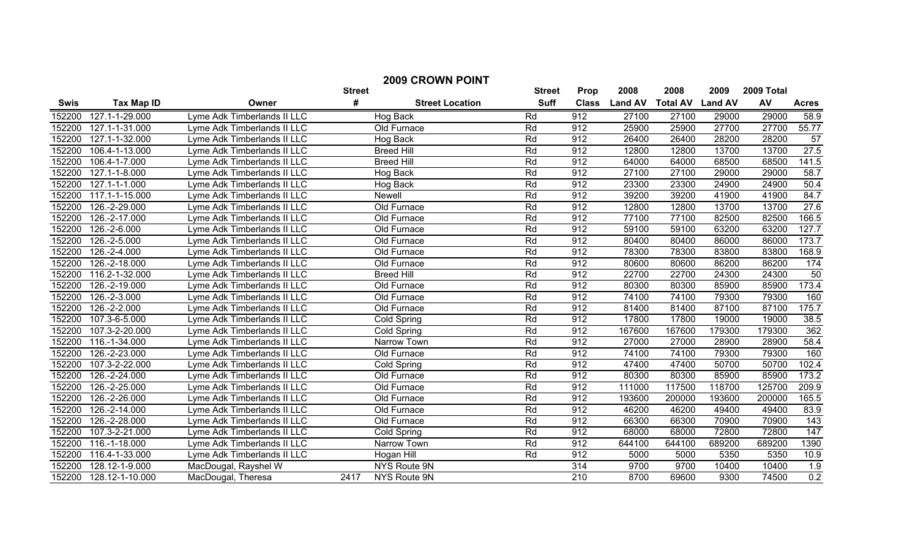| <b>2009 CROWN POINT</b> |                             |                             |      |                        |             |              |                |                 |                |        |                  |  |
|-------------------------|-----------------------------|-----------------------------|------|------------------------|-------------|--------------|----------------|-----------------|----------------|--------|------------------|--|
|                         |                             |                             |      | <b>Street</b>          | Prop        | 2008         | 2008           | 2009            | 2009 Total     |        |                  |  |
| <b>Swis</b>             | <b>Tax Map ID</b>           | Owner                       | #    | <b>Street Location</b> | <b>Suff</b> | <b>Class</b> | <b>Land AV</b> | <b>Total AV</b> | <b>Land AV</b> | AV     | <b>Acres</b>     |  |
| 152200                  | 127.1-1-29.000              | Lyme Adk Timberlands II LLC |      | Hog Back               | Rd          | 912          | 27100          | 27100           | 29000          | 29000  | 58.9             |  |
| 152200                  | 127.1-1-31.000              | Lyme Adk Timberlands II LLC |      | Old Furnace            | Rd          | 912          | 25900          | 25900           | 27700          | 27700  | 55.77            |  |
| 152200                  | 127.1-1-32.000              | Lyme Adk Timberlands II LLC |      | Hog Back               | Rd          | 912          | 26400          | 26400           | 28200          | 28200  | 57               |  |
| 152200                  | 106.4-1-13.000              | Lyme Adk Timberlands II LLC |      | <b>Breed Hill</b>      | Rd          | 912          | 12800          | 12800           | 13700          | 13700  | 27.5             |  |
| 152200                  | 106.4-1-7.000               | Lyme Adk Timberlands II LLC |      | <b>Breed Hill</b>      | Rd          | 912          | 64000          | 64000           | 68500          | 68500  | 141.5            |  |
| 152200                  | 127.1-1-8.000               | Lyme Adk Timberlands II LLC |      | Hog Back               | Rd          | 912          | 27100          | 27100           | 29000          | 29000  | 58.7             |  |
| 152200                  | 127.1-1-1.000               | Lyme Adk Timberlands II LLC |      | Hog Back               | Rd          | 912          | 23300          | 23300           | 24900          | 24900  | 50.4             |  |
| 152200                  | 117.1-1-15.000              | Lyme Adk Timberlands II LLC |      | Newell                 | Rd          | 912          | 39200          | 39200           | 41900          | 41900  | 84.7             |  |
| 152200                  | 126.-2-29.000               | Lyme Adk Timberlands II LLC |      | Old Furnace            | Rd          | 912          | 12800          | 12800           | 13700          | 13700  | 27.6             |  |
| 152200                  | 126.-2-17.000               | Lyme Adk Timberlands II LLC |      | Old Furnace            | Rd          | 912          | 77100          | 77100           | 82500          | 82500  | 166.5            |  |
| 152200                  | 126.-2-6.000                | Lyme Adk Timberlands II LLC |      | Old Furnace            | Rd          | 912          | 59100          | 59100           | 63200          | 63200  | 127.7            |  |
| 152200                  | 126.-2-5.000                | Lyme Adk Timberlands II LLC |      | Old Furnace            | Rd          | 912          | 80400          | 80400           | 86000          | 86000  | 173.7            |  |
| 152200                  | 126.-2-4.000                | Lyme Adk Timberlands II LLC |      | Old Furnace            | Rd          | 912          | 78300          | 78300           | 83800          | 83800  | 168.9            |  |
| 152200                  | 126.-2-18.000               | Lyme Adk Timberlands II LLC |      | Old Furnace            | Rd          | 912          | 80600          | 80600           | 86200          | 86200  | 174              |  |
| 152200                  | 116.2-1-32.000              | Lyme Adk Timberlands II LLC |      | <b>Breed Hill</b>      | Rd          | 912          | 22700          | 22700           | 24300          | 24300  | 50               |  |
| 152200                  | 126.-2-19.000               | Lyme Adk Timberlands II LLC |      | Old Furnace            | Rd          | 912          | 80300          | 80300           | 85900          | 85900  | 173.4            |  |
| 152200                  | 126.-2-3.000                | Lyme Adk Timberlands II LLC |      | Old Furnace            | Rd          | 912          | 74100          | 74100           | 79300          | 79300  | 160              |  |
| 152200                  | 126.-2-2.000                | Lyme Adk Timberlands II LLC |      | Old Furnace            | Rd          | 912          | 81400          | 81400           | 87100          | 87100  | 175.7            |  |
| 152200                  | 107.3-6-5.000               | Lyme Adk Timberlands II LLC |      | Cold Spring            | Rd          | 912          | 17800          | 17800           | 19000          | 19000  | 38.5             |  |
| 152200                  | 107.3-2-20.000              | Lyme Adk Timberlands II LLC |      | Cold Spring            | Rd          | 912          | 167600         | 167600          | 179300         | 179300 | 362              |  |
| 152200                  | 116.-1-34.000               | Lyme Adk Timberlands II LLC |      | Narrow Town            | Rd          | 912          | 27000          | 27000           | 28900          | 28900  | 58.4             |  |
| 152200                  | 126.-2-23.000               | Lyme Adk Timberlands II LLC |      | Old Furnace            | Rd          | 912          | 74100          | 74100           | 79300          | 79300  | 160              |  |
| 152200                  | 107.3-2-22.000              | Lyme Adk Timberlands II LLC |      | Cold Spring            | Rd          | 912          | 47400          | 47400           | 50700          | 50700  | 102.4            |  |
| 152200                  | $\overline{126}$ .-2-24.000 | Lyme Adk Timberlands II LLC |      | Old Furnace            | Rd          | 912          | 80300          | 80300           | 85900          | 85900  | 173.2            |  |
| 152200                  | 126.-2-25.000               | Lyme Adk Timberlands II LLC |      | Old Furnace            | Rd          | 912          | 111000         | 117500          | 118700         | 125700 | 209.9            |  |
| 152200                  | 126.-2-26.000               | Lyme Adk Timberlands II LLC |      | Old Furnace            | Rd          | 912          | 193600         | 200000          | 193600         | 200000 | 165.5            |  |
| 152200                  | 126.-2-14.000               | Lyme Adk Timberlands II LLC |      | Old Furnace            | Rd          | 912          | 46200          | 46200           | 49400          | 49400  | 83.9             |  |
| 152200                  | 126.-2-28.000               | Lyme Adk Timberlands II LLC |      | Old Furnace            | Rd          | 912          | 66300          | 66300           | 70900          | 70900  | $\overline{143}$ |  |
| 152200                  | 107.3-2-21.000              | Lyme Adk Timberlands II LLC |      | Cold Spring            | Rd          | 912          | 68000          | 68000           | 72800          | 72800  | 147              |  |
| 152200                  | 116.-1-18.000               | Lyme Adk Timberlands II LLC |      | Narrow Town            | Rd          | 912          | 644100         | 644100          | 689200         | 689200 | 1390             |  |
| 152200                  | 116.4-1-33.000              | Lyme Adk Timberlands II LLC |      | Hogan Hill             | Rd          | 912          | 5000           | 5000            | 5350           | 5350   | 10.9             |  |
| 152200                  | 128.12-1-9.000              | MacDougal, Rayshel W        |      | <b>NYS Route 9N</b>    |             | 314          | 9700           | 9700            | 10400          | 10400  | 1.9              |  |
| 152200                  | 128.12-1-10.000             | MacDougal, Theresa          | 2417 | NYS Route 9N           |             | 210          | 8700           | 69600           | 9300           | 74500  | 0.2              |  |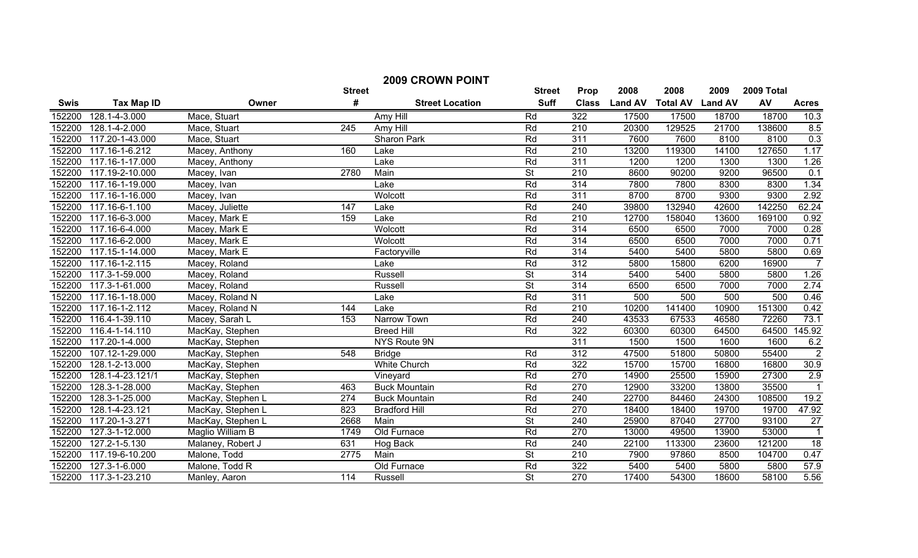|        | <b>2009 CROWN POINT</b> |                   |               |                        |                          |                  |                |                 |                |            |                 |
|--------|-------------------------|-------------------|---------------|------------------------|--------------------------|------------------|----------------|-----------------|----------------|------------|-----------------|
|        |                         |                   | <b>Street</b> |                        | <b>Street</b>            | Prop             | 2008           | 2008            | 2009           | 2009 Total |                 |
| Swis   | <b>Tax Map ID</b>       | Owner             | #             | <b>Street Location</b> | <b>Suff</b>              | <b>Class</b>     | <b>Land AV</b> | <b>Total AV</b> | <b>Land AV</b> | AV         | <b>Acres</b>    |
| 152200 | 128.1-4-3.000           | Mace, Stuart      |               | Amy Hill               | Rd                       | 322              | 17500          | 17500           | 18700          | 18700      | 10.3            |
| 152200 | 128.1-4-2.000           | Mace, Stuart      | 245           | Amy Hill               | Rd                       | 210              | 20300          | 129525          | 21700          | 138600     | 8.5             |
| 152200 | 117.20-1-43.000         | Mace, Stuart      |               | Sharon Park            | Rd                       | 311              | 7600           | 7600            | 8100           | 8100       | 0.3             |
| 152200 | 117.16-1-6.212          | Macey, Anthony    | 160           | Lake                   | Rd                       | 210              | 13200          | 119300          | 14100          | 127650     | 1.17            |
| 152200 | 117.16-1-17.000         | Macey, Anthony    |               | Lake                   | Rd                       | 311              | 1200           | 1200            | 1300           | 1300       | 1.26            |
| 152200 | 117.19-2-10.000         | Macey, Ivan       | 2780          | Main                   | $\overline{\mathsf{St}}$ | 210              | 8600           | 90200           | 9200           | 96500      | 0.1             |
| 152200 | 117.16-1-19.000         | Macey, Ivan       |               | Lake                   | Rd                       | 314              | 7800           | 7800            | 8300           | 8300       | 1.34            |
| 152200 | 117.16-1-16.000         | Macey, Ivan       |               | Wolcott                | Rd                       | 311              | 8700           | 8700            | 9300           | 9300       | 2.92            |
| 152200 | 117.16-6-1.100          | Macey, Juliette   | 147           | Lake                   | Rd                       | 240              | 39800          | 132940          | 42600          | 142250     | 62.24           |
| 152200 | 117.16-6-3.000          | Macey, Mark E     | 159           | Lake                   | Rd                       | 210              | 12700          | 158040          | 13600          | 169100     | 0.92            |
| 152200 | 117.16-6-4.000          | Macey, Mark E     |               | Wolcott                | Rd                       | 314              | 6500           | 6500            | 7000           | 7000       | 0.28            |
| 152200 | 117.16-6-2.000          | Macey, Mark E     |               | Wolcott                | Rd                       | 314              | 6500           | 6500            | 7000           | 7000       | 0.71            |
| 152200 | 117.15-1-14.000         | Macey, Mark E     |               | Factoryville           | Rd                       | 314              | 5400           | 5400            | 5800           | 5800       | 0.69            |
| 152200 | 117.16-1-2.115          | Macey, Roland     |               | Lake                   | Rd                       | 312              | 5800           | 15800           | 6200           | 16900      | $\overline{7}$  |
| 152200 | 117.3-1-59.000          | Macey, Roland     |               | Russell                | <b>St</b>                | 314              | 5400           | 5400            | 5800           | 5800       | 1.26            |
| 152200 | 117.3-1-61.000          | Macey, Roland     |               | Russell                | $\overline{\mathsf{St}}$ | 314              | 6500           | 6500            | 7000           | 7000       | 2.74            |
| 152200 | 117.16-1-18.000         | Macey, Roland N   |               | Lake                   | Rd                       | 311              | 500            | 500             | 500            | 500        | 0.46            |
| 152200 | 117.16-1-2.112          | Macey, Roland N   | 144           | Lake                   | Rd                       | $\overline{210}$ | 10200          | 141400          | 10900          | 151300     | 0.42            |
| 152200 | 116.4-1-39.110          | Macey, Sarah L    | 153           | Narrow Town            | Rd                       | 240              | 43533          | 67533           | 46580          | 72260      | 73.1            |
| 152200 | 116.4-1-14.110          | MacKay, Stephen   |               | <b>Breed Hill</b>      | Rd                       | 322              | 60300          | 60300           | 64500          | 64500      | 145.92          |
| 152200 | 117.20-1-4.000          | MacKay, Stephen   |               | NYS Route 9N           |                          | 311              | 1500           | 1500            | 1600           | 1600       | 6.2             |
| 152200 | 107.12-1-29.000         | MacKay, Stephen   | 548           | <b>Bridge</b>          | Rd                       | $\overline{312}$ | 47500          | 51800           | 50800          | 55400      | $\overline{2}$  |
| 152200 | 128.1-2-13.000          | MacKay, Stephen   |               | <b>White Church</b>    | Rd                       | 322              | 15700          | 15700           | 16800          | 16800      | 30.9            |
| 152200 | 128.1-4-23.121/1        | MacKay, Stephen   |               | Vineyard               | Rd                       | 270              | 14900          | 25500           | 15900          | 27300      | 2.9             |
| 152200 | 128.3-1-28.000          | MacKay, Stephen   | 463           | <b>Buck Mountain</b>   | Rd                       | 270              | 12900          | 33200           | 13800          | 35500      | $\overline{1}$  |
| 152200 | 128.3-1-25.000          | MacKay, Stephen L | 274           | <b>Buck Mountain</b>   | Rd                       | 240              | 22700          | 84460           | 24300          | 108500     | 19.2            |
| 152200 | 128.1-4-23.121          | MacKay, Stephen L | 823           | <b>Bradford Hill</b>   | Rd                       | 270              | 18400          | 18400           | 19700          | 19700      | 47.92           |
| 152200 | 117.20-1-3.271          | MacKay, Stephen L | 2668          | Main                   | <b>St</b>                | 240              | 25900          | 87040           | 27700          | 93100      | $\overline{27}$ |
| 152200 | 127.3-1-12.000          | Maglio William B  | 1749          | Old Furnace            | Rd                       | 270              | 13000          | 49500           | 13900          | 53000      | $\overline{1}$  |
| 152200 | 127.2-1-5.130           | Malaney, Robert J | 631           | Hog Back               | Rd                       | 240              | 22100          | 113300          | 23600          | 121200     | $\overline{18}$ |
| 152200 | 117.19-6-10.200         | Malone, Todd      | 2775          | Main                   | $\overline{\mathsf{St}}$ | 210              | 7900           | 97860           | 8500           | 104700     | 0.47            |
| 152200 | 127.3-1-6.000           | Malone, Todd R    |               | Old Furnace            | Rd                       | 322              | 5400           | 5400            | 5800           | 5800       | 57.9            |
| 152200 | 117.3-1-23.210          | Manley, Aaron     | 114           | Russell                | $\overline{\mathsf{St}}$ | 270              | 17400          | 54300           | 18600          | 58100      | 5.56            |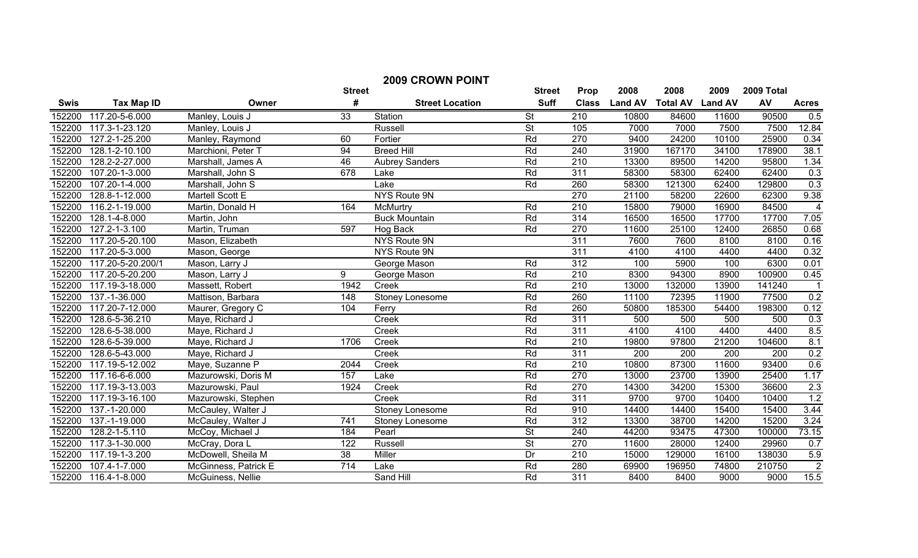| <b>2009 CROWN POINT</b> |                                |                      |                  |                        |                          |                  |                  |                 |                |                  |                |
|-------------------------|--------------------------------|----------------------|------------------|------------------------|--------------------------|------------------|------------------|-----------------|----------------|------------------|----------------|
|                         |                                |                      | <b>Street</b>    |                        | <b>Street</b>            | Prop             | 2008             | 2008            | 2009           | 2009 Total       |                |
| <b>Swis</b>             | <b>Tax Map ID</b>              | Owner                | #                | <b>Street Location</b> | <b>Suff</b>              | <b>Class</b>     | <b>Land AV</b>   | <b>Total AV</b> | <b>Land AV</b> | AV               | <b>Acres</b>   |
| 152200                  | 117.20-5-6.000                 | Manley, Louis J      | 33               | Station                | <b>St</b>                | 210              | 10800            | 84600           | 11600          | 90500            | 0.5            |
| 152200                  | 117.3-1-23.120                 | Manley, Louis J      |                  | Russell                | $\overline{\mathsf{St}}$ | 105              | 7000             | 7000            | 7500           | 7500             | 12.84          |
| 152200                  | 127.2-1-25.200                 | Manley, Raymond      | 60               | Fortier                | Rd                       | 270              | 9400             | 24200           | 10100          | 25900            | 0.34           |
| 152200                  | 128.1-2-10.100                 | Marchioni, Peter T   | 94               | <b>Breed Hill</b>      | Rd                       | 240              | 31900            | 167170          | 34100          | 178900           | 38.1           |
| 152200                  | 128.2-2-27.000                 | Marshall, James A    | 46               | <b>Aubrey Sanders</b>  | Rd                       | 210              | 13300            | 89500           | 14200          | 95800            | 1.34           |
| 152200                  | $\overline{107}$ .20-1-3.000   | Marshall, John S     | 678              | Lake                   | Rd                       | 311              | 58300            | 58300           | 62400          | 62400            | 0.3            |
| 152200                  | 107.20-1-4.000                 | Marshall, John S     |                  | Lake                   | Rd                       | 260              | 58300            | 121300          | 62400          | 129800           | 0.3            |
| 152200                  | 128.8-1-12.000                 | Martell Scott E      |                  | <b>NYS Route 9N</b>    |                          | 270              | 21100            | 58200           | 22600          | 62300            | 9.38           |
| 152200                  | 116.2-1-19.000                 | Martin, Donald H     | 164              | McMurtry               | Rd                       | 210              | 15800            | 79000           | 16900          | 84500            | $\overline{4}$ |
| 152200                  | 128.1-4-8.000                  | Martin, John         |                  | <b>Buck Mountain</b>   | Rd                       | 314              | 16500            | 16500           | 17700          | 17700            | 7.05           |
| 152200                  | 127.2-1-3.100                  | Martin, Truman       | 597              | Hog Back               | Rd                       | 270              | 11600            | 25100           | 12400          | 26850            | 0.68           |
| 152200                  | 117.20-5-20.100                | Mason, Elizabeth     |                  | NYS Route 9N           |                          | 311              | 7600             | 7600            | 8100           | 8100             | 0.16           |
| 152200                  | 117.20-5-3.000                 | Mason, George        |                  | NYS Route 9N           |                          | 311              | 4100             | 4100            | 4400           | 4400             | 0.32           |
| 152200                  | 117.20-5-20.200/1              | Mason, Larry J       |                  | George Mason           | Rd                       | 312              | 100              | 5900            | 100            | 6300             | 0.01           |
| 152200                  | 117.20-5-20.200                | Mason, Larry J       | 9                | George Mason           | Rd                       | 210              | 8300             | 94300           | 8900           | 100900           | 0.45           |
| 152200                  | 117.19-3-18.000                | Massett, Robert      | 1942             | Creek                  | Rd                       | 210              | 13000            | 132000          | 13900          | 141240           | $\overline{1}$ |
| 152200                  | 137.-1-36.000                  | Mattison, Barbara    | 148              | Stoney Lonesome        | Rd                       | 260              | 11100            | 72395           | 11900          | 77500            | 0.2            |
| 152200                  | 117.20-7-12.000                | Maurer, Gregory C    | 104              | Ferry                  | Rd                       | 260              | 50800            | 185300          | 54400          | 198300           | 0.12           |
| 152200                  | 128.6-5-36.210                 | Maye, Richard J      |                  | Creek                  | Rd                       | 311              | 500              | 500             | 500            | 500              | 0.3            |
| 152200                  | 128.6-5-38.000                 | Maye, Richard J      |                  | Creek                  | Rd                       | 311              | 4100             | 4100            | 4400           | 4400             | 8.5            |
| 152200                  | 128.6-5-39.000                 | Maye, Richard J      | 1706             | Creek                  | Rd                       | 210              | 19800            | 97800           | 21200          | 104600           | 8.1            |
| 152200                  | 128.6-5-43.000                 | Maye, Richard J      |                  | Creek                  | Rd                       | 311              | $\overline{200}$ | 200             | 200            | $\overline{200}$ | 0.2            |
| 152200                  | 117.19-5-12.002                | Maye, Suzanne P      | 2044             | Creek                  | Rd                       | $\overline{210}$ | 10800            | 87300           | 11600          | 93400            | 0.6            |
| 152200                  | 117.16-6-6.000                 | Mazurowski, Doris M  | 157              | Lake                   | Rd                       | 270              | 13000            | 23700           | 13900          | 25400            | 1.17           |
| 152200                  | 117.19-3-13.003                | Mazurowski, Paul     | 1924             | Creek                  | Rd                       | 270              | 14300            | 34200           | 15300          | 36600            | 2.3            |
| 152200                  | 117.19-3-16.100                | Mazurowski, Stephen  |                  | Creek                  | Rd                       | 311              | 9700             | 9700            | 10400          | 10400            | 1.2            |
| 152200                  | 137.-1-20.000                  | McCauley, Walter J   |                  | Stoney Lonesome        | Rd                       | 910              | 14400            | 14400           | 15400          | 15400            | 3.44           |
| 152200                  | 137.-1-19.000                  | McCauley, Walter J   | 741              | Stoney Lonesome        | Rd                       | 312              | 13300            | 38700           | 14200          | 15200            | 3.24           |
| 152200                  | 128.2-1-5.110                  | McCoy, Michael J     | 184              | Pearl                  | <b>St</b>                | 240              | 44200            | 93475           | 47300          | 100000           | 73.15          |
| 152200                  | 117.3-1-30.000                 | McCray, Dora L       | 122              | Russell                | $\overline{\mathsf{St}}$ | 270              | 11600            | 28000           | 12400          | 29960            | 0.7            |
| 152200                  | 117.19-1-3.200                 | McDowell, Sheila M   | 38               | Miller                 | Dr                       | $\overline{210}$ | 15000            | 129000          | 16100          | 138030           | 5.9            |
| 152200                  | 107.4-1-7.000                  | McGinness, Patrick E | $\overline{714}$ | Lake                   | Rd                       | 280              | 69900            | 196950          | 74800          | 210750           | $\overline{2}$ |
| 152200                  | $\overline{116.4} - 1 - 8.000$ | McGuiness, Nellie    |                  | Sand Hill              | Rd                       | 311              | 8400             | 8400            | 9000           | 9000             | 15.5           |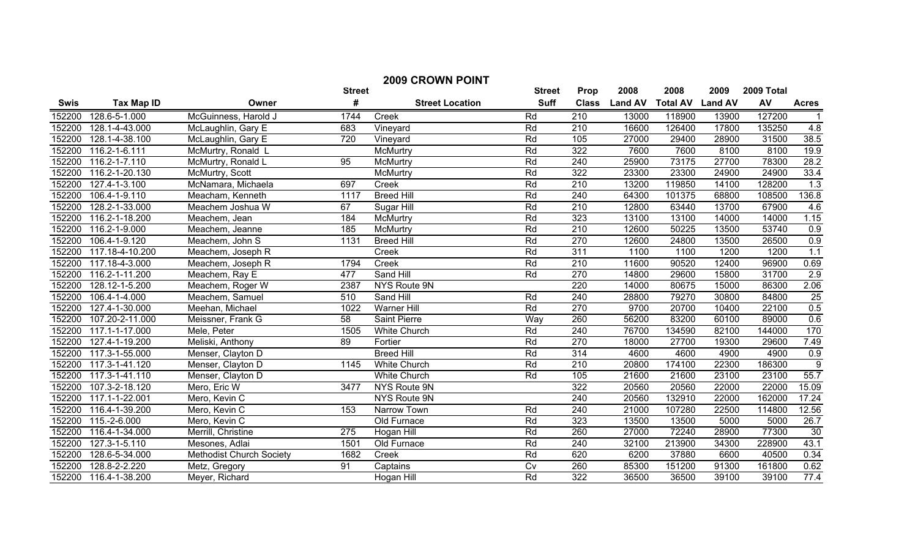| <b>2009 CROWN POINT</b> |                      |                                 |               |                        |                |                  |                |                 |                |            |                |
|-------------------------|----------------------|---------------------------------|---------------|------------------------|----------------|------------------|----------------|-----------------|----------------|------------|----------------|
|                         |                      |                                 | <b>Street</b> |                        | <b>Street</b>  | Prop             | 2008           | 2008            | 2009           | 2009 Total |                |
| <b>Swis</b>             | <b>Tax Map ID</b>    | Owner                           | #             | <b>Street Location</b> | <b>Suff</b>    | <b>Class</b>     | <b>Land AV</b> | <b>Total AV</b> | <b>Land AV</b> | AV         | <b>Acres</b>   |
| 152200                  | 128.6-5-1.000        | McGuinness, Harold J            | 1744          | Creek                  | Rd             | 210              | 13000          | 118900          | 13900          | 127200     |                |
| 152200                  | 128.1-4-43.000       | McLaughlin, Gary E              | 683           | Vineyard               | Rd             | 210              | 16600          | 126400          | 17800          | 135250     | 4.8            |
| 152200                  | 128.1-4-38.100       | McLaughlin, Gary E              | 720           | Vineyard               | Rd             | 105              | 27000          | 29400           | 28900          | 31500      | 38.5           |
| 152200                  | 116.2-1-6.111        | McMurtry, Ronald L              |               | McMurtry               | Rd             | 322              | 7600           | 7600            | 8100           | 8100       | 19.9           |
| 152200                  | 116.2-1-7.110        | McMurtry, Ronald L              | 95            | McMurtry               | Rd             | 240              | 25900          | 73175           | 27700          | 78300      | 28.2           |
| 152200                  | 116.2-1-20.130       | McMurtry, Scott                 |               | McMurtry               | Rd             | 322              | 23300          | 23300           | 24900          | 24900      | 33.4           |
| 152200                  | 127.4-1-3.100        | McNamara, Michaela              | 697           | Creek                  | Rd             | 210              | 13200          | 119850          | 14100          | 128200     | 1.3            |
| 152200                  | 106.4-1-9.110        | Meacham, Kenneth                | 1117          | <b>Breed Hill</b>      | Rd             | 240              | 64300          | 101375          | 68800          | 108500     | 136.8          |
| 152200                  | 128.2-1-33.000       | Meachem Joshua W                | 67            | Sugar Hill             | Rd             | $\overline{210}$ | 12800          | 63440           | 13700          | 67900      | 4.6            |
| 152200                  | 116.2-1-18.200       | Meachem, Jean                   | 184           | McMurtry               | Rd             | 323              | 13100          | 13100           | 14000          | 14000      | 1.15           |
| 152200                  | 116.2-1-9.000        | Meachem, Jeanne                 | 185           | McMurtry               | Rd             | $\overline{210}$ | 12600          | 50225           | 13500          | 53740      | 0.9            |
| 152200                  | 106.4-1-9.120        | Meachem, John S                 | 1131          | <b>Breed Hill</b>      | Rd             | 270              | 12600          | 24800           | 13500          | 26500      | 0.9            |
| 152200                  | 117.18-4-10.200      | Meachem, Joseph R               |               | Creek                  | Rd             | 311              | 1100           | 1100            | 1200           | 1200       | 1.1            |
| 152200                  | 117.18-4-3.000       | Meachem, Joseph R               | 1794          | Creek                  | Rd             | $\overline{210}$ | 11600          | 90520           | 12400          | 96900      | 0.69           |
| 152200                  | 116.2-1-11.200       | Meachem, Ray E                  | 477           | Sand Hill              | Rd             | 270              | 14800          | 29600           | 15800          | 31700      | 2.9            |
| 152200                  | 128.12-1-5.200       | Meachem, Roger W                | 2387          | NYS Route 9N           |                | 220              | 14000          | 80675           | 15000          | 86300      | 2.06           |
| 152200                  | 106.4-1-4.000        | Meachem, Samuel                 | 510           | Sand Hill              | Rd             | 240              | 28800          | 79270           | 30800          | 84800      | 25             |
| 152200                  | 127.4-1-30.000       | Meehan, Michael                 | 1022          | <b>Warner Hill</b>     | Rd             | 270              | 9700           | 20700           | 10400          | 22100      | 0.5            |
| 152200                  | 107.20-2-11.000      | Meissner, Frank G               | 58            | <b>Saint Pierre</b>    | Way            | 260              | 56200          | 83200           | 60100          | 89000      | 0.6            |
| 152200                  | 117.1-1-17.000       | Mele, Peter                     | 1505          | White Church           | Rd             | 240              | 76700          | 134590          | 82100          | 144000     | 170            |
| 152200                  | 127.4-1-19.200       | Meliski, Anthony                | 89            | Fortier                | Rd             | 270              | 18000          | 27700           | 19300          | 29600      | 7.49           |
| 152200                  | 117.3-1-55.000       | Menser, Clayton D               |               | <b>Breed Hill</b>      | Rd             | 314              | 4600           | 4600            | 4900           | 4900       | 0.9            |
| 152200                  | 117.3-1-41.120       | Menser, Clayton D               | 1145          | <b>White Church</b>    | Rd             | 210              | 20800          | 174100          | 22300          | 186300     | $\overline{9}$ |
| 152200                  | 117.3-1-41.110       | Menser, Clayton D               |               | <b>White Church</b>    | Rd             | 105              | 21600          | 21600           | 23100          | 23100      | 55.7           |
| 152200                  | $107.3 - 2 - 18.120$ | Mero, Eric W                    | 3477          | NYS Route 9N           |                | 322              | 20560          | 20560           | 22000          | 22000      | 15.09          |
| 152200                  | 117.1-1-22.001       | Mero, Kevin C                   |               | NYS Route 9N           |                | 240              | 20560          | 132910          | 22000          | 162000     | 17.24          |
| 152200                  | 116.4-1-39.200       | Mero, Kevin C                   | 153           | Narrow Town            | Rd             | 240              | 21000          | 107280          | 22500          | 114800     | 12.56          |
| 152200                  | 115.-2-6.000         | Mero, Kevin C                   |               | Old Furnace            | Rd             | 323              | 13500          | 13500           | 5000           | 5000       | 26.7           |
| 152200                  | 116.4-1-34.000       | Merrill, Christine              | 275           | Hogan Hill             | Rd             | 260              | 27000          | 72240           | 28900          | 77300      | 30             |
| 152200                  | 127.3-1-5.110        | Mesones, Adlai                  | 1501          | Old Furnace            | Rd             | 240              | 32100          | 213900          | 34300          | 228900     | 43.1           |
| 152200                  | 128.6-5-34.000       | <b>Methodist Church Society</b> | 1682          | Creek                  | Rd             | 620              | 6200           | 37880           | 6600           | 40500      | 0.34           |
| 152200                  | 128.8-2-2.220        | Metz, Gregory                   | 91            | Captains               | $\overline{C}$ | 260              | 85300          | 151200          | 91300          | 161800     | 0.62           |
| 152200                  | 116.4-1-38.200       | Meyer, Richard                  |               | Hogan Hill             | Rd             | $\overline{322}$ | 36500          | 36500           | 39100          | 39100      | 77.4           |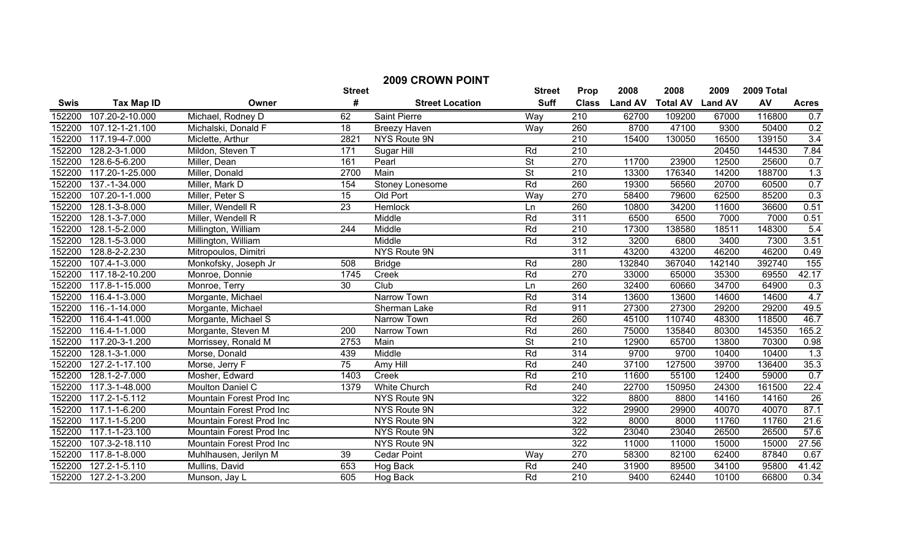| <b>2009 CROWN POINT</b> |                   |                          |                  |                        |                          |                  |                |                 |                |            |              |
|-------------------------|-------------------|--------------------------|------------------|------------------------|--------------------------|------------------|----------------|-----------------|----------------|------------|--------------|
|                         |                   |                          | <b>Street</b>    |                        | <b>Street</b>            | Prop             | 2008           | 2008            | 2009           | 2009 Total |              |
| <b>Swis</b>             | <b>Tax Map ID</b> | Owner                    | #                | <b>Street Location</b> | <b>Suff</b>              | <b>Class</b>     | <b>Land AV</b> | <b>Total AV</b> | <b>Land AV</b> | AV         | <b>Acres</b> |
| 152200                  | 107.20-2-10.000   | Michael, Rodney D        | 62               | <b>Saint Pierre</b>    | Way                      | 210              | 62700          | 109200          | 67000          | 116800     | 0.7          |
| 152200                  | 107.12-1-21.100   | Michalski, Donald F      | 18               | Breezy Haven           | Way                      | 260              | 8700           | 47100           | 9300           | 50400      | 0.2          |
| 152200                  | 117.19-4-7.000    | Miclette, Arthur         | 2821             | <b>NYS Route 9N</b>    |                          | $\overline{210}$ | 15400          | 130050          | 16500          | 139150     | 3.4          |
| 152200                  | 128.2-3-1.000     | Mildon, Steven T         | 171              | Sugar Hill             | Rd                       | 210              |                |                 | 20450          | 144530     | 7.84         |
| 152200                  | 128.6-5-6.200     | Miller, Dean             | 161              | Pearl                  | $\overline{\mathsf{St}}$ | 270              | 11700          | 23900           | 12500          | 25600      | 0.7          |
| 152200                  | 117.20-1-25.000   | Miller, Donald           | 2700             | Main                   | <b>St</b>                | 210              | 13300          | 176340          | 14200          | 188700     | 1.3          |
| 152200                  | 137.-1-34.000     | Miller, Mark D           | 154              | Stoney Lonesome        | Rd                       | 260              | 19300          | 56560           | 20700          | 60500      | 0.7          |
| 152200                  | 107.20-1-1.000    | Miller, Peter S          | 15               | Old Port               | Way                      | 270              | 58400          | 79600           | 62500          | 85200      | 0.3          |
| 152200                  | 128.1-3-8.000     | Miller, Wendell R        | 23               | Hemlock                | Ln                       | 260              | 10800          | 34200           | 11600          | 36600      | 0.51         |
| 152200                  | 128.1-3-7.000     | Miller, Wendell R        |                  | Middle                 | Rd                       | 311              | 6500           | 6500            | 7000           | 7000       | 0.51         |
| 152200                  | 128.1-5-2.000     | Millington, William      | $\overline{244}$ | Middle                 | Rd                       | 210              | 17300          | 138580          | 18511          | 148300     | 5.4          |
| 152200                  | 128.1-5-3.000     | Millington, William      |                  | Middle                 | Rd                       | 312              | 3200           | 6800            | 3400           | 7300       | 3.51         |
| 152200                  | 128.8-2-2.230     | Mitropoulos, Dimitri     |                  | NYS Route 9N           |                          | 311              | 43200          | 43200           | 46200          | 46200      | 0.49         |
| 152200                  | 107.4-1-3.000     | Monkofsky, Joseph Jr     | 508              | <b>Bridge</b>          | Rd                       | 280              | 132840         | 367040          | 142140         | 392740     | 155          |
| 152200                  | 117.18-2-10.200   | Monroe, Donnie           | 1745             | Creek                  | Rd                       | 270              | 33000          | 65000           | 35300          | 69550      | 42.17        |
| 152200                  | 117.8-1-15.000    | Monroe, Terry            | 30               | Club                   | Ln                       | 260              | 32400          | 60660           | 34700          | 64900      | 0.3          |
| 152200                  | 116.4-1-3.000     | Morgante, Michael        |                  | Narrow Town            | Rd                       | 314              | 13600          | 13600           | 14600          | 14600      | 4.7          |
| 152200                  | 116.-1-14.000     | Morgante, Michael        |                  | Sherman Lake           | Rd                       | 911              | 27300          | 27300           | 29200          | 29200      | 49.5         |
| 152200                  | 116.4-1-41.000    | Morgante, Michael S      |                  | Narrow Town            | Rd                       | 260              | 45100          | 110740          | 48300          | 118500     | 46.7         |
| 152200                  | 116.4-1-1.000     | Morgante, Steven M       | 200              | Narrow Town            | Rd                       | 260              | 75000          | 135840          | 80300          | 145350     | 165.2        |
| 152200                  | 117.20-3-1.200    | Morrissey, Ronald M      | 2753             | Main                   | $\overline{\mathsf{St}}$ | 210              | 12900          | 65700           | 13800          | 70300      | 0.98         |
| 152200                  | 128.1-3-1.000     | Morse, Donald            | 439              | Middle                 | Rd                       | 314              | 9700           | 9700            | 10400          | 10400      | 1.3          |
| 152200                  | 127.2-1-17.100    | Morse, Jerry F           | 75               | Amy Hill               | Rd                       | 240              | 37100          | 127500          | 39700          | 136400     | 35.3         |
| 152200                  | 128.1-2-7.000     | Mosher, Edward           | 1403             | Creek                  | Rd                       | 210              | 11600          | 55100           | 12400          | 59000      | 0.7          |
| 152200                  | 117.3-1-48.000    | Moulton Daniel C         | 1379             | White Church           | Rd                       | 240              | 22700          | 150950          | 24300          | 161500     | 22.4         |
| 152200                  | 117.2-1-5.112     | Mountain Forest Prod Inc |                  | NYS Route 9N           |                          | 322              | 8800           | 8800            | 14160          | 14160      | 26           |
| 152200                  | 117.1-1-6.200     | Mountain Forest Prod Inc |                  | NYS Route 9N           |                          | 322              | 29900          | 29900           | 40070          | 40070      | 87.1         |
| 152200                  | 117.1-1-5.200     | Mountain Forest Prod Inc |                  | NYS Route 9N           |                          | 322              | 8000           | 8000            | 11760          | 11760      | 21.6         |
| 152200                  | 117.1-1-23.100    | Mountain Forest Prod Inc |                  | NYS Route 9N           |                          | 322              | 23040          | 23040           | 26500          | 26500      | 57.6         |
| 152200                  | 107.3-2-18.110    | Mountain Forest Prod Inc |                  | NYS Route 9N           |                          | 322              | 11000          | 11000           | 15000          | 15000      | 27.56        |
| 152200                  | 117.8-1-8.000     | Muhlhausen, Jerilyn M    | 39               | <b>Cedar Point</b>     | Way                      | 270              | 58300          | 82100           | 62400          | 87840      | 0.67         |
| 152200                  | 127.2-1-5.110     | Mullins, David           | 653              | Hog Back               | Rd                       | $\overline{240}$ | 31900          | 89500           | 34100          | 95800      | 41.42        |
| 152200                  | 127.2-1-3.200     | Munson, Jay L            | 605              | Hog Back               | Rd                       | 210              | 9400           | 62440           | 10100          | 66800      | 0.34         |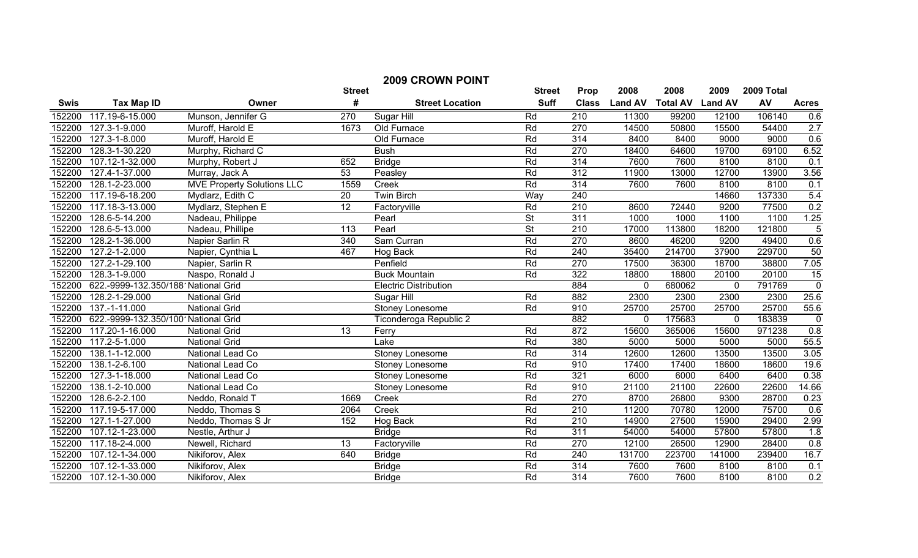| <b>2009 CROWN POINT</b> |                                     |                                   |                 |                              |                          |                  |                |                 |                |            |                 |
|-------------------------|-------------------------------------|-----------------------------------|-----------------|------------------------------|--------------------------|------------------|----------------|-----------------|----------------|------------|-----------------|
|                         |                                     |                                   | <b>Street</b>   |                              | <b>Street</b>            | Prop             | 2008           | 2008            | 2009           | 2009 Total |                 |
| <b>Swis</b>             | <b>Tax Map ID</b>                   | Owner                             | #               | <b>Street Location</b>       | <b>Suff</b>              | <b>Class</b>     | <b>Land AV</b> | <b>Total AV</b> | <b>Land AV</b> | AV         | <b>Acres</b>    |
| 152200                  | 117.19-6-15.000                     | Munson, Jennifer G                | 270             | Sugar Hill                   | Rd                       | 210              | 11300          | 99200           | 12100          | 106140     | 0.6             |
| 152200                  | 127.3-1-9.000                       | Muroff, Harold E                  | 1673            | Old Furnace                  | Rd                       | 270              | 14500          | 50800           | 15500          | 54400      | 2.7             |
| 152200                  | 127.3-1-8.000                       | Muroff, Harold E                  |                 | Old Furnace                  | Rd                       | 314              | 8400           | 8400            | 9000           | 9000       | 0.6             |
| 152200                  | 128.3-1-30.220                      | Murphy, Richard C                 |                 | <b>Bush</b>                  | Rd                       | 270              | 18400          | 64600           | 19700          | 69100      | 6.52            |
| 152200                  | 107.12-1-32.000                     | Murphy, Robert J                  | 652             | <b>Bridge</b>                | Rd                       | 314              | 7600           | 7600            | 8100           | 8100       | 0.1             |
| 152200                  | 127.4-1-37.000                      | Murray, Jack A                    | 53              | Peasley                      | Rd                       | 312              | 11900          | 13000           | 12700          | 13900      | 3.56            |
| 152200                  | 128.1-2-23.000                      | <b>MVE Property Solutions LLC</b> | 1559            | Creek                        | Rd                       | 314              | 7600           | 7600            | 8100           | 8100       | 0.1             |
| 152200                  | 117.19-6-18.200                     | Mydlarz, Edith C                  | 20              | <b>Twin Birch</b>            | Way                      | 240              |                |                 | 14660          | 137330     | 5.4             |
| 152200                  | 117.18-3-13.000                     | Mydlarz, Stephen E                | $\overline{12}$ | Factoryville                 | Rd                       | 210              | 8600           | 72440           | 9200           | 77500      | 0.2             |
| 152200                  | 128.6-5-14.200                      | Nadeau, Philippe                  |                 | Pearl                        | $\overline{\mathsf{St}}$ | 311              | 1000           | 1000            | 1100           | 1100       | 1.25            |
| 152200                  | 128.6-5-13.000                      | Nadeau, Phillipe                  | 113             | Pearl                        | $\overline{\mathsf{St}}$ | 210              | 17000          | 113800          | 18200          | 121800     | $\overline{5}$  |
| 152200                  | 128.2-1-36.000                      | Napier Sarlin R                   | 340             | Sam Curran                   | Rd                       | 270              | 8600           | 46200           | 9200           | 49400      | 0.6             |
| 152200                  | 127.2-1-2.000                       | Napier, Cynthia L                 | 467             | Hog Back                     | Rd                       | 240              | 35400          | 214700          | 37900          | 229700     | 50              |
| 152200                  | 127.2-1-29.100                      | Napier, Sarlin R                  |                 | Penfield                     | Rd                       | 270              | 17500          | 36300           | 18700          | 38800      | 7.05            |
| 152200                  | 128.3-1-9.000                       | Naspo, Ronald J                   |                 | <b>Buck Mountain</b>         | Rd                       | 322              | 18800          | 18800           | 20100          | 20100      | $\overline{15}$ |
| 152200                  | 622.-9999-132.350/188 National Grid |                                   |                 | <b>Electric Distribution</b> |                          | 884              | 0              | 680062          | $\mathbf 0$    | 791769     | $\overline{0}$  |
| 152200                  | 128.2-1-29.000                      | <b>National Grid</b>              |                 | Sugar Hill                   | Rd                       | 882              | 2300           | 2300            | 2300           | 2300       | 25.6            |
| 152200                  | 137.-1-11.000                       | <b>National Grid</b>              |                 | <b>Stoney Lonesome</b>       | Rd                       | 910              | 25700          | 25700           | 25700          | 25700      | 55.6            |
| 152200                  | 622.-9999-132.350/100 National Grid |                                   |                 | Ticonderoga Republic 2       |                          | 882              | $\mathbf{0}$   | 175683          | $\overline{0}$ | 183839     | $\overline{0}$  |
| 152200                  | 117.20-1-16.000                     | <b>National Grid</b>              | $\overline{13}$ | Ferry                        | Rd                       | 872              | 15600          | 365006          | 15600          | 971238     | 0.8             |
| 152200                  | 117.2-5-1.000                       | <b>National Grid</b>              |                 | Lake                         | Rd                       | 380              | 5000           | 5000            | 5000           | 5000       | 55.5            |
| 152200                  | 138.1-1-12.000                      | National Lead Co                  |                 | Stoney Lonesome              | Rd                       | 314              | 12600          | 12600           | 13500          | 13500      | 3.05            |
| 152200                  | 138.1-2-6.100                       | National Lead Co                  |                 | Stoney Lonesome              | Rd                       | 910              | 17400          | 17400           | 18600          | 18600      | 19.6            |
| 152200                  | 127.3-1-18.000                      | National Lead Co                  |                 | Stoney Lonesome              | Rd                       | 321              | 6000           | 6000            | 6400           | 6400       | 0.38            |
| 152200                  | 138.1-2-10.000                      | National Lead Co                  |                 | Stoney Lonesome              | Rd                       | 910              | 21100          | 21100           | 22600          | 22600      | 14.66           |
| 152200                  | 128.6-2-2.100                       | Neddo, Ronald T                   | 1669            | Creek                        | Rd                       | 270              | 8700           | 26800           | 9300           | 28700      | 0.23            |
| 152200                  | 117.19-5-17.000                     | Neddo, Thomas S                   | 2064            | Creek                        | Rd                       | 210              | 11200          | 70780           | 12000          | 75700      | 0.6             |
| 152200                  | 127.1-1-27.000                      | Neddo, Thomas S Jr                | 152             | Hog Back                     | Rd                       | 210              | 14900          | 27500           | 15900          | 29400      | 2.99            |
| 152200                  | 107.12-1-23.000                     | Nestle, Arthur J                  |                 | <b>Bridge</b>                | Rd                       | $\overline{311}$ | 54000          | 54000           | 57800          | 57800      | 1.8             |
| 152200                  | 117.18-2-4.000                      | Newell, Richard                   | $\overline{13}$ | Factoryville                 | Rd                       | 270              | 12100          | 26500           | 12900          | 28400      | 0.8             |
| 152200                  | 107.12-1-34.000                     | Nikiforov, Alex                   | 640             | <b>Bridge</b>                | Rd                       | 240              | 131700         | 223700          | 141000         | 239400     | 16.7            |
| 152200                  | 107.12-1-33.000                     | Nikiforov, Alex                   |                 | <b>Bridge</b>                | Rd                       | 314              | 7600           | 7600            | 8100           | 8100       | 0.1             |
| 152200                  | 107.12-1-30.000                     | Nikiforov, Alex                   |                 | <b>Bridge</b>                | Rd                       | $\overline{314}$ | 7600           | 7600            | 8100           | 8100       | 0.2             |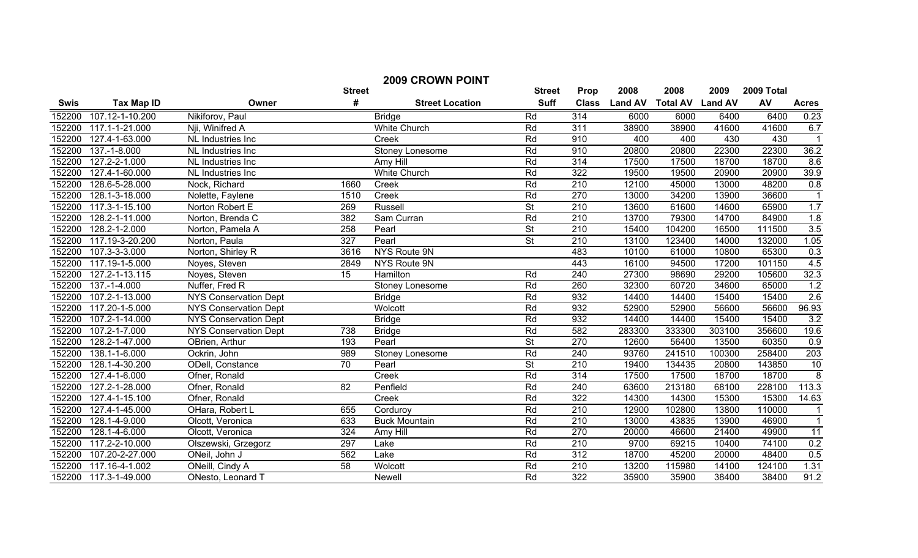|             | <b>2009 CROWN POINT</b> |                              |                 |                        |                          |                  |                |                         |        |            |                  |
|-------------|-------------------------|------------------------------|-----------------|------------------------|--------------------------|------------------|----------------|-------------------------|--------|------------|------------------|
|             |                         |                              | <b>Street</b>   |                        | <b>Street</b>            | Prop             | 2008           | 2008                    | 2009   | 2009 Total |                  |
| <b>Swis</b> | <b>Tax Map ID</b>       | Owner                        | #               | <b>Street Location</b> | <b>Suff</b>              | <b>Class</b>     | <b>Land AV</b> | <b>Total AV Land AV</b> |        | AV         | <b>Acres</b>     |
| 152200      | 107.12-1-10.200         | Nikiforov, Paul              |                 | <b>Bridge</b>          | Rd                       | 314              | 6000           | 6000                    | 6400   | 6400       | 0.23             |
| 152200      | 117.1-1-21.000          | Nii, Winifred A              |                 | <b>White Church</b>    | Rd                       | 311              | 38900          | 38900                   | 41600  | 41600      | 6.7              |
| 152200      | 127.4-1-63.000          | NL Industries Inc            |                 | Creek                  | Rd                       | 910              | 400            | 400                     | 430    | 430        |                  |
| 152200      | 137.-1-8.000            | NL Industries Inc            |                 | <b>Stoney Lonesome</b> | Rd                       | 910              | 20800          | 20800                   | 22300  | 22300      | 36.2             |
| 152200      | 127.2-2-1.000           | NL Industries Inc            |                 | Amy Hill               | Rd                       | 314              | 17500          | 17500                   | 18700  | 18700      | 8.6              |
| 152200      | 127.4-1-60.000          | NL Industries Inc            |                 | White Church           | Rd                       | 322              | 19500          | 19500                   | 20900  | 20900      | 39.9             |
| 152200      | 128.6-5-28.000          | Nock, Richard                | 1660            | Creek                  | Rd                       | 210              | 12100          | 45000                   | 13000  | 48200      | 0.8              |
| 152200      | 128.1-3-18.000          | Nolette, Faylene             | 1510            | Creek                  | Rd                       | 270              | 13000          | 34200                   | 13900  | 36600      | $\overline{1}$   |
| 152200      | 117.3-1-15.100          | Norton Robert E              | 269             | <b>Russell</b>         | <b>St</b>                | 210              | 13600          | 61600                   | 14600  | 65900      | 1.7              |
| 152200      | 128.2-1-11.000          | Norton, Brenda C             | 382             | Sam Curran             | Rd                       | $\overline{210}$ | 13700          | 79300                   | 14700  | 84900      | 1.8              |
| 152200      | 128.2-1-2.000           | Norton, Pamela A             | 258             | Pearl                  | <b>St</b>                | $\overline{210}$ | 15400          | 104200                  | 16500  | 111500     | 3.5              |
| 152200      | 117.19-3-20.200         | Norton, Paula                | 327             | Pearl                  | <b>St</b>                | 210              | 13100          | 123400                  | 14000  | 132000     | 1.05             |
| 152200      | 107.3-3-3.000           | Norton, Shirley R            | 3616            | NYS Route 9N           |                          | 483              | 10100          | 61000                   | 10800  | 65300      | 0.3              |
| 152200      | $117.19 - 1 - 5.000$    | Noyes, Steven                | 2849            | NYS Route 9N           |                          | 443              | 16100          | 94500                   | 17200  | 101150     | 4.5              |
| 152200      | 127.2-1-13.115          | Noyes, Steven                | 15              | <b>Hamilton</b>        | Rd                       | 240              | 27300          | 98690                   | 29200  | 105600     | 32.3             |
| 152200      | 137.-1-4.000            | Nuffer, Fred R               |                 | Stoney Lonesome        | Rd                       | 260              | 32300          | 60720                   | 34600  | 65000      | 1.2              |
| 152200      | 107.2-1-13.000          | <b>NYS Conservation Dept</b> |                 | <b>Bridge</b>          | Rd                       | 932              | 14400          | 14400                   | 15400  | 15400      | 2.6              |
| 152200      | 117.20-1-5.000          | <b>NYS Conservation Dept</b> |                 | Wolcott                | Rd                       | 932              | 52900          | 52900                   | 56600  | 56600      | 96.93            |
| 152200      | 107.2-1-14.000          | <b>NYS Conservation Dept</b> |                 | <b>Bridge</b>          | Rd                       | 932              | 14400          | 14400                   | 15400  | 15400      | 3.2              |
| 152200      | 107.2-1-7.000           | <b>NYS Conservation Dept</b> | 738             | <b>Bridge</b>          | Rd                       | 582              | 283300         | 333300                  | 303100 | 356600     | 19.6             |
| 152200      | 128.2-1-47.000          | OBrien, Arthur               | 193             | Pearl                  | $\overline{\mathsf{St}}$ | 270              | 12600          | 56400                   | 13500  | 60350      | 0.9              |
| 152200      | 138.1-1-6.000           | Ockrin, John                 | 989             | <b>Stoney Lonesome</b> | Rd                       | 240              | 93760          | 241510                  | 100300 | 258400     | $\overline{203}$ |
| 152200      | 128.1-4-30.200          | ODell, Constance             | $\overline{70}$ | Pearl                  | $\overline{\mathsf{St}}$ | 210              | 19400          | 134435                  | 20800  | 143850     | 10               |
| 152200      | 127.4-1-6.000           | Ofner, Ronald                |                 | Creek                  | Rd                       | 314              | 17500          | 17500                   | 18700  | 18700      | $\overline{8}$   |
| 152200      | 127.2-1-28.000          | Ofner, Ronald                | 82              | Penfield               | Rd                       | 240              | 63600          | 213180                  | 68100  | 228100     | 113.3            |
| 152200      | 127.4-1-15.100          | Ofner, Ronald                |                 | Creek                  | Rd                       | 322              | 14300          | 14300                   | 15300  | 15300      | 14.63            |
| 152200      | 127.4-1-45.000          | OHara, Robert L              | 655             | Corduroy               | Rd                       | 210              | 12900          | 102800                  | 13800  | 110000     |                  |
| 152200      | 128.1-4-9.000           | Olcott, Veronica             | 633             | <b>Buck Mountain</b>   | Rd                       | 210              | 13000          | 43835                   | 13900  | 46900      | $\mathbf{1}$     |
| 152200      | 128.1-4-6.000           | Olcott, Veronica             | 324             | Amy Hill               | Rd                       | 270              | 20000          | 46600                   | 21400  | 49900      | $\overline{11}$  |
| 152200      | 117.2-2-10.000          | Olszewski, Grzegorz          | 297             | Lake                   | Rd                       | $\overline{210}$ | 9700           | 69215                   | 10400  | 74100      | 0.2              |
| 152200      | 107.20-2-27.000         | ONeil, John J                | 562             | Lake                   | Rd                       | 312              | 18700          | 45200                   | 20000  | 48400      | 0.5              |
| 152200      | 117.16-4-1.002          | ONeill, Cindy A              | $\overline{58}$ | Wolcott                | Rd                       | 210              | 13200          | 115980                  | 14100  | 124100     | 1.31             |
| 152200      | 117.3-1-49.000          | ONesto, Leonard T            |                 | Newell                 | Rd                       | $\overline{322}$ | 35900          | 35900                   | 38400  | 38400      | 91.2             |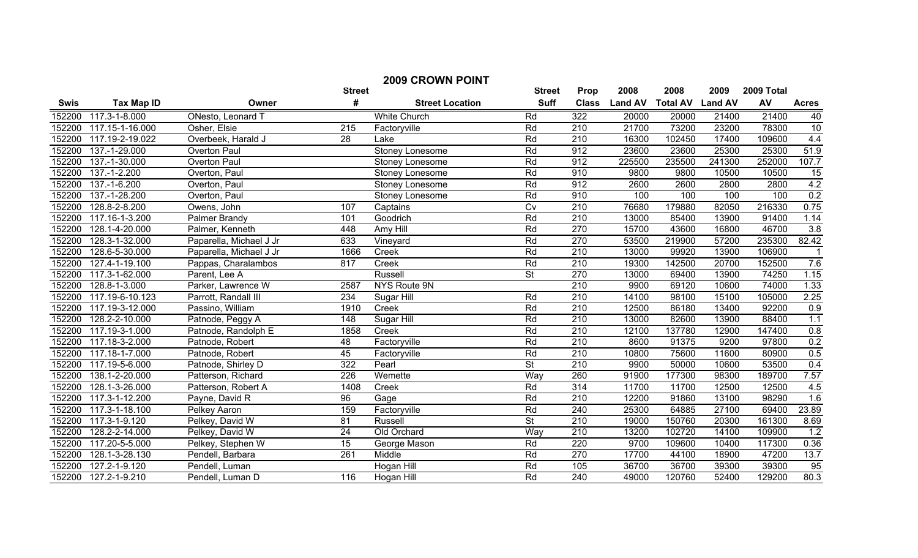|             | <b>2009 CROWN POINT</b> |                         |                 |                        |                          |                  |                |                 |                |            |                   |
|-------------|-------------------------|-------------------------|-----------------|------------------------|--------------------------|------------------|----------------|-----------------|----------------|------------|-------------------|
|             |                         |                         | <b>Street</b>   |                        | <b>Street</b>            | Prop             | 2008           | 2008            | 2009           | 2009 Total |                   |
| <b>Swis</b> | <b>Tax Map ID</b>       | Owner                   | #               | <b>Street Location</b> | <b>Suff</b>              | <b>Class</b>     | <b>Land AV</b> | <b>Total AV</b> | <b>Land AV</b> | AV         | <b>Acres</b>      |
| 152200      | 117.3-1-8.000           | ONesto, Leonard T       |                 | <b>White Church</b>    | Rd                       | 322              | 20000          | 20000           | 21400          | 21400      | 40                |
| 152200      | 117.15-1-16.000         | Osher, Elsie            | 215             | Factoryville           | Rd                       | 210              | 21700          | 73200           | 23200          | 78300      | 10                |
| 152200      | 117.19-2-19.022         | Overbeek, Harald J      | 28              | Lake                   | Rd                       | $\overline{210}$ | 16300          | 102450          | 17400          | 109600     | 4.4               |
| 152200      | 137.-1-29.000           | <b>Overton Paul</b>     |                 | Stoney Lonesome        | Rd                       | 912              | 23600          | 23600           | 25300          | 25300      | 51.9              |
| 152200      | 137.-1-30.000           | <b>Overton Paul</b>     |                 | <b>Stoney Lonesome</b> | Rd                       | 912              | 225500         | 235500          | 241300         | 252000     | 107.7             |
| 152200      | 137.-1-2.200            | Overton, Paul           |                 | Stoney Lonesome        | Rd                       | 910              | 9800           | 9800            | 10500          | 10500      | 15                |
| 152200      | 137.-1-6.200            | Overton, Paul           |                 | Stoney Lonesome        | Rd                       | 912              | 2600           | 2600            | 2800           | 2800       | 4.2               |
| 152200      | 137.-1-28.200           | Overton, Paul           |                 | Stoney Lonesome        | Rd                       | 910              | 100            | 100             | 100            | 100        | 0.2               |
| 152200      | 128.8-2-8.200           | Owens, John             | 107             | Captains               | Cv                       | 210              | 76680          | 179880          | 82050          | 216330     | 0.75              |
| 152200      | 117.16-1-3.200          | Palmer Brandy           | 101             | Goodrich               | Rd                       | $\overline{210}$ | 13000          | 85400           | 13900          | 91400      | 1.14              |
| 152200      | 128.1-4-20.000          | Palmer, Kenneth         | 448             | Amy Hill               | Rd                       | 270              | 15700          | 43600           | 16800          | 46700      | 3.8               |
| 152200      | 128.3-1-32.000          | Paparella, Michael J Jr | 633             | Vineyard               | Rd                       | 270              | 53500          | 219900          | 57200          | 235300     | 82.42             |
| 152200      | 128.6-5-30.000          | Paparella, Michael J Jr | 1666            | Creek                  | Rd                       | $\overline{210}$ | 13000          | 99920           | 13900          | 106900     |                   |
| 152200      | 127.4-1-19.100          | Pappas, Charalambos     | 817             | Creek                  | Rd                       | $\overline{210}$ | 19300          | 142500          | 20700          | 152500     | 7.6               |
| 152200      | 117.3-1-62.000          | Parent, Lee A           |                 | Russell                | $\overline{\mathsf{St}}$ | 270              | 13000          | 69400           | 13900          | 74250      | 1.15              |
| 152200      | 128.8-1-3.000           | Parker, Lawrence W      | 2587            | <b>NYS Route 9N</b>    |                          | 210              | 9900           | 69120           | 10600          | 74000      | 1.33              |
| 152200      | 117.19-6-10.123         | Parrott, Randall III    | 234             | Sugar Hill             | Rd                       | 210              | 14100          | 98100           | 15100          | 105000     | 2.25              |
| 152200      | 117.19-3-12.000         | Passino, William        | 1910            | Creek                  | Rd                       | 210              | 12500          | 86180           | 13400          | 92200      | 0.9               |
| 152200      | 128.2-2-10.000          | Patnode, Peggy A        | 148             | <b>Sugar Hill</b>      | Rd                       | 210              | 13000          | 82600           | 13900          | 88400      | 1.1               |
| 152200      | 117.19-3-1.000          | Patnode, Randolph E     | 1858            | Creek                  | Rd                       | 210              | 12100          | 137780          | 12900          | 147400     | 0.8               |
| 152200      | 117.18-3-2.000          | Patnode, Robert         | 48              | Factoryville           | Rd                       | 210              | 8600           | 91375           | 9200           | 97800      | $\frac{0.2}{0.5}$ |
| 152200      | 117.18-1-7.000          | Patnode, Robert         | 45              | Factoryville           | Rd                       | $\overline{210}$ | 10800          | 75600           | 11600          | 80900      |                   |
| 152200      | 117.19-5-6.000          | Patnode, Shirley D      | 322             | Pearl                  | St                       | $\overline{210}$ | 9900           | 50000           | 10600          | 53500      | 0.4               |
| 152200      | $138.1 - 2 - 20.000$    | Patterson, Richard      | 226             | Wemette                | Way                      | 260              | 91900          | 177300          | 98300          | 189700     | 7.57              |
| 152200      | 128.1-3-26.000          | Patterson, Robert A     | 1408            | Creek                  | Rd                       | 314              | 11700          | 11700           | 12500          | 12500      | 4.5               |
| 152200      | 117.3-1-12.200          | Payne, David R          | 96              | Gage                   | Rd                       | 210              | 12200          | 91860           | 13100          | 98290      | 1.6               |
| 152200      | 117.3-1-18.100          | Pelkey Aaron            | 159             | Factoryville           | Rd                       | 240              | 25300          | 64885           | 27100          | 69400      | 23.89             |
| 152200      | 117.3-1-9.120           | Pelkey, David W         | 81              | Russell                | $\overline{\mathsf{St}}$ | $\overline{210}$ | 19000          | 150760          | 20300          | 161300     | 8.69              |
| 152200      | 128.2-2-14.000          | Pelkey, David W         | $\overline{24}$ | Old Orchard            | Way                      | $\overline{210}$ | 13200          | 102720          | 14100          | 109900     | 1.2               |
| 152200      | 117.20-5-5.000          | Pelkey, Stephen W       | $\overline{15}$ | George Mason           | Rd                       | 220              | 9700           | 109600          | 10400          | 117300     | 0.36              |
| 152200      | 128.1-3-28.130          | Pendell, Barbara        | 261             | Middle                 | Rd                       | 270              | 17700          | 44100           | 18900          | 47200      | 13.7              |
| 152200      | $127.2 - 1 - 9.120$     | Pendell, Luman          |                 | Hogan Hill             | Rd                       | 105              | 36700          | 36700           | 39300          | 39300      | 95                |
| 152200      | 127.2-1-9.210           | Pendell, Luman D        | 116             | Hogan Hill             | Rd                       | $\overline{240}$ | 49000          | 120760          | 52400          | 129200     | 80.3              |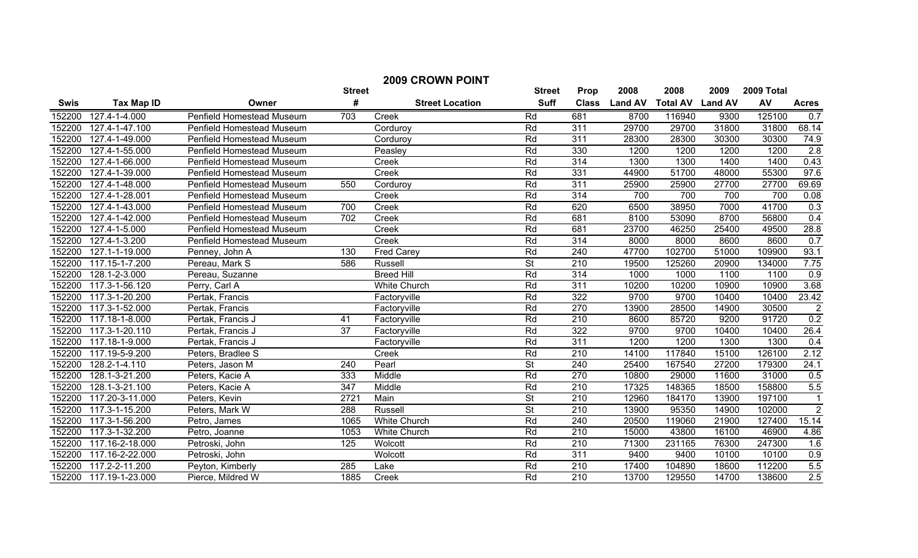| <b>2009 CROWN POINT</b> |                   |                                  |                  |                        |                          |                  |                |                 |                |            |                |
|-------------------------|-------------------|----------------------------------|------------------|------------------------|--------------------------|------------------|----------------|-----------------|----------------|------------|----------------|
|                         |                   |                                  | <b>Street</b>    |                        | <b>Street</b>            | Prop             | 2008           | 2008            | 2009           | 2009 Total |                |
| Swis                    | <b>Tax Map ID</b> | Owner                            | #                | <b>Street Location</b> | <b>Suff</b>              | <b>Class</b>     | <b>Land AV</b> | <b>Total AV</b> | <b>Land AV</b> | AV         | <b>Acres</b>   |
| 152200                  | 127.4-1-4.000     | Penfield Homestead Museum        | 703              | Creek                  | Rd                       | 681              | 8700           | 116940          | 9300           | 125100     | 0.7            |
| 152200                  | 127.4-1-47.100    | <b>Penfield Homestead Museum</b> |                  | Corduroy               | Rd                       | $\overline{311}$ | 29700          | 29700           | 31800          | 31800      | 68.14          |
| 152200                  | 127.4-1-49.000    | <b>Penfield Homestead Museum</b> |                  | Corduroy               | Rd                       | 311              | 28300          | 28300           | 30300          | 30300      | 74.9           |
| 152200                  | 127.4-1-55.000    | Penfield Homestead Museum        |                  | Peasley                | Rd                       | 330              | 1200           | 1200            | 1200           | 1200       | 2.8            |
| 152200                  | 127.4-1-66.000    | Penfield Homestead Museum        |                  | Creek                  | Rd                       | $\overline{314}$ | 1300           | 1300            | 1400           | 1400       | 0.43           |
| 152200                  | 127.4-1-39.000    | Penfield Homestead Museum        |                  | Creek                  | Rd                       | 331              | 44900          | 51700           | 48000          | 55300      | 97.6           |
| 152200                  | 127.4-1-48.000    | Penfield Homestead Museum        | 550              | Corduroy               | Rd                       | 311              | 25900          | 25900           | 27700          | 27700      | 69.69          |
| 152200                  | 127.4-1-28.001    | Penfield Homestead Museum        |                  | Creek                  | Rd                       | $\overline{314}$ | 700            | 700             | 700            | 700        | 0.08           |
| 152200                  | 127.4-1-43.000    | Penfield Homestead Museum        | 700              | Creek                  | Rd                       | 620              | 6500           | 38950           | 7000           | 41700      | 0.3            |
| 152200                  | 127.4-1-42.000    | Penfield Homestead Museum        | 702              | Creek                  | Rd                       | 681              | 8100           | 53090           | 8700           | 56800      | 0.4            |
| 152200                  | 127.4-1-5.000     | Penfield Homestead Museum        |                  | Creek                  | Rd                       | 681              | 23700          | 46250           | 25400          | 49500      | 28.8           |
| 152200                  | 127.4-1-3.200     | Penfield Homestead Museum        |                  | Creek                  | Rd                       | $\overline{314}$ | 8000           | 8000            | 8600           | 8600       | 0.7            |
| 152200                  | 127.1-1-19.000    | Penney, John A                   | 130              | <b>Fred Carey</b>      | Rd                       | 240              | 47700          | 102700          | 51000          | 109900     | 93.1           |
| 152200                  | 117.15-1-7.200    | Pereau, Mark S                   | 586              | Russell                | $\overline{\mathsf{St}}$ | $\overline{210}$ | 19500          | 125260          | 20900          | 134000     | 7.75           |
| 152200                  | 128.1-2-3.000     | Pereau, Suzanne                  |                  | <b>Breed Hill</b>      | Rd                       | 314              | 1000           | 1000            | 1100           | 1100       | 0.9            |
| 152200                  | 117.3-1-56.120    | Perry, Carl A                    |                  | White Church           | Rd                       | 311              | 10200          | 10200           | 10900          | 10900      | 3.68           |
| 152200                  | 117.3-1-20.200    | Pertak, Francis                  |                  | Factoryville           | Rd                       | 322              | 9700           | 9700            | 10400          | 10400      | 23.42          |
| 152200                  | 117.3-1-52.000    | Pertak, Francis                  |                  | Factoryville           | Rd                       | 270              | 13900          | 28500           | 14900          | 30500      | $\overline{2}$ |
| 152200                  | 117.18-1-8.000    | Pertak, Francis J                | 41               | Factoryville           | Rd                       | 210              | 8600           | 85720           | 9200           | 91720      | 0.2            |
| 152200                  | 117.3-1-20.110    | Pertak, Francis J                | 37               | Factoryville           | Rd                       | $\overline{322}$ | 9700           | 9700            | 10400          | 10400      | 26.4           |
| 152200                  | 117.18-1-9.000    | Pertak, Francis J                |                  | Factoryville           | Rd                       | $\overline{311}$ | 1200           | 1200            | 1300           | 1300       | 0.4            |
| 152200                  | 117.19-5-9.200    | Peters, Bradlee S                |                  | Creek                  | Rd                       | $\overline{210}$ | 14100          | 117840          | 15100          | 126100     | 2.12           |
| 152200                  | 128.2-1-4.110     | Peters, Jason M                  | $\overline{240}$ | Pearl                  | St                       | 240              | 25400          | 167540          | 27200          | 179300     | 24.1           |
| 152200                  | 128.1-3-21.200    | Peters, Kacie A                  | 333              | Middle                 | Rd                       | $\overline{270}$ | 10800          | 29000           | 11600          | 31000      | 0.5            |
| 152200                  | 128.1-3-21.100    | Peters, Kacie A                  | 347              | Middle                 | Rd                       | $\overline{210}$ | 17325          | 148365          | 18500          | 158800     | 5.5            |
| 152200                  | 117.20-3-11.000   | Peters, Kevin                    | 2721             | Main                   | <b>St</b>                | 210              | 12960          | 184170          | 13900          | 197100     | $\overline{1}$ |
| 152200                  | 117.3-1-15.200    | Peters, Mark W                   | 288              | <b>Russell</b>         | $\overline{\mathsf{St}}$ | $\overline{210}$ | 13900          | 95350           | 14900          | 102000     | $\sqrt{2}$     |
| 152200                  | 117.3-1-56.200    | Petro, James                     | 1065             | <b>White Church</b>    | Rd                       | 240              | 20500          | 119060          | 21900          | 127400     | 15.14          |
| 152200                  | 117.3-1-32.200    | Petro, Joanne                    | 1053             | <b>White Church</b>    | Rd                       | $\overline{210}$ | 15000          | 43800           | 16100          | 46900      | 4.86           |
| 152200                  | 117.16-2-18.000   | Petroski, John                   | 125              | Wolcott                | Rd                       | $\overline{210}$ | 71300          | 231165          | 76300          | 247300     | 1.6            |
| 152200                  | 117.16-2-22.000   | Petroski, John                   |                  | Wolcott                | Rd                       | 311              | 9400           | 9400            | 10100          | 10100      | 0.9            |
| 152200                  | 117.2-2-11.200    | Peyton, Kimberly                 | 285              | Lake                   | Rd                       | $\overline{210}$ | 17400          | 104890          | 18600          | 112200     | 5.5            |
| 152200                  | 117.19-1-23.000   | Pierce, Mildred W                | 1885             | Creek                  | Rd                       | $\overline{210}$ | 13700          | 129550          | 14700          | 138600     | 2.5            |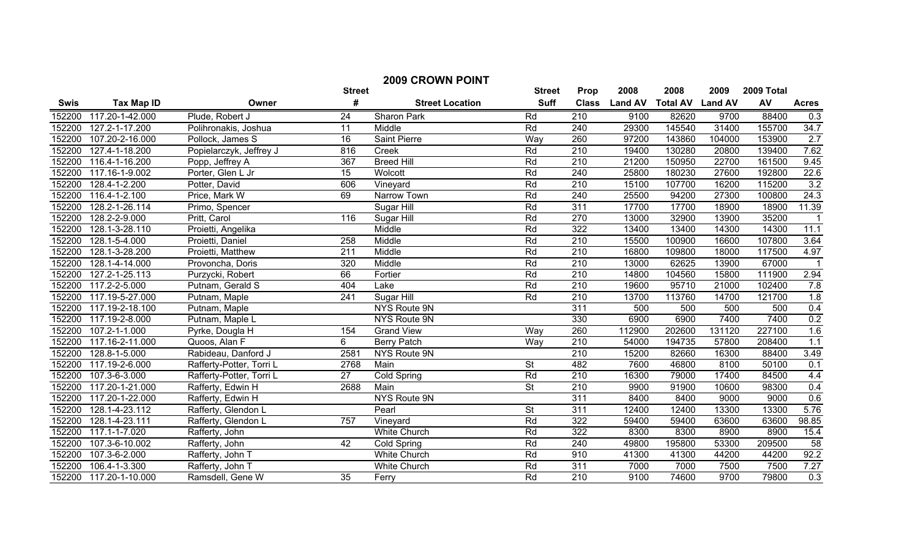| <b>2009 CROWN POINT</b> |                        |                          |                  |                        |                          |                  |                |                         |        |            |                   |
|-------------------------|------------------------|--------------------------|------------------|------------------------|--------------------------|------------------|----------------|-------------------------|--------|------------|-------------------|
|                         |                        |                          | <b>Street</b>    |                        | <b>Street</b>            | Prop             | 2008           | 2008                    | 2009   | 2009 Total |                   |
| <b>Swis</b>             | <b>Tax Map ID</b>      | Owner                    | #                | <b>Street Location</b> | <b>Suff</b>              | <b>Class</b>     | <b>Land AV</b> | <b>Total AV Land AV</b> |        | AV         | <b>Acres</b>      |
| 152200                  | 117.20-1-42.000        | Plude, Robert J          | 24               | Sharon Park            | Rd                       | 210              | 9100           | 82620                   | 9700   | 88400      | 0.3               |
| 152200                  | 127.2-1-17.200         | Polihronakis, Joshua     | 11               | Middle                 | Rd                       | 240              | 29300          | 145540                  | 31400  | 155700     | 34.7              |
| 152200                  | 107.20-2-16.000        | Pollock, James S         | $\overline{16}$  | <b>Saint Pierre</b>    | Way                      | 260              | 97200          | 143860                  | 104000 | 153900     | 2.7               |
| 152200                  | 127.4-1-18.200         | Popielarczyk, Jeffrey J  | 816              | Creek                  | Rd                       | $\overline{210}$ | 19400          | 130280                  | 20800  | 139400     | 7.62              |
| 152200                  | 116.4-1-16.200         | Popp, Jeffrey A          | 367              | <b>Breed Hill</b>      | Rd                       | 210              | 21200          | 150950                  | 22700  | 161500     | 9.45              |
| 152200                  | 117.16-1-9.002         | Porter, Glen L Jr        | 15               | Wolcott                | Rd                       | 240              | 25800          | 180230                  | 27600  | 192800     | 22.6              |
| 152200                  | 128.4-1-2.200          | Potter, David            | 606              | Vineyard               | Rd                       | 210              | 15100          | 107700                  | 16200  | 115200     | 3.2               |
| 152200                  | 116.4-1-2.100          | Price, Mark W            | 69               | Narrow Town            | Rd                       | 240              | 25500          | 94200                   | 27300  | 100800     | 24.3              |
| 152200                  | 128.2-1-26.114         | Primo, Spencer           |                  | Sugar Hill             | Rd                       | 311              | 17700          | 17700                   | 18900  | 18900      | 11.39             |
| 152200                  | 128.2-2-9.000          | Pritt, Carol             | 116              | Sugar Hill             | Rd                       | 270              | 13000          | 32900                   | 13900  | 35200      |                   |
| 152200                  | 128.1-3-28.110         | Proietti, Angelika       |                  | Middle                 | Rd                       | 322              | 13400          | 13400                   | 14300  | 14300      | 11.1              |
| 152200                  | 128.1-5-4.000          | Proietti, Daniel         | 258              | Middle                 | Rd                       | 210              | 15500          | 100900                  | 16600  | 107800     | 3.64              |
| 152200                  | 128.1-3-28.200         | Proietti, Matthew        | 211              | Middle                 | Rd                       | $\overline{210}$ | 16800          | 109800                  | 18000  | 117500     | 4.97              |
| 152200                  | 128.1-4-14.000         | Provoncha, Doris         | 320              | Middle                 | Rd                       | $\overline{210}$ | 13000          | 62625                   | 13900  | 67000      |                   |
| 152200                  | 127.2-1-25.113         | Purzycki, Robert         | 66               | Fortier                | Rd                       | 210              | 14800          | 104560                  | 15800  | 111900     | 2.94              |
| 152200                  | 117.2-2-5.000          | Putnam, Gerald S         | 404              | Lake                   | Rd                       | 210              | 19600          | 95710                   | 21000  | 102400     | 7.8               |
| 152200                  | 117.19-5-27.000        | Putnam, Maple            | $\overline{241}$ | Sugar Hill             | Rd                       | 210              | 13700          | 113760                  | 14700  | 121700     | 1.8               |
| 152200                  | 117.19-2-18.100        | Putnam, Maple            |                  | NYS Route 9N           |                          | 311              | 500            | 500                     | 500    | 500        | 0.4               |
| 152200                  | 117.19-2-8.000         | Putnam, Maple L          |                  | NYS Route 9N           |                          | 330              | 6900           | 6900                    | 7400   | 7400       | $\frac{0.2}{1.6}$ |
| 152200                  | 107.2-1-1.000          | Pyrke, Dougla H          | 154              | <b>Grand View</b>      | Way                      | 260              | 112900         | 202600                  | 131120 | 227100     |                   |
| 152200                  | 117.16-2-11.000        | Quoos, Alan F            | 6                | <b>Berry Patch</b>     | Way                      | 210              | 54000          | 194735                  | 57800  | 208400     | 1.1               |
| 152200                  | 128.8-1-5.000          | Rabideau, Danford J      | 2581             | NYS Route 9N           |                          | $\overline{210}$ | 15200          | 82660                   | 16300  | 88400      | 3.49              |
| 152200                  | 117.19-2-6.000         | Rafferty-Potter, Torri L | 2768             | Main                   | $\overline{\mathsf{St}}$ | 482              | 7600           | 46800                   | 8100   | 50100      | 0.1               |
| 152200                  | 107.3-6-3.000          | Rafferty-Potter, Torri L | 27               | Cold Spring            | Rd                       | $\overline{210}$ | 16300          | 79000                   | 17400  | 84500      | 4.4               |
| 152200                  | 117.20-1-21.000        | Rafferty, Edwin H        | 2688             | Main                   | $\overline{\mathsf{St}}$ | 210              | 9900           | 91900                   | 10600  | 98300      | 0.4               |
| 152200                  | 117.20-1-22.000        | Rafferty, Edwin H        |                  | NYS Route 9N           |                          | 311              | 8400           | 8400                    | 9000   | 9000       | 0.6               |
| 152200                  | 128.1-4-23.112         | Rafferty, Glendon L      |                  | Pearl                  | <b>St</b>                | $\overline{311}$ | 12400          | 12400                   | 13300  | 13300      | 5.76              |
| 152200                  | 128.1-4-23.111         | Rafferty, Glendon L      | $\overline{757}$ | Vineyard               | Rd                       | 322              | 59400          | 59400                   | 63600  | 63600      | 98.85             |
| 152200                  | 117.1-1-7.020          | Rafferty, John           |                  | White Church           | Rd                       | 322              | 8300           | 8300                    | 8900   | 8900       | 15.4              |
| 152200                  | 107.3-6-10.002         | Rafferty, John           | 42               | Cold Spring            | Rd                       | 240              | 49800          | 195800                  | 53300  | 209500     | $\overline{58}$   |
| 152200                  | 107.3-6-2.000          | Rafferty, John T         |                  | <b>White Church</b>    | Rd                       | 910              | 41300          | 41300                   | 44200  | 44200      | 92.2              |
| 152200                  | $106.4 - 1 - 3.300$    | Rafferty, John T         |                  | <b>White Church</b>    | Rd                       | 311              | 7000           | 7000                    | 7500   | 7500       | 7.27              |
|                         | 152200 117.20-1-10.000 | Ramsdell, Gene W         | $\overline{35}$  | Ferry                  | Rd                       | 210              | 9100           | 74600                   | 9700   | 79800      | 0.3               |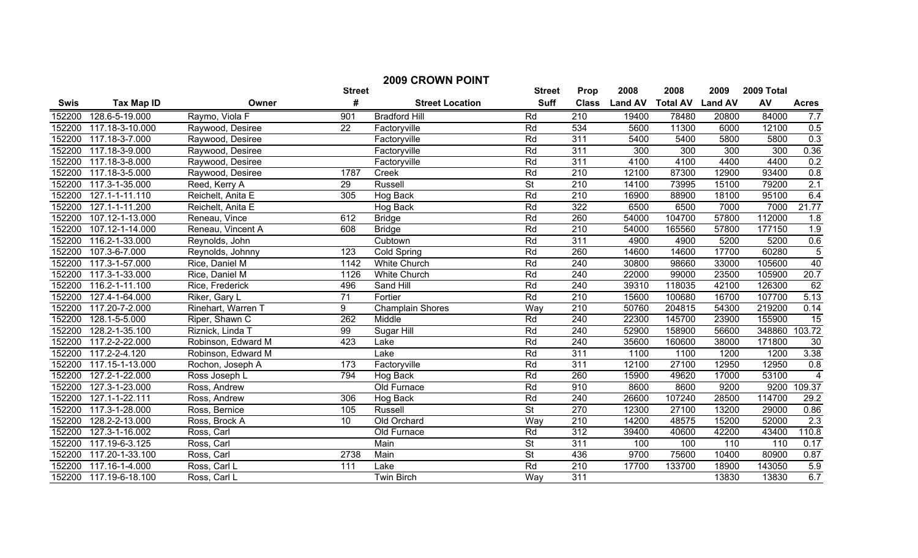| <b>2009 CROWN POINT</b> |                   |                    |                  |                         |                          |                  |                |                 |                |            |                  |
|-------------------------|-------------------|--------------------|------------------|-------------------------|--------------------------|------------------|----------------|-----------------|----------------|------------|------------------|
|                         |                   |                    | <b>Street</b>    |                         | <b>Street</b>            | Prop             | 2008           | 2008            | 2009           | 2009 Total |                  |
| <b>Swis</b>             | <b>Tax Map ID</b> | Owner              | #                | <b>Street Location</b>  | <b>Suff</b>              | <b>Class</b>     | <b>Land AV</b> | <b>Total AV</b> | <b>Land AV</b> | AV         | <b>Acres</b>     |
| 152200                  | 128.6-5-19.000    | Raymo, Viola F     | 901              | <b>Bradford Hill</b>    | Rd                       | 210              | 19400          | 78480           | 20800          | 84000      | 7.7              |
| 152200                  | 117.18-3-10.000   | Raywood, Desiree   | 22               | Factoryville            | Rd                       | 534              | 5600           | 11300           | 6000           | 12100      | 0.5              |
| 152200                  | 117.18-3-7.000    | Raywood, Desiree   |                  | Factoryville            | Rd                       | 311              | 5400           | 5400            | 5800           | 5800       | 0.3              |
| 152200                  | 117.18-3-9.000    | Raywood, Desiree   |                  | Factoryville            | Rd                       | 311              | 300            | 300             | 300            | 300        | 0.36             |
| 152200                  | 117.18-3-8.000    | Raywood, Desiree   |                  | Factoryville            | Rd                       | $\overline{311}$ | 4100           | 4100            | 4400           | 4400       | 0.2              |
| 152200                  | 117.18-3-5.000    | Raywood, Desiree   | 1787             | Creek                   | Rd                       | 210              | 12100          | 87300           | 12900          | 93400      | 0.8              |
| 152200                  | 117.3-1-35.000    | Reed, Kerry A      | 29               | Russell                 | <b>St</b>                | 210              | 14100          | 73995           | 15100          | 79200      | 2.1              |
| 152200                  | 127.1-1-11.110    | Reichelt, Anita E  | 305              | Hog Back                | Rd                       | 210              | 16900          | 88900           | 18100          | 95100      | 6.4              |
| 152200                  | 127.1-1-11.200    | Reichelt, Anita E  |                  | Hog Back                | Rd                       | 322              | 6500           | 6500            | 7000           | 7000       | 21.77            |
| 152200                  | 107.12-1-13.000   | Reneau, Vince      | 612              | <b>Bridge</b>           | Rd                       | 260              | 54000          | 104700          | 57800          | 112000     | 1.8              |
| 152200                  | 107.12-1-14.000   | Reneau, Vincent A  | 608              | <b>Bridge</b>           | Rd                       | $\overline{210}$ | 54000          | 165560          | 57800          | 177150     | 1.9              |
| 152200                  | 116.2-1-33.000    | Reynolds, John     |                  | Cubtown                 | Rd                       | 311              | 4900           | 4900            | 5200           | 5200       | 0.6              |
| 152200                  | 107.3-6-7.000     | Reynolds, Johnny   | $\overline{123}$ | <b>Cold Spring</b>      | Rd                       | 260              | 14600          | 14600           | 17700          | 60280      | $\overline{5}$   |
| 152200                  | 117.3-1-57.000    | Rice, Daniel M     | 1142             | <b>White Church</b>     | Rd                       | 240              | 30800          | 98660           | 33000          | 105600     | 40               |
| 152200                  | 117.3-1-33.000    | Rice, Daniel M     | 1126             | <b>White Church</b>     | Rd                       | 240              | 22000          | 99000           | 23500          | 105900     | 20.7             |
| 152200                  | 116.2-1-11.100    | Rice, Frederick    | 496              | Sand Hill               | Rd                       | 240              | 39310          | 118035          | 42100          | 126300     | 62               |
| 152200                  | 127.4-1-64.000    | Riker, Gary L      | 71               | Fortier                 | Rd                       | 210              | 15600          | 100680          | 16700          | 107700     | 5.13             |
| 152200                  | 117.20-7-2.000    | Rinehart, Warren T | 9                | <b>Champlain Shores</b> | Way                      | 210              | 50760          | 204815          | 54300          | 219200     | 0.14             |
| 152200                  | 128.1-5-5.000     | Riper, Shawn C     | 262              | Middle                  | Rd                       | 240              | 22300          | 145700          | 23900          | 155900     | $\overline{15}$  |
| 152200                  | 128.2-1-35.100    | Riznick, Linda T   | 99               | Sugar Hill              | Rd                       | 240              | 52900          | 158900          | 56600          | 348860     | 103.72           |
| 152200                  | 117.2-2-22.000    | Robinson, Edward M | 423              | Lake                    | Rd                       | 240              | 35600          | 160600          | 38000          | 171800     | $\overline{30}$  |
| 152200                  | 117.2-2-4.120     | Robinson, Edward M |                  | Lake                    | Rd                       | $\overline{311}$ | 1100           | 1100            | 1200           | 1200       | 3.38             |
| 152200                  | 117.15-1-13.000   | Rochon, Joseph A   | 173              | Factoryville            | Rd                       | 311              | 12100          | 27100           | 12950          | 12950      | 0.8              |
| 152200                  | 127.2-1-22.000    | Ross Joseph L      | 794              | Hog Back                | Rd                       | 260              | 15900          | 49620           | 17000          | 53100      | $\overline{4}$   |
| 152200                  | 127.3-1-23.000    | Ross, Andrew       |                  | Old Furnace             | Rd                       | 910              | 8600           | 8600            | 9200           | 9200       | 109.37           |
| 152200                  | 127.1-1-22.111    | Ross, Andrew       | 306              | Hog Back                | Rd                       | 240              | 26600          | 107240          | 28500          | 114700     | 29.2             |
| 152200                  | 117.3-1-28.000    | Ross, Bernice      | 105              | Russell                 | $\overline{\mathsf{St}}$ | 270              | 12300          | 27100           | 13200          | 29000      | 0.86             |
| 152200                  | 128.2-2-13.000    | Ross, Brock A      | 10               | Old Orchard             | Way                      | 210              | 14200          | 48575           | 15200          | 52000      | $\overline{2.3}$ |
| 152200                  | 127.3-1-16.002    | Ross, Carl         |                  | Old Furnace             | Rd                       | $\overline{312}$ | 39400          | 40600           | 42200          | 43400      | 110.8            |
| 152200                  | 117.19-6-3.125    | Ross, Carl         |                  | Main                    | <b>St</b>                | 311              | 100            | 100             | 110            | 110        | 0.17             |
| 152200                  | 117.20-1-33.100   | Ross, Carl         | 2738             | Main                    | <b>St</b>                | 436              | 9700           | 75600           | 10400          | 80900      | 0.87             |
| 152200                  | 117.16-1-4.000    | Ross, Carl L       | 111              | Lake                    | Rd                       | 210              | 17700          | 133700          | 18900          | 143050     | 5.9              |
| 152200                  | 117.19-6-18.100   | Ross, Carl L       |                  | <b>Twin Birch</b>       | Way                      | 311              |                |                 | 13830          | 13830      | 6.7              |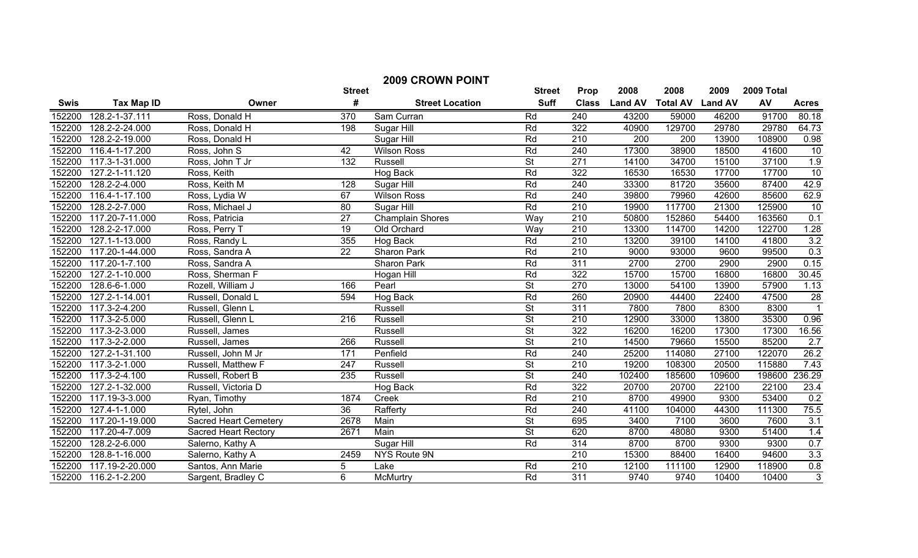| <b>2009 CROWN POINT</b> |                   |                              |                  |                         |                          |                  |                |                         |        |            |                         |
|-------------------------|-------------------|------------------------------|------------------|-------------------------|--------------------------|------------------|----------------|-------------------------|--------|------------|-------------------------|
|                         |                   |                              | <b>Street</b>    |                         | <b>Street</b>            | Prop             | 2008           | 2008                    | 2009   | 2009 Total |                         |
| <b>Swis</b>             | <b>Tax Map ID</b> | Owner                        | #                | <b>Street Location</b>  | <b>Suff</b>              | <b>Class</b>     | <b>Land AV</b> | <b>Total AV Land AV</b> |        | AV         | <b>Acres</b>            |
| 152200                  | 128.2-1-37.111    | Ross, Donald H               | 370              | Sam Curran              | Rd                       | 240              | 43200          | 59000                   | 46200  | 91700      | 80.18                   |
| 152200                  | 128.2-2-24.000    | Ross, Donald H               | 198              | Sugar Hill              | Rd                       | 322              | 40900          | 129700                  | 29780  | 29780      | 64.73                   |
| 152200                  | 128.2-2-19.000    | Ross, Donald H               |                  | Sugar Hill              | Rd                       | $\overline{210}$ | 200            | 200                     | 13900  | 108900     | 0.98                    |
| 152200                  | 116.4-1-17.200    | Ross, John S                 | 42               | <b>Wilson Ross</b>      | Rd                       | 240              | 17300          | 38900                   | 18500  | 41600      | 10                      |
| 152200                  | 117.3-1-31.000    | Ross, John T Jr              | 132              | Russell                 | $\overline{\mathsf{St}}$ | $\overline{271}$ | 14100          | 34700                   | 15100  | 37100      | 1.9                     |
| 152200                  | 127.2-1-11.120    | Ross, Keith                  |                  | Hog Back                | Rd                       | $\overline{322}$ | 16530          | 16530                   | 17700  | 17700      | 10                      |
| 152200                  | 128.2-2-4.000     | Ross, Keith M                | 128              | Sugar Hill              | Rd                       | 240              | 33300          | 81720                   | 35600  | 87400      | 42.9                    |
| 152200                  | 116.4-1-17.100    | Ross, Lydia W                | 67               | <b>Wilson Ross</b>      | Rd                       | 240              | 39800          | 79960                   | 42600  | 85600      | 62.9                    |
| 152200                  | 128.2-2-7.000     | Ross, Michael J              | 80               | Sugar Hill              | Rd                       | $\overline{210}$ | 19900          | 117700                  | 21300  | 125900     | 10                      |
| 152200                  | 117.20-7-11.000   | Ross, Patricia               | $\overline{27}$  | <b>Champlain Shores</b> | Way                      | $\overline{210}$ | 50800          | 152860                  | 54400  | 163560     | 0.1                     |
| 152200                  | 128.2-2-17.000    | Ross, Perry T                | 19               | Old Orchard             | Way                      | 210              | 13300          | 114700                  | 14200  | 122700     | 1.28                    |
| 152200                  | 127.1-1-13.000    | Ross, Randy L                | 355              | Hog Back                | Rd                       | 210              | 13200          | 39100                   | 14100  | 41800      | 3.2                     |
| 152200                  | 117.20-1-44.000   | Ross, Sandra A               | $\overline{22}$  | Sharon Park             | Rd                       | $\overline{210}$ | 9000           | 93000                   | 9600   | 99500      | 0.3                     |
| 152200                  | 117.20-1-7.100    | Ross, Sandra A               |                  | Sharon Park             | Rd                       | 311              | 2700           | 2700                    | 2900   | 2900       | 0.15                    |
| 152200                  | 127.2-1-10.000    | Ross, Sherman F              |                  | <b>Hogan Hill</b>       | Rd                       | 322              | 15700          | 15700                   | 16800  | 16800      | 30.45                   |
| 152200                  | 128.6-6-1.000     | Rozell, William J            | 166              | Pearl                   | $\overline{\mathsf{St}}$ | 270              | 13000          | 54100                   | 13900  | 57900      | 1.13                    |
| 152200                  | 127.2-1-14.001    | Russell, Donald L            | 594              | <b>Hog Back</b>         | Rd                       | 260              | 20900          | 44400                   | 22400  | 47500      | 28                      |
| 152200                  | 117.3-2-4.200     | Russell, Glenn L             |                  | <b>Russell</b>          | <b>St</b>                | 311              | 7800           | 7800                    | 8300   | 8300       | $\overline{\mathbf{1}}$ |
| 152200                  | 117.3-2-5.000     | Russell, Glenn L             | $\overline{216}$ | <b>Russell</b>          | $\overline{\mathsf{St}}$ | 210              | 12900          | 33000                   | 13800  | 35300      | 0.96                    |
| 152200                  | 117.3-2-3.000     | Russell, James               |                  | <b>Russell</b>          | $\overline{\mathsf{St}}$ | 322              | 16200          | 16200                   | 17300  | 17300      | 16.56                   |
| 152200                  | 117.3-2-2.000     | Russell, James               | 266              | Russell                 | $\overline{\mathsf{St}}$ | 210              | 14500          | 79660                   | 15500  | 85200      | 2.7                     |
| 152200                  | 127.2-1-31.100    | Russell, John M Jr           | 171              | Penfield                | Rd                       | 240              | 25200          | 114080                  | 27100  | 122070     | 26.2                    |
| 152200                  | 117.3-2-1.000     | Russell, Matthew F           | 247              | <b>Russell</b>          | $\overline{\mathsf{St}}$ | $\overline{210}$ | 19200          | 108300                  | 20500  | 115880     | 7.43                    |
| 152200                  | 117.3-2-4.100     | Russell, Robert B            | 235              | Russell                 | $\overline{\mathsf{St}}$ | 240              | 102400         | 185600                  | 109600 | 198600     | 236.29                  |
| 152200                  | 127.2-1-32.000    | Russell, Victoria D          |                  | Hog Back                | Rd                       | 322              | 20700          | 20700                   | 22100  | 22100      | 23.4                    |
| 152200                  | 117.19-3-3.000    | Ryan, Timothy                | 1874             | Creek                   | Rd                       | $\overline{210}$ | 8700           | 49900                   | 9300   | 53400      | 0.2                     |
| 152200                  | 127.4-1-1.000     | Rytel, John                  | 36               | Rafferty                | Rd                       | 240              | 41100          | 104000                  | 44300  | 111300     | 75.5                    |
| 152200                  | 117.20-1-19.000   | <b>Sacred Heart Cemetery</b> | 2678             | Main                    | $\overline{\mathsf{St}}$ | 695              | 3400           | 7100                    | 3600   | 7600       | 3.1                     |
| 152200                  | 117.20-4-7.009    | <b>Sacred Heart Rectory</b>  | 2671             | Main                    | <b>St</b>                | 620              | 8700           | 48080                   | 9300   | 51400      | 1.4                     |
| 152200                  | 128.2-2-6.000     | Salerno, Kathy A             |                  | Sugar Hill              | Rd                       | $\overline{314}$ | 8700           | 8700                    | 9300   | 9300       | 0.7                     |
| 152200                  | 128.8-1-16.000    | Salerno, Kathy A             | 2459             | NYS Route 9N            |                          | $\overline{210}$ | 15300          | 88400                   | 16400  | 94600      | 3.3                     |
| 152200                  | 117.19-2-20.000   | Santos, Ann Marie            | 5                | Lake                    | Rd                       | $\overline{210}$ | 12100          | 111100                  | 12900  | 118900     | 0.8                     |
| 152200                  | 116.2-1-2.200     | Sargent, Bradley C           | 6                | McMurtry                | Rd                       | $\overline{311}$ | 9740           | 9740                    | 10400  | 10400      | $\overline{3}$          |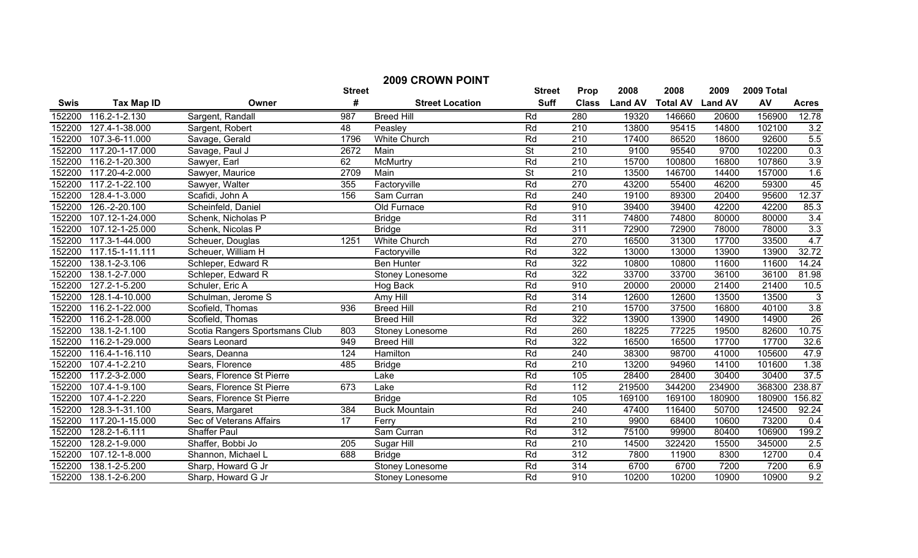| <b>2009 CROWN POINT</b> |                     |                                |      |                        |                          |                  |                |                 |                |            |                   |
|-------------------------|---------------------|--------------------------------|------|------------------------|--------------------------|------------------|----------------|-----------------|----------------|------------|-------------------|
| <b>Street</b>           |                     |                                |      |                        | <b>Street</b>            | Prop             | 2008           | 2008            | 2009           | 2009 Total |                   |
| <b>Swis</b>             | <b>Tax Map ID</b>   | Owner                          | #    | <b>Street Location</b> | <b>Suff</b>              | <b>Class</b>     | <b>Land AV</b> | <b>Total AV</b> | <b>Land AV</b> | AV         | <b>Acres</b>      |
| 152200                  | 116.2-1-2.130       | Sargent, Randall               | 987  | <b>Breed Hill</b>      | Rd                       | 280              | 19320          | 146660          | 20600          | 156900     | 12.78             |
| 152200                  | 127.4-1-38.000      | Sargent, Robert                | 48   | Peasley                | Rd                       | $\overline{210}$ | 13800          | 95415           | 14800          | 102100     | $\frac{3.2}{5.5}$ |
| 152200                  | 107.3-6-11.000      | Savage, Gerald                 | 1796 | <b>White Church</b>    | Rd                       | $\overline{210}$ | 17400          | 86520           | 18600          | 92600      |                   |
| 152200                  | 117.20-1-17.000     | Savage, Paul J                 | 2672 | Main                   | $\overline{\mathsf{St}}$ | 210              | 9100           | 95540           | 9700           | 102200     | 0.3               |
| 152200                  | 116.2-1-20.300      | Sawyer, Earl                   | 62   | McMurtry               | Rd                       | $\overline{210}$ | 15700          | 100800          | 16800          | 107860     | 3.9               |
| 152200                  | 117.20-4-2.000      | Sawyer, Maurice                | 2709 | Main                   | $\overline{\mathsf{St}}$ | 210              | 13500          | 146700          | 14400          | 157000     | 1.6               |
| 152200                  | 117.2-1-22.100      | Sawyer, Walter                 | 355  | Factoryville           | Rd                       | 270              | 43200          | 55400           | 46200          | 59300      | 45                |
| 152200                  | 128.4-1-3.000       | Scafidi, John A                | 156  | Sam Curran             | Rd                       | 240              | 19100          | 89300           | 20400          | 95600      | 12.37             |
| 152200                  | 126.-2-20.100       | Scheinfeld, Daniel             |      | Old Furnace            | Rd                       | 910              | 39400          | 39400           | 42200          | 42200      | 85.3              |
| 152200                  | 107.12-1-24.000     | Schenk, Nicholas P             |      | <b>Bridge</b>          | Rd                       | $\overline{311}$ | 74800          | 74800           | 80000          | 80000      | 3.4               |
| 152200                  | 107.12-1-25.000     | Schenk, Nicolas P              |      | <b>Bridge</b>          | Rd                       | $\overline{311}$ | 72900          | 72900           | 78000          | 78000      | 3.3               |
| 152200                  | 117.3-1-44.000      | Scheuer, Douglas               | 1251 | <b>White Church</b>    | Rd                       | 270              | 16500          | 31300           | 17700          | 33500      | 4.7               |
| 152200                  | 117.15-1-11.111     | Scheuer, William H             |      | Factoryville           | Rd                       | 322              | 13000          | 13000           | 13900          | 13900      | 32.72             |
| 152200                  | 138.1-2-3.106       | Schleper, Edward R             |      | <b>Ben Hunter</b>      | Rd                       | 322              | 10800          | 10800           | 11600          | 11600      | 14.24             |
| 152200                  | 138.1-2-7.000       | Schleper, Edward R             |      | Stoney Lonesome        | Rd                       | 322              | 33700          | 33700           | 36100          | 36100      | 81.98             |
| 152200                  | 127.2-1-5.200       | Schuler, Eric A                |      | Hog Back               | Rd                       | 910              | 20000          | 20000           | 21400          | 21400      | 10.5              |
| 152200                  | 128.1-4-10.000      | Schulman, Jerome S             |      | Amy Hill               | Rd                       | 314              | 12600          | 12600           | 13500          | 13500      | 3                 |
| 152200                  | 116.2-1-22.000      | Scofield, Thomas               | 936  | <b>Breed Hill</b>      | Rd                       | 210              | 15700          | 37500           | 16800          | 40100      | 3.8               |
| 152200                  | 116.2-1-28.000      | Scofield, Thomas               |      | <b>Breed Hill</b>      | Rd                       | 322              | 13900          | 13900           | 14900          | 14900      | $\overline{26}$   |
| 152200                  | 138.1-2-1.100       | Scotia Rangers Sportsmans Club | 803  | Stoney Lonesome        | Rd                       | 260              | 18225          | 77225           | 19500          | 82600      | 10.75             |
| 152200                  | 116.2-1-29.000      | Sears Leonard                  | 949  | <b>Breed Hill</b>      | Rd                       | 322              | 16500          | 16500           | 17700          | 17700      | 32.6              |
| 152200                  | 116.4-1-16.110      | Sears, Deanna                  | 124  | Hamilton               | Rd                       | 240              | 38300          | 98700           | 41000          | 105600     | 47.9              |
| 152200                  | 107.4-1-2.210       | Sears, Florence                | 485  | <b>Bridge</b>          | Rd                       | 210              | 13200          | 94960           | 14100          | 101600     | 1.38              |
| 152200                  | 117.2-3-2.000       | Sears, Florence St Pierre      |      | Lake                   | Rd                       | 105              | 28400          | 28400           | 30400          | 30400      | 37.5              |
| 152200                  | $107.4 - 1 - 9.100$ | Sears, Florence St Pierre      | 673  | Lake                   | Rd                       | $\overline{112}$ | 219500         | 344200          | 234900         | 368300     | 238.87            |
| 152200                  | 107.4-1-2.220       | Sears, Florence St Pierre      |      | <b>Bridge</b>          | Rd                       | 105              | 169100         | 169100          | 180900         | 180900     | 156.82            |
| 152200                  | 128.3-1-31.100      | Sears, Margaret                | 384  | <b>Buck Mountain</b>   | Rd                       | 240              | 47400          | 116400          | 50700          | 124500     | 92.24             |
| 152200                  | 117.20-1-15.000     | Sec of Veterans Affairs        | 17   | Ferry                  | Rd                       | 210              | 9900           | 68400           | 10600          | 73200      | 0.4               |
| 152200                  | 128.2-1-6.111       | <b>Shaffer Paul</b>            |      | Sam Curran             | Rd                       | 312              | 75100          | 99900           | 80400          | 106900     | 199.2             |
| 152200                  | 128.2-1-9.000       | Shaffer, Bobbi Jo              | 205  | Sugar Hill             | Rd                       | $\overline{210}$ | 14500          | 322420          | 15500          | 345000     | 2.5               |
| 152200                  | 107.12-1-8.000      | Shannon, Michael L             | 688  | <b>Bridge</b>          | Rd                       | $\overline{312}$ | 7800           | 11900           | 8300           | 12700      | 0.4               |
| 152200                  | 138.1-2-5.200       | Sharp, Howard G Jr             |      | Stoney Lonesome        | Rd                       | 314              | 6700           | 6700            | 7200           | 7200       | 6.9               |
| 152200                  | 138.1-2-6.200       | Sharp, Howard G Jr             |      | Stoney Lonesome        | Rd                       | 910              | 10200          | 10200           | 10900          | 10900      | 9.2               |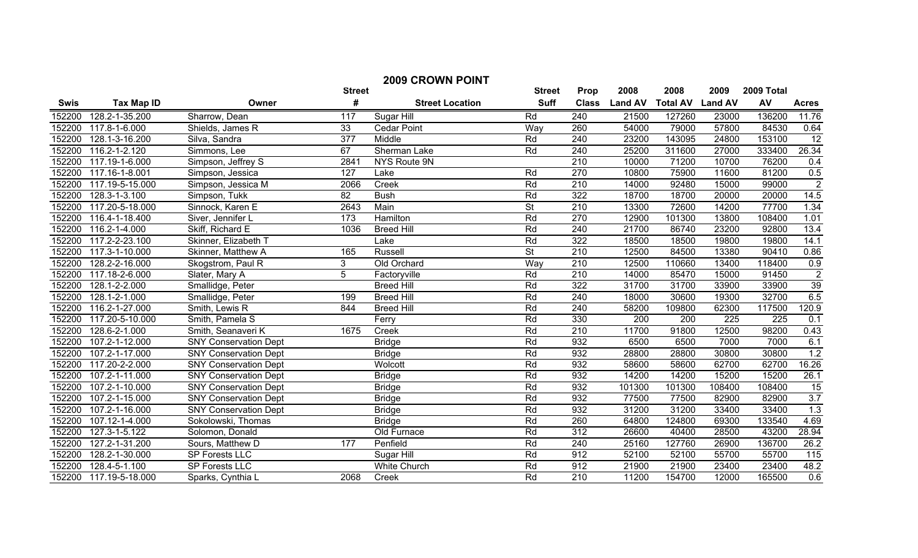| <b>2009 CROWN POINT</b> |                      |                              |                  |                        |                          |                  |                |                 |                |            |                 |
|-------------------------|----------------------|------------------------------|------------------|------------------------|--------------------------|------------------|----------------|-----------------|----------------|------------|-----------------|
|                         |                      |                              | <b>Street</b>    |                        | <b>Street</b>            | Prop             | 2008           | 2008            | 2009           | 2009 Total |                 |
| <b>Swis</b>             | <b>Tax Map ID</b>    | Owner                        | #                | <b>Street Location</b> | <b>Suff</b>              | <b>Class</b>     | <b>Land AV</b> | <b>Total AV</b> | <b>Land AV</b> | AV         | <b>Acres</b>    |
| 152200                  | 128.2-1-35.200       | Sharrow, Dean                | 117              | Sugar Hill             | Rd                       | 240              | 21500          | 127260          | 23000          | 136200     | 11.76           |
| 152200                  | 117.8-1-6.000        | Shields, James R             | 33               | <b>Cedar Point</b>     | Way                      | 260              | 54000          | 79000           | 57800          | 84530      | 0.64            |
| 152200                  | 128.1-3-16.200       | Silva, Sandra                | $\overline{377}$ | Middle                 | Rd                       | 240              | 23200          | 143095          | 24800          | 153100     | $\overline{12}$ |
| 152200                  | 116.2-1-2.120        | Simmons, Lee                 | 67               | Sherman Lake           | Rd                       | 240              | 25200          | 311600          | 27000          | 333400     | 26.34           |
| 152200                  | 117.19-1-6.000       | Simpson, Jeffrey S           | 2841             | NYS Route 9N           |                          | 210              | 10000          | 71200           | 10700          | 76200      | 0.4             |
| 152200                  | 117.16-1-8.001       | Simpson, Jessica             | 127              | Lake                   | Rd                       | $\overline{270}$ | 10800          | 75900           | 11600          | 81200      | 0.5             |
| 152200                  | 117.19-5-15.000      | Simpson, Jessica M           | 2066             | Creek                  | Rd                       | 210              | 14000          | 92480           | 15000          | 99000      | $\overline{2}$  |
| 152200                  | 128.3-1-3.100        | Simpson, Tukk                | 82               | <b>Bush</b>            | Rd                       | 322              | 18700          | 18700           | 20000          | 20000      | 14.5            |
| 152200                  | 117.20-5-18.000      | Sinnock, Karen E             | 2643             | Main                   | $\overline{\mathsf{St}}$ | 210              | 13300          | 72600           | 14200          | 77700      | 1.34            |
| 152200                  | $116.4 - 1 - 18.400$ | Siver, Jennifer L            | 173              | Hamilton               | Rd                       | 270              | 12900          | 101300          | 13800          | 108400     | 1.01            |
| 152200                  | 116.2-1-4.000        | Skiff, Richard E             | 1036             | <b>Breed Hill</b>      | Rd                       | 240              | 21700          | 86740           | 23200          | 92800      | 13.4            |
| 152200                  | 117.2-2-23.100       | Skinner, Elizabeth T         |                  | Lake                   | Rd                       | 322              | 18500          | 18500           | 19800          | 19800      | 14.1            |
| 152200                  | 117.3-1-10.000       | Skinner, Matthew A           | 165              | Russell                | St                       | $\overline{210}$ | 12500          | 84500           | 13380          | 90410      | 0.86            |
| 152200                  | 128.2-2-16.000       | Skogstrom, Paul R            | 3                | Old Orchard            | Way                      | $\overline{210}$ | 12500          | 110660          | 13400          | 118400     | 0.9             |
| 152200                  | 117.18-2-6.000       | Slater, Mary A               | $\overline{5}$   | Factoryville           | Rd                       | 210              | 14000          | 85470           | 15000          | 91450      | $\overline{2}$  |
| 152200                  | 128.1-2-2.000        | Smallidge, Peter             |                  | <b>Breed Hill</b>      | Rd                       | 322              | 31700          | 31700           | 33900          | 33900      | 39              |
| 152200                  | 128.1-2-1.000        | Smallidge, Peter             | 199              | <b>Breed Hill</b>      | Rd                       | 240              | 18000          | 30600           | 19300          | 32700      | 6.5             |
| 152200                  | 116.2-1-27.000       | Smith, Lewis R               | 844              | <b>Breed Hill</b>      | Rd                       | 240              | 58200          | 109800          | 62300          | 117500     | 120.9           |
| 152200                  | 117.20-5-10.000      | Smith, Pamela S              |                  | Ferry                  | Rd                       | 330              | 200            | 200             | 225            | 225        | 0.1             |
| 152200                  | 128.6-2-1.000        | Smith, Seanaveri K           | 1675             | Creek                  | Rd                       | 210              | 11700          | 91800           | 12500          | 98200      | 0.43            |
| 152200                  | 107.2-1-12.000       | <b>SNY Conservation Dept</b> |                  | <b>Bridge</b>          | Rd                       | 932              | 6500           | 6500            | 7000           | 7000       | 6.1             |
| 152200                  | 107.2-1-17.000       | <b>SNY Conservation Dept</b> |                  | <b>Bridge</b>          | Rd                       | 932              | 28800          | 28800           | 30800          | 30800      | 1.2             |
| 152200                  | 117.20-2-2.000       | <b>SNY Conservation Dept</b> |                  | Wolcott                | Rd                       | 932              | 58600          | 58600           | 62700          | 62700      | 16.26           |
| 152200                  | 107.2-1-11.000       | <b>SNY Conservation Dept</b> |                  | <b>Bridge</b>          | Rd                       | 932              | 14200          | 14200           | 15200          | 15200      | 26.1            |
| 152200                  | 107.2-1-10.000       | <b>SNY Conservation Dept</b> |                  | <b>Bridge</b>          | Rd                       | 932              | 101300         | 101300          | 108400         | 108400     | 15              |
| 152200                  | 107.2-1-15.000       | <b>SNY Conservation Dept</b> |                  | <b>Bridge</b>          | Rd                       | 932              | 77500          | 77500           | 82900          | 82900      | 3.7             |
| 152200                  | 107.2-1-16.000       | <b>SNY Conservation Dept</b> |                  | <b>Bridge</b>          | Rd                       | 932              | 31200          | 31200           | 33400          | 33400      | 1.3             |
| 152200                  | 107.12-1-4.000       | Sokolowski, Thomas           |                  | <b>Bridge</b>          | Rd                       | 260              | 64800          | 124800          | 69300          | 133540     | 4.69            |
| 152200                  | 127.3-1-5.122        | Solomon, Donald              |                  | Old Furnace            | Rd                       | $\overline{312}$ | 26600          | 40400           | 28500          | 43200      | 28.94           |
| 152200                  | 127.2-1-31.200       | Sours, Matthew D             | 177              | Penfield               | Rd                       | 240              | 25160          | 127760          | 26900          | 136700     | 26.2            |
| 152200                  | 128.2-1-30.000       | SP Forests LLC               |                  | Sugar Hill             | Rd                       | 912              | 52100          | 52100           | 55700          | 55700      | 115             |
| 152200                  | 128.4-5-1.100        | SP Forests LLC               |                  | <b>White Church</b>    | Rd                       | $\overline{912}$ | 21900          | 21900           | 23400          | 23400      | 48.2            |
| 152200                  | 117.19-5-18.000      | Sparks, Cynthia L            | 2068             | Creek                  | Rd                       | $\overline{210}$ | 11200          | 154700          | 12000          | 165500     | 0.6             |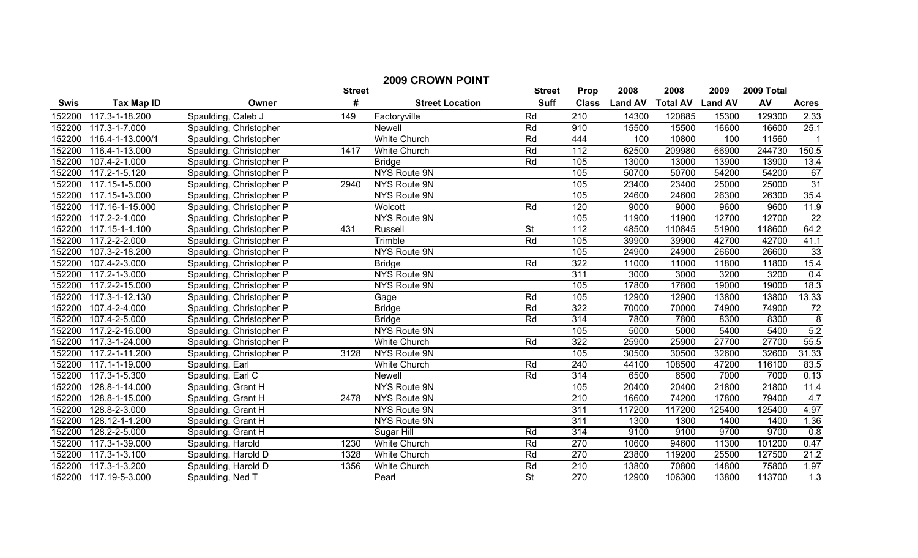|             | <b>2009 CROWN POINT</b> |                          |               |                        |                          |                  |                |                 |                |            |                  |
|-------------|-------------------------|--------------------------|---------------|------------------------|--------------------------|------------------|----------------|-----------------|----------------|------------|------------------|
|             |                         |                          | <b>Street</b> |                        | <b>Street</b>            | Prop             | 2008           | 2008            | 2009           | 2009 Total |                  |
| <b>Swis</b> | <b>Tax Map ID</b>       | Owner                    | #             | <b>Street Location</b> | <b>Suff</b>              | <b>Class</b>     | <b>Land AV</b> | <b>Total AV</b> | <b>Land AV</b> | AV         | <b>Acres</b>     |
| 152200      | 117.3-1-18.200          | Spaulding, Caleb J       | 149           | Factoryville           | Rd                       | 210              | 14300          | 120885          | 15300          | 129300     | 2.33             |
| 152200      | 117.3-1-7.000           | Spaulding, Christopher   |               | Newell                 | Rd                       | 910              | 15500          | 15500           | 16600          | 16600      | 25.1             |
| 152200      | 116.4-1-13.000/1        | Spaulding, Christopher   |               | <b>White Church</b>    | Rd                       | 444              | 100            | 10800           | 100            | 11560      |                  |
| 152200      | 116.4-1-13.000          | Spaulding, Christopher   | 1417          | <b>White Church</b>    | Rd                       | 112              | 62500          | 209980          | 66900          | 244730     | 150.5            |
| 152200      | 107.4-2-1.000           | Spaulding, Christopher P |               | <b>Bridge</b>          | Rd                       | 105              | 13000          | 13000           | 13900          | 13900      | 13.4             |
| 152200      | $117.2 - 1 - 5.120$     | Spaulding, Christopher P |               | <b>NYS Route 9N</b>    |                          | 105              | 50700          | 50700           | 54200          | 54200      | 67               |
| 152200      | 117.15-1-5.000          | Spaulding, Christopher P | 2940          | NYS Route 9N           |                          | 105              | 23400          | 23400           | 25000          | 25000      | 31               |
| 152200      | 117.15-1-3.000          | Spaulding, Christopher P |               | NYS Route 9N           |                          | 105              | 24600          | 24600           | 26300          | 26300      | 35.4             |
| 152200      | 117.16-1-15.000         | Spaulding, Christopher P |               | Wolcott                | Rd                       | 120              | 9000           | 9000            | 9600           | 9600       | 11.9             |
| 152200      | 117.2-2-1.000           | Spaulding, Christopher P |               | NYS Route 9N           |                          | 105              | 11900          | 11900           | 12700          | 12700      | $\overline{22}$  |
| 152200      | 117.15-1-1.100          | Spaulding, Christopher P | 431           | Russell                | St                       | $\overline{112}$ | 48500          | 110845          | 51900          | 118600     | 64.2             |
| 152200      | 117.2-2-2.000           | Spaulding, Christopher P |               | Trimble                | Rd                       | 105              | 39900          | 39900           | 42700          | 42700      | 41.1             |
| 152200      | 107.3-2-18.200          | Spaulding, Christopher P |               | <b>NYS Route 9N</b>    |                          | 105              | 24900          | 24900           | 26600          | 26600      | 33               |
| 152200      | 107.4-2-3.000           | Spaulding, Christopher P |               | <b>Bridge</b>          | Rd                       | 322              | 11000          | 11000           | 11800          | 11800      | 15.4             |
| 152200      | 117.2-1-3.000           | Spaulding, Christopher P |               | <b>NYS Route 9N</b>    |                          | 311              | 3000           | 3000            | 3200           | 3200       | 0.4              |
| 152200      | 117.2-2-15.000          | Spaulding, Christopher P |               | NYS Route 9N           |                          | 105              | 17800          | 17800           | 19000          | 19000      | 18.3             |
| 152200      | 117.3-1-12.130          | Spaulding, Christopher P |               | Gage                   | Rd                       | 105              | 12900          | 12900           | 13800          | 13800      | 13.33            |
| 152200      | 107.4-2-4.000           | Spaulding, Christopher P |               | <b>Bridge</b>          | Rd                       | 322              | 70000          | 70000           | 74900          | 74900      | $\overline{72}$  |
| 152200      | 107.4-2-5.000           | Spaulding, Christopher P |               | <b>Bridge</b>          | Rd                       | 314              | 7800           | 7800            | 8300           | 8300       | $\overline{8}$   |
| 152200      | 117.2-2-16.000          | Spaulding, Christopher P |               | NYS Route 9N           |                          | 105              | 5000           | 5000            | 5400           | 5400       | 5.2              |
| 152200      | 117.3-1-24.000          | Spaulding, Christopher P |               | <b>White Church</b>    | Rd                       | 322              | 25900          | 25900           | 27700          | 27700      | 55.5             |
| 152200      | $117.2 - 1 - 11.200$    | Spaulding, Christopher P | 3128          | NYS Route 9N           |                          | 105              | 30500          | 30500           | 32600          | 32600      | 31.33            |
| 152200      | 117.1-1-19.000          | Spaulding, Earl          |               | White Church           | Rd                       | 240              | 44100          | 108500          | 47200          | 116100     | 83.5             |
| 152200      | 117.3-1-5.300           | Spaulding, Earl C        |               | <b>Newell</b>          | Rd                       | 314              | 6500           | 6500            | 7000           | 7000       | 0.13             |
| 152200      | 128.8-1-14.000          | Spaulding, Grant H       |               | NYS Route 9N           |                          | 105              | 20400          | 20400           | 21800          | 21800      | 11.4             |
| 152200      | 128.8-1-15.000          | Spaulding, Grant H       | 2478          | NYS Route 9N           |                          | 210              | 16600          | 74200           | 17800          | 79400      | 4.7              |
| 152200      | 128.8-2-3.000           | Spaulding, Grant H       |               | NYS Route 9N           |                          | $\overline{311}$ | 117200         | 117200          | 125400         | 125400     | 4.97             |
| 152200      | 128.12-1-1.200          | Spaulding, Grant H       |               | NYS Route 9N           |                          | 311              | 1300           | 1300            | 1400           | 1400       | 1.36             |
| 152200      | 128.2-2-5.000           | Spaulding, Grant H       |               | Sugar Hill             | Rd                       | 314              | 9100           | 9100            | 9700           | 9700       | 0.8              |
| 152200      | 117.3-1-39.000          | Spaulding, Harold        | 1230          | White Church           | Rd                       | 270              | 10600          | 94600           | 11300          | 101200     | 0.47             |
| 152200      | 117.3-1-3.100           | Spaulding, Harold D      | 1328          | White Church           | Rd                       | 270              | 23800          | 119200          | 25500          | 127500     | 21.2             |
| 152200      | 117.3-1-3.200           | Spaulding, Harold D      | 1356          | <b>White Church</b>    | Rd                       | 210              | 13800          | 70800           | 14800          | 75800      | 1.97             |
| 152200      | 117.19-5-3.000          | Spaulding, Ned T         |               | Pearl                  | $\overline{\mathsf{St}}$ | 270              | 12900          | 106300          | 13800          | 113700     | $\overline{1.3}$ |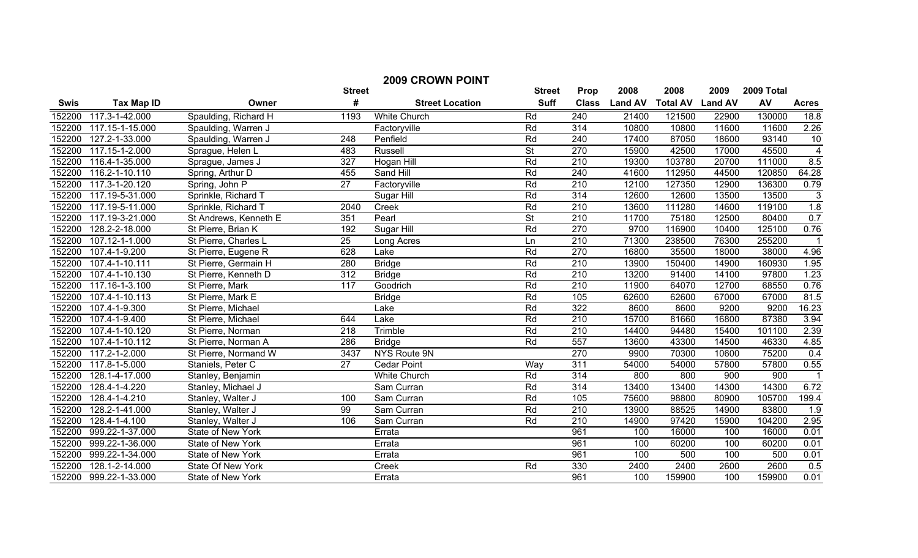| <b>2009 CROWN POINT</b> |                      |                       |                 |                        |                          |                  |                |                 |                |            |                         |
|-------------------------|----------------------|-----------------------|-----------------|------------------------|--------------------------|------------------|----------------|-----------------|----------------|------------|-------------------------|
|                         |                      |                       | <b>Street</b>   |                        | <b>Street</b>            | Prop             | 2008           | 2008            | 2009           | 2009 Total |                         |
| <b>Swis</b>             | <b>Tax Map ID</b>    | Owner                 | #               | <b>Street Location</b> | <b>Suff</b>              | <b>Class</b>     | <b>Land AV</b> | <b>Total AV</b> | <b>Land AV</b> | AV         | <b>Acres</b>            |
| 152200                  | 117.3-1-42.000       | Spaulding, Richard H  | 1193            | White Church           | Rd                       | 240              | 21400          | 121500          | 22900          | 130000     | 18.8                    |
| 152200                  | 117.15-1-15.000      | Spaulding, Warren J   |                 | Factoryville           | Rd                       | 314              | 10800          | 10800           | 11600          | 11600      | 2.26                    |
| 152200                  | 127.2-1-33.000       | Spaulding, Warren J   | 248             | Penfield               | Rd                       | 240              | 17400          | 87050           | 18600          | 93140      | 10                      |
| 152200                  | $117.15 - 1 - 2.000$ | Sprague, Helen L      | 483             | <b>Russell</b>         | $\overline{\mathsf{St}}$ | 270              | 15900          | 42500           | 17000          | 45500      | $\overline{4}$          |
| 152200                  | 116.4-1-35.000       | Sprague, James J      | 327             | Hogan Hill             | Rd                       | $\overline{210}$ | 19300          | 103780          | 20700          | 111000     | 8.5                     |
| 152200                  | 116.2-1-10.110       | Spring, Arthur D      | 455             | Sand Hill              | Rd                       | 240              | 41600          | 112950          | 44500          | 120850     | 64.28                   |
| 152200                  | 117.3-1-20.120       | Spring, John P        | $\overline{27}$ | Factoryville           | Rd                       | 210              | 12100          | 127350          | 12900          | 136300     | 0.79                    |
| 152200                  | 117.19-5-31.000      | Sprinkle, Richard T   |                 | Sugar Hill             | Rd                       | 314              | 12600          | 12600           | 13500          | 13500      | 3                       |
| 152200                  | 117.19-5-11.000      | Sprinkle, Richard T   | 2040            | Creek                  | Rd                       | $\overline{210}$ | 13600          | 111280          | 14600          | 119100     | 1.8                     |
| 152200                  | 117.19-3-21.000      | St Andrews, Kenneth E | 351             | Pearl                  | <b>St</b>                | 210              | 11700          | 75180           | 12500          | 80400      | 0.7                     |
| 152200                  | 128.2-2-18.000       | St Pierre, Brian K    | 192             | Sugar Hill             | Rd                       | 270              | 9700           | 116900          | 10400          | 125100     | 0.76                    |
| 152200                  | $107.12 - 1 - 1.000$ | St Pierre, Charles L  | $\overline{25}$ | Long Acres             | Ln                       | 210              | 71300          | 238500          | 76300          | 255200     |                         |
| 152200                  | 107.4-1-9.200        | St Pierre, Eugene R   | 628             | Lake                   | Rd                       | 270              | 16800          | 35500           | 18000          | 38000      | 4.96                    |
| 152200                  | 107.4-1-10.111       | St Pierre, Germain H  | 280             | <b>Bridge</b>          | Rd                       | 210              | 13900          | 150400          | 14900          | 160930     | 1.95                    |
| 152200                  | 107.4-1-10.130       | St Pierre, Kenneth D  | 312             | <b>Bridge</b>          | Rd                       | 210              | 13200          | 91400           | 14100          | 97800      | 1.23                    |
| 152200                  | 117.16-1-3.100       | St Pierre, Mark       | 117             | Goodrich               | Rd                       | 210              | 11900          | 64070           | 12700          | 68550      | 0.76                    |
| 152200                  | 107.4-1-10.113       | St Pierre, Mark E     |                 | <b>Bridge</b>          | Rd                       | 105              | 62600          | 62600           | 67000          | 67000      | 81.5                    |
| 152200                  | 107.4-1-9.300        | St Pierre, Michael    |                 | Lake                   | Rd                       | 322              | 8600           | 8600            | 9200           | 9200       | 16.23                   |
| 152200                  | 107.4-1-9.400        | St Pierre, Michael    | 644             | Lake                   | Rd                       | 210              | 15700          | 81660           | 16800          | 87380      | 3.94                    |
| 152200                  | 107.4-1-10.120       | St Pierre, Norman     | 218             | Trimble                | Rd                       | 210              | 14400          | 94480           | 15400          | 101100     | 2.39                    |
| 152200                  | 107.4-1-10.112       | St Pierre, Norman A   | 286             | <b>Bridge</b>          | Rd                       | 557              | 13600          | 43300           | 14500          | 46330      | 4.85                    |
| 152200                  | 117.2-1-2.000        | St Pierre, Normand W  | 3437            | NYS Route 9N           |                          | 270              | 9900           | 70300           | 10600          | 75200      | 0.4                     |
| 152200                  | 117.8-1-5.000        | Staniels, Peter C     | 27              | <b>Cedar Point</b>     | Way                      | $\overline{311}$ | 54000          | 54000           | 57800          | 57800      | 0.55                    |
| 152200                  | 128.1-4-17.000       | Stanley, Benjamin     |                 | <b>White Church</b>    | Rd                       | 314              | 800            | 800             | 900            | 900        | $\overline{\mathbf{1}}$ |
| 152200                  | 128.4-1-4.220        | Stanley, Michael J    |                 | Sam Curran             | Rd                       | 314              | 13400          | 13400           | 14300          | 14300      | 6.72                    |
| 152200                  | 128.4-1-4.210        | Stanley, Walter J     | 100             | Sam Curran             | Rd                       | 105              | 75600          | 98800           | 80900          | 105700     | 199.4                   |
| 152200                  | 128.2-1-41.000       | Stanley, Walter J     | 99              | Sam Curran             | Rd                       | $\overline{210}$ | 13900          | 88525           | 14900          | 83800      | 1.9                     |
| 152200                  | 128.4-1-4.100        | Stanley, Walter J     | 106             | Sam Curran             | Rd                       | $\overline{210}$ | 14900          | 97420           | 15900          | 104200     | 2.95                    |
| 152200                  | 999.22-1-37.000      | State of New York     |                 | Errata                 |                          | 961              | 100            | 16000           | 100            | 16000      | 0.01                    |
| 152200                  | 999.22-1-36.000      | State of New York     |                 | Errata                 |                          | 961              | 100            | 60200           | 100            | 60200      | 0.01                    |
| 152200                  | 999.22-1-34.000      | State of New York     |                 | Errata                 |                          | 961              | 100            | 500             | 100            | 500        | 0.01                    |
| 152200                  | 128.1-2-14.000       | State Of New York     |                 | Creek                  | Rd                       | 330              | 2400           | 2400            | 2600           | 2600       | 0.5                     |
| 152200                  | 999.22-1-33.000      | State of New York     |                 | Errata                 |                          | 961              | 100            | 159900          | 100            | 159900     | 0.01                    |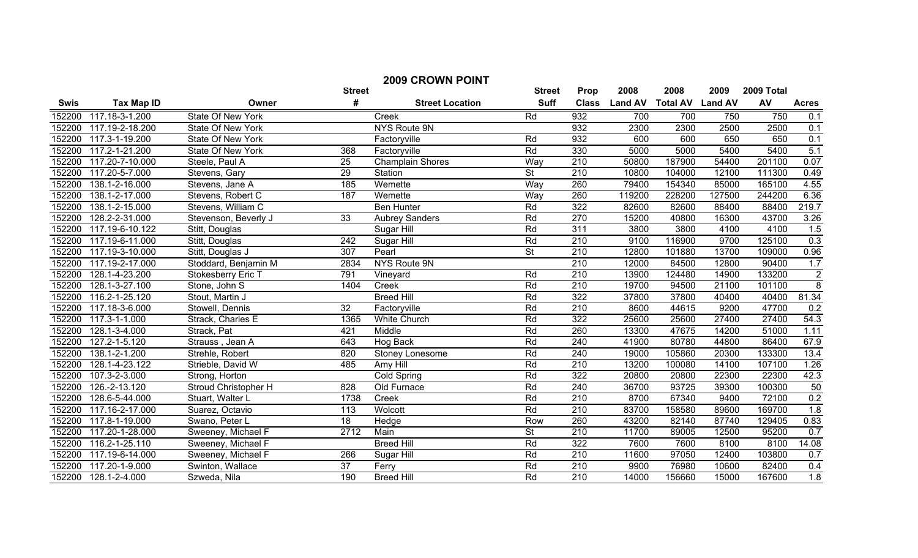|             | <b>2009 CROWN POINT</b> |                           |                  |                         |                          |                  |                |                         |        |            |                |
|-------------|-------------------------|---------------------------|------------------|-------------------------|--------------------------|------------------|----------------|-------------------------|--------|------------|----------------|
|             |                         |                           | <b>Street</b>    |                         | <b>Street</b>            | Prop             | 2008           | 2008                    | 2009   | 2009 Total |                |
| <b>Swis</b> | <b>Tax Map ID</b>       | Owner                     | #                | <b>Street Location</b>  | <b>Suff</b>              | <b>Class</b>     | <b>Land AV</b> | <b>Total AV Land AV</b> |        | AV         | <b>Acres</b>   |
| 152200      | 117.18-3-1.200          | <b>State Of New York</b>  |                  | Creek                   | Rd                       | 932              | 700            | 700                     | 750    | 750        | 0.1            |
| 152200      | 117.19-2-18.200         | <b>State Of New York</b>  |                  | NYS Route 9N            |                          | 932              | 2300           | 2300                    | 2500   | 2500       | 0.1            |
| 152200      | 117.3-1-19.200          | State Of New York         |                  | Factoryville            | Rd                       | 932              | 600            | 600                     | 650    | 650        | 0.1            |
| 152200      | 117.2-1-21.200          | State Of New York         | 368              | Factoryville            | Rd                       | 330              | 5000           | 5000                    | 5400   | 5400       | 5.1            |
| 152200      | 117.20-7-10.000         | Steele, Paul A            | $\overline{25}$  | <b>Champlain Shores</b> | Way                      | 210              | 50800          | 187900                  | 54400  | 201100     | 0.07           |
| 152200      | 117.20-5-7.000          | Stevens, Gary             | $\overline{29}$  | Station                 | $\overline{\mathsf{St}}$ | $\overline{210}$ | 10800          | 104000                  | 12100  | 111300     | 0.49           |
| 152200      | 138.1-2-16.000          | Stevens, Jane A           | 185              | Wemette                 | Way                      | 260              | 79400          | 154340                  | 85000  | 165100     | 4.55           |
| 152200      | 138.1-2-17.000          | Stevens, Robert C         | 187              | Wemette                 | Way                      | 260              | 119200         | 228200                  | 127500 | 244200     | 6.36           |
| 152200      | 138.1-2-15.000          | Stevens, William C        |                  | <b>Ben Hunter</b>       | Rd                       | 322              | 82600          | 82600                   | 88400  | 88400      | 219.7          |
| 152200      | 128.2-2-31.000          | Stevenson, Beverly J      | 33               | <b>Aubrey Sanders</b>   | Rd                       | 270              | 15200          | 40800                   | 16300  | 43700      | 3.26           |
| 152200      | 117.19-6-10.122         | Stitt, Douglas            |                  | Sugar Hill              | Rd                       | 311              | 3800           | 3800                    | 4100   | 4100       | 1.5            |
| 152200      | 117.19-6-11.000         | Stitt, Douglas            | $\overline{242}$ | Sugar Hill              | Rd                       | 210              | 9100           | 116900                  | 9700   | 125100     | 0.3            |
| 152200      | 117.19-3-10.000         | Stitt, Douglas J          | 307              | Pearl                   | $\overline{\mathsf{St}}$ | 210              | 12800          | 101880                  | 13700  | 109000     | 0.96           |
| 152200      | 117.19-2-17.000         | Stoddard, Benjamin M      | 2834             | NYS Route 9N            |                          | 210              | 12000          | 84500                   | 12800  | 90400      | 1.7            |
| 152200      | 128.1-4-23.200          | <b>Stokesberry Eric T</b> | 791              | Vineyard                | Rd                       | 210              | 13900          | 124480                  | 14900  | 133200     | $\overline{2}$ |
| 152200      | 128.1-3-27.100          | Stone, John S             | 1404             | Creek                   | Rd                       | 210              | 19700          | 94500                   | 21100  | 101100     | $\overline{8}$ |
| 152200      | 116.2-1-25.120          | Stout, Martin J           |                  | <b>Breed Hill</b>       | Rd                       | 322              | 37800          | 37800                   | 40400  | 40400      | 81.34          |
| 152200      | 117.18-3-6.000          | Stowell, Dennis           | $\overline{32}$  | Factoryville            | Rd                       | 210              | 8600           | 44615                   | 9200   | 47700      | 0.2            |
| 152200      | 117.3-1-1.000           | Strack, Charles E         | 1365             | <b>White Church</b>     | Rd                       | 322              | 25600          | 25600                   | 27400  | 27400      | 54.3           |
| 152200      | 128.1-3-4.000           | Strack, Pat               | 421              | Middle                  | Rd                       | 260              | 13300          | 47675                   | 14200  | 51000      | 1.11           |
| 152200      | 127.2-1-5.120           | Strauss, Jean A           | 643              | Hog Back                | Rd                       | 240              | 41900          | 80780                   | 44800  | 86400      | 67.9           |
| 152200      | 138.1-2-1.200           | Strehle, Robert           | 820              | Stoney Lonesome         | Rd                       | 240              | 19000          | 105860                  | 20300  | 133300     | 13.4           |
| 152200      | 128.1-4-23.122          | Strieble, David W         | 485              | Amy Hill                | Rd                       | 210              | 13200          | 100080                  | 14100  | 107100     | 1.26           |
| 152200      | 107.3-2-3.000           | Strong, Horton            |                  | <b>Cold Spring</b>      | Rd                       | 322              | 20800          | 20800                   | 22300  | 22300      | 42.3           |
| 152200      | 126.-2-13.120           | Stroud Christopher H      | 828              | Old Furnace             | Rd                       | 240              | 36700          | 93725                   | 39300  | 100300     | 50             |
| 152200      | 128.6-5-44.000          | Stuart, Walter L          | 1738             | Creek                   | Rd                       | 210              | 8700           | 67340                   | 9400   | 72100      | 0.2            |
| 152200      | 117.16-2-17.000         | Suarez, Octavio           | 113              | Wolcott                 | Rd                       | 210              | 83700          | 158580                  | 89600  | 169700     | 1.8            |
| 152200      | 117.8-1-19.000          | Swano, Peter L            | 18               | Hedge                   | Row                      | 260              | 43200          | 82140                   | 87740  | 129405     | 0.83           |
| 152200      | 117.20-1-28.000         | Sweeney, Michael F        | 2712             | Main                    | <b>St</b>                | 210              | 11700          | 89005                   | 12500  | 95200      | 0.7            |
| 152200      | 116.2-1-25.110          | Sweeney, Michael F        |                  | <b>Breed Hill</b>       | Rd                       | 322              | 7600           | 7600                    | 8100   | 8100       | 14.08          |
| 152200      | 117.19-6-14.000         | Sweeney, Michael F        | 266              | Sugar Hill              | Rd                       | 210              | 11600          | 97050                   | 12400  | 103800     | 0.7            |
| 152200      | 117.20-1-9.000          | Swinton, Wallace          | $\overline{37}$  | Ferry                   | Rd                       | 210              | 9900           | 76980                   | 10600  | 82400      | 0.4            |
| 152200      | 128.1-2-4.000           | Szweda, Nila              | 190              | <b>Breed Hill</b>       | Rd                       | $\overline{210}$ | 14000          | 156660                  | 15000  | 167600     | 1.8            |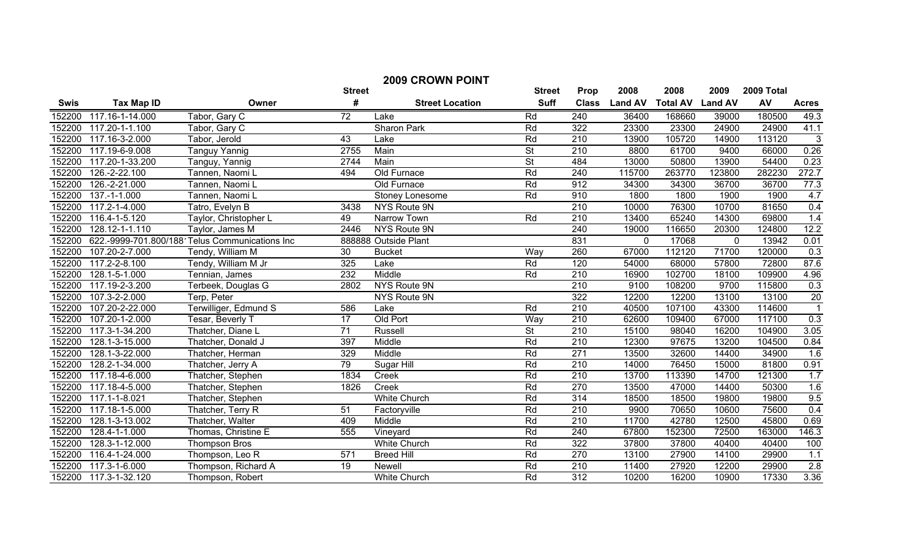| <b>2009 CROWN POINT</b> |                                                                              |                                                |                  |                        |                          |                  |                |                 |                |        |                 |
|-------------------------|------------------------------------------------------------------------------|------------------------------------------------|------------------|------------------------|--------------------------|------------------|----------------|-----------------|----------------|--------|-----------------|
|                         | 2008<br>2008<br><b>Street</b><br>2009<br>2009 Total<br><b>Street</b><br>Prop |                                                |                  |                        |                          |                  |                |                 |                |        |                 |
| <b>Swis</b>             | <b>Tax Map ID</b>                                                            | Owner                                          | #                | <b>Street Location</b> | <b>Suff</b>              | <b>Class</b>     | <b>Land AV</b> | <b>Total AV</b> | <b>Land AV</b> | AV     | <b>Acres</b>    |
| 152200                  | 117.16-1-14.000                                                              | Tabor, Gary C                                  | 72               | Lake                   | Rd                       | 240              | 36400          | 168660          | 39000          | 180500 | 49.3            |
| 152200                  | 117.20-1-1.100                                                               | Tabor, Gary C                                  |                  | <b>Sharon Park</b>     | Rd                       | 322              | 23300          | 23300           | 24900          | 24900  | 41.1            |
| 152200                  | 117.16-3-2.000                                                               | Tabor, Jerold                                  | 43               | Lake                   | Rd                       | $\overline{210}$ | 13900          | 105720          | 14900          | 113120 | $\mathbf{3}$    |
| 152200                  | 117.19-6-9.008                                                               | <b>Tanguy Yannig</b>                           | 2755             | Main                   | $\overline{\mathsf{St}}$ | $\overline{210}$ | 8800           | 61700           | 9400           | 66000  | 0.26            |
| 152200                  | 117.20-1-33.200                                                              | Tanguy, Yannig                                 | 2744             | Main                   | $\overline{\mathsf{St}}$ | 484              | 13000          | 50800           | 13900          | 54400  | 0.23            |
| 152200                  | 126.-2-22.100                                                                | Tannen, Naomi L                                | 494              | Old Furnace            | Rd                       | 240              | 115700         | 263770          | 123800         | 282230 | 272.7           |
| 152200                  | 126.-2-21.000                                                                | Tannen, Naomi L                                |                  | Old Furnace            | Rd                       | 912              | 34300          | 34300           | 36700          | 36700  | 77.3            |
| 152200                  | 137.-1-1.000                                                                 | Tannen, Naomi L                                |                  | Stoney Lonesome        | Rd                       | 910              | 1800           | 1800            | 1900           | 1900   | 4.7             |
| 152200                  | $117.2 - 1 - 4.000$                                                          | Tatro, Evelyn B                                | 3438             | NYS Route 9N           |                          | $\overline{210}$ | 10000          | 76300           | 10700          | 81650  | 0.4             |
| 152200                  | 116.4-1-5.120                                                                | Taylor, Christopher L                          | 49               | Narrow Town            | Rd                       | $\overline{210}$ | 13400          | 65240           | 14300          | 69800  | 1.4             |
| 152200                  | 128.12-1-1.110                                                               | Taylor, James M                                | 2446             | NYS Route 9N           |                          | 240              | 19000          | 116650          | 20300          | 124800 | 12.2            |
| 152200                  |                                                                              | 622.-9999-701.800/188 Telus Communications Inc |                  | 888888 Outside Plant   |                          | 831              | $\mathbf 0$    | 17068           | $\mathbf 0$    | 13942  | 0.01            |
| 152200                  | 107.20-2-7.000                                                               | Tendy, William M                               | 30               | <b>Bucket</b>          | Way                      | 260              | 67000          | 112120          | 71700          | 120000 | 0.3             |
| 152200                  | 117.2-2-8.100                                                                | Tendy, William M Jr                            | 325              | Lake                   | Rd                       | 120              | 54000          | 68000           | 57800          | 72800  | 87.6            |
| 152200                  | 128.1-5-1.000                                                                | Tennian, James                                 | 232              | Middle                 | Rd                       | 210              | 16900          | 102700          | 18100          | 109900 | 4.96            |
| 152200                  | 117.19-2-3.200                                                               | Terbeek, Douglas G                             | 2802             | <b>NYS Route 9N</b>    |                          | 210              | 9100           | 108200          | 9700           | 115800 | 0.3             |
| 152200                  | 107.3-2-2.000                                                                | Terp, Peter                                    |                  | <b>NYS Route 9N</b>    |                          | 322              | 12200          | 12200           | 13100          | 13100  | $\overline{20}$ |
| 152200                  | 107.20-2-22.000                                                              | Terwilliger, Edmund S                          | 586              | Lake                   | Rd                       | 210              | 40500          | 107100          | 43300          | 114600 | $\overline{1}$  |
| 152200                  | 107.20-1-2.000                                                               | Tesar, Beverly T                               | 17               | Old Port               | Way                      | 210              | 62600          | 109400          | 67000          | 117100 | 0.3             |
| 152200                  | 117.3-1-34.200                                                               | Thatcher, Diane L                              | $\overline{71}$  | <b>Russell</b>         | $\overline{\mathsf{St}}$ | $\overline{210}$ | 15100          | 98040           | 16200          | 104900 | 3.05            |
| 152200                  | 128.1-3-15.000                                                               | Thatcher, Donald J                             | 397              | Middle                 | Rd                       | 210              | 12300          | 97675           | 13200          | 104500 | 0.84            |
| 152200                  | 128.1-3-22.000                                                               | Thatcher, Herman                               | 329              | Middle                 | Rd                       | 271              | 13500          | 32600           | 14400          | 34900  | 1.6             |
| 152200                  | 128.2-1-34.000                                                               | Thatcher, Jerry A                              | 79               | Sugar Hill             | Rd                       | 210              | 14000          | 76450           | 15000          | 81800  | 0.91            |
| 152200                  | 117.18-4-6.000                                                               | Thatcher, Stephen                              | 1834             | Creek                  | Rd                       | 210              | 13700          | 113390          | 14700          | 121300 | 1.7             |
| 152200                  | $117.18 - 4 - 5.000$                                                         | Thatcher, Stephen                              | 1826             | Creek                  | Rd                       | 270              | 13500          | 47000           | 14400          | 50300  | 1.6             |
| 152200                  | 117.1-1-8.021                                                                | Thatcher, Stephen                              |                  | <b>White Church</b>    | Rd                       | 314              | 18500          | 18500           | 19800          | 19800  | 9.5             |
| 152200                  | $117.18 - 1 - 5.000$                                                         | Thatcher, Terry R                              | 51               | Factoryville           | Rd                       | 210              | 9900           | 70650           | 10600          | 75600  | 0.4             |
| 152200                  | 128.1-3-13.002                                                               | Thatcher, Walter                               | 409              | Middle                 | Rd                       | $\overline{210}$ | 11700          | 42780           | 12500          | 45800  | 0.69            |
| 152200                  | 128.4-1-1.000                                                                | Thomas, Christine E                            | 555              | Vineyard               | Rd                       | 240              | 67800          | 152300          | 72500          | 163000 | 146.3           |
| 152200                  | 128.3-1-12.000                                                               | <b>Thompson Bros</b>                           |                  | <b>White Church</b>    | Rd                       | 322              | 37800          | 37800           | 40400          | 40400  | 100             |
| 152200                  | 116.4-1-24.000                                                               | Thompson, Leo R                                | $\overline{571}$ | <b>Breed Hill</b>      | Rd                       | 270              | 13100          | 27900           | 14100          | 29900  | 1.1             |
| 152200                  | 117.3-1-6.000                                                                | Thompson, Richard A                            | 19               | Newell                 | Rd                       | $\overline{210}$ | 11400          | 27920           | 12200          | 29900  | 2.8             |
| 152200                  | 117.3-1-32.120                                                               | Thompson, Robert                               |                  | <b>White Church</b>    | Rd                       | 312              | 10200          | 16200           | 10900          | 17330  | 3.36            |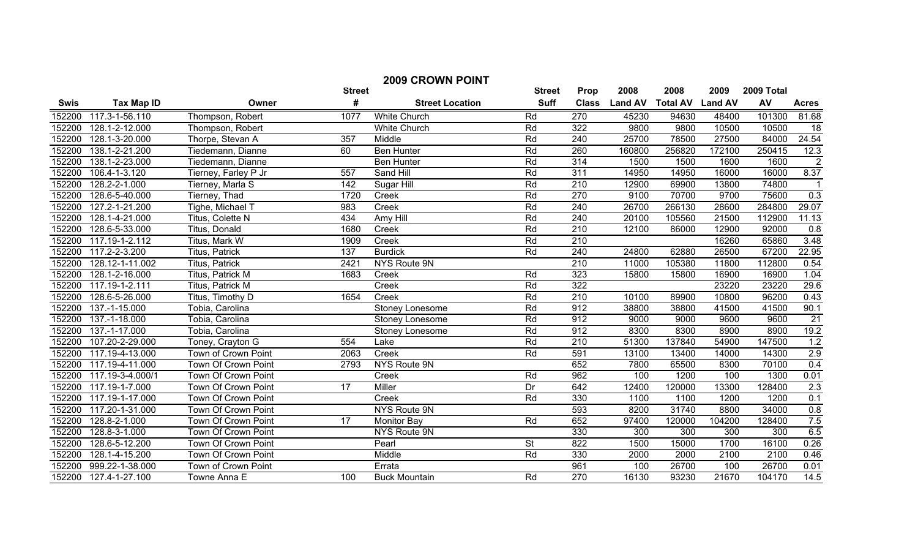|             | <b>2009 CROWN POINT</b> |                         |                  |                        |                          |                  |                |                         |        |            |                |
|-------------|-------------------------|-------------------------|------------------|------------------------|--------------------------|------------------|----------------|-------------------------|--------|------------|----------------|
|             |                         |                         | <b>Street</b>    |                        | <b>Street</b>            | Prop             | 2008           | 2008                    | 2009   | 2009 Total |                |
| <b>Swis</b> | <b>Tax Map ID</b>       | Owner                   | #                | <b>Street Location</b> | <b>Suff</b>              | <b>Class</b>     | <b>Land AV</b> | <b>Total AV Land AV</b> |        | AV         | <b>Acres</b>   |
| 152200      | 117.3-1-56.110          | Thompson, Robert        | 1077             | <b>White Church</b>    | Rd                       | 270              | 45230          | 94630                   | 48400  | 101300     | 81.68          |
| 152200      | 128.1-2-12.000          | Thompson, Robert        |                  | White Church           | Rd                       | 322              | 9800           | 9800                    | 10500  | 10500      | 18             |
| 152200      | 128.1-3-20.000          | Thorpe, Stevan A        | 357              | Middle                 | Rd                       | 240              | 25700          | 78500                   | 27500  | 84000      | 24.54          |
| 152200      | 138.1-2-21.200          | Tiedemann, Dianne       | 60               | <b>Ben Hunter</b>      | Rd                       | 260              | 160800         | 256820                  | 172100 | 250415     | 12.3           |
| 152200      | 138.1-2-23.000          | Tiedemann, Dianne       |                  | <b>Ben Hunter</b>      | Rd                       | 314              | 1500           | 1500                    | 1600   | 1600       | $\overline{2}$ |
| 152200      | 106.4-1-3.120           | Tierney, Farley P Jr    | 557              | Sand Hill              | Rd                       | 311              | 14950          | 14950                   | 16000  | 16000      | 8.37           |
| 152200      | 128.2-2-1.000           | Tierney, Marla S        | 142              | Sugar Hill             | Rd                       | $\overline{210}$ | 12900          | 69900                   | 13800  | 74800      |                |
| 152200      | 128.6-5-40.000          | Tierney, Thad           | 1720             | Creek                  | Rd                       | 270              | 9100           | 70700                   | 9700   | 75600      | 0.3            |
| 152200      | 127.2-1-21.200          | Tighe, Michael T        | 983              | Creek                  | Rd                       | 240              | 26700          | 266130                  | 28600  | 284800     | 29.07          |
| 152200      | 128.1-4-21.000          | Titus, Colette N        | 434              | Amy Hill               | Rd                       | 240              | 20100          | 105560                  | 21500  | 112900     | 11.13          |
| 152200      | 128.6-5-33.000          | Titus, Donald           | 1680             | Creek                  | Rd                       | 210              | 12100          | 86000                   | 12900  | 92000      | 0.8            |
| 152200      | 117.19-1-2.112          | Titus, Mark W           | 1909             | Creek                  | Rd                       | 210              |                |                         | 16260  | 65860      | 3.48           |
| 152200      | 117.2-2-3.200           | Titus, Patrick          | $\overline{137}$ | <b>Burdick</b>         | Rd                       | 240              | 24800          | 62880                   | 26500  | 67200      | 22.95          |
| 152200      | 128.12-1-11.002         | Titus, Patrick          | 2421             | NYS Route 9N           |                          | $\overline{210}$ | 11000          | 105380                  | 11800  | 112800     | 0.54           |
| 152200      | 128.1-2-16.000          | <b>Titus, Patrick M</b> | 1683             | Creek                  | Rd                       | 323              | 15800          | 15800                   | 16900  | 16900      | 1.04           |
| 152200      | 117.19-1-2.111          | Titus, Patrick M        |                  | Creek                  | Rd                       | 322              |                |                         | 23220  | 23220      | 29.6           |
| 152200      | 128.6-5-26.000          | Titus, Timothy D        | 1654             | Creek                  | Rd                       | 210              | 10100          | 89900                   | 10800  | 96200      | 0.43           |
| 152200      | 137.-1-15.000           | Tobia, Carolina         |                  | Stoney Lonesome        | Rd                       | 912              | 38800          | 38800                   | 41500  | 41500      | 90.1           |
| 152200      | 137.-1-18.000           | Tobia, Carolina         |                  | Stoney Lonesome        | Rd                       | 912              | 9000           | 9000                    | 9600   | 9600       | 21             |
| 152200      | 137.-1-17.000           | Tobia, Carolina         |                  | Stoney Lonesome        | Rd                       | 912              | 8300           | 8300                    | 8900   | 8900       | 19.2           |
| 152200      | 107.20-2-29.000         | Toney, Crayton G        | 554              | Lake                   | Rd                       | 210              | 51300          | 137840                  | 54900  | 147500     | 1.2            |
| 152200      | 117.19-4-13.000         | Town of Crown Point     | 2063             | Creek                  | Rd                       | 591              | 13100          | 13400                   | 14000  | 14300      | 2.9            |
| 152200      | 117.19-4-11.000         | Town Of Crown Point     | 2793             | NYS Route 9N           |                          | 652              | 7800           | 65500                   | 8300   | 70100      | 0.4            |
| 152200      | 117.19-3-4.000/1        | Town Of Crown Point     |                  | Creek                  | Rd                       | 962              | 100            | 1200                    | 100    | 1300       | 0.01           |
| 152200      | 117.19-1-7.000          | Town Of Crown Point     | 17               | Miller                 | Dr                       | 642              | 12400          | 120000                  | 13300  | 128400     | 2.3            |
| 152200      | 117.19-1-17.000         | Town Of Crown Point     |                  | Creek                  | Rd                       | 330              | 1100           | 1100                    | 1200   | 1200       | 0.1            |
| 152200      | 117.20-1-31.000         | Town Of Crown Point     |                  | NYS Route 9N           |                          | 593              | 8200           | 31740                   | 8800   | 34000      | 0.8            |
| 152200      | 128.8-2-1.000           | Town Of Crown Point     | $\overline{17}$  | <b>Monitor Bay</b>     | Rd                       | 652              | 97400          | 120000                  | 104200 | 128400     | 7.5            |
| 152200      | 128.8-3-1.000           | Town Of Crown Point     |                  | NYS Route 9N           |                          | 330              | 300            | 300                     | 300    | 300        | 6.5            |
| 152200      | 128.6-5-12.200          | Town Of Crown Point     |                  | Pearl                  | $\overline{\mathsf{St}}$ | 822              | 1500           | 15000                   | 1700   | 16100      | 0.26           |
| 152200      | 128.1-4-15.200          | Town Of Crown Point     |                  | Middle                 | Rd                       | 330              | 2000           | 2000                    | 2100   | 2100       | 0.46           |
| 152200      | 999.22-1-38.000         | Town of Crown Point     |                  | Errata                 |                          | 961              | 100            | 26700                   | 100    | 26700      | 0.01           |
| 152200      | 127.4-1-27.100          | Towne Anna E            | 100              | <b>Buck Mountain</b>   | Rd                       | 270              | 16130          | 93230                   | 21670  | 104170     | 14.5           |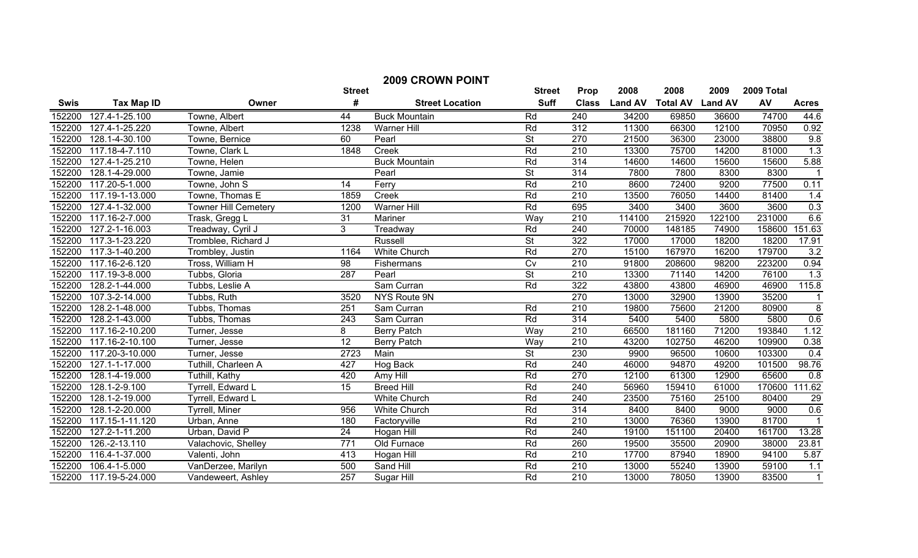| <b>2009 CROWN POINT</b> |                   |                             |                  |                        |                          |                  |                |                         |        |            |                  |
|-------------------------|-------------------|-----------------------------|------------------|------------------------|--------------------------|------------------|----------------|-------------------------|--------|------------|------------------|
|                         |                   |                             | <b>Street</b>    |                        | <b>Street</b>            | <b>Prop</b>      | 2008           | 2008                    | 2009   | 2009 Total |                  |
| <b>Swis</b>             | <b>Tax Map ID</b> | Owner                       | #                | <b>Street Location</b> | <b>Suff</b>              | <b>Class</b>     | <b>Land AV</b> | <b>Total AV Land AV</b> |        | AV         | <b>Acres</b>     |
| 152200                  | 127.4-1-25.100    | Towne, Albert               | 44               | <b>Buck Mountain</b>   | Rd                       | 240              | 34200          | 69850                   | 36600  | 74700      | 44.6             |
| 152200                  | 127.4-1-25.220    | Towne, Albert               | 1238             | <b>Warner Hill</b>     | Rd                       | $\overline{312}$ | 11300          | 66300                   | 12100  | 70950      | 0.92             |
| 152200                  | 128.1-4-30.100    | Towne, Bernice              | 60               | Pearl                  | $\overline{\mathsf{St}}$ | 270              | 21500          | 36300                   | 23000  | 38800      | 9.8              |
| 152200                  | 117.18-4-7.110    | Towne, Clark L              | 1848             | Creek                  | Rd                       | $\overline{210}$ | 13300          | 75700                   | 14200  | 81000      | $\overline{1.3}$ |
| 152200                  | 127.4-1-25.210    | Towne, Helen                |                  | <b>Buck Mountain</b>   | Rd                       | 314              | 14600          | 14600                   | 15600  | 15600      | 5.88             |
| 152200                  | 128.1-4-29.000    | Towne, Jamie                |                  | Pearl                  | $\overline{\mathsf{St}}$ | 314              | 7800           | 7800                    | 8300   | 8300       | $\overline{1}$   |
| 152200                  | 117.20-5-1.000    | Towne, John S               | 14               | Ferry                  | Rd                       | $\overline{210}$ | 8600           | 72400                   | 9200   | 77500      | 0.11             |
| 152200                  | 117.19-1-13.000   | Towne, Thomas E             | 1859             | Creek                  | Rd                       | $\overline{210}$ | 13500          | 76050                   | 14400  | 81400      | 1.4              |
| 152200                  | 127.4-1-32.000    | <b>Towner Hill Cemetery</b> | 1200             | <b>Warner Hill</b>     | Rd                       | 695              | 3400           | 3400                    | 3600   | 3600       | 0.3              |
| 152200                  | 117.16-2-7.000    | Trask, Gregg L              | 31               | Mariner                | Way                      | 210              | 114100         | 215920                  | 122100 | 231000     | 6.6              |
| 152200                  | 127.2-1-16.003    | Treadway, Cyril J           | 3                | Treadway               | Rd                       | 240              | 70000          | 148185                  | 74900  | 158600     | 151.63           |
| 152200                  | 117.3-1-23.220    | Tromblee, Richard J         |                  | Russell                | $\overline{\mathsf{St}}$ | 322              | 17000          | 17000                   | 18200  | 18200      | 17.91            |
| 152200                  | 117.3-1-40.200    | Trombley, Justin            | 1164             | <b>White Church</b>    | Rd                       | 270              | 15100          | 167970                  | 16200  | 179700     | 3.2              |
| 152200                  | 117.16-2-6.120    | Tross, William H            | $\overline{98}$  | Fishermans             | $\overline{C}$           | 210              | 91800          | 208600                  | 98200  | 223200     | 0.94             |
| 152200                  | 117.19-3-8.000    | Tubbs, Gloria               | 287              | Pearl                  | $\overline{\mathsf{St}}$ | 210              | 13300          | 71140                   | 14200  | 76100      | 1.3              |
| 152200                  | 128.2-1-44.000    | Tubbs, Leslie A             |                  | Sam Curran             | Rd                       | 322              | 43800          | 43800                   | 46900  | 46900      | 115.8            |
| 152200                  | 107.3-2-14.000    | Tubbs, Ruth                 | 3520             | NYS Route 9N           |                          | 270              | 13000          | 32900                   | 13900  | 35200      |                  |
| 152200                  | 128.2-1-48.000    | Tubbs, Thomas               | 251              | Sam Curran             | Rd                       | 210              | 19800          | 75600                   | 21200  | 80900      | $\overline{8}$   |
| 152200                  | 128.2-1-43.000    | Tubbs, Thomas               | 243              | Sam Curran             | Rd                       | 314              | 5400           | 5400                    | 5800   | 5800       | 0.6              |
| 152200                  | 117.16-2-10.200   | Turner, Jesse               | 8                | <b>Berry Patch</b>     | Way                      | 210              | 66500          | 181160                  | 71200  | 193840     | 1.12             |
| 152200                  | 117.16-2-10.100   | Turner, Jesse               | 12               | <b>Berry Patch</b>     | Way                      | 210              | 43200          | 102750                  | 46200  | 109900     | 0.38             |
| 152200                  | 117.20-3-10.000   | Turner, Jesse               | 2723             | Main                   | $\overline{\mathsf{St}}$ | 230              | 9900           | 96500                   | 10600  | 103300     | 0.4              |
| 152200                  | 127.1-1-17.000    | Tuthill, Charleen A         | 427              | Hog Back               | Rd                       | 240              | 46000          | 94870                   | 49200  | 101500     | 98.76            |
| 152200                  | 128.1-4-19.000    | Tuthill, Kathy              | 420              | Amy Hill               | Rd                       | 270              | 12100          | 61300                   | 12900  | 65600      | 0.8              |
| 152200                  | 128.1-2-9.100     | Tyrrell, Edward L           | 15               | <b>Breed Hill</b>      | Rd                       | 240              | 56960          | 159410                  | 61000  | 170600     | 111.62           |
| 152200                  | 128.1-2-19.000    | Tyrrell, Edward L           |                  | <b>White Church</b>    | Rd                       | 240              | 23500          | 75160                   | 25100  | 80400      | 29               |
| 152200                  | 128.1-2-20.000    | <b>Tyrrell, Miner</b>       | 956              | <b>White Church</b>    | Rd                       | 314              | 8400           | 8400                    | 9000   | 9000       | 0.6              |
| 152200                  | 117.15-1-11.120   | Urban, Anne                 | 180              | Factoryville           | Rd                       | $\overline{210}$ | 13000          | 76360                   | 13900  | 81700      | $\overline{1}$   |
| 152200                  | 127.2-1-11.200    | Urban, David P              | 24               | Hogan Hill             | Rd                       | 240              | 19100          | 151100                  | 20400  | 161700     | 13.28            |
| 152200                  | 126.-2-13.110     | Valachovic, Shelley         | $\overline{771}$ | Old Furnace            | Rd                       | 260              | 19500          | 35500                   | 20900  | 38000      | 23.81            |
| 152200                  | 116.4-1-37.000    | Valenti, John               | 413              | Hogan Hill             | Rd                       | $\overline{210}$ | 17700          | 87940                   | 18900  | 94100      | 5.87             |
| 152200                  | 106.4-1-5.000     | VanDerzee, Marilyn          | 500              | Sand Hill              | Rd                       | $\overline{210}$ | 13000          | 55240                   | 13900  | 59100      | 1.1              |
| 152200                  | 117.19-5-24.000   | Vandeweert, Ashley          | 257              | Sugar Hill             | Rd                       | $\overline{210}$ | 13000          | 78050                   | 13900  | 83500      | $\mathbf{1}$     |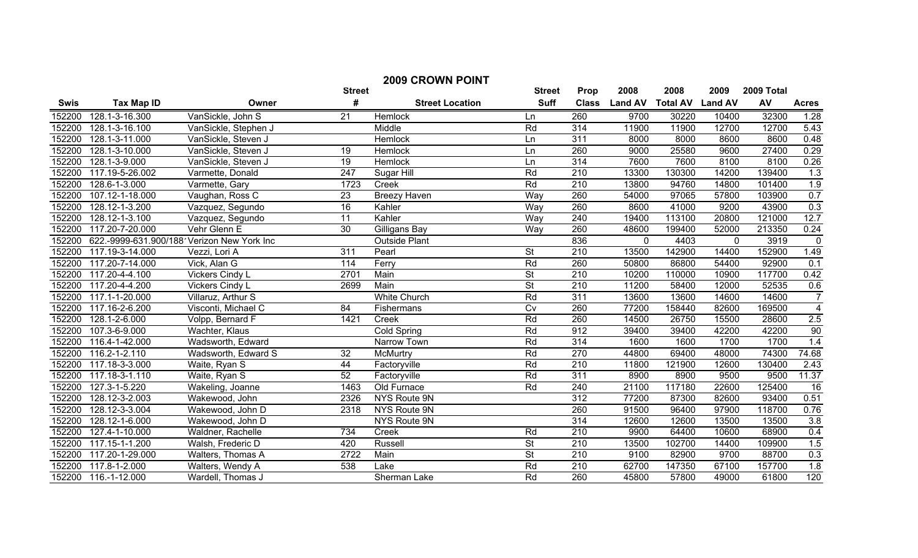| <b>2009 CROWN POINT</b> |                                            |                        |                  |                        |                          |                  |                |                 |                |            |                  |
|-------------------------|--------------------------------------------|------------------------|------------------|------------------------|--------------------------|------------------|----------------|-----------------|----------------|------------|------------------|
|                         |                                            |                        | <b>Street</b>    |                        | <b>Street</b>            | Prop             | 2008           | 2008            | 2009           | 2009 Total |                  |
| <b>Swis</b>             | <b>Tax Map ID</b>                          | Owner                  | #                | <b>Street Location</b> | <b>Suff</b>              | <b>Class</b>     | <b>Land AV</b> | <b>Total AV</b> | <b>Land AV</b> | AV         | <b>Acres</b>     |
| 152200                  | 128.1-3-16.300                             | VanSickle, John S      | 21               | Hemlock                | Ln                       | 260              | 9700           | 30220           | 10400          | 32300      | 1.28             |
| 152200                  | 128.1-3-16.100                             | VanSickle, Stephen J   |                  | Middle                 | Rd                       | 314              | 11900          | 11900           | 12700          | 12700      | 5.43             |
| 152200                  | 128.1-3-11.000                             | VanSickle, Steven J    |                  | Hemlock                | Ln                       | 311              | 8000           | 8000            | 8600           | 8600       | 0.48             |
| 152200                  | 128.1-3-10.000                             | VanSickle, Steven J    | 19               | Hemlock                | Ln                       | 260              | 9000           | 25580           | 9600           | 27400      | 0.29             |
| 152200                  | 128.1-3-9.000                              | VanSickle, Steven J    | $\overline{19}$  | Hemlock                | Ln                       | 314              | 7600           | 7600            | 8100           | 8100       | 0.26             |
| 152200                  | 117.19-5-26.002                            | Varmette, Donald       | $\overline{247}$ | Sugar Hill             | Rd                       | $\overline{210}$ | 13300          | 130300          | 14200          | 139400     | $\overline{1.3}$ |
| 152200                  | 128.6-1-3.000                              | Varmette, Gary         | 1723             | Creek                  | Rd                       | 210              | 13800          | 94760           | 14800          | 101400     | 1.9              |
| 152200                  | 107.12-1-18.000                            | Vaughan, Ross C        | $\overline{23}$  | <b>Breezy Haven</b>    | Way                      | 260              | 54000          | 97065           | 57800          | 103900     | 0.7              |
| 152200                  | 128.12-1-3.200                             | Vazquez, Segundo       | 16               | Kahler                 | Way                      | 260              | 8600           | 41000           | 9200           | 43900      | 0.3              |
| 152200                  | 128.12-1-3.100                             | Vazquez, Segundo       | 11               | Kahler                 | Way                      | 240              | 19400          | 113100          | 20800          | 121000     | 12.7             |
| 152200                  | 117.20-7-20.000                            | Vehr Glenn E           | $\overline{30}$  | Gilligans Bay          | Way                      | 260              | 48600          | 199400          | 52000          | 213350     | 0.24             |
| 152200                  | 622.-9999-631.900/188 Verizon New York Inc |                        |                  | <b>Outside Plant</b>   |                          | 836              | $\mathbf{0}$   | 4403            | $\mathbf 0$    | 3919       | $\overline{0}$   |
| 152200                  | 117.19-3-14.000                            | Vezzi, Lori A          | 311              | Pearl                  | $\overline{\mathsf{St}}$ | $\overline{210}$ | 13500          | 142900          | 14400          | 152900     | 1.49             |
| 152200                  | 117.20-7-14.000                            | Vick, Alan G           | 114              | Ferry                  | Rd                       | 260              | 50800          | 86800           | 54400          | 92900      | 0.1              |
| 152200                  | 117.20-4-4.100                             | <b>Vickers Cindy L</b> | 2701             | Main                   | $\overline{\mathsf{St}}$ | 210              | 10200          | 110000          | 10900          | 117700     | 0.42             |
| 152200                  | 117.20-4-4.200                             | <b>Vickers Cindy L</b> | 2699             | Main                   | $\overline{\mathsf{St}}$ | 210              | 11200          | 58400           | 12000          | 52535      | 0.6              |
| 152200                  | 117.1-1-20.000                             | Villaruz, Arthur S     |                  | <b>White Church</b>    | Rd                       | 311              | 13600          | 13600           | 14600          | 14600      | $\overline{7}$   |
| 152200                  | 117.16-2-6.200                             | Visconti, Michael C    | 84               | Fishermans             | $\overline{C}V$          | 260              | 77200          | 158440          | 82600          | 169500     | $\overline{4}$   |
| 152200                  | 128.1-2-6.000                              | Volpp, Bernard F       | 1421             | Creek                  | Rd                       | 260              | 14500          | 26750           | 15500          | 28600      | 2.5              |
| 152200                  | 107.3-6-9.000                              | Wachter, Klaus         |                  | Cold Spring            | Rd                       | 912              | 39400          | 39400           | 42200          | 42200      | 90               |
| 152200                  | 116.4-1-42.000                             | Wadsworth, Edward      |                  | Narrow Town            | Rd                       | 314              | 1600           | 1600            | 1700           | 1700       | 1.4              |
| 152200                  | 116.2-1-2.110                              | Wadsworth, Edward S    | $\overline{32}$  | <b>McMurtry</b>        | Rd                       | 270              | 44800          | 69400           | 48000          | 74300      | 74.68            |
| 152200                  | 117.18-3-3.000                             | Waite, Ryan S          | 44               | Factoryville           | Rd                       | 210              | 11800          | 121900          | 12600          | 130400     | 2.43             |
| 152200                  | 117.18-3-1.110                             | Waite, Ryan S          | $\overline{52}$  | Factoryville           | Rd                       | 311              | 8900           | 8900            | 9500           | 9500       | 11.37            |
| 152200                  | 127.3-1-5.220                              | Wakeling, Joanne       | 1463             | Old Furnace            | Rd                       | 240              | 21100          | 117180          | 22600          | 125400     | 16               |
| 152200                  | 128.12-3-2.003                             | Wakewood, John         | 2326             | NYS Route 9N           |                          | 312              | 77200          | 87300           | 82600          | 93400      | 0.51             |
| 152200                  | 128.12-3-3.004                             | Wakewood, John D       | 2318             | NYS Route 9N           |                          | 260              | 91500          | 96400           | 97900          | 118700     | 0.76             |
| 152200                  | 128.12-1-6.000                             | Wakewood, John D       |                  | NYS Route 9N           |                          | 314              | 12600          | 12600           | 13500          | 13500      | 3.8              |
| 152200                  | 127.4-1-10.000                             | Waldner, Rachelle      | 734              | Creek                  | Rd                       | 210              | 9900           | 64400           | 10600          | 68900      | 0.4              |
| 152200                  | 117.15-1-1.200                             | Walsh, Frederic D      | 420              | Russell                | <b>St</b>                | $\overline{210}$ | 13500          | 102700          | 14400          | 109900     | 1.5              |
| 152200                  | 117.20-1-29.000                            | Walters, Thomas A      | 2722             | Main                   | $\overline{\mathsf{St}}$ | $\overline{210}$ | 9100           | 82900           | 9700           | 88700      | 0.3              |
| 152200                  | 117.8-1-2.000                              | Walters, Wendy A       | 538              | Lake                   | Rd                       | $\overline{210}$ | 62700          | 147350          | 67100          | 157700     | 1.8              |
| 152200                  | $\overline{116}$ -1-12.000                 | Wardell, Thomas J      |                  | Sherman Lake           | Rd                       | 260              | 45800          | 57800           | 49000          | 61800      | 120              |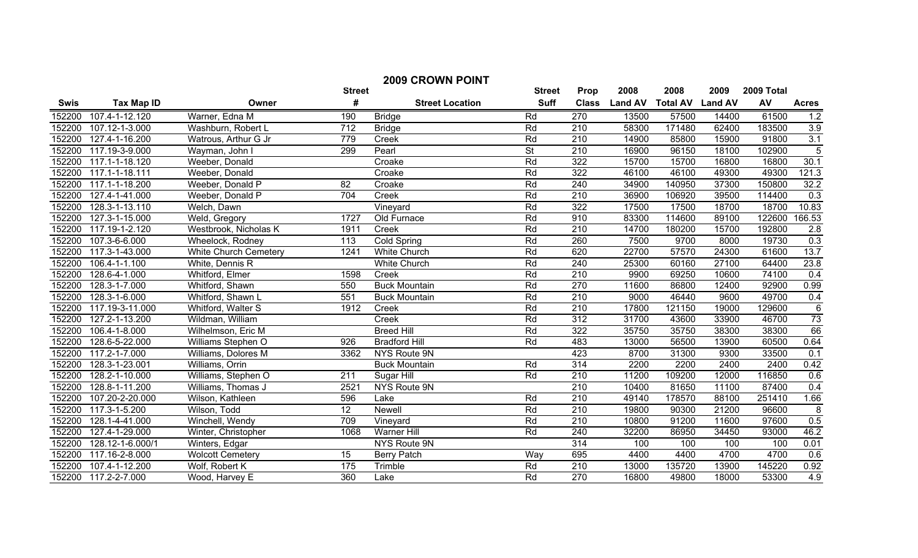| <b>2009 CROWN POINT</b> |                             |                         |                  |                        |                          |                  |                |                 |                |            |                |
|-------------------------|-----------------------------|-------------------------|------------------|------------------------|--------------------------|------------------|----------------|-----------------|----------------|------------|----------------|
|                         |                             |                         | <b>Street</b>    |                        | <b>Street</b>            | Prop             | 2008           | 2008            | 2009           | 2009 Total |                |
| <b>Swis</b>             | <b>Tax Map ID</b>           | Owner                   | #                | <b>Street Location</b> | <b>Suff</b>              | <b>Class</b>     | <b>Land AV</b> | <b>Total AV</b> | <b>Land AV</b> | AV         | <b>Acres</b>   |
| 152200                  | 107.4-1-12.120              | Warner, Edna M          | 190              | <b>Bridge</b>          | Rd                       | 270              | 13500          | 57500           | 14400          | 61500      | 1.2            |
| 152200                  | $107.12 - 1 - 3.000$        | Washburn, Robert L      | $\overline{712}$ | <b>Bridge</b>          | Rd                       | 210              | 58300          | 171480          | 62400          | 183500     | 3.9            |
| 152200                  | 127.4-1-16.200              | Watrous, Arthur G Jr    | 779              | Creek                  | Rd                       | $\overline{210}$ | 14900          | 85800           | 15900          | 91800      | 3.1            |
| 152200                  | 117.19-3-9.000              | Wayman, John I          | 299              | Pearl                  | $\overline{\mathsf{St}}$ | $\overline{210}$ | 16900          | 96150           | 18100          | 102900     | $\overline{5}$ |
| 152200                  | 117.1-1-18.120              | Weeber, Donald          |                  | Croake                 | Rd                       | $\overline{322}$ | 15700          | 15700           | 16800          | 16800      | 30.1           |
| 152200                  | 117.1-1-18.111              | Weeber, Donald          |                  | Croake                 | Rd                       | 322              | 46100          | 46100           | 49300          | 49300      | 121.3          |
| 152200                  | 117.1-1-18.200              | Weeber, Donald P        | 82               | Croake                 | Rd                       | $\overline{240}$ | 34900          | 140950          | 37300          | 150800     | 32.2           |
| 152200                  | 127.4-1-41.000              | Weeber, Donald P        | 704              | Creek                  | Rd                       | $\overline{210}$ | 36900          | 106920          | 39500          | 114400     | 0.3            |
| 152200                  | 128.3-1-13.110              | Welch, Dawn             |                  | Vineyard               | Rd                       | 322              | 17500          | 17500           | 18700          | 18700      | 10.83          |
| 152200                  | 127.3-1-15.000              | Weld, Gregory           | 1727             | Old Furnace            | Rd                       | 910              | 83300          | 114600          | 89100          | 122600     | 166.53         |
| 152200                  | 117.19-1-2.120              | Westbrook, Nicholas K   | 1911             | Creek                  | Rd                       | 210              | 14700          | 180200          | 15700          | 192800     | 2.8            |
| 152200                  | $\overline{107.3}$ -6-6.000 | Wheelock, Rodney        | 113              | Cold Spring            | Rd                       | 260              | 7500           | 9700            | 8000           | 19730      | 0.3            |
| 152200                  | 117.3-1-43.000              | White Church Cemetery   | 1241             | White Church           | Rd                       | 620              | 22700          | 57570           | 24300          | 61600      | 13.7           |
| 152200                  | 106.4-1-1.100               | White, Dennis R         |                  | <b>White Church</b>    | Rd                       | 240              | 25300          | 60160           | 27100          | 64400      | 23.8           |
| 152200                  | 128.6-4-1.000               | Whitford, Elmer         | 1598             | Creek                  | Rd                       | 210              | 9900           | 69250           | 10600          | 74100      | 0.4            |
| 152200                  | 128.3-1-7.000               | Whitford, Shawn         | 550              | <b>Buck Mountain</b>   | Rd                       | 270              | 11600          | 86800           | 12400          | 92900      | 0.99           |
| 152200                  | 128.3-1-6.000               | Whitford, Shawn L       | 551              | <b>Buck Mountain</b>   | Rd                       | 210              | 9000           | 46440           | 9600           | 49700      | 0.4            |
| 152200                  | 117.19-3-11.000             | Whitford, Walter S      | 1912             | Creek                  | Rd                       | 210              | 17800          | 121150          | 19000          | 129600     | $\overline{6}$ |
| 152200                  | 127.2-1-13.200              | Wildman, William        |                  | Creek                  | Rd                       | 312              | 31700          | 43600           | 33900          | 46700      | 73             |
| 152200                  | 106.4-1-8.000               | Wilhelmson, Eric M      |                  | <b>Breed Hill</b>      | Rd                       | 322              | 35750          | 35750           | 38300          | 38300      | 66             |
| 152200                  | 128.6-5-22.000              | Williams Stephen O      | 926              | <b>Bradford Hill</b>   | Rd                       | 483              | 13000          | 56500           | 13900          | 60500      | 0.64           |
| 152200                  | 117.2-1-7.000               | Williams, Dolores M     | 3362             | <b>NYS Route 9N</b>    |                          | 423              | 8700           | 31300           | 9300           | 33500      | 0.1            |
| 152200                  | 128.3-1-23.001              | Williams, Orrin         |                  | <b>Buck Mountain</b>   | Rd                       | 314              | 2200           | 2200            | 2400           | 2400       | 0.42           |
| 152200                  | 128.2-1-10.000              | Williams, Stephen O     | $\overline{211}$ | Sugar Hill             | Rd                       | 210              | 11200          | 109200          | 12000          | 116850     | 0.6            |
| 152200                  | 128.8-1-11.200              | Williams, Thomas J      | 2521             | NYS Route 9N           |                          | $\overline{210}$ | 10400          | 81650           | 11100          | 87400      | 0.4            |
| 152200                  | 107.20-2-20.000             | Wilson, Kathleen        | 596              | Lake                   | Rd                       | $\overline{210}$ | 49140          | 178570          | 88100          | 251410     | 1.66           |
| 152200                  | 117.3-1-5.200               | Wilson, Todd            | 12               | <b>Newell</b>          | Rd                       | $\overline{210}$ | 19800          | 90300           | 21200          | 96600      | $\,8\,$        |
| 152200                  | 128.1-4-41.000              | Winchell, Wendy         | 709              | Vineyard               | Rd                       | $\overline{210}$ | 10800          | 91200           | 11600          | 97600      | 0.5            |
| 152200                  | 127.4-1-29.000              | Winter, Christopher     | 1068             | <b>Warner Hill</b>     | Rd                       | 240              | 32200          | 86950           | 34450          | 93000      | 46.2           |
| 152200                  | 128.12-1-6.000/1            | Winters, Edgar          |                  | NYS Route 9N           |                          | 314              | 100            | 100             | 100            | 100        | 0.01           |
| 152200                  | 117.16-2-8.000              | <b>Wolcott Cemetery</b> | 15               | <b>Berry Patch</b>     | Way                      | 695              | 4400           | 4400            | 4700           | 4700       | 0.6            |
| 152200                  | 107.4-1-12.200              | Wolf, Robert K          | 175              | Trimble                | Rd                       | $\overline{210}$ | 13000          | 135720          | 13900          | 145220     | 0.92           |
| 152200                  | 117.2-2-7.000               | Wood, Harvey E          | 360              | Lake                   | Rd                       | $\overline{270}$ | 16800          | 49800           | 18000          | 53300      | 4.9            |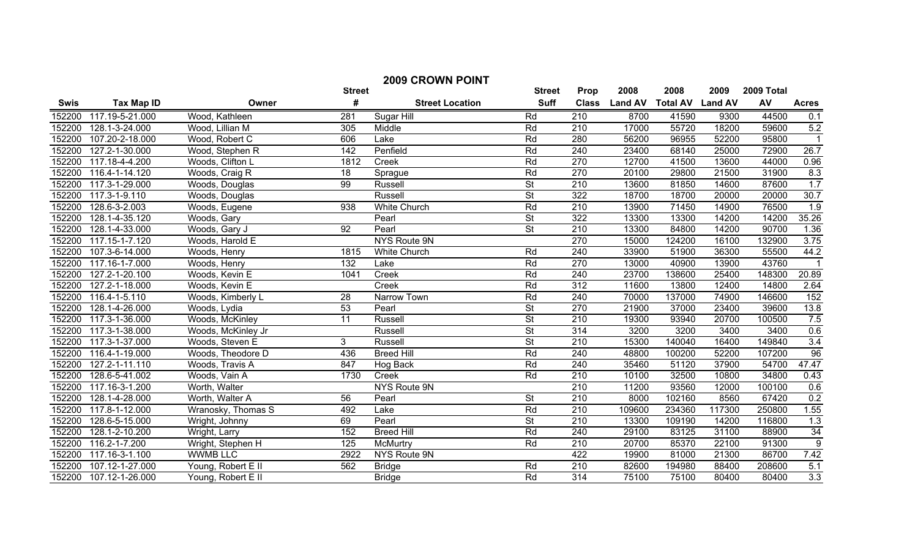| <b>2009 CROWN POINT</b> |                   |                    |                 |                        |                          |                  |                |                         |        |            |                  |
|-------------------------|-------------------|--------------------|-----------------|------------------------|--------------------------|------------------|----------------|-------------------------|--------|------------|------------------|
|                         |                   |                    | <b>Street</b>   |                        | <b>Street</b>            | Prop             | 2008           | 2008                    | 2009   | 2009 Total |                  |
| <b>Swis</b>             | <b>Tax Map ID</b> | Owner              | #               | <b>Street Location</b> | <b>Suff</b>              | <b>Class</b>     | <b>Land AV</b> | <b>Total AV Land AV</b> |        | AV         | <b>Acres</b>     |
| 152200                  | 117.19-5-21.000   | Wood, Kathleen     | 281             | Sugar Hill             | Rd                       | 210              | 8700           | 41590                   | 9300   | 44500      | 0.1              |
| 152200                  | 128.1-3-24.000    | Wood, Lillian M    | 305             | Middle                 | Rd                       | 210              | 17000          | 55720                   | 18200  | 59600      | 5.2              |
| 152200                  | 107.20-2-18.000   | Wood, Robert C     | 606             | Lake                   | Rd                       | 280              | 56200          | 96955                   | 52200  | 95800      | $\overline{1}$   |
| 152200                  | 127.2-1-30.000    | Wood, Stephen R    | 142             | Penfield               | Rd                       | 240              | 23400          | 68140                   | 25000  | 72900      | 26.7             |
| 152200                  | 117.18-4-4.200    | Woods, Clifton L   | 1812            | Creek                  | Rd                       | 270              | 12700          | 41500                   | 13600  | 44000      | 0.96             |
| 152200                  | 116.4-1-14.120    | Woods, Craig R     | 18              | Sprague                | Rd                       | 270              | 20100          | 29800                   | 21500  | 31900      | 8.3              |
| 152200                  | 117.3-1-29.000    | Woods, Douglas     | 99              | <b>Russell</b>         | $\overline{\mathsf{St}}$ | $\overline{210}$ | 13600          | 81850                   | 14600  | 87600      | 1.7              |
| 152200                  | 117.3-1-9.110     | Woods, Douglas     |                 | Russell                | $\overline{\mathsf{St}}$ | $\overline{322}$ | 18700          | 18700                   | 20000  | 20000      | 30.7             |
| 152200                  | 128.6-3-2.003     | Woods, Eugene      | 938             | <b>White Church</b>    | Rd                       | $\overline{210}$ | 13900          | 71450                   | 14900  | 76500      | 1.9              |
| 152200                  | 128.1-4-35.120    | Woods, Gary        |                 | Pearl                  | $\overline{\mathsf{St}}$ | 322              | 13300          | 13300                   | 14200  | 14200      | 35.26            |
| 152200                  | 128.1-4-33.000    | Woods, Gary J      | $\overline{92}$ | Pearl                  | $\overline{\mathsf{St}}$ | $\overline{210}$ | 13300          | 84800                   | 14200  | 90700      | 1.36             |
| 152200                  | 117.15-1-7.120    | Woods, Harold E    |                 | <b>NYS Route 9N</b>    |                          | 270              | 15000          | 124200                  | 16100  | 132900     | 3.75             |
| 152200                  | 107.3-6-14.000    | Woods, Henry       | 1815            | <b>White Church</b>    | Rd                       | 240              | 33900          | 51900                   | 36300  | 55500      | 44.2             |
| 152200                  | 117.16-1-7.000    | Woods, Henry       | 132             | Lake                   | Rd                       | 270              | 13000          | 40900                   | 13900  | 43760      |                  |
| 152200                  | 127.2-1-20.100    | Woods, Kevin E     | 1041            | Creek                  | Rd                       | 240              | 23700          | 138600                  | 25400  | 148300     | 20.89            |
| 152200                  | 127.2-1-18.000    | Woods, Kevin E     |                 | Creek                  | Rd                       | 312              | 11600          | 13800                   | 12400  | 14800      | 2.64             |
| 152200                  | 116.4-1-5.110     | Woods, Kimberly L  | 28              | Narrow Town            | Rd                       | 240              | 70000          | 137000                  | 74900  | 146600     | 152              |
| 152200                  | 128.1-4-26.000    | Woods, Lydia       | 53              | Pearl                  | <b>St</b>                | 270              | 21900          | 37000                   | 23400  | 39600      | 13.8             |
| 152200                  | 117.3-1-36.000    | Woods, McKinley    | $\overline{11}$ | Russell                | $\overline{\mathsf{St}}$ | $\overline{210}$ | 19300          | 93940                   | 20700  | 100500     | 7.5              |
| 152200                  | 117.3-1-38.000    | Woods, McKinley Jr |                 | Russell                | $\overline{\mathsf{St}}$ | 314              | 3200           | 3200                    | 3400   | 3400       | 0.6              |
| 152200                  | 117.3-1-37.000    | Woods, Steven E    | 3               | Russell                | $\overline{\mathsf{St}}$ | $\overline{210}$ | 15300          | 140040                  | 16400  | 149840     | 3.4              |
| 152200                  | 116.4-1-19.000    | Woods, Theodore D  | 436             | <b>Breed Hill</b>      | Rd                       | 240              | 48800          | 100200                  | 52200  | 107200     | 96               |
| 152200                  | 127.2-1-11.110    | Woods, Travis A    | 847             | Hog Back               | Rd                       | 240              | 35460          | 51120                   | 37900  | 54700      | 47.47            |
| 152200                  | 128.6-5-41.002    | Woods, Vain A      | 1730            | Creek                  | Rd                       | 210              | 10100          | 32500                   | 10800  | 34800      | 0.43             |
| 152200                  | 117.16-3-1.200    | Worth, Walter      |                 | <b>NYS Route 9N</b>    |                          | $\overline{210}$ | 11200          | 93560                   | 12000  | 100100     | 0.6              |
| 152200                  | 128.1-4-28.000    | Worth, Walter A    | 56              | Pearl                  | <b>St</b>                | $\overline{210}$ | 8000           | 102160                  | 8560   | 67420      | 0.2              |
| 152200                  | 117.8-1-12.000    | Wranosky, Thomas S | 492             | Lake                   | Rd                       | $\overline{210}$ | 109600         | 234360                  | 117300 | 250800     | 1.55             |
| 152200                  | 128.6-5-15.000    | Wright, Johnny     | 69              | Pearl                  | $\overline{\mathsf{St}}$ | $\overline{210}$ | 13300          | 109190                  | 14200  | 116800     | 1.3              |
| 152200                  | 128.1-2-10.200    | Wright, Larry      | 152             | <b>Breed Hill</b>      | Rd                       | 240              | 29100          | 83125                   | 31100  | 88900      | $\frac{34}{9}$   |
| 152200                  | 116.2-1-7.200     | Wright, Stephen H  | 125             | <b>McMurtry</b>        | Rd                       | $\overline{210}$ | 20700          | 85370                   | 22100  | 91300      |                  |
| 152200                  | 117.16-3-1.100    | <b>WWMB LLC</b>    | 2922            | NYS Route 9N           |                          | 422              | 19900          | 81000                   | 21300  | 86700      | 7.42             |
| 152200                  | 107.12-1-27.000   | Young, Robert E II | 562             | <b>Bridge</b>          | Rd                       | $\overline{210}$ | 82600          | 194980                  | 88400  | 208600     | 5.1              |
| 152200                  | 107.12-1-26.000   | Young, Robert E II |                 | <b>Bridge</b>          | Rd                       | $\overline{314}$ | 75100          | 75100                   | 80400  | 80400      | $\overline{3.3}$ |